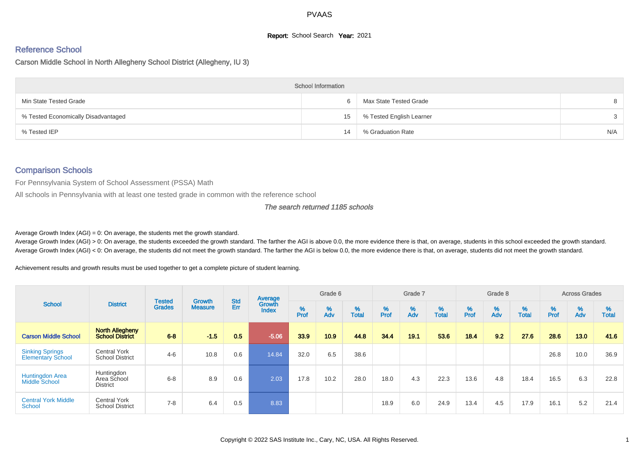# **Report:** School Search **Year:** 2021

# Reference School

Carson Middle School in North Allegheny School District (Allegheny, IU 3)

|                                     | <b>School Information</b> |                          |               |
|-------------------------------------|---------------------------|--------------------------|---------------|
| Min State Tested Grade              |                           | Max State Tested Grade   |               |
| % Tested Economically Disadvantaged | 15                        | % Tested English Learner | $\mathcal{S}$ |
| % Tested IEP                        | 14                        | % Graduation Rate        | N/A           |

# Comparison Schools

For Pennsylvania System of School Assessment (PSSA) Math

All schools in Pennsylvania with at least one tested grade in common with the reference school

#### The search returned 1185 schools

Average Growth Index  $(AGI) = 0$ : On average, the students met the growth standard.

Average Growth Index (AGI) > 0: On average, the students exceeded the growth standard. The farther the AGI is above 0.0, the more evidence there is that, on average, students in this school exceeded the growth standard. Average Growth Index (AGI) < 0: On average, the students did not meet the growth standard. The farther the AGI is below 0.0, the more evidence there is that, on average, students did not meet the growth standard.

Achievement results and growth results must be used together to get a complete picture of student learning.

| <b>School</b>                                      |                                                  |                                |                                 | <b>Std</b> | Average                |           | Grade 6  |                   |           | Grade 7  |                   |          | Grade 8  |                   |           | <b>Across Grades</b> |                   |
|----------------------------------------------------|--------------------------------------------------|--------------------------------|---------------------------------|------------|------------------------|-----------|----------|-------------------|-----------|----------|-------------------|----------|----------|-------------------|-----------|----------------------|-------------------|
|                                                    | <b>District</b>                                  | <b>Tested</b><br><b>Grades</b> | <b>Growth</b><br><b>Measure</b> | Err        | Growth<br><b>Index</b> | %<br>Prof | %<br>Adv | %<br><b>Total</b> | %<br>Prof | %<br>Adv | %<br><b>Total</b> | $%$ Prof | %<br>Adv | %<br><b>Total</b> | %<br>Prof | %<br>Adv             | %<br><b>Total</b> |
| <b>Carson Middle School</b>                        | <b>North Allegheny</b><br><b>School District</b> | $6 - 8$                        | $-1.5$                          | 0.5        | $-5.06$                | 33.9      | 10.9     | 44.8              | 34.4      | 19.1     | 53.6              | 18.4     | 9.2      | 27.6              | 28.6      | 13.0                 | 41.6              |
| <b>Sinking Springs</b><br><b>Elementary School</b> | <b>Central York</b><br><b>School District</b>    | $4 - 6$                        | 10.8                            | 0.6        | 14.84                  | 32.0      | 6.5      | 38.6              |           |          |                   |          |          |                   | 26.8      | 10.0                 | 36.9              |
| <b>Huntingdon Area</b><br>Middle School            | Huntingdon<br>Area School<br><b>District</b>     | $6 - 8$                        | 8.9                             | 0.6        | 2.03                   | 17.8      | 10.2     | 28.0              | 18.0      | 4.3      | 22.3              | 13.6     | 4.8      | 18.4              | 16.5      | 6.3                  | 22.8              |
| <b>Central York Middle</b><br>School               | <b>Central York</b><br><b>School District</b>    | $7 - 8$                        | 6.4                             | 0.5        | 8.83                   |           |          |                   | 18.9      | 6.0      | 24.9              | 13.4     | 4.5      | 17.9              | 16.1      | 5.2                  | 21.4              |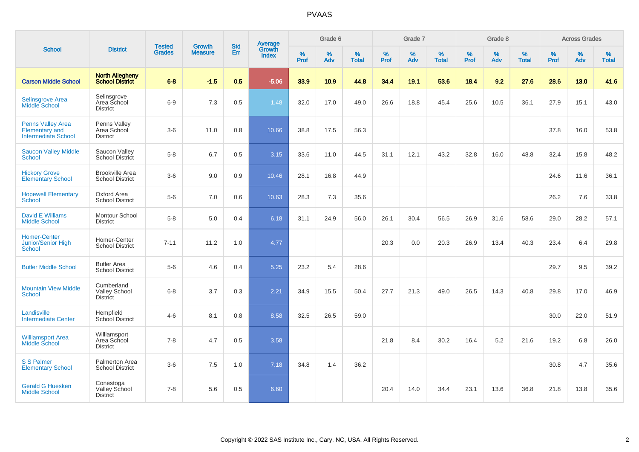|                                                                                 |                                                       |                                | <b>Growth</b>  | <b>Std</b> |                                          |                  | Grade 6  |                   |           | Grade 7  |                   |           | Grade 8     |                   |           | <b>Across Grades</b> |                   |
|---------------------------------------------------------------------------------|-------------------------------------------------------|--------------------------------|----------------|------------|------------------------------------------|------------------|----------|-------------------|-----------|----------|-------------------|-----------|-------------|-------------------|-----------|----------------------|-------------------|
| <b>School</b>                                                                   | <b>District</b>                                       | <b>Tested</b><br><b>Grades</b> | <b>Measure</b> | Err        | <b>Average</b><br>Growth<br><b>Index</b> | %<br><b>Prof</b> | %<br>Adv | %<br><b>Total</b> | %<br>Prof | %<br>Adv | %<br><b>Total</b> | %<br>Prof | $\%$<br>Adv | %<br><b>Total</b> | %<br>Prof | $\%$<br>Adv          | %<br><b>Total</b> |
| <b>Carson Middle School</b>                                                     | <b>North Allegheny</b><br><b>School District</b>      | $6 - 8$                        | $-1.5$         | 0.5        | $-5.06$                                  | 33.9             | 10.9     | 44.8              | 34.4      | 19.1     | 53.6              | 18.4      | 9.2         | 27.6              | 28.6      | 13.0                 | 41.6              |
| <b>Selinsgrove Area</b><br><b>Middle School</b>                                 | Selinsgrove<br>Area School<br><b>District</b>         | $6-9$                          | 7.3            | 0.5        | 1.48                                     | 32.0             | 17.0     | 49.0              | 26.6      | 18.8     | 45.4              | 25.6      | 10.5        | 36.1              | 27.9      | 15.1                 | 43.0              |
| <b>Penns Valley Area</b><br><b>Elementary and</b><br><b>Intermediate School</b> | Penns Valley<br>Area School<br><b>District</b>        | $3-6$                          | 11.0           | 0.8        | 10.66                                    | 38.8             | 17.5     | 56.3              |           |          |                   |           |             |                   | 37.8      | 16.0                 | 53.8              |
| <b>Saucon Valley Middle</b><br>School                                           | Saucon Valley<br>School District                      | $5-8$                          | 6.7            | 0.5        | 3.15                                     | 33.6             | 11.0     | 44.5              | 31.1      | 12.1     | 43.2              | 32.8      | 16.0        | 48.8              | 32.4      | 15.8                 | 48.2              |
| <b>Hickory Grove</b><br><b>Elementary School</b>                                | <b>Brookville Area</b><br><b>School District</b>      | $3-6$                          | 9.0            | 0.9        | 10.46                                    | 28.1             | 16.8     | 44.9              |           |          |                   |           |             |                   | 24.6      | 11.6                 | 36.1              |
| <b>Hopewell Elementary</b><br>School                                            | Oxford Area<br><b>School District</b>                 | $5-6$                          | 7.0            | 0.6        | 10.63                                    | 28.3             | 7.3      | 35.6              |           |          |                   |           |             |                   | 26.2      | 7.6                  | 33.8              |
| <b>David E Williams</b><br><b>Middle School</b>                                 | Montour School<br><b>District</b>                     | $5-8$                          | 5.0            | 0.4        | 6.18                                     | 31.1             | 24.9     | 56.0              | 26.1      | 30.4     | 56.5              | 26.9      | 31.6        | 58.6              | 29.0      | 28.2                 | 57.1              |
| <b>Homer-Center</b><br><b>Junior/Senior High</b><br><b>School</b>               | Homer-Center<br><b>School District</b>                | $7 - 11$                       | 11.2           | 1.0        | 4.77                                     |                  |          |                   | 20.3      | 0.0      | 20.3              | 26.9      | 13.4        | 40.3              | 23.4      | 6.4                  | 29.8              |
| <b>Butler Middle School</b>                                                     | <b>Butler Area</b><br><b>School District</b>          | $5-6$                          | 4.6            | 0.4        | 5.25                                     | 23.2             | 5.4      | 28.6              |           |          |                   |           |             |                   | 29.7      | 9.5                  | 39.2              |
| <b>Mountain View Middle</b><br>School                                           | Cumberland<br><b>Valley School</b><br><b>District</b> | $6 - 8$                        | 3.7            | 0.3        | 2.21                                     | 34.9             | 15.5     | 50.4              | 27.7      | 21.3     | 49.0              | 26.5      | 14.3        | 40.8              | 29.8      | 17.0                 | 46.9              |
| Landisville<br><b>Intermediate Center</b>                                       | Hempfield<br>School District                          | $4 - 6$                        | 8.1            | 0.8        | 8.58                                     | 32.5             | 26.5     | 59.0              |           |          |                   |           |             |                   | 30.0      | 22.0                 | 51.9              |
| <b>Williamsport Area</b><br><b>Middle School</b>                                | Williamsport<br>Area School<br><b>District</b>        | $7 - 8$                        | 4.7            | 0.5        | 3.58                                     |                  |          |                   | 21.8      | 8.4      | 30.2              | 16.4      | 5.2         | 21.6              | 19.2      | 6.8                  | 26.0              |
| <b>S S Palmer</b><br><b>Elementary School</b>                                   | Palmerton Area<br><b>School District</b>              | $3-6$                          | 7.5            | 1.0        | 7.18                                     | 34.8             | 1.4      | 36.2              |           |          |                   |           |             |                   | 30.8      | 4.7                  | 35.6              |
| <b>Gerald G Huesken</b><br><b>Middle School</b>                                 | Conestoga<br>Valley School<br><b>District</b>         | $7 - 8$                        | 5.6            | 0.5        | 6.60                                     |                  |          |                   | 20.4      | 14.0     | 34.4              | 23.1      | 13.6        | 36.8              | 21.8      | 13.8                 | 35.6              |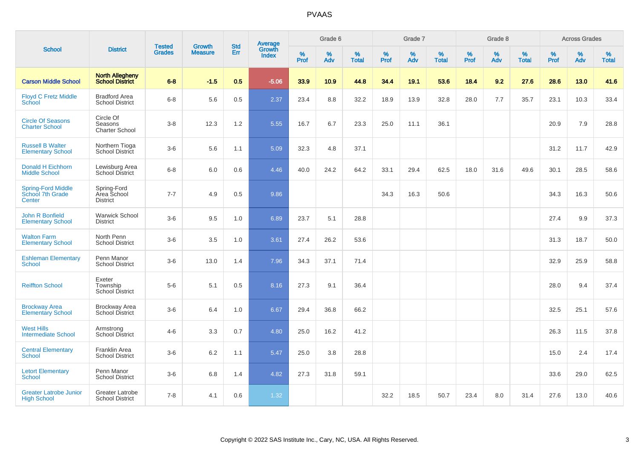|                                                         |                                                  |                                | <b>Growth</b>  | <b>Std</b> |                                          |                  | Grade 6     |                   |           | Grade 7     |                   |           | Grade 8  |                   |              | <b>Across Grades</b> |                   |
|---------------------------------------------------------|--------------------------------------------------|--------------------------------|----------------|------------|------------------------------------------|------------------|-------------|-------------------|-----------|-------------|-------------------|-----------|----------|-------------------|--------------|----------------------|-------------------|
| <b>School</b>                                           | <b>District</b>                                  | <b>Tested</b><br><b>Grades</b> | <b>Measure</b> | Err        | <b>Average</b><br>Growth<br><b>Index</b> | %<br><b>Prof</b> | $\%$<br>Adv | %<br><b>Total</b> | %<br>Prof | $\%$<br>Adv | %<br><b>Total</b> | %<br>Prof | %<br>Adv | %<br><b>Total</b> | $\%$<br>Prof | $\%$<br>Adv          | %<br><b>Total</b> |
| <b>Carson Middle School</b>                             | <b>North Allegheny</b><br><b>School District</b> | $6 - 8$                        | $-1.5$         | 0.5        | $-5.06$                                  | 33.9             | 10.9        | 44.8              | 34.4      | 19.1        | 53.6              | 18.4      | 9.2      | 27.6              | 28.6         | 13.0                 | 41.6              |
| <b>Floyd C Fretz Middle</b><br>School                   | <b>Bradford Area</b><br><b>School District</b>   | $6 - 8$                        | 5.6            | 0.5        | 2.37                                     | 23.4             | 8.8         | 32.2              | 18.9      | 13.9        | 32.8              | 28.0      | 7.7      | 35.7              | 23.1         | 10.3                 | 33.4              |
| <b>Circle Of Seasons</b><br><b>Charter School</b>       | Circle Of<br>Seasons<br><b>Charter School</b>    | $3 - 8$                        | 12.3           | 1.2        | 5.55                                     | 16.7             | 6.7         | 23.3              | 25.0      | 11.1        | 36.1              |           |          |                   | 20.9         | 7.9                  | 28.8              |
| <b>Russell B Walter</b><br><b>Elementary School</b>     | Northern Tioga<br>School District                | $3-6$                          | 5.6            | 1.1        | 5.09                                     | 32.3             | 4.8         | 37.1              |           |             |                   |           |          |                   | 31.2         | 11.7                 | 42.9              |
| Donald H Eichhorn<br><b>Middle School</b>               | Lewisburg Area<br>School District                | $6 - 8$                        | 6.0            | 0.6        | 4.46                                     | 40.0             | 24.2        | 64.2              | 33.1      | 29.4        | 62.5              | 18.0      | 31.6     | 49.6              | 30.1         | 28.5                 | 58.6              |
| <b>Spring-Ford Middle</b><br>School 7th Grade<br>Center | Spring-Ford<br>Area School<br><b>District</b>    | $7 - 7$                        | 4.9            | 0.5        | 9.86                                     |                  |             |                   | 34.3      | 16.3        | 50.6              |           |          |                   | 34.3         | 16.3                 | 50.6              |
| John R Bonfield<br><b>Elementary School</b>             | <b>Warwick School</b><br><b>District</b>         | $3-6$                          | 9.5            | 1.0        | 6.89                                     | 23.7             | 5.1         | 28.8              |           |             |                   |           |          |                   | 27.4         | 9.9                  | 37.3              |
| <b>Walton Farm</b><br><b>Elementary School</b>          | North Penn<br><b>School District</b>             | $3-6$                          | 3.5            | 1.0        | 3.61                                     | 27.4             | 26.2        | 53.6              |           |             |                   |           |          |                   | 31.3         | 18.7                 | 50.0              |
| <b>Eshleman Elementary</b><br><b>School</b>             | Penn Manor<br><b>School District</b>             | $3-6$                          | 13.0           | 1.4        | 7.96                                     | 34.3             | 37.1        | 71.4              |           |             |                   |           |          |                   | 32.9         | 25.9                 | 58.8              |
| <b>Reiffton School</b>                                  | Exeter<br>Township<br><b>School District</b>     | $5-6$                          | 5.1            | 0.5        | 8.16                                     | 27.3             | 9.1         | 36.4              |           |             |                   |           |          |                   | 28.0         | 9.4                  | 37.4              |
| <b>Brockway Area</b><br><b>Elementary School</b>        | <b>Brockway Area</b><br><b>School District</b>   | $3-6$                          | 6.4            | 1.0        | 6.67                                     | 29.4             | 36.8        | 66.2              |           |             |                   |           |          |                   | 32.5         | 25.1                 | 57.6              |
| <b>West Hills</b><br><b>Intermediate School</b>         | Armstrong<br>School District                     | $4 - 6$                        | 3.3            | 0.7        | 4.80                                     | 25.0             | 16.2        | 41.2              |           |             |                   |           |          |                   | 26.3         | 11.5                 | 37.8              |
| <b>Central Elementary</b><br><b>School</b>              | Franklin Area<br><b>School District</b>          | $3-6$                          | 6.2            | 1.1        | 5.47                                     | 25.0             | 3.8         | 28.8              |           |             |                   |           |          |                   | 15.0         | 2.4                  | 17.4              |
| <b>Letort Elementary</b><br><b>School</b>               | Penn Manor<br><b>School District</b>             | $3-6$                          | 6.8            | 1.4        | 4.82                                     | 27.3             | 31.8        | 59.1              |           |             |                   |           |          |                   | 33.6         | 29.0                 | 62.5              |
| <b>Greater Latrobe Junior</b><br><b>High School</b>     | Greater Latrobe<br><b>School District</b>        | $7 - 8$                        | 4.1            | 0.6        | 1.32                                     |                  |             |                   | 32.2      | 18.5        | 50.7              | 23.4      | 8.0      | 31.4              | 27.6         | 13.0                 | 40.6              |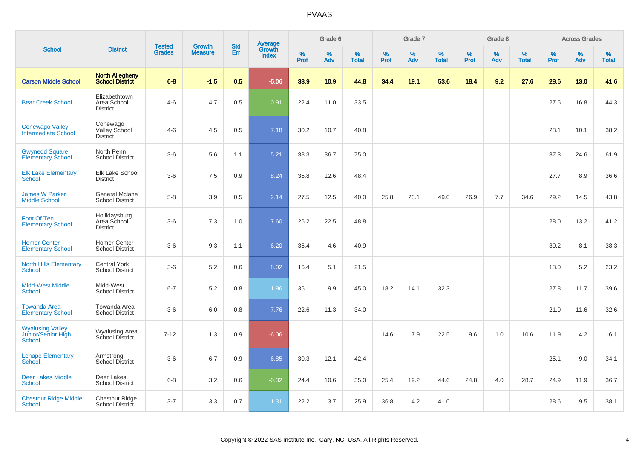|                                                         |                                                  |                                | <b>Growth</b>  | <b>Std</b> |                                          |                  | Grade 6  |                   |                  | Grade 7     |                   |                  | Grade 8  |                   |                  | <b>Across Grades</b> |                   |
|---------------------------------------------------------|--------------------------------------------------|--------------------------------|----------------|------------|------------------------------------------|------------------|----------|-------------------|------------------|-------------|-------------------|------------------|----------|-------------------|------------------|----------------------|-------------------|
| <b>School</b>                                           | <b>District</b>                                  | <b>Tested</b><br><b>Grades</b> | <b>Measure</b> | Err        | <b>Average</b><br>Growth<br><b>Index</b> | %<br><b>Prof</b> | %<br>Adv | %<br><b>Total</b> | %<br><b>Prof</b> | $\%$<br>Adv | %<br><b>Total</b> | %<br><b>Prof</b> | %<br>Adv | %<br><b>Total</b> | %<br><b>Prof</b> | $\%$<br>Adv          | %<br><b>Total</b> |
| <b>Carson Middle School</b>                             | <b>North Allegheny</b><br><b>School District</b> | $6 - 8$                        | $-1.5$         | 0.5        | $-5.06$                                  | 33.9             | 10.9     | 44.8              | 34.4             | 19.1        | 53.6              | 18.4             | 9.2      | 27.6              | 28.6             | 13.0                 | 41.6              |
| <b>Bear Creek School</b>                                | Elizabethtown<br>Area School<br><b>District</b>  | $4 - 6$                        | 4.7            | 0.5        | 0.91                                     | 22.4             | 11.0     | 33.5              |                  |             |                   |                  |          |                   | 27.5             | 16.8                 | 44.3              |
| <b>Conewago Valley</b><br>Intermediate School           | Conewago<br>Valley School<br><b>District</b>     | $4-6$                          | 4.5            | 0.5        | 7.18                                     | 30.2             | 10.7     | 40.8              |                  |             |                   |                  |          |                   | 28.1             | 10.1                 | 38.2              |
| <b>Gwynedd Square</b><br><b>Elementary School</b>       | North Penn<br><b>School District</b>             | $3-6$                          | 5.6            | 1.1        | 5.21                                     | 38.3             | 36.7     | 75.0              |                  |             |                   |                  |          |                   | 37.3             | 24.6                 | 61.9              |
| <b>Elk Lake Elementary</b><br>School                    | Elk Lake School<br><b>District</b>               | $3-6$                          | 7.5            | 0.9        | 8.24                                     | 35.8             | 12.6     | 48.4              |                  |             |                   |                  |          |                   | 27.7             | 8.9                  | 36.6              |
| <b>James W Parker</b><br><b>Middle School</b>           | <b>General Mclane</b><br><b>School District</b>  | $5-8$                          | 3.9            | 0.5        | 2.14                                     | 27.5             | 12.5     | 40.0              | 25.8             | 23.1        | 49.0              | 26.9             | 7.7      | 34.6              | 29.2             | 14.5                 | 43.8              |
| Foot Of Ten<br><b>Elementary School</b>                 | Hollidaysburg<br>Area School<br><b>District</b>  | $3-6$                          | 7.3            | 1.0        | 7.60                                     | 26.2             | 22.5     | 48.8              |                  |             |                   |                  |          |                   | 28.0             | 13.2                 | 41.2              |
| <b>Homer-Center</b><br><b>Elementary School</b>         | Homer-Center<br><b>School District</b>           | $3-6$                          | 9.3            | 1.1        | 6.20                                     | 36.4             | 4.6      | 40.9              |                  |             |                   |                  |          |                   | 30.2             | 8.1                  | 38.3              |
| <b>North Hills Elementary</b><br>School                 | <b>Central York</b><br><b>School District</b>    | $3-6$                          | 5.2            | 0.6        | 8.02                                     | 16.4             | 5.1      | 21.5              |                  |             |                   |                  |          |                   | 18.0             | 5.2                  | 23.2              |
| <b>Midd-West Middle</b><br><b>School</b>                | Midd-West<br><b>School District</b>              | $6 - 7$                        | 5.2            | 0.8        | 1.96                                     | 35.1             | 9.9      | 45.0              | 18.2             | 14.1        | 32.3              |                  |          |                   | 27.8             | 11.7                 | 39.6              |
| <b>Towanda Area</b><br><b>Elementary School</b>         | Towanda Area<br><b>School District</b>           | $3-6$                          | 6.0            | 0.8        | 7.76                                     | 22.6             | 11.3     | 34.0              |                  |             |                   |                  |          |                   | 21.0             | 11.6                 | 32.6              |
| <b>Wyalusing Valley</b><br>Junior/Senior High<br>School | Wyalusing Area<br>School District                | $7 - 12$                       | 1.3            | 0.9        | $-6.06$                                  |                  |          |                   | 14.6             | 7.9         | 22.5              | 9.6              | 1.0      | 10.6              | 11.9             | 4.2                  | 16.1              |
| <b>Lenape Elementary</b><br>School                      | Armstrong<br>School District                     | $3-6$                          | 6.7            | 0.9        | 6.85                                     | 30.3             | 12.1     | 42.4              |                  |             |                   |                  |          |                   | 25.1             | 9.0                  | 34.1              |
| <b>Deer Lakes Middle</b><br><b>School</b>               | Deer Lakes<br><b>School District</b>             | $6 - 8$                        | 3.2            | 0.6        | $-0.32$                                  | 24.4             | 10.6     | 35.0              | 25.4             | 19.2        | 44.6              | 24.8             | 4.0      | 28.7              | 24.9             | 11.9                 | 36.7              |
| <b>Chestnut Ridge Middle</b><br><b>School</b>           | <b>Chestnut Ridge</b><br>School District         | $3 - 7$                        | 3.3            | 0.7        | 1.31                                     | 22.2             | 3.7      | 25.9              | 36.8             | 4.2         | 41.0              |                  |          |                   | 28.6             | 9.5                  | 38.1              |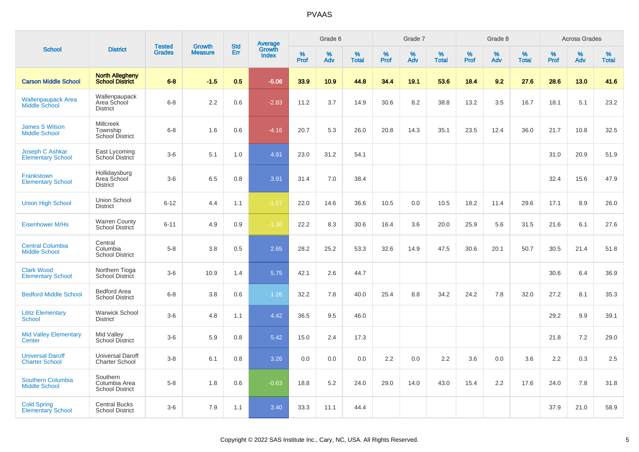|                                                  |                                                        |                                |                                 | <b>Std</b> |                                          |                  | Grade 6  |                   |           | Grade 7  |                   |           | Grade 8  |                   |           | <b>Across Grades</b> |                   |
|--------------------------------------------------|--------------------------------------------------------|--------------------------------|---------------------------------|------------|------------------------------------------|------------------|----------|-------------------|-----------|----------|-------------------|-----------|----------|-------------------|-----------|----------------------|-------------------|
| <b>School</b>                                    | <b>District</b>                                        | <b>Tested</b><br><b>Grades</b> | <b>Growth</b><br><b>Measure</b> | Err        | <b>Average</b><br>Growth<br><b>Index</b> | %<br><b>Prof</b> | %<br>Adv | %<br><b>Total</b> | %<br>Prof | %<br>Adv | %<br><b>Total</b> | %<br>Prof | %<br>Adv | %<br><b>Total</b> | %<br>Prof | %<br>Adv             | %<br><b>Total</b> |
| <b>Carson Middle School</b>                      | <b>North Allegheny</b><br><b>School District</b>       | $6 - 8$                        | $-1.5$                          | 0.5        | $-5.06$                                  | 33.9             | 10.9     | 44.8              | 34.4      | 19.1     | 53.6              | 18.4      | 9.2      | 27.6              | 28.6      | 13.0                 | 41.6              |
| <b>Wallenpaupack Area</b><br>Middle School       | Wallenpaupack<br>Area School<br><b>District</b>        | $6 - 8$                        | 2.2                             | 0.6        | $-2.83$                                  | 11.2             | 3.7      | 14.9              | 30.6      | 8.2      | 38.8              | 13.2      | 3.5      | 16.7              | 18.1      | 5.1                  | 23.2              |
| <b>James S Wilson</b><br><b>Middle School</b>    | <b>Millcreek</b><br>Township<br><b>School District</b> | $6 - 8$                        | 1.6                             | 0.6        | $-4.16$                                  | 20.7             | 5.3      | 26.0              | 20.8      | 14.3     | 35.1              | 23.5      | 12.4     | 36.0              | 21.7      | 10.8                 | 32.5              |
| Joseph C Ashkar<br><b>Elementary School</b>      | East Lycoming<br>School District                       | $3-6$                          | 5.1                             | 1.0        | 4.91                                     | 23.0             | 31.2     | 54.1              |           |          |                   |           |          |                   | 31.0      | 20.9                 | 51.9              |
| Frankstown<br><b>Elementary School</b>           | Hollidaysburg<br>Area School<br><b>District</b>        | $3-6$                          | 6.5                             | 0.8        | 3.91                                     | 31.4             | 7.0      | 38.4              |           |          |                   |           |          |                   | 32.4      | 15.6                 | 47.9              |
| <b>Union High School</b>                         | <b>Union School</b><br><b>District</b>                 | $6 - 12$                       | 4.4                             | 1.1        | $-1.57$                                  | 22.0             | 14.6     | 36.6              | 10.5      | 0.0      | 10.5              | 18.2      | 11.4     | 29.6              | 17.1      | 8.9                  | 26.0              |
| <b>Eisenhower M/Hs</b>                           | <b>Warren County</b><br>School District                | $6 - 11$                       | 4.9                             | 0.9        | $-1.30$                                  | 22.2             | 8.3      | 30.6              | 16.4      | 3.6      | 20.0              | 25.9      | 5.6      | 31.5              | 21.6      | 6.1                  | 27.6              |
| <b>Central Columbia</b><br><b>Middle School</b>  | Central<br>Columbia<br><b>School District</b>          | $5-8$                          | 3.8                             | 0.5        | 2.65                                     | 28.2             | 25.2     | 53.3              | 32.6      | 14.9     | 47.5              | 30.6      | 20.1     | 50.7              | 30.5      | 21.4                 | 51.8              |
| <b>Clark Wood</b><br><b>Elementary School</b>    | Northern Tioga<br>School District                      | $3-6$                          | 10.9                            | 1.4        | 5.75                                     | 42.1             | 2.6      | 44.7              |           |          |                   |           |          |                   | 30.6      | 6.4                  | 36.9              |
| <b>Bedford Middle School</b>                     | Bedford Area<br><b>School District</b>                 | $6 - 8$                        | 3.8                             | 0.6        | 1.26                                     | 32.2             | 7.8      | 40.0              | 25.4      | 8.8      | 34.2              | 24.2      | 7.8      | 32.0              | 27.2      | 8.1                  | 35.3              |
| <b>Lititz Elementary</b><br>School               | <b>Warwick School</b><br><b>District</b>               | $3-6$                          | 4.8                             | 1.1        | 4.42                                     | 36.5             | 9.5      | 46.0              |           |          |                   |           |          |                   | 29.2      | 9.9                  | 39.1              |
| <b>Mid Valley Elementary</b><br>Center           | Mid Valley<br>School District                          | $3-6$                          | 5.9                             | 0.8        | 5.42                                     | 15.0             | 2.4      | 17.3              |           |          |                   |           |          |                   | 21.8      | 7.2                  | 29.0              |
| <b>Universal Daroff</b><br><b>Charter School</b> | <b>Universal Daroff</b><br><b>Charter School</b>       | $3-8$                          | 6.1                             | 0.8        | 3.26                                     | 0.0              | 0.0      | 0.0               | 2.2       | 0.0      | 2.2               | 3.6       | 0.0      | 3.6               | 2.2       | 0.3                  | 2.5               |
| Southern Columbia<br><b>Middle School</b>        | Southern<br>Columbia Area<br><b>School District</b>    | $5-8$                          | 1.8                             | 0.6        | $-0.63$                                  | 18.8             | 5.2      | 24.0              | 29.0      | 14.0     | 43.0              | 15.4      | 2.2      | 17.6              | 24.0      | 7.8                  | 31.8              |
| <b>Cold Spring</b><br><b>Elementary School</b>   | <b>Central Bucks</b><br><b>School District</b>         | $3-6$                          | 7.9                             | 1.1        | 3.40                                     | 33.3             | 11.1     | 44.4              |           |          |                   |           |          |                   | 37.9      | 21.0                 | 58.9              |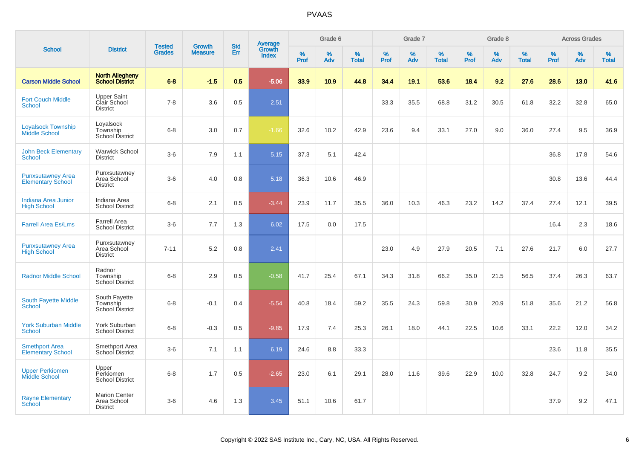|                                                      |                                                        |                                |                                 |                   |                                          |                  | Grade 6     |                   |           | Grade 7     |                   |           | Grade 8  |                      |           | <b>Across Grades</b> |                   |
|------------------------------------------------------|--------------------------------------------------------|--------------------------------|---------------------------------|-------------------|------------------------------------------|------------------|-------------|-------------------|-----------|-------------|-------------------|-----------|----------|----------------------|-----------|----------------------|-------------------|
| <b>School</b>                                        | <b>District</b>                                        | <b>Tested</b><br><b>Grades</b> | <b>Growth</b><br><b>Measure</b> | <b>Std</b><br>Err | <b>Average</b><br>Growth<br><b>Index</b> | %<br><b>Prof</b> | $\%$<br>Adv | %<br><b>Total</b> | %<br>Prof | $\%$<br>Adv | %<br><b>Total</b> | %<br>Prof | %<br>Adv | $\%$<br><b>Total</b> | %<br>Prof | $\%$<br>Adv          | %<br><b>Total</b> |
| <b>Carson Middle School</b>                          | <b>North Allegheny</b><br><b>School District</b>       | $6 - 8$                        | $-1.5$                          | 0.5               | $-5.06$                                  | 33.9             | 10.9        | 44.8              | 34.4      | 19.1        | 53.6              | 18.4      | 9.2      | 27.6                 | 28.6      | 13.0                 | 41.6              |
| <b>Fort Couch Middle</b><br><b>School</b>            | <b>Upper Saint</b><br>Clair School<br><b>District</b>  | $7 - 8$                        | 3.6                             | 0.5               | 2.51                                     |                  |             |                   | 33.3      | 35.5        | 68.8              | 31.2      | 30.5     | 61.8                 | 32.2      | 32.8                 | 65.0              |
| <b>Loyalsock Township</b><br><b>Middle School</b>    | Loyalsock<br>Township<br><b>School District</b>        | $6 - 8$                        | 3.0                             | 0.7               | $-1.66$                                  | 32.6             | 10.2        | 42.9              | 23.6      | 9.4         | 33.1              | 27.0      | 9.0      | 36.0                 | 27.4      | 9.5                  | 36.9              |
| <b>John Beck Elementary</b><br><b>School</b>         | <b>Warwick School</b><br><b>District</b>               | $3-6$                          | 7.9                             | 1.1               | 5.15                                     | 37.3             | 5.1         | 42.4              |           |             |                   |           |          |                      | 36.8      | 17.8                 | 54.6              |
| <b>Punxsutawney Area</b><br><b>Elementary School</b> | Punxsutawney<br>Area School<br><b>District</b>         | $3-6$                          | 4.0                             | 0.8               | 5.18                                     | 36.3             | 10.6        | 46.9              |           |             |                   |           |          |                      | 30.8      | 13.6                 | 44.4              |
| Indiana Area Junior<br><b>High School</b>            | Indiana Area<br><b>School District</b>                 | $6 - 8$                        | 2.1                             | 0.5               | $-3.44$                                  | 23.9             | 11.7        | 35.5              | 36.0      | 10.3        | 46.3              | 23.2      | 14.2     | 37.4                 | 27.4      | 12.1                 | 39.5              |
| <b>Farrell Area Es/Lms</b>                           | <b>Farrell Area</b><br><b>School District</b>          | $3-6$                          | 7.7                             | 1.3               | 6.02                                     | 17.5             | 0.0         | 17.5              |           |             |                   |           |          |                      | 16.4      | 2.3                  | 18.6              |
| <b>Punxsutawney Area</b><br><b>High School</b>       | Punxsutawney<br>Area School<br><b>District</b>         | $7 - 11$                       | 5.2                             | 0.8               | 2.41                                     |                  |             |                   | 23.0      | 4.9         | 27.9              | 20.5      | 7.1      | 27.6                 | 21.7      | 6.0                  | 27.7              |
| <b>Radnor Middle School</b>                          | Radnor<br>Township<br><b>School District</b>           | $6 - 8$                        | 2.9                             | 0.5               | $-0.58$                                  | 41.7             | 25.4        | 67.1              | 34.3      | 31.8        | 66.2              | 35.0      | 21.5     | 56.5                 | 37.4      | 26.3                 | 63.7              |
| <b>South Fayette Middle</b><br>School                | South Fayette<br>Township<br>School District           | $6 - 8$                        | $-0.1$                          | 0.4               | $-5.54$                                  | 40.8             | 18.4        | 59.2              | 35.5      | 24.3        | 59.8              | 30.9      | 20.9     | 51.8                 | 35.6      | 21.2                 | 56.8              |
| <b>York Suburban Middle</b><br>School                | York Suburban<br><b>School District</b>                | $6 - 8$                        | $-0.3$                          | 0.5               | $-9.85$                                  | 17.9             | 7.4         | 25.3              | 26.1      | 18.0        | 44.1              | 22.5      | 10.6     | 33.1                 | 22.2      | 12.0                 | 34.2              |
| <b>Smethport Area</b><br><b>Elementary School</b>    | Smethport Area<br>School District                      | $3-6$                          | 7.1                             | 1.1               | 6.19                                     | 24.6             | 8.8         | 33.3              |           |             |                   |           |          |                      | 23.6      | 11.8                 | 35.5              |
| <b>Upper Perkiomen</b><br>Middle School              | Upper<br>Perkiomen<br><b>School District</b>           | $6 - 8$                        | 1.7                             | 0.5               | $-2.65$                                  | 23.0             | 6.1         | 29.1              | 28.0      | 11.6        | 39.6              | 22.9      | 10.0     | 32.8                 | 24.7      | 9.2                  | 34.0              |
| <b>Rayne Elementary</b><br>School                    | <b>Marion Center</b><br>Area School<br><b>District</b> | $3-6$                          | 4.6                             | 1.3               | 3.45                                     | 51.1             | 10.6        | 61.7              |           |             |                   |           |          |                      | 37.9      | 9.2                  | 47.1              |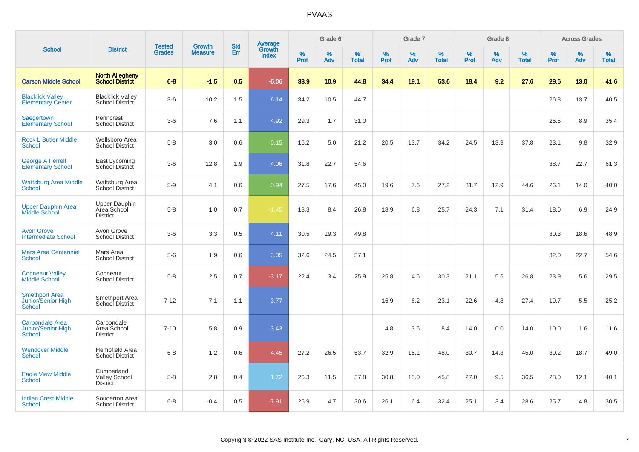|                                                                      |                                                        |                                | <b>Growth</b>  | <b>Std</b> |                                          |                  | Grade 6  |                   |           | Grade 7     |                   |           | Grade 8  |                   |              | <b>Across Grades</b> |                   |
|----------------------------------------------------------------------|--------------------------------------------------------|--------------------------------|----------------|------------|------------------------------------------|------------------|----------|-------------------|-----------|-------------|-------------------|-----------|----------|-------------------|--------------|----------------------|-------------------|
| <b>School</b>                                                        | <b>District</b>                                        | <b>Tested</b><br><b>Grades</b> | <b>Measure</b> | Err        | <b>Average</b><br>Growth<br><b>Index</b> | %<br><b>Prof</b> | %<br>Adv | %<br><b>Total</b> | %<br>Prof | $\%$<br>Adv | %<br><b>Total</b> | %<br>Prof | %<br>Adv | %<br><b>Total</b> | $\%$<br>Prof | %<br>Adv             | %<br><b>Total</b> |
| <b>Carson Middle School</b>                                          | <b>North Allegheny</b><br><b>School District</b>       | $6-8$                          | $-1.5$         | 0.5        | $-5.06$                                  | 33.9             | 10.9     | 44.8              | 34.4      | 19.1        | 53.6              | 18.4      | 9.2      | 27.6              | 28.6         | 13.0                 | 41.6              |
| <b>Blacklick Vallev</b><br><b>Elementary Center</b>                  | <b>Blacklick Valley</b><br>School District             | $3-6$                          | 10.2           | 1.5        | 6.14                                     | 34.2             | 10.5     | 44.7              |           |             |                   |           |          |                   | 26.8         | 13.7                 | 40.5              |
| <b>Saegertown</b><br><b>Elementary School</b>                        | Penncrest<br><b>School District</b>                    | $3-6$                          | 7.6            | 1.1        | 4.92                                     | 29.3             | 1.7      | 31.0              |           |             |                   |           |          |                   | 26.6         | 8.9                  | 35.4              |
| <b>Rock L Butler Middle</b><br><b>School</b>                         | Wellsboro Area<br><b>School District</b>               | $5-8$                          | 3.0            | 0.6        | 0.15                                     | 16.2             | 5.0      | 21.2              | 20.5      | 13.7        | 34.2              | 24.5      | 13.3     | 37.8              | 23.1         | 9.8                  | 32.9              |
| <b>George A Ferrell</b><br><b>Elementary School</b>                  | East Lycoming<br>School District                       | $3-6$                          | 12.8           | 1.9        | 4.06                                     | 31.8             | 22.7     | 54.6              |           |             |                   |           |          |                   | 38.7         | 22.7                 | 61.3              |
| <b>Wattsburg Area Middle</b><br>School                               | Wattsburg Area<br><b>School District</b>               | $5-9$                          | 4.1            | 0.6        | 0.94                                     | 27.5             | 17.6     | 45.0              | 19.6      | 7.6         | 27.2              | 31.7      | 12.9     | 44.6              | 26.1         | 14.0                 | 40.0              |
| <b>Upper Dauphin Area</b><br><b>Middle School</b>                    | <b>Upper Dauphin</b><br>Area School<br><b>District</b> | $5-8$                          | 1.0            | 0.7        | $-1.45$                                  | 18.3             | 8.4      | 26.8              | 18.9      | 6.8         | 25.7              | 24.3      | 7.1      | 31.4              | 18.0         | 6.9                  | 24.9              |
| <b>Avon Grove</b><br><b>Intermediate School</b>                      | Avon Grove<br><b>School District</b>                   | $3-6$                          | 3.3            | 0.5        | 4.11                                     | 30.5             | 19.3     | 49.8              |           |             |                   |           |          |                   | 30.3         | 18.6                 | 48.9              |
| <b>Mars Area Centennial</b><br><b>School</b>                         | Mars Area<br><b>School District</b>                    | $5-6$                          | 1.9            | 0.6        | 3.05                                     | 32.6             | 24.5     | 57.1              |           |             |                   |           |          |                   | 32.0         | 22.7                 | 54.6              |
| <b>Conneaut Valley</b><br><b>Middle School</b>                       | Conneaut<br><b>School District</b>                     | $5-8$                          | 2.5            | 0.7        | $-3.17$                                  | 22.4             | 3.4      | 25.9              | 25.8      | 4.6         | 30.3              | 21.1      | 5.6      | 26.8              | 23.9         | 5.6                  | 29.5              |
| <b>Smethport Area</b><br>Junior/Senior High<br>School                | Smethport Area<br><b>School District</b>               | $7 - 12$                       | 7.1            | 1.1        | 3.77                                     |                  |          |                   | 16.9      | 6.2         | 23.1              | 22.6      | 4.8      | 27.4              | 19.7         | 5.5                  | 25.2              |
| <b>Carbondale Area</b><br><b>Junior/Senior High</b><br><b>School</b> | Carbondale<br>Area School<br><b>District</b>           | $7 - 10$                       | 5.8            | 0.9        | 3.43                                     |                  |          |                   | 4.8       | 3.6         | 8.4               | 14.0      | 0.0      | 14.0              | 10.0         | 1.6                  | 11.6              |
| <b>Wendover Middle</b><br><b>School</b>                              | Hempfield Area<br>School District                      | $6-8$                          | 1.2            | 0.6        | $-4.45$                                  | 27.2             | 26.5     | 53.7              | 32.9      | 15.1        | 48.0              | 30.7      | 14.3     | 45.0              | 30.2         | 18.7                 | 49.0              |
| <b>Eagle View Middle</b><br>School                                   | Cumberland<br><b>Valley School</b><br><b>District</b>  | $5 - 8$                        | 2.8            | 0.4        | 1.72                                     | 26.3             | 11.5     | 37.8              | 30.8      | 15.0        | 45.8              | 27.0      | 9.5      | 36.5              | 28.0         | 12.1                 | 40.1              |
| <b>Indian Crest Middle</b><br><b>School</b>                          | Souderton Area<br><b>School District</b>               | $6 - 8$                        | $-0.4$         | 0.5        | $-7.91$                                  | 25.9             | 4.7      | 30.6              | 26.1      | 6.4         | 32.4              | 25.1      | 3.4      | 28.6              | 25.7         | 4.8                  | 30.5              |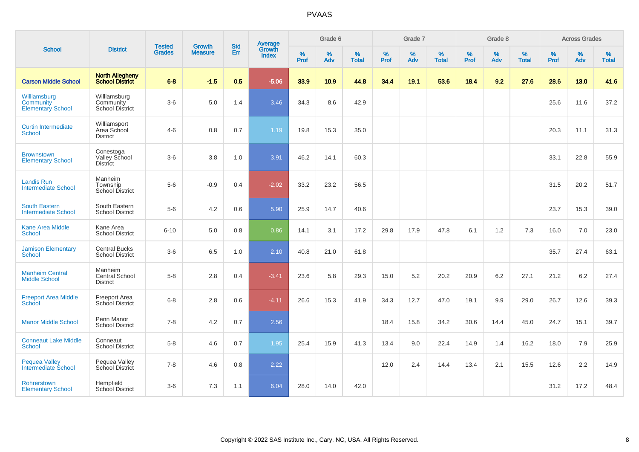| <b>School</b>                                         |                                                     | <b>Tested</b> | <b>Growth</b>  | <b>Std</b> |                                          |           | Grade 6     |                   |                  | Grade 7     |                   |                     | Grade 8  |                   |                     | <b>Across Grades</b> |                      |
|-------------------------------------------------------|-----------------------------------------------------|---------------|----------------|------------|------------------------------------------|-----------|-------------|-------------------|------------------|-------------|-------------------|---------------------|----------|-------------------|---------------------|----------------------|----------------------|
|                                                       | <b>District</b>                                     | <b>Grades</b> | <b>Measure</b> | Err        | <b>Average</b><br>Growth<br><b>Index</b> | %<br>Prof | $\%$<br>Adv | %<br><b>Total</b> | %<br><b>Prof</b> | $\%$<br>Adv | %<br><b>Total</b> | $\%$<br><b>Prof</b> | %<br>Adv | %<br><b>Total</b> | $\%$<br><b>Prof</b> | %<br>Adv             | $\%$<br><b>Total</b> |
| <b>Carson Middle School</b>                           | <b>North Allegheny</b><br>School District           | $6 - 8$       | $-1.5$         | 0.5        | $-5.06$                                  | 33.9      | 10.9        | 44.8              | 34.4             | 19.1        | 53.6              | 18.4                | 9.2      | 27.6              | 28.6                | 13.0                 | 41.6                 |
| Williamsburg<br>Community<br><b>Elementary School</b> | Williamsburg<br>Community<br><b>School District</b> | $3-6$         | 5.0            | 1.4        | 3.46                                     | 34.3      | 8.6         | 42.9              |                  |             |                   |                     |          |                   | 25.6                | 11.6                 | 37.2                 |
| <b>Curtin Intermediate</b><br>School                  | Williamsport<br>Area School<br><b>District</b>      | $4 - 6$       | 0.8            | 0.7        | 1.19                                     | 19.8      | 15.3        | 35.0              |                  |             |                   |                     |          |                   | 20.3                | 11.1                 | 31.3                 |
| <b>Brownstown</b><br><b>Elementary School</b>         | Conestoga<br>Valley School<br><b>District</b>       | $3-6$         | 3.8            | 1.0        | 3.91                                     | 46.2      | 14.1        | 60.3              |                  |             |                   |                     |          |                   | 33.1                | 22.8                 | 55.9                 |
| <b>Landis Run</b><br><b>Intermediate School</b>       | Manheim<br>Township<br>School District              | $5-6$         | $-0.9$         | 0.4        | $-2.02$                                  | 33.2      | 23.2        | 56.5              |                  |             |                   |                     |          |                   | 31.5                | 20.2                 | 51.7                 |
| <b>South Eastern</b><br><b>Intermediate School</b>    | South Eastern<br><b>School District</b>             | $5-6$         | 4.2            | 0.6        | 5.90                                     | 25.9      | 14.7        | 40.6              |                  |             |                   |                     |          |                   | 23.7                | 15.3                 | 39.0                 |
| <b>Kane Area Middle</b><br><b>School</b>              | Kane Area<br><b>School District</b>                 | $6 - 10$      | 5.0            | 0.8        | 0.86                                     | 14.1      | 3.1         | 17.2              | 29.8             | 17.9        | 47.8              | 6.1                 | 1.2      | 7.3               | 16.0                | 7.0                  | 23.0                 |
| <b>Jamison Elementary</b><br>School                   | <b>Central Bucks</b><br><b>School District</b>      | $3-6$         | 6.5            | 1.0        | 2.10                                     | 40.8      | 21.0        | 61.8              |                  |             |                   |                     |          |                   | 35.7                | 27.4                 | 63.1                 |
| <b>Manheim Central</b><br><b>Middle School</b>        | Manheim<br>Central School<br><b>District</b>        | $5-8$         | 2.8            | 0.4        | $-3.41$                                  | 23.6      | 5.8         | 29.3              | 15.0             | 5.2         | 20.2              | 20.9                | 6.2      | 27.1              | 21.2                | 6.2                  | 27.4                 |
| <b>Freeport Area Middle</b><br>School                 | <b>Freeport Area</b><br>School District             | $6 - 8$       | 2.8            | 0.6        | $-4.11$                                  | 26.6      | 15.3        | 41.9              | 34.3             | 12.7        | 47.0              | 19.1                | 9.9      | 29.0              | 26.7                | 12.6                 | 39.3                 |
| <b>Manor Middle School</b>                            | Penn Manor<br><b>School District</b>                | $7 - 8$       | 4.2            | 0.7        | 2.56                                     |           |             |                   | 18.4             | 15.8        | 34.2              | 30.6                | 14.4     | 45.0              | 24.7                | 15.1                 | 39.7                 |
| <b>Conneaut Lake Middle</b><br><b>School</b>          | Conneaut<br><b>School District</b>                  | $5 - 8$       | 4.6            | 0.7        | 1.95                                     | 25.4      | 15.9        | 41.3              | 13.4             | 9.0         | 22.4              | 14.9                | 1.4      | 16.2              | 18.0                | 7.9                  | 25.9                 |
| <b>Pequea Valley</b><br>Intermediate School           | Pequea Valley<br>School District                    | $7 - 8$       | 4.6            | 0.8        | 2.22                                     |           |             |                   | 12.0             | 2.4         | 14.4              | 13.4                | 2.1      | 15.5              | 12.6                | 2.2                  | 14.9                 |
| Rohrerstown<br><b>Elementary School</b>               | Hempfield<br><b>School District</b>                 | $3-6$         | 7.3            | 1.1        | 6.04                                     | 28.0      | 14.0        | 42.0              |                  |             |                   |                     |          |                   | 31.2                | 17.2                 | 48.4                 |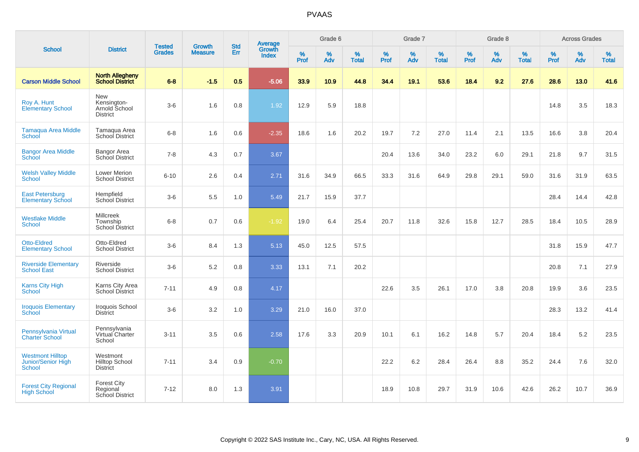|                                                                |                                                               |                                |                                 | <b>Std</b> |                                          |                  | Grade 6  |                   |           | Grade 7  |                   |           | Grade 8  |                   |           | <b>Across Grades</b> |                   |
|----------------------------------------------------------------|---------------------------------------------------------------|--------------------------------|---------------------------------|------------|------------------------------------------|------------------|----------|-------------------|-----------|----------|-------------------|-----------|----------|-------------------|-----------|----------------------|-------------------|
| <b>School</b>                                                  | <b>District</b>                                               | <b>Tested</b><br><b>Grades</b> | <b>Growth</b><br><b>Measure</b> | Err        | <b>Average</b><br>Growth<br><b>Index</b> | %<br><b>Prof</b> | %<br>Adv | %<br><b>Total</b> | %<br>Prof | %<br>Adv | %<br><b>Total</b> | %<br>Prof | %<br>Adv | %<br><b>Total</b> | %<br>Prof | $\%$<br>Adv          | %<br><b>Total</b> |
| <b>Carson Middle School</b>                                    | <b>North Allegheny</b><br><b>School District</b>              | $6 - 8$                        | $-1.5$                          | 0.5        | $-5.06$                                  | 33.9             | 10.9     | 44.8              | 34.4      | 19.1     | 53.6              | 18.4      | 9.2      | 27.6              | 28.6      | 13.0                 | 41.6              |
| Roy A. Hunt<br><b>Elementary School</b>                        | <b>New</b><br>Kensington-<br>Arnold School<br><b>District</b> | $3-6$                          | 1.6                             | 0.8        | 1.92                                     | 12.9             | 5.9      | 18.8              |           |          |                   |           |          |                   | 14.8      | 3.5                  | 18.3              |
| <b>Tamaqua Area Middle</b><br>School                           | Tamagua Area<br>School District                               | $6-8$                          | 1.6                             | 0.6        | $-2.35$                                  | 18.6             | 1.6      | 20.2              | 19.7      | 7.2      | 27.0              | 11.4      | 2.1      | 13.5              | 16.6      | 3.8                  | 20.4              |
| <b>Bangor Area Middle</b><br>School                            | <b>Bangor Area</b><br>School District                         | $7 - 8$                        | 4.3                             | 0.7        | 3.67                                     |                  |          |                   | 20.4      | 13.6     | 34.0              | 23.2      | 6.0      | 29.1              | 21.8      | 9.7                  | 31.5              |
| <b>Welsh Valley Middle</b><br><b>School</b>                    | Lower Merion<br><b>School District</b>                        | $6 - 10$                       | 2.6                             | 0.4        | 2.71                                     | 31.6             | 34.9     | 66.5              | 33.3      | 31.6     | 64.9              | 29.8      | 29.1     | 59.0              | 31.6      | 31.9                 | 63.5              |
| <b>East Petersburg</b><br><b>Elementary School</b>             | Hempfield<br><b>School District</b>                           | $3-6$                          | 5.5                             | 1.0        | 5.49                                     | 21.7             | 15.9     | 37.7              |           |          |                   |           |          |                   | 28.4      | 14.4                 | 42.8              |
| <b>Westlake Middle</b><br>School                               | <b>Millcreek</b><br>Township<br><b>School District</b>        | $6 - 8$                        | 0.7                             | 0.6        | $-1.92$                                  | 19.0             | 6.4      | 25.4              | 20.7      | 11.8     | 32.6              | 15.8      | 12.7     | 28.5              | 18.4      | 10.5                 | 28.9              |
| <b>Otto-Eldred</b><br><b>Elementary School</b>                 | Otto-Eldred<br><b>School District</b>                         | $3 - 6$                        | 8.4                             | 1.3        | 5.13                                     | 45.0             | 12.5     | 57.5              |           |          |                   |           |          |                   | 31.8      | 15.9                 | 47.7              |
| <b>Riverside Elementary</b><br><b>School East</b>              | Riverside<br><b>School District</b>                           | $3-6$                          | 5.2                             | 0.8        | 3.33                                     | 13.1             | 7.1      | 20.2              |           |          |                   |           |          |                   | 20.8      | 7.1                  | 27.9              |
| <b>Karns City High</b><br>School                               | Karns City Area<br>School District                            | $7 - 11$                       | 4.9                             | 0.8        | 4.17                                     |                  |          |                   | 22.6      | 3.5      | 26.1              | 17.0      | 3.8      | 20.8              | 19.9      | 3.6                  | 23.5              |
| <b>Iroquois Elementary</b><br>School                           | Iroquois School<br><b>District</b>                            | $3-6$                          | 3.2                             | 1.0        | 3.29                                     | 21.0             | 16.0     | 37.0              |           |          |                   |           |          |                   | 28.3      | 13.2                 | 41.4              |
| Pennsylvania Virtual<br><b>Charter School</b>                  | Pennsylvania<br>Virtual Charter<br>School                     | $3 - 11$                       | 3.5                             | 0.6        | 2.58                                     | 17.6             | 3.3      | 20.9              | 10.1      | 6.1      | 16.2              | 14.8      | 5.7      | 20.4              | 18.4      | 5.2                  | 23.5              |
| <b>Westmont Hilltop</b><br><b>Junior/Senior High</b><br>School | Westmont<br><b>Hilltop School</b><br><b>District</b>          | $7 - 11$                       | 3.4                             | 0.9        | $-0.70$                                  |                  |          |                   | 22.2      | 6.2      | 28.4              | 26.4      | 8.8      | 35.2              | 24.4      | 7.6                  | 32.0              |
| <b>Forest City Regional</b><br><b>High School</b>              | <b>Forest City</b><br>Regional<br><b>School District</b>      | $7 - 12$                       | 8.0                             | 1.3        | 3.91                                     |                  |          |                   | 18.9      | 10.8     | 29.7              | 31.9      | 10.6     | 42.6              | 26.2      | 10.7                 | 36.9              |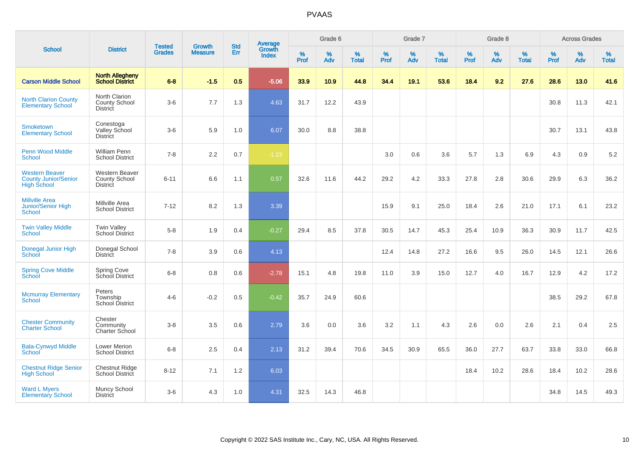|                                                                            |                                                           |                                | <b>Growth</b>  | <b>Std</b> |                                          |           | Grade 6  |                   |           | Grade 7  |                   |           | Grade 8     |                   |           | <b>Across Grades</b> |                   |
|----------------------------------------------------------------------------|-----------------------------------------------------------|--------------------------------|----------------|------------|------------------------------------------|-----------|----------|-------------------|-----------|----------|-------------------|-----------|-------------|-------------------|-----------|----------------------|-------------------|
| <b>School</b>                                                              | <b>District</b>                                           | <b>Tested</b><br><b>Grades</b> | <b>Measure</b> | Err        | <b>Average</b><br>Growth<br><b>Index</b> | %<br>Prof | %<br>Adv | %<br><b>Total</b> | %<br>Prof | %<br>Adv | %<br><b>Total</b> | %<br>Prof | $\%$<br>Adv | %<br><b>Total</b> | %<br>Prof | $\%$<br>Adv          | %<br><b>Total</b> |
| <b>Carson Middle School</b>                                                | <b>North Allegheny</b><br><b>School District</b>          | $6 - 8$                        | $-1.5$         | 0.5        | $-5.06$                                  | 33.9      | 10.9     | 44.8              | 34.4      | 19.1     | 53.6              | 18.4      | 9.2         | 27.6              | 28.6      | 13.0                 | 41.6              |
| <b>North Clarion County</b><br><b>Elementary School</b>                    | North Clarion<br><b>County School</b><br><b>District</b>  | $3-6$                          | 7.7            | 1.3        | 4.63                                     | 31.7      | 12.2     | 43.9              |           |          |                   |           |             |                   | 30.8      | 11.3                 | 42.1              |
| <b>Smoketown</b><br><b>Elementary School</b>                               | Conestoga<br>Valley School<br><b>District</b>             | $3-6$                          | 5.9            | 1.0        | 6.07                                     | 30.0      | 8.8      | 38.8              |           |          |                   |           |             |                   | 30.7      | 13.1                 | 43.8              |
| <b>Penn Wood Middle</b><br>School                                          | <b>William Penn</b><br><b>School District</b>             | $7 - 8$                        | 2.2            | 0.7        | $-1.23$                                  |           |          |                   | 3.0       | 0.6      | 3.6               | 5.7       | 1.3         | 6.9               | 4.3       | 0.9                  | 5.2               |
| <b>Western Beaver</b><br><b>County Junior/Senior</b><br><b>High School</b> | Western Beaver<br><b>County School</b><br><b>District</b> | $6 - 11$                       | 6.6            | 1.1        | 0.57                                     | 32.6      | 11.6     | 44.2              | 29.2      | 4.2      | 33.3              | 27.8      | 2.8         | 30.6              | 29.9      | 6.3                  | 36.2              |
| <b>Millville Area</b><br>Junior/Senior High<br>School                      | Millville Area<br><b>School District</b>                  | $7 - 12$                       | 8.2            | 1.3        | 3.39                                     |           |          |                   | 15.9      | 9.1      | 25.0              | 18.4      | 2.6         | 21.0              | 17.1      | 6.1                  | 23.2              |
| <b>Twin Valley Middle</b><br>School                                        | <b>Twin Valley</b><br><b>School District</b>              | $5-8$                          | 1.9            | 0.4        | $-0.27$                                  | 29.4      | 8.5      | 37.8              | 30.5      | 14.7     | 45.3              | 25.4      | 10.9        | 36.3              | 30.9      | 11.7                 | 42.5              |
| Donegal Junior High<br>School                                              | Donegal School<br><b>District</b>                         | $7 - 8$                        | 3.9            | 0.6        | 4.13                                     |           |          |                   | 12.4      | 14.8     | 27.2              | 16.6      | 9.5         | 26.0              | 14.5      | 12.1                 | 26.6              |
| <b>Spring Cove Middle</b><br>School                                        | <b>Spring Cove</b><br>School District                     | $6 - 8$                        | 0.8            | 0.6        | $-2.78$                                  | 15.1      | 4.8      | 19.8              | 11.0      | 3.9      | 15.0              | 12.7      | 4.0         | 16.7              | 12.9      | 4.2                  | 17.2              |
| <b>Mcmurray Elementary</b><br>School                                       | Peters<br>Township<br><b>School District</b>              | $4 - 6$                        | $-0.2$         | 0.5        | $-0.42$                                  | 35.7      | 24.9     | 60.6              |           |          |                   |           |             |                   | 38.5      | 29.2                 | 67.8              |
| <b>Chester Community</b><br><b>Charter School</b>                          | Chester<br>Community<br>Charter School                    | $3 - 8$                        | 3.5            | 0.6        | 2.79                                     | 3.6       | 0.0      | 3.6               | 3.2       | 1.1      | 4.3               | 2.6       | 0.0         | 2.6               | 2.1       | 0.4                  | 2.5               |
| <b>Bala-Cynwyd Middle</b><br>School                                        | Lower Merion<br><b>School District</b>                    | $6-8$                          | 2.5            | 0.4        | 2.13                                     | 31.2      | 39.4     | 70.6              | 34.5      | 30.9     | 65.5              | 36.0      | 27.7        | 63.7              | 33.8      | 33.0                 | 66.8              |
| <b>Chestnut Ridge Senior</b><br><b>High School</b>                         | <b>Chestnut Ridge</b><br>School District                  | $8 - 12$                       | 7.1            | 1.2        | 6.03                                     |           |          |                   |           |          |                   | 18.4      | 10.2        | 28.6              | 18.4      | 10.2                 | 28.6              |
| <b>Ward L Myers</b><br><b>Elementary School</b>                            | Muncy School<br><b>District</b>                           | $3-6$                          | 4.3            | 1.0        | 4.31                                     | 32.5      | 14.3     | 46.8              |           |          |                   |           |             |                   | 34.8      | 14.5                 | 49.3              |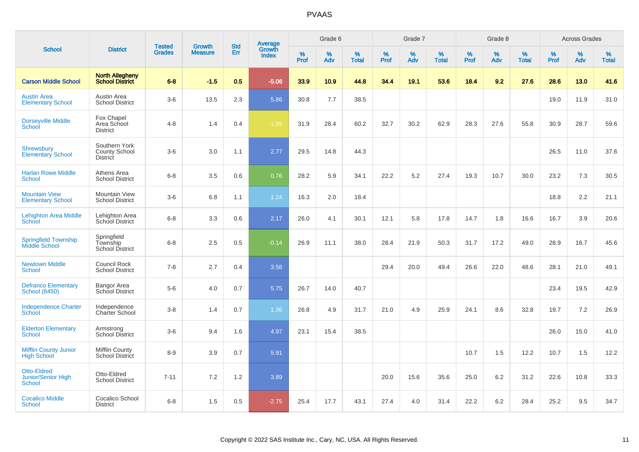|                                                                  |                                                          |                                |                                 | <b>Std</b> |                                          |                  | Grade 6  |                   |              | Grade 7     |                   |           | Grade 8  |                   |           | <b>Across Grades</b> |                   |
|------------------------------------------------------------------|----------------------------------------------------------|--------------------------------|---------------------------------|------------|------------------------------------------|------------------|----------|-------------------|--------------|-------------|-------------------|-----------|----------|-------------------|-----------|----------------------|-------------------|
| <b>School</b>                                                    | <b>District</b>                                          | <b>Tested</b><br><b>Grades</b> | <b>Growth</b><br><b>Measure</b> | Err        | <b>Average</b><br>Growth<br><b>Index</b> | %<br><b>Prof</b> | %<br>Adv | %<br><b>Total</b> | $\%$<br>Prof | $\%$<br>Adv | %<br><b>Total</b> | %<br>Prof | %<br>Adv | %<br><b>Total</b> | %<br>Prof | $\%$<br>Adv          | %<br><b>Total</b> |
| <b>Carson Middle School</b>                                      | <b>North Allegheny</b><br><b>School District</b>         | $6 - 8$                        | $-1.5$                          | 0.5        | $-5.06$                                  | 33.9             | 10.9     | 44.8              | 34.4         | 19.1        | 53.6              | 18.4      | 9.2      | 27.6              | 28.6      | 13.0                 | 41.6              |
| <b>Austin Area</b><br><b>Elementary School</b>                   | Austin Area<br><b>School District</b>                    | $3-6$                          | 13.5                            | 2.3        | 5.86                                     | 30.8             | 7.7      | 38.5              |              |             |                   |           |          |                   | 19.0      | 11.9                 | 31.0              |
| <b>Dorseyville Middle</b><br>School                              | Fox Chapel<br>Area School<br><b>District</b>             | $4 - 8$                        | 1.4                             | 0.4        | $-1.93$                                  | 31.9             | 28.4     | 60.2              | 32.7         | 30.2        | 62.9              | 28.3      | 27.6     | 55.8              | 30.9      | 28.7                 | 59.6              |
| <b>Shrewsbury</b><br>Elementary School                           | Southern York<br><b>County School</b><br><b>District</b> | $3-6$                          | 3.0                             | 1.1        | 2.77                                     | 29.5             | 14.8     | 44.3              |              |             |                   |           |          |                   | 26.5      | 11.0                 | 37.6              |
| <b>Harlan Rowe Middle</b><br>School                              | Athens Area<br><b>School District</b>                    | $6 - 8$                        | 3.5                             | 0.6        | 0.76                                     | 28.2             | 5.9      | 34.1              | 22.2         | 5.2         | 27.4              | 19.3      | 10.7     | 30.0              | 23.2      | 7.3                  | 30.5              |
| <b>Mountain View</b><br><b>Elementary School</b>                 | Mountain View<br><b>School District</b>                  | $3-6$                          | 6.8                             | 1.1        | 1.24                                     | 16.3             | 2.0      | 18.4              |              |             |                   |           |          |                   | 18.8      | 2.2                  | 21.1              |
| <b>Lehighton Area Middle</b><br>School                           | Lehighton Area<br>School District                        | $6 - 8$                        | 3.3                             | 0.6        | 2.17                                     | 26.0             | 4.1      | 30.1              | 12.1         | 5.8         | 17.8              | 14.7      | 1.8      | 16.6              | 16.7      | 3.9                  | 20.6              |
| <b>Springfield Township</b><br>Middle School                     | Springfield<br>Township<br><b>School District</b>        | $6 - 8$                        | 2.5                             | 0.5        | $-0.14$                                  | 26.9             | 11.1     | 38.0              | 28.4         | 21.9        | 50.3              | 31.7      | 17.2     | 49.0              | 28.9      | 16.7                 | 45.6              |
| <b>Newtown Middle</b><br>School                                  | Council Rock<br><b>School District</b>                   | $7 - 8$                        | 2.7                             | 0.4        | 3.56                                     |                  |          |                   | 29.4         | 20.0        | 49.4              | 26.6      | 22.0     | 48.6              | 28.1      | 21.0                 | 49.1              |
| <b>Defranco Elementary</b><br><b>School (8450)</b>               | <b>Bangor Area</b><br>School District                    | $5-6$                          | 4.0                             | 0.7        | 5.75                                     | 26.7             | 14.0     | 40.7              |              |             |                   |           |          |                   | 23.4      | 19.5                 | 42.9              |
| <b>Independence Charter</b><br>School                            | Independence<br>Charter School                           | $3 - 8$                        | 1.4                             | 0.7        | 1.36                                     | 26.8             | 4.9      | 31.7              | 21.0         | 4.9         | 25.9              | 24.1      | 8.6      | 32.8              | 19.7      | 7.2                  | 26.9              |
| <b>Elderton Elementary</b><br><b>School</b>                      | Armstrong<br><b>School District</b>                      | $3-6$                          | 9.4                             | 1.6        | 4.97                                     | 23.1             | 15.4     | 38.5              |              |             |                   |           |          |                   | 26.0      | 15.0                 | 41.0              |
| <b>Mifflin County Junior</b><br><b>High School</b>               | Mifflin County<br><b>School District</b>                 | $8 - 9$                        | 3.9                             | 0.7        | 5.91                                     |                  |          |                   |              |             |                   | 10.7      | 1.5      | 12.2              | 10.7      | 1.5                  | 12.2              |
| <b>Otto-Eldred</b><br><b>Junior/Senior High</b><br><b>School</b> | Otto-Eldred<br><b>School District</b>                    | $7 - 11$                       | 7.2                             | 1.2        | 3.89                                     |                  |          |                   | 20.0         | 15.6        | 35.6              | 25.0      | 6.2      | 31.2              | 22.6      | 10.8                 | 33.3              |
| <b>Cocalico Middle</b><br><b>School</b>                          | Cocalico School<br><b>District</b>                       | $6 - 8$                        | 1.5                             | 0.5        | $-2.75$                                  | 25.4             | 17.7     | 43.1              | 27.4         | 4.0         | 31.4              | 22.2      | 6.2      | 28.4              | 25.2      | 9.5                  | 34.7              |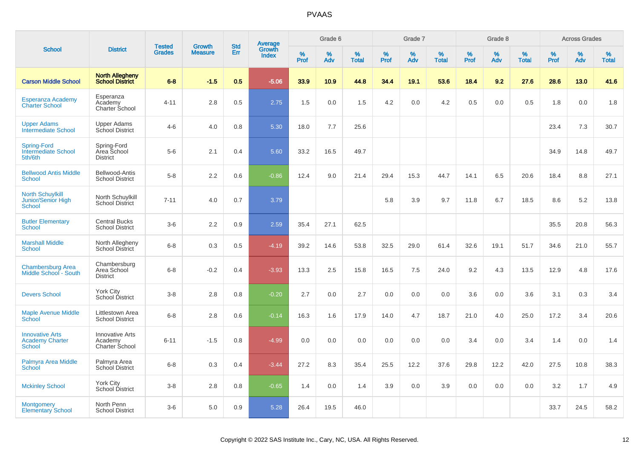|                                                                |                                                     |                                |                                 | <b>Std</b> |                                          |           | Grade 6  |                   |           | Grade 7  |                   |           | Grade 8  |                   |           | <b>Across Grades</b> |                   |
|----------------------------------------------------------------|-----------------------------------------------------|--------------------------------|---------------------------------|------------|------------------------------------------|-----------|----------|-------------------|-----------|----------|-------------------|-----------|----------|-------------------|-----------|----------------------|-------------------|
| <b>School</b>                                                  | <b>District</b>                                     | <b>Tested</b><br><b>Grades</b> | <b>Growth</b><br><b>Measure</b> | Err        | <b>Average</b><br>Growth<br><b>Index</b> | %<br>Prof | %<br>Adv | %<br><b>Total</b> | %<br>Prof | %<br>Adv | %<br><b>Total</b> | %<br>Prof | %<br>Adv | %<br><b>Total</b> | %<br>Prof | %<br>Adv             | %<br><b>Total</b> |
| <b>Carson Middle School</b>                                    | <b>North Allegheny</b><br><b>School District</b>    | $6 - 8$                        | $-1.5$                          | 0.5        | $-5.06$                                  | 33.9      | 10.9     | 44.8              | 34.4      | 19.1     | 53.6              | 18.4      | 9.2      | 27.6              | 28.6      | 13.0                 | 41.6              |
| Esperanza Academy<br><b>Charter School</b>                     | Esperanza<br>Academy<br>Charter School              | 4-11                           | 2.8                             | 0.5        | 2.75                                     | 1.5       | 0.0      | 1.5               | 4.2       | 0.0      | 4.2               | 0.5       | 0.0      | 0.5               | 1.8       | 0.0                  | 1.8               |
| <b>Upper Adams</b><br><b>Intermediate School</b>               | <b>Upper Adams</b><br>School District               | $4-6$                          | 4.0                             | 0.8        | 5.30                                     | 18.0      | 7.7      | 25.6              |           |          |                   |           |          |                   | 23.4      | 7.3                  | 30.7              |
| <b>Spring-Ford</b><br><b>Intermediate School</b><br>5th/6th    | Spring-Ford<br>Area School<br><b>District</b>       | $5-6$                          | 2.1                             | 0.4        | 5.60                                     | 33.2      | 16.5     | 49.7              |           |          |                   |           |          |                   | 34.9      | 14.8                 | 49.7              |
| <b>Bellwood Antis Middle</b><br><b>School</b>                  | Bellwood-Antis<br><b>School District</b>            | $5-8$                          | 2.2                             | 0.6        | $-0.86$                                  | 12.4      | 9.0      | 21.4              | 29.4      | 15.3     | 44.7              | 14.1      | 6.5      | 20.6              | 18.4      | 8.8                  | 27.1              |
| <b>North Schuylkill</b><br>Junior/Senior High<br><b>School</b> | North Schuylkill<br><b>School District</b>          | $7 - 11$                       | 4.0                             | 0.7        | 3.79                                     |           |          |                   | 5.8       | 3.9      | 9.7               | 11.8      | 6.7      | 18.5              | 8.6       | 5.2                  | 13.8              |
| <b>Butler Elementary</b><br>School                             | <b>Central Bucks</b><br><b>School District</b>      | $3-6$                          | 2.2                             | 0.9        | 2.59                                     | 35.4      | 27.1     | 62.5              |           |          |                   |           |          |                   | 35.5      | 20.8                 | 56.3              |
| <b>Marshall Middle</b><br>School                               | North Allegheny<br>School District                  | $6 - 8$                        | 0.3                             | 0.5        | $-4.19$                                  | 39.2      | 14.6     | 53.8              | 32.5      | 29.0     | 61.4              | 32.6      | 19.1     | 51.7              | 34.6      | 21.0                 | 55.7              |
| <b>Chambersburg Area</b><br>Middle School - South              | Chambersburg<br>Area School<br><b>District</b>      | $6 - 8$                        | $-0.2$                          | 0.4        | $-3.93$                                  | 13.3      | 2.5      | 15.8              | 16.5      | 7.5      | 24.0              | 9.2       | 4.3      | 13.5              | 12.9      | 4.8                  | 17.6              |
| <b>Devers School</b>                                           | York City<br>School District                        | $3 - 8$                        | 2.8                             | 0.8        | $-0.20$                                  | 2.7       | 0.0      | 2.7               | 0.0       | 0.0      | 0.0               | 3.6       | 0.0      | 3.6               | 3.1       | 0.3                  | 3.4               |
| <b>Maple Avenue Middle</b><br>School                           | Littlestown Area<br><b>School District</b>          | $6 - 8$                        | 2.8                             | 0.6        | $-0.14$                                  | 16.3      | 1.6      | 17.9              | 14.0      | 4.7      | 18.7              | 21.0      | 4.0      | 25.0              | 17.2      | 3.4                  | 20.6              |
| <b>Innovative Arts</b><br><b>Academy Charter</b><br>School     | <b>Innovative Arts</b><br>Academy<br>Charter School | $6 - 11$                       | $-1.5$                          | 0.8        | $-4.99$                                  | 0.0       | 0.0      | 0.0               | 0.0       | 0.0      | 0.0               | 3.4       | 0.0      | 3.4               | 1.4       | 0.0                  | 1.4               |
| Palmyra Area Middle<br>School                                  | Palmyra Area<br>School District                     | $6 - 8$                        | 0.3                             | 0.4        | $-3.44$                                  | 27.2      | 8.3      | 35.4              | 25.5      | 12.2     | 37.6              | 29.8      | 12.2     | 42.0              | 27.5      | 10.8                 | 38.3              |
| <b>Mckinley School</b>                                         | York City<br>School District                        | $3 - 8$                        | 2.8                             | 0.8        | $-0.65$                                  | 1.4       | 0.0      | 1.4               | 3.9       | 0.0      | 3.9               | 0.0       | 0.0      | 0.0               | 3.2       | 1.7                  | 4.9               |
| <b>Montgomery</b><br><b>Elementary School</b>                  | North Penn<br><b>School District</b>                | $3-6$                          | 5.0                             | 0.9        | 5.28                                     | 26.4      | 19.5     | 46.0              |           |          |                   |           |          |                   | 33.7      | 24.5                 | 58.2              |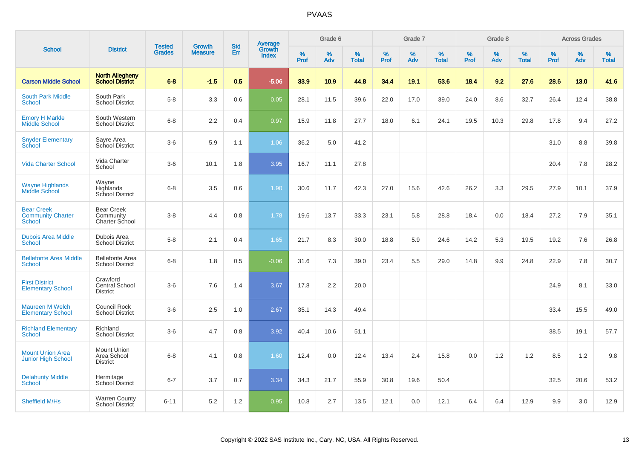|                                                         |                                                      | <b>Tested</b> | <b>Growth</b>  | <b>Std</b> |                                   |                  | Grade 6     |                   |           | Grade 7  |                   |           | Grade 8  |                   |              | <b>Across Grades</b> |                   |
|---------------------------------------------------------|------------------------------------------------------|---------------|----------------|------------|-----------------------------------|------------------|-------------|-------------------|-----------|----------|-------------------|-----------|----------|-------------------|--------------|----------------------|-------------------|
| <b>School</b>                                           | <b>District</b>                                      | <b>Grades</b> | <b>Measure</b> | Err        | Average<br>Growth<br><b>Index</b> | %<br><b>Prof</b> | $\%$<br>Adv | %<br><b>Total</b> | %<br>Prof | %<br>Adv | %<br><b>Total</b> | %<br>Prof | %<br>Adv | %<br><b>Total</b> | $\%$<br>Prof | %<br>Adv             | %<br><b>Total</b> |
| <b>Carson Middle School</b>                             | <b>North Allegheny</b><br><b>School District</b>     | $6 - 8$       | $-1.5$         | 0.5        | $-5.06$                           | 33.9             | 10.9        | 44.8              | 34.4      | 19.1     | 53.6              | 18.4      | 9.2      | 27.6              | 28.6         | 13.0                 | 41.6              |
| <b>South Park Middle</b><br><b>School</b>               | South Park<br><b>School District</b>                 | $5-8$         | 3.3            | 0.6        | 0.05                              | 28.1             | 11.5        | 39.6              | 22.0      | 17.0     | 39.0              | 24.0      | 8.6      | 32.7              | 26.4         | 12.4                 | 38.8              |
| <b>Emory H Markle</b><br><b>Middle School</b>           | South Western<br><b>School District</b>              | $6 - 8$       | 2.2            | 0.4        | 0.97                              | 15.9             | 11.8        | 27.7              | 18.0      | 6.1      | 24.1              | 19.5      | 10.3     | 29.8              | 17.8         | 9.4                  | 27.2              |
| <b>Snyder Elementary</b><br>School                      | Sayre Area<br>School District                        | $3-6$         | 5.9            | 1.1        | 1.06                              | 36.2             | 5.0         | 41.2              |           |          |                   |           |          |                   | 31.0         | 8.8                  | 39.8              |
| Vida Charter School                                     | Vida Charter<br>School                               | $3-6$         | 10.1           | 1.8        | 3.95                              | 16.7             | 11.1        | 27.8              |           |          |                   |           |          |                   | 20.4         | 7.8                  | 28.2              |
| <b>Wayne Highlands</b><br>Middle School                 | Wayne<br>Highlands<br>School District                | $6 - 8$       | 3.5            | 0.6        | 1.90                              | 30.6             | 11.7        | 42.3              | 27.0      | 15.6     | 42.6              | 26.2      | 3.3      | 29.5              | 27.9         | 10.1                 | 37.9              |
| <b>Bear Creek</b><br><b>Community Charter</b><br>School | <b>Bear Creek</b><br>Community<br>Charter School     | $3 - 8$       | 4.4            | 0.8        | 1.78                              | 19.6             | 13.7        | 33.3              | 23.1      | 5.8      | 28.8              | 18.4      | 0.0      | 18.4              | 27.2         | 7.9                  | 35.1              |
| <b>Dubois Area Middle</b><br><b>School</b>              | Dubois Area<br><b>School District</b>                | $5-8$         | 2.1            | 0.4        | 1.65                              | 21.7             | 8.3         | 30.0              | 18.8      | 5.9      | 24.6              | 14.2      | 5.3      | 19.5              | 19.2         | 7.6                  | 26.8              |
| <b>Bellefonte Area Middle</b><br>School                 | <b>Bellefonte Area</b><br><b>School District</b>     | $6 - 8$       | 1.8            | 0.5        | $-0.06$                           | 31.6             | 7.3         | 39.0              | 23.4      | 5.5      | 29.0              | 14.8      | 9.9      | 24.8              | 22.9         | 7.8                  | 30.7              |
| <b>First District</b><br><b>Elementary School</b>       | Crawford<br>Central School<br><b>District</b>        | $3-6$         | 7.6            | 1.4        | 3.67                              | 17.8             | 2.2         | 20.0              |           |          |                   |           |          |                   | 24.9         | 8.1                  | 33.0              |
| <b>Maureen M Welch</b><br><b>Elementary School</b>      | <b>Council Rock</b><br><b>School District</b>        | $3-6$         | 2.5            | 1.0        | 2.67                              | 35.1             | 14.3        | 49.4              |           |          |                   |           |          |                   | 33.4         | 15.5                 | 49.0              |
| <b>Richland Elementary</b><br><b>School</b>             | Richland<br><b>School District</b>                   | $3-6$         | 4.7            | 0.8        | 3.92                              | 40.4             | 10.6        | 51.1              |           |          |                   |           |          |                   | 38.5         | 19.1                 | 57.7              |
| <b>Mount Union Area</b><br><b>Junior High School</b>    | <b>Mount Union</b><br>Area School<br><b>District</b> | $6 - 8$       | 4.1            | 0.8        | 1.60                              | 12.4             | 0.0         | 12.4              | 13.4      | 2.4      | 15.8              | 0.0       | 1.2      | 1.2               | 8.5          | $1.2$                | 9.8               |
| <b>Delahunty Middle</b><br>School                       | Hermitage<br>School District                         | $6 - 7$       | 3.7            | 0.7        | 3.34                              | 34.3             | 21.7        | 55.9              | $30.8\,$  | 19.6     | 50.4              |           |          |                   | 32.5         | 20.6                 | 53.2              |
| Sheffield M/Hs                                          | <b>Warren County</b><br>School District              | $6 - 11$      | 5.2            | 1.2        | 0.95                              | 10.8             | 2.7         | 13.5              | 12.1      | 0.0      | 12.1              | 6.4       | 6.4      | 12.9              | 9.9          | 3.0                  | 12.9              |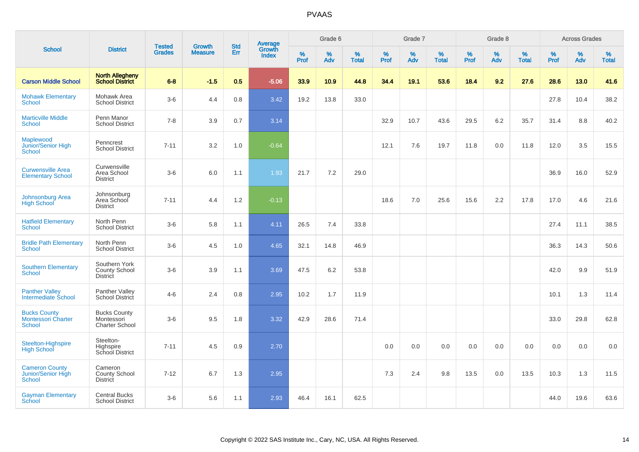|                                                                   |                                                            |                                |                                 | <b>Std</b> |                                          |           | Grade 6     |                   |           | Grade 7     |                      |              | Grade 8  |                      |              | <b>Across Grades</b> |                   |
|-------------------------------------------------------------------|------------------------------------------------------------|--------------------------------|---------------------------------|------------|------------------------------------------|-----------|-------------|-------------------|-----------|-------------|----------------------|--------------|----------|----------------------|--------------|----------------------|-------------------|
| <b>School</b>                                                     | <b>District</b>                                            | <b>Tested</b><br><b>Grades</b> | <b>Growth</b><br><b>Measure</b> | <b>Err</b> | <b>Average</b><br>Growth<br><b>Index</b> | %<br>Prof | $\%$<br>Adv | %<br><b>Total</b> | %<br>Prof | $\%$<br>Adv | $\%$<br><b>Total</b> | $\%$<br>Prof | %<br>Adv | $\%$<br><b>Total</b> | $\%$<br>Prof | $\%$<br>Adv          | %<br><b>Total</b> |
| <b>Carson Middle School</b>                                       | <b>North Allegheny</b><br><b>School District</b>           | $6 - 8$                        | $-1.5$                          | 0.5        | $-5.06$                                  | 33.9      | 10.9        | 44.8              | 34.4      | 19.1        | 53.6                 | 18.4         | 9.2      | 27.6                 | 28.6         | 13.0                 | 41.6              |
| <b>Mohawk Elementary</b><br><b>School</b>                         | Mohawk Area<br><b>School District</b>                      | $3-6$                          | 4.4                             | 0.8        | 3.42                                     | 19.2      | 13.8        | 33.0              |           |             |                      |              |          |                      | 27.8         | 10.4                 | 38.2              |
| <b>Marticville Middle</b><br><b>School</b>                        | Penn Manor<br><b>School District</b>                       | $7 - 8$                        | 3.9                             | 0.7        | 3.14                                     |           |             |                   | 32.9      | 10.7        | 43.6                 | 29.5         | 6.2      | 35.7                 | 31.4         | 8.8                  | 40.2              |
| Maplewood<br>Junior/Senior High<br><b>School</b>                  | Penncrest<br><b>School District</b>                        | $7 - 11$                       | 3.2                             | 1.0        | $-0.64$                                  |           |             |                   | 12.1      | 7.6         | 19.7                 | 11.8         | 0.0      | 11.8                 | 12.0         | 3.5                  | 15.5              |
| <b>Curwensville Area</b><br><b>Elementary School</b>              | Curwensville<br>Area School<br><b>District</b>             | $3-6$                          | 6.0                             | 1.1        | 1.93                                     | 21.7      | 7.2         | 29.0              |           |             |                      |              |          |                      | 36.9         | 16.0                 | 52.9              |
| Johnsonburg Area<br><b>High School</b>                            | Johnsonburg<br>Area School<br><b>District</b>              | $7 - 11$                       | 4.4                             | 1.2        | $-0.13$                                  |           |             |                   | 18.6      | 7.0         | 25.6                 | 15.6         | 2.2      | 17.8                 | 17.0         | 4.6                  | 21.6              |
| <b>Hatfield Elementary</b><br>School                              | North Penn<br><b>School District</b>                       | $3-6$                          | 5.8                             | 1.1        | 4.11                                     | 26.5      | 7.4         | 33.8              |           |             |                      |              |          |                      | 27.4         | 11.1                 | 38.5              |
| <b>Bridle Path Elementary</b><br>School                           | North Penn<br><b>School District</b>                       | $3-6$                          | 4.5                             | 1.0        | 4.65                                     | 32.1      | 14.8        | 46.9              |           |             |                      |              |          |                      | 36.3         | 14.3                 | 50.6              |
| <b>Southern Elementary</b><br>School                              | Southern York<br>County School<br><b>District</b>          | $3-6$                          | 3.9                             | 1.1        | 3.69                                     | 47.5      | 6.2         | 53.8              |           |             |                      |              |          |                      | 42.0         | 9.9                  | 51.9              |
| <b>Panther Valley</b><br>Intermediate School                      | Panther Valley<br><b>School District</b>                   | $4 - 6$                        | 2.4                             | 0.8        | 2.95                                     | 10.2      | 1.7         | 11.9              |           |             |                      |              |          |                      | 10.1         | 1.3                  | 11.4              |
| <b>Bucks County</b><br><b>Montessori Charter</b><br><b>School</b> | <b>Bucks County</b><br>Montessori<br><b>Charter School</b> | $3-6$                          | 9.5                             | 1.8        | 3.32                                     | 42.9      | 28.6        | 71.4              |           |             |                      |              |          |                      | 33.0         | 29.8                 | 62.8              |
| Steelton-Highspire<br><b>High School</b>                          | Steelton-<br>Highspire<br>School District                  | $7 - 11$                       | 4.5                             | 0.9        | 2.70                                     |           |             |                   | 0.0       | 0.0         | 0.0                  | 0.0          | 0.0      | 0.0                  | 0.0          | 0.0                  | 0.0               |
| <b>Cameron County</b><br>Junior/Senior High<br><b>School</b>      | Cameron<br>County School<br><b>District</b>                | $7 - 12$                       | 6.7                             | 1.3        | 2.95                                     |           |             |                   | 7.3       | 2.4         | 9.8                  | 13.5         | 0.0      | 13.5                 | 10.3         | 1.3                  | 11.5              |
| <b>Gayman Elementary</b><br>School                                | <b>Central Bucks</b><br><b>School District</b>             | $3-6$                          | 5.6                             | 1.1        | 2.93                                     | 46.4      | 16.1        | 62.5              |           |             |                      |              |          |                      | 44.0         | 19.6                 | 63.6              |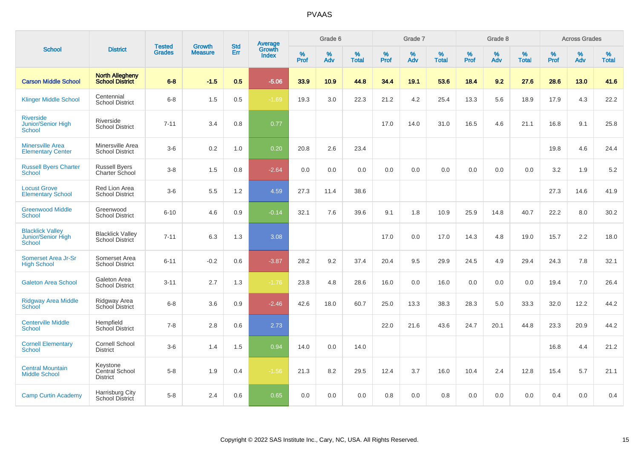|                                                         |                                                  |                                | <b>Growth</b>  | <b>Std</b> |                                          |                  | Grade 6  |                   |           | Grade 7     |                   |           | Grade 8  |                   |              | <b>Across Grades</b> |                   |
|---------------------------------------------------------|--------------------------------------------------|--------------------------------|----------------|------------|------------------------------------------|------------------|----------|-------------------|-----------|-------------|-------------------|-----------|----------|-------------------|--------------|----------------------|-------------------|
| <b>School</b>                                           | <b>District</b>                                  | <b>Tested</b><br><b>Grades</b> | <b>Measure</b> | Err        | <b>Average</b><br>Growth<br><b>Index</b> | %<br><b>Prof</b> | %<br>Adv | %<br><b>Total</b> | %<br>Prof | $\%$<br>Adv | %<br><b>Total</b> | %<br>Prof | %<br>Adv | %<br><b>Total</b> | $\%$<br>Prof | $\%$<br>Adv          | %<br><b>Total</b> |
| <b>Carson Middle School</b>                             | <b>North Allegheny</b><br><b>School District</b> | $6 - 8$                        | $-1.5$         | 0.5        | $-5.06$                                  | 33.9             | 10.9     | 44.8              | 34.4      | 19.1        | 53.6              | 18.4      | 9.2      | 27.6              | 28.6         | 13.0                 | 41.6              |
| <b>Klinger Middle School</b>                            | Centennial<br><b>School District</b>             | $6 - 8$                        | 1.5            | 0.5        | $-1.69$                                  | 19.3             | 3.0      | 22.3              | 21.2      | 4.2         | 25.4              | 13.3      | 5.6      | 18.9              | 17.9         | 4.3                  | 22.2              |
| <b>Riverside</b><br>Junior/Senior High<br><b>School</b> | Riverside<br><b>School District</b>              | $7 - 11$                       | 3.4            | 0.8        | 0.77                                     |                  |          |                   | 17.0      | 14.0        | 31.0              | 16.5      | 4.6      | 21.1              | 16.8         | 9.1                  | 25.8              |
| <b>Minersville Area</b><br><b>Elementary Center</b>     | Minersville Area<br><b>School District</b>       | $3-6$                          | 0.2            | 1.0        | 0.20                                     | 20.8             | 2.6      | 23.4              |           |             |                   |           |          |                   | 19.8         | 4.6                  | 24.4              |
| <b>Russell Byers Charter</b><br><b>School</b>           | <b>Russell Byers</b><br>Charter School           | $3 - 8$                        | 1.5            | 0.8        | $-2.64$                                  | 0.0              | 0.0      | 0.0               | 0.0       | 0.0         | 0.0               | 0.0       | 0.0      | 0.0               | 3.2          | 1.9                  | 5.2               |
| <b>Locust Grove</b><br><b>Elementary School</b>         | Red Lion Area<br><b>School District</b>          | $3-6$                          | 5.5            | 1.2        | 4.59                                     | 27.3             | 11.4     | 38.6              |           |             |                   |           |          |                   | 27.3         | 14.6                 | 41.9              |
| <b>Greenwood Middle</b><br><b>School</b>                | Greenwood<br><b>School District</b>              | $6 - 10$                       | 4.6            | 0.9        | $-0.14$                                  | 32.1             | 7.6      | 39.6              | 9.1       | 1.8         | 10.9              | 25.9      | 14.8     | 40.7              | 22.2         | 8.0                  | 30.2              |
| <b>Blacklick Valley</b><br>Junior/Senior High<br>School | <b>Blacklick Valley</b><br>School District       | $7 - 11$                       | 6.3            | 1.3        | 3.08                                     |                  |          |                   | 17.0      | 0.0         | 17.0              | 14.3      | 4.8      | 19.0              | 15.7         | 2.2                  | 18.0              |
| Somerset Area Jr-Sr<br><b>High School</b>               | Somerset Area<br><b>School District</b>          | $6 - 11$                       | $-0.2$         | 0.6        | $-3.87$                                  | 28.2             | 9.2      | 37.4              | 20.4      | 9.5         | 29.9              | 24.5      | 4.9      | 29.4              | 24.3         | 7.8                  | 32.1              |
| <b>Galeton Area School</b>                              | Galeton Area<br><b>School District</b>           | $3 - 11$                       | 2.7            | 1.3        | $-1.76$                                  | 23.8             | 4.8      | 28.6              | 16.0      | 0.0         | 16.0              | 0.0       | 0.0      | 0.0               | 19.4         | 7.0                  | 26.4              |
| <b>Ridgway Area Middle</b><br><b>School</b>             | Ridgway Area<br>School District                  | $6 - 8$                        | 3.6            | 0.9        | $-2.46$                                  | 42.6             | 18.0     | 60.7              | 25.0      | 13.3        | 38.3              | 28.3      | 5.0      | 33.3              | 32.0         | 12.2                 | 44.2              |
| <b>Centerville Middle</b><br>School                     | Hempfield<br><b>School District</b>              | $7 - 8$                        | 2.8            | 0.6        | 2.73                                     |                  |          |                   | 22.0      | 21.6        | 43.6              | 24.7      | 20.1     | 44.8              | 23.3         | 20.9                 | 44.2              |
| <b>Cornell Elementary</b><br><b>School</b>              | Cornell School<br><b>District</b>                | $3-6$                          | 1.4            | 1.5        | 0.94                                     | 14.0             | 0.0      | 14.0              |           |             |                   |           |          |                   | 16.8         | 4.4                  | 21.2              |
| <b>Central Mountain</b><br><b>Middle School</b>         | Keystone<br>Central School<br><b>District</b>    | $5-8$                          | 1.9            | 0.4        | $-1.56$                                  | 21.3             | 8.2      | 29.5              | 12.4      | 3.7         | 16.0              | 10.4      | 2.4      | 12.8              | 15.4         | 5.7                  | 21.1              |
| <b>Camp Curtin Academy</b>                              | Harrisburg City<br>School District               | $5-8$                          | 2.4            | 0.6        | 0.65                                     | 0.0              | 0.0      | 0.0               | 0.8       | 0.0         | 0.8               | 0.0       | 0.0      | 0.0               | 0.4          | 0.0                  | 0.4               |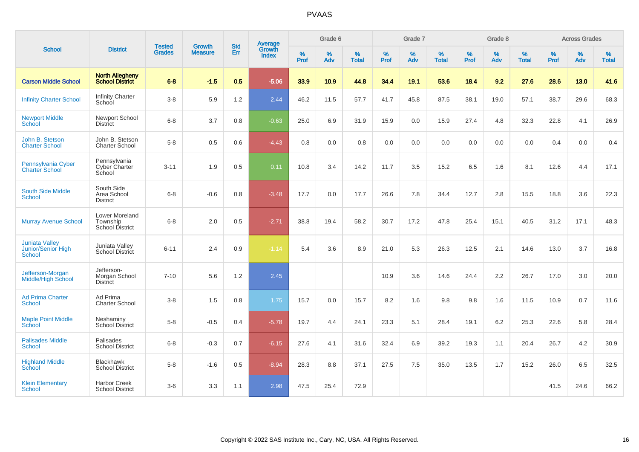|                                                              |                                                             |                                |                                 | <b>Std</b> | Average                |                  | Grade 6  |                   |                  | Grade 7  |                   |                  | Grade 8  |                   |                  | <b>Across Grades</b> |                   |
|--------------------------------------------------------------|-------------------------------------------------------------|--------------------------------|---------------------------------|------------|------------------------|------------------|----------|-------------------|------------------|----------|-------------------|------------------|----------|-------------------|------------------|----------------------|-------------------|
| <b>School</b>                                                | <b>District</b>                                             | <b>Tested</b><br><b>Grades</b> | <b>Growth</b><br><b>Measure</b> | Err        | Growth<br><b>Index</b> | %<br><b>Prof</b> | %<br>Adv | %<br><b>Total</b> | %<br><b>Prof</b> | %<br>Adv | %<br><b>Total</b> | %<br><b>Prof</b> | %<br>Adv | %<br><b>Total</b> | %<br><b>Prof</b> | %<br>Adv             | %<br><b>Total</b> |
| <b>Carson Middle School</b>                                  | <b>North Allegheny</b><br><b>School District</b>            | $6 - 8$                        | $-1.5$                          | 0.5        | $-5.06$                | 33.9             | 10.9     | 44.8              | 34.4             | 19.1     | 53.6              | 18.4             | 9.2      | 27.6              | 28.6             | 13.0                 | 41.6              |
| <b>Infinity Charter School</b>                               | <b>Infinity Charter</b><br>School                           | $3-8$                          | 5.9                             | 1.2        | 2.44                   | 46.2             | 11.5     | 57.7              | 41.7             | 45.8     | 87.5              | 38.1             | 19.0     | 57.1              | 38.7             | 29.6                 | 68.3              |
| <b>Newport Middle</b><br><b>School</b>                       | Newport School<br><b>District</b>                           | $6 - 8$                        | 3.7                             | 0.8        | $-0.63$                | 25.0             | 6.9      | 31.9              | 15.9             | 0.0      | 15.9              | 27.4             | 4.8      | 32.3              | 22.8             | 4.1                  | 26.9              |
| John B. Stetson<br><b>Charter School</b>                     | John B. Stetson<br><b>Charter School</b>                    | $5-8$                          | 0.5                             | 0.6        | $-4.43$                | 0.8              | 0.0      | 0.8               | 0.0              | 0.0      | 0.0               | 0.0              | 0.0      | 0.0               | 0.4              | 0.0                  | 0.4               |
| Pennsylvania Cyber<br><b>Charter School</b>                  | Pennsylvania<br>Cyber Charter<br>School                     | $3 - 11$                       | 1.9                             | 0.5        | 0.11                   | 10.8             | 3.4      | 14.2              | 11.7             | 3.5      | 15.2              | 6.5              | 1.6      | 8.1               | 12.6             | 4.4                  | 17.1              |
| <b>South Side Middle</b><br><b>School</b>                    | South Side<br>Area School<br><b>District</b>                | $6 - 8$                        | $-0.6$                          | 0.8        | $-3.48$                | 17.7             | 0.0      | 17.7              | 26.6             | 7.8      | 34.4              | 12.7             | 2.8      | 15.5              | 18.8             | 3.6                  | 22.3              |
| <b>Murray Avenue School</b>                                  | <b>Lower Moreland</b><br>Township<br><b>School District</b> | $6 - 8$                        | 2.0                             | 0.5        | $-2.71$                | 38.8             | 19.4     | 58.2              | 30.7             | 17.2     | 47.8              | 25.4             | 15.1     | 40.5              | 31.2             | 17.1                 | 48.3              |
| <b>Juniata Valley</b><br>Junior/Senior High<br><b>School</b> | Juniata Valley<br><b>School District</b>                    | $6 - 11$                       | 2.4                             | 0.9        | $-1.14$                | 5.4              | 3.6      | 8.9               | 21.0             | 5.3      | 26.3              | 12.5             | 2.1      | 14.6              | 13.0             | 3.7                  | 16.8              |
| Jefferson-Morgan<br><b>Middle/High School</b>                | Jefferson-<br>Morgan School<br><b>District</b>              | $7 - 10$                       | 5.6                             | 1.2        | 2.45                   |                  |          |                   | 10.9             | 3.6      | 14.6              | 24.4             | 2.2      | 26.7              | 17.0             | 3.0                  | 20.0              |
| <b>Ad Prima Charter</b><br><b>School</b>                     | Ad Prima<br><b>Charter School</b>                           | $3-8$                          | 1.5                             | 0.8        | 1.75                   | 15.7             | 0.0      | 15.7              | 8.2              | 1.6      | 9.8               | 9.8              | 1.6      | 11.5              | 10.9             | 0.7                  | 11.6              |
| <b>Maple Point Middle</b><br>School                          | Neshaminy<br><b>School District</b>                         | $5-8$                          | $-0.5$                          | 0.4        | $-5.78$                | 19.7             | 4.4      | 24.1              | 23.3             | 5.1      | 28.4              | 19.1             | 6.2      | 25.3              | 22.6             | 5.8                  | 28.4              |
| <b>Palisades Middle</b><br><b>School</b>                     | Palisades<br><b>School District</b>                         | $6 - 8$                        | $-0.3$                          | 0.7        | $-6.15$                | 27.6             | 4.1      | 31.6              | 32.4             | 6.9      | 39.2              | 19.3             | 1.1      | 20.4              | 26.7             | 4.2                  | 30.9              |
| <b>Highland Middle</b><br>School                             | <b>Blackhawk</b><br><b>School District</b>                  | $5 - 8$                        | $-1.6$                          | 0.5        | $-8.94$                | 28.3             | 8.8      | 37.1              | 27.5             | 7.5      | 35.0              | 13.5             | 1.7      | 15.2              | 26.0             | 6.5                  | 32.5              |
| <b>Klein Elementary</b><br>School                            | <b>Harbor Creek</b><br><b>School District</b>               | $3-6$                          | 3.3                             | 1.1        | 2.98                   | 47.5             | 25.4     | 72.9              |                  |          |                   |                  |          |                   | 41.5             | 24.6                 | 66.2              |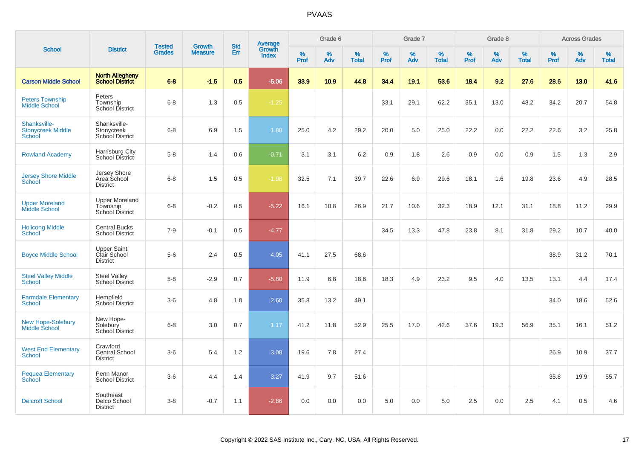|                                                    |                                                             | <b>Tested</b> | <b>Growth</b>  | <b>Std</b> |                                          |                  | Grade 6  |                   |           | Grade 7     |                   |              | Grade 8  |                   |           | <b>Across Grades</b> |                   |
|----------------------------------------------------|-------------------------------------------------------------|---------------|----------------|------------|------------------------------------------|------------------|----------|-------------------|-----------|-------------|-------------------|--------------|----------|-------------------|-----------|----------------------|-------------------|
| <b>School</b>                                      | <b>District</b>                                             | <b>Grades</b> | <b>Measure</b> | Err        | <b>Average</b><br>Growth<br><b>Index</b> | %<br><b>Prof</b> | %<br>Adv | %<br><b>Total</b> | %<br>Prof | $\%$<br>Adv | %<br><b>Total</b> | $\%$<br>Prof | %<br>Adv | %<br><b>Total</b> | %<br>Prof | $\%$<br>Adv          | %<br><b>Total</b> |
| <b>Carson Middle School</b>                        | <b>North Allegheny</b><br><b>School District</b>            | $6-8$         | $-1.5$         | 0.5        | $-5.06$                                  | 33.9             | 10.9     | 44.8              | 34.4      | 19.1        | 53.6              | 18.4         | 9.2      | 27.6              | 28.6      | 13.0                 | 41.6              |
| <b>Peters Township</b><br><b>Middle School</b>     | Peters<br>Township<br><b>School District</b>                | $6 - 8$       | 1.3            | 0.5        | $-1.25$                                  |                  |          |                   | 33.1      | 29.1        | 62.2              | 35.1         | 13.0     | 48.2              | 34.2      | 20.7                 | 54.8              |
| Shanksville-<br><b>Stonycreek Middle</b><br>School | Shanksville-<br>Stonycreek<br>School District               | $6 - 8$       | 6.9            | 1.5        | 1.88                                     | 25.0             | 4.2      | 29.2              | 20.0      | 5.0         | 25.0              | 22.2         | 0.0      | 22.2              | 22.6      | 3.2                  | 25.8              |
| <b>Rowland Academy</b>                             | Harrisburg City<br>School District                          | $5-8$         | 1.4            | 0.6        | $-0.71$                                  | 3.1              | 3.1      | 6.2               | 0.9       | 1.8         | 2.6               | 0.9          | 0.0      | 0.9               | 1.5       | 1.3                  | 2.9               |
| <b>Jersey Shore Middle</b><br>School               | Jersey Shore<br>Area School<br><b>District</b>              | $6 - 8$       | 1.5            | 0.5        | $-1.98$                                  | 32.5             | 7.1      | 39.7              | 22.6      | 6.9         | 29.6              | 18.1         | 1.6      | 19.8              | 23.6      | 4.9                  | 28.5              |
| <b>Upper Moreland</b><br><b>Middle School</b>      | <b>Upper Moreland</b><br>Township<br><b>School District</b> | $6 - 8$       | $-0.2$         | 0.5        | $-5.22$                                  | 16.1             | 10.8     | 26.9              | 21.7      | 10.6        | 32.3              | 18.9         | 12.1     | 31.1              | 18.8      | 11.2                 | 29.9              |
| <b>Holicong Middle</b><br><b>School</b>            | <b>Central Bucks</b><br><b>School District</b>              | $7 - 9$       | $-0.1$         | 0.5        | $-4.77$                                  |                  |          |                   | 34.5      | 13.3        | 47.8              | 23.8         | 8.1      | 31.8              | 29.2      | 10.7                 | 40.0              |
| <b>Boyce Middle School</b>                         | <b>Upper Saint</b><br>Clair School<br><b>District</b>       | $5-6$         | 2.4            | 0.5        | 4.05                                     | 41.1             | 27.5     | 68.6              |           |             |                   |              |          |                   | 38.9      | 31.2                 | 70.1              |
| <b>Steel Valley Middle</b><br>School               | <b>Steel Valley</b><br><b>School District</b>               | $5-8$         | $-2.9$         | 0.7        | $-5.80$                                  | 11.9             | 6.8      | 18.6              | 18.3      | 4.9         | 23.2              | 9.5          | 4.0      | 13.5              | 13.1      | 4.4                  | 17.4              |
| <b>Farmdale Elementary</b><br>School               | Hempfield<br><b>School District</b>                         | $3-6$         | 4.8            | 1.0        | 2.60                                     | 35.8             | 13.2     | 49.1              |           |             |                   |              |          |                   | 34.0      | 18.6                 | 52.6              |
| <b>New Hope-Solebury</b><br><b>Middle School</b>   | New Hope-<br>Solebury<br><b>School District</b>             | $6 - 8$       | 3.0            | 0.7        | 1.17                                     | 41.2             | 11.8     | 52.9              | 25.5      | 17.0        | 42.6              | 37.6         | 19.3     | 56.9              | 35.1      | 16.1                 | 51.2              |
| <b>West End Elementary</b><br><b>School</b>        | Crawford<br><b>Central School</b><br><b>District</b>        | $3-6$         | 5.4            | 1.2        | 3.08                                     | 19.6             | 7.8      | 27.4              |           |             |                   |              |          |                   | 26.9      | 10.9                 | 37.7              |
| <b>Pequea Elementary</b><br>School                 | Penn Manor<br><b>School District</b>                        | $3-6$         | 4.4            | 1.4        | 3.27                                     | 41.9             | 9.7      | 51.6              |           |             |                   |              |          |                   | 35.8      | 19.9                 | 55.7              |
| <b>Delcroft School</b>                             | Southeast<br>Delco School<br><b>District</b>                | $3 - 8$       | $-0.7$         | 1.1        | $-2.86$                                  | 0.0              | 0.0      | 0.0               | 5.0       | 0.0         | 5.0               | 2.5          | 0.0      | 2.5               | 4.1       | 0.5                  | 4.6               |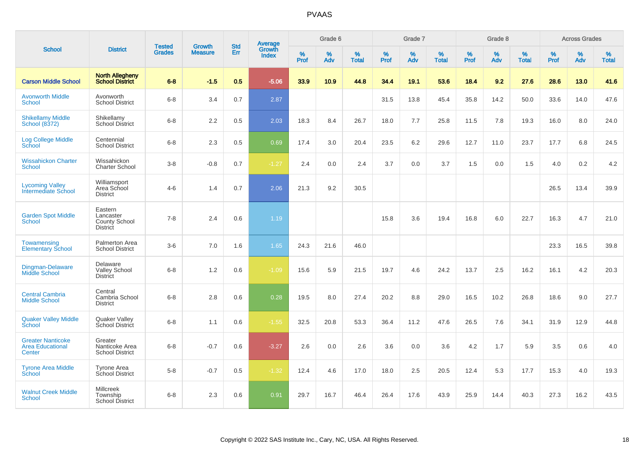|                                                               |                                                          | <b>Tested</b> | <b>Growth</b>  | <b>Std</b> |                                          |                  | Grade 6  |                   |           | Grade 7  |                   |           | Grade 8  |                   |           | <b>Across Grades</b> |                   |
|---------------------------------------------------------------|----------------------------------------------------------|---------------|----------------|------------|------------------------------------------|------------------|----------|-------------------|-----------|----------|-------------------|-----------|----------|-------------------|-----------|----------------------|-------------------|
| <b>School</b>                                                 | <b>District</b>                                          | <b>Grades</b> | <b>Measure</b> | Err        | <b>Average</b><br>Growth<br><b>Index</b> | %<br><b>Prof</b> | %<br>Adv | %<br><b>Total</b> | %<br>Prof | %<br>Adv | %<br><b>Total</b> | %<br>Prof | %<br>Adv | %<br><b>Total</b> | %<br>Prof | $\%$<br>Adv          | %<br><b>Total</b> |
| <b>Carson Middle School</b>                                   | <b>North Allegheny</b><br><b>School District</b>         | $6 - 8$       | $-1.5$         | 0.5        | $-5.06$                                  | 33.9             | 10.9     | 44.8              | 34.4      | 19.1     | 53.6              | 18.4      | 9.2      | 27.6              | 28.6      | 13.0                 | 41.6              |
| <b>Avonworth Middle</b><br>School                             | Avonworth<br><b>School District</b>                      | $6 - 8$       | 3.4            | 0.7        | 2.87                                     |                  |          |                   | 31.5      | 13.8     | 45.4              | 35.8      | 14.2     | 50.0              | 33.6      | 14.0                 | 47.6              |
| <b>Shikellamy Middle</b><br>School (8372)                     | Shikellamy<br><b>School District</b>                     | $6 - 8$       | 2.2            | 0.5        | 2.03                                     | 18.3             | 8.4      | 26.7              | 18.0      | 7.7      | 25.8              | 11.5      | 7.8      | 19.3              | 16.0      | 8.0                  | 24.0              |
| <b>Log College Middle</b><br>School                           | Centennial<br><b>School District</b>                     | $6 - 8$       | 2.3            | 0.5        | 0.69                                     | 17.4             | 3.0      | 20.4              | 23.5      | 6.2      | 29.6              | 12.7      | 11.0     | 23.7              | 17.7      | 6.8                  | 24.5              |
| <b>Wissahickon Charter</b><br><b>School</b>                   | Wissahickon<br>Charter School                            | $3-8$         | $-0.8$         | 0.7        | $-1.27$                                  | 2.4              | 0.0      | 2.4               | 3.7       | 0.0      | 3.7               | 1.5       | 0.0      | 1.5               | 4.0       | 0.2                  | 4.2               |
| <b>Lycoming Valley</b><br>Intermediate School                 | Williamsport<br>Area School<br><b>District</b>           | $4 - 6$       | 1.4            | 0.7        | 2.06                                     | 21.3             | 9.2      | 30.5              |           |          |                   |           |          |                   | 26.5      | 13.4                 | 39.9              |
| <b>Garden Spot Middle</b><br><b>School</b>                    | Eastern<br>Lancaster<br>County School<br><b>District</b> | $7 - 8$       | 2.4            | 0.6        | 1.19                                     |                  |          |                   | 15.8      | 3.6      | 19.4              | 16.8      | 6.0      | 22.7              | 16.3      | 4.7                  | 21.0              |
| Towamensing<br><b>Elementary School</b>                       | Palmerton Area<br><b>School District</b>                 | $3-6$         | 7.0            | 1.6        | 1.65                                     | 24.3             | 21.6     | 46.0              |           |          |                   |           |          |                   | 23.3      | 16.5                 | 39.8              |
| Dingman-Delaware<br><b>Middle School</b>                      | Delaware<br><b>Valley School</b><br><b>District</b>      | $6 - 8$       | 1.2            | 0.6        | $-1.09$                                  | 15.6             | 5.9      | 21.5              | 19.7      | 4.6      | 24.2              | 13.7      | 2.5      | 16.2              | 16.1      | 4.2                  | 20.3              |
| <b>Central Cambria</b><br><b>Middle School</b>                | Central<br>Cambria School<br><b>District</b>             | $6 - 8$       | 2.8            | 0.6        | 0.28                                     | 19.5             | 8.0      | 27.4              | 20.2      | 8.8      | 29.0              | 16.5      | 10.2     | 26.8              | 18.6      | 9.0                  | 27.7              |
| <b>Quaker Valley Middle</b><br>School                         | Quaker Valley<br>School District                         | $6 - 8$       | 1.1            | 0.6        | $-1.55$                                  | 32.5             | 20.8     | 53.3              | 36.4      | 11.2     | 47.6              | 26.5      | 7.6      | 34.1              | 31.9      | 12.9                 | 44.8              |
| <b>Greater Nanticoke</b><br><b>Area Educational</b><br>Center | Greater<br>Nanticoke Area<br><b>School District</b>      | $6 - 8$       | $-0.7$         | 0.6        | $-3.27$                                  | 2.6              | 0.0      | 2.6               | 3.6       | 0.0      | 3.6               | 4.2       | 1.7      | 5.9               | 3.5       | 0.6                  | 4.0               |
| <b>Tyrone Area Middle</b><br>School                           | Tyrone Area<br>School District                           | $5-8$         | $-0.7$         | 0.5        | $-1.32$                                  | 12.4             | 4.6      | 17.0              | 18.0      | 2.5      | 20.5              | 12.4      | 5.3      | 17.7              | 15.3      | 4.0                  | 19.3              |
| <b>Walnut Creek Middle</b><br>School                          | <b>Millcreek</b><br>Township<br>School District          | $6 - 8$       | 2.3            | 0.6        | 0.91                                     | 29.7             | 16.7     | 46.4              | 26.4      | 17.6     | 43.9              | 25.9      | 14.4     | 40.3              | 27.3      | 16.2                 | 43.5              |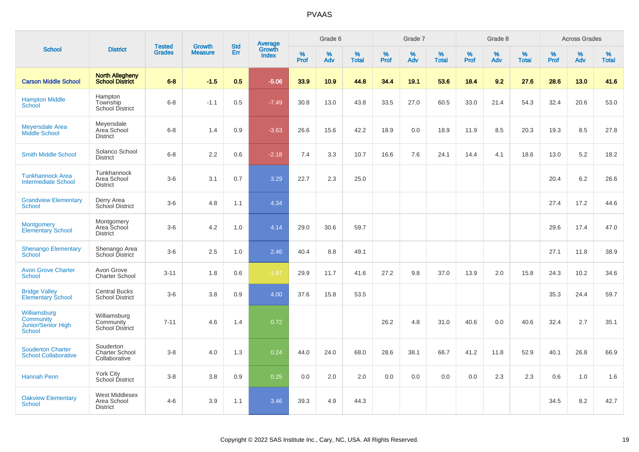|                                                                  |                                                     |                                |                                 | <b>Std</b> |                                          |                  | Grade 6     |                   |                     | Grade 7  |                   |              | Grade 8  |                   |              | <b>Across Grades</b> |                   |
|------------------------------------------------------------------|-----------------------------------------------------|--------------------------------|---------------------------------|------------|------------------------------------------|------------------|-------------|-------------------|---------------------|----------|-------------------|--------------|----------|-------------------|--------------|----------------------|-------------------|
| <b>School</b>                                                    | <b>District</b>                                     | <b>Tested</b><br><b>Grades</b> | <b>Growth</b><br><b>Measure</b> | Err        | <b>Average</b><br>Growth<br><b>Index</b> | %<br><b>Prof</b> | $\%$<br>Adv | %<br><b>Total</b> | $\%$<br><b>Prof</b> | %<br>Adv | %<br><b>Total</b> | $\%$<br>Prof | %<br>Adv | %<br><b>Total</b> | $\%$<br>Prof | $\%$<br>Adv          | %<br><b>Total</b> |
| <b>Carson Middle School</b>                                      | <b>North Allegheny</b><br><b>School District</b>    | $6 - 8$                        | $-1.5$                          | 0.5        | $-5.06$                                  | 33.9             | 10.9        | 44.8              | 34.4                | 19.1     | 53.6              | 18.4         | 9.2      | 27.6              | 28.6         | 13.0                 | 41.6              |
| <b>Hampton Middle</b><br><b>School</b>                           | Hampton<br>Township<br><b>School District</b>       | $6 - 8$                        | $-1.1$                          | 0.5        | $-7.49$                                  | 30.8             | 13.0        | 43.8              | 33.5                | 27.0     | 60.5              | 33.0         | 21.4     | 54.3              | 32.4         | 20.6                 | 53.0              |
| <b>Meyersdale Area</b><br>Middle School                          | Meyersdale<br>Area School<br><b>District</b>        | $6 - 8$                        | 1.4                             | 0.9        | $-3.63$                                  | 26.6             | 15.6        | 42.2              | 18.9                | 0.0      | 18.9              | 11.9         | 8.5      | 20.3              | 19.3         | 8.5                  | 27.8              |
| <b>Smith Middle School</b>                                       | Solanco School<br><b>District</b>                   | $6-8$                          | 2.2                             | 0.6        | $-2.18$                                  | 7.4              | 3.3         | 10.7              | 16.6                | 7.6      | 24.1              | 14.4         | 4.1      | 18.6              | 13.0         | 5.2                  | 18.2              |
| <b>Tunkhannock Area</b><br><b>Intermediate School</b>            | Tunkhannock<br>Area School<br><b>District</b>       | $3-6$                          | 3.1                             | 0.7        | 3.29                                     | 22.7             | 2.3         | 25.0              |                     |          |                   |              |          |                   | 20.4         | 6.2                  | 26.6              |
| <b>Grandview Elementary</b><br><b>School</b>                     | Derry Area<br>School District                       | $3-6$                          | 4.8                             | 1.1        | 4.34                                     |                  |             |                   |                     |          |                   |              |          |                   | 27.4         | 17.2                 | 44.6              |
| <b>Montgomery</b><br><b>Elementary School</b>                    | Montgomery<br>Area School<br><b>District</b>        | $3-6$                          | 4.2                             | 1.0        | 4.14                                     | 29.0             | 30.6        | 59.7              |                     |          |                   |              |          |                   | 29.6         | 17.4                 | 47.0              |
| <b>Shenango Elementary</b><br><b>School</b>                      | Shenango Area<br>School District                    | $3-6$                          | 2.5                             | 1.0        | 2.46                                     | 40.4             | 8.8         | 49.1              |                     |          |                   |              |          |                   | 27.1         | 11.8                 | 38.9              |
| <b>Avon Grove Charter</b><br><b>School</b>                       | Avon Grove<br><b>Charter School</b>                 | $3 - 11$                       | 1.8                             | 0.6        | $-1.97$                                  | 29.9             | 11.7        | 41.6              | 27.2                | 9.8      | 37.0              | 13.9         | 2.0      | 15.8              | 24.3         | 10.2                 | 34.6              |
| <b>Bridge Valley</b><br><b>Elementary School</b>                 | <b>Central Bucks</b><br><b>School District</b>      | $3-6$                          | 3.8                             | 0.9        | 4.00                                     | 37.6             | 15.8        | 53.5              |                     |          |                   |              |          |                   | 35.3         | 24.4                 | 59.7              |
| Williamsburg<br>Community<br>Junior/Senior High<br><b>School</b> | Williamsburg<br>Community<br><b>School District</b> | $7 - 11$                       | 4.6                             | 1.4        | 0.72                                     |                  |             |                   | 26.2                | 4.8      | 31.0              | 40.6         | 0.0      | 40.6              | 32.4         | 2.7                  | 35.1              |
| <b>Souderton Charter</b><br><b>School Collaborative</b>          | Souderton<br><b>Charter School</b><br>Collaborative | $3 - 8$                        | 4.0                             | 1.3        | 0.24                                     | 44.0             | 24.0        | 68.0              | 28.6                | 38.1     | 66.7              | 41.2         | 11.8     | 52.9              | 40.1         | 26.8                 | 66.9              |
| <b>Hannah Penn</b>                                               | York City<br>School District                        | $3 - 8$                        | 3.8                             | 0.9        | 0.25                                     | 0.0              | 2.0         | 2.0               | 0.0                 | 0.0      | 0.0               | 0.0          | 2.3      | 2.3               | 0.6          | 1.0                  | 1.6               |
| <b>Oakview Elementary</b><br><b>School</b>                       | West Middlesex<br>Area School<br><b>District</b>    | $4 - 6$                        | 3.9                             | 1.1        | 3.46                                     | 39.3             | 4.9         | 44.3              |                     |          |                   |              |          |                   | 34.5         | 8.2                  | 42.7              |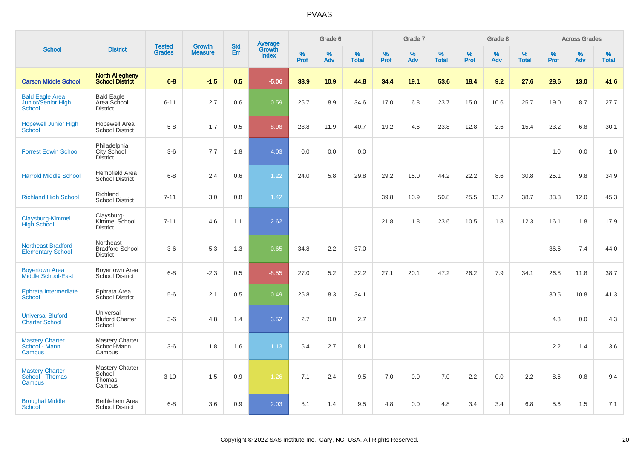|                                                        |                                                        |                                |                                 |                   |                                          |                  | Grade 6     |                   |              | Grade 7     |                      |              | Grade 8  |                   |              | <b>Across Grades</b> |                   |
|--------------------------------------------------------|--------------------------------------------------------|--------------------------------|---------------------------------|-------------------|------------------------------------------|------------------|-------------|-------------------|--------------|-------------|----------------------|--------------|----------|-------------------|--------------|----------------------|-------------------|
| <b>School</b>                                          | <b>District</b>                                        | <b>Tested</b><br><b>Grades</b> | <b>Growth</b><br><b>Measure</b> | <b>Std</b><br>Err | <b>Average</b><br>Growth<br><b>Index</b> | %<br><b>Prof</b> | $\%$<br>Adv | %<br><b>Total</b> | $\%$<br>Prof | $\%$<br>Adv | $\%$<br><b>Total</b> | $\%$<br>Prof | %<br>Adv | %<br><b>Total</b> | $\%$<br>Prof | $\%$<br>Adv          | %<br><b>Total</b> |
| <b>Carson Middle School</b>                            | <b>North Allegheny</b><br><b>School District</b>       | $6 - 8$                        | $-1.5$                          | 0.5               | $-5.06$                                  | 33.9             | 10.9        | 44.8              | 34.4         | 19.1        | 53.6                 | 18.4         | 9.2      | 27.6              | 28.6         | 13.0                 | 41.6              |
| <b>Bald Eagle Area</b><br>Junior/Senior High<br>School | <b>Bald Eagle</b><br>Area School<br><b>District</b>    | $6 - 11$                       | 2.7                             | 0.6               | 0.59                                     | 25.7             | 8.9         | 34.6              | 17.0         | 6.8         | 23.7                 | 15.0         | 10.6     | 25.7              | 19.0         | 8.7                  | 27.7              |
| <b>Hopewell Junior High</b><br>School                  | <b>Hopewell Area</b><br>School District                | $5-8$                          | $-1.7$                          | 0.5               | $-8.98$                                  | 28.8             | 11.9        | 40.7              | 19.2         | 4.6         | 23.8                 | 12.8         | 2.6      | 15.4              | 23.2         | 6.8                  | 30.1              |
| <b>Forrest Edwin School</b>                            | Philadelphia<br>City School<br><b>District</b>         | $3-6$                          | 7.7                             | 1.8               | 4.03                                     | 0.0              | 0.0         | 0.0               |              |             |                      |              |          |                   | 1.0          | 0.0                  | 1.0               |
| <b>Harrold Middle School</b>                           | Hempfield Area<br>School District                      | $6 - 8$                        | 2.4                             | 0.6               | 1.22                                     | 24.0             | 5.8         | 29.8              | 29.2         | 15.0        | 44.2                 | 22.2         | 8.6      | 30.8              | 25.1         | 9.8                  | 34.9              |
| <b>Richland High School</b>                            | Richland<br><b>School District</b>                     | $7 - 11$                       | 3.0                             | 0.8               | 1.42                                     |                  |             |                   | 39.8         | 10.9        | 50.8                 | 25.5         | 13.2     | 38.7              | 33.3         | 12.0                 | 45.3              |
| Claysburg-Kimmel<br><b>High School</b>                 | Claysburg-<br>Kimmel School<br><b>District</b>         | $7 - 11$                       | 4.6                             | 1.1               | 2.62                                     |                  |             |                   | 21.8         | 1.8         | 23.6                 | 10.5         | 1.8      | 12.3              | 16.1         | 1.8                  | 17.9              |
| <b>Northeast Bradford</b><br><b>Elementary School</b>  | Northeast<br><b>Bradford School</b><br><b>District</b> | $3-6$                          | 5.3                             | 1.3               | 0.65                                     | 34.8             | 2.2         | 37.0              |              |             |                      |              |          |                   | 36.6         | 7.4                  | 44.0              |
| <b>Boyertown Area</b><br>Middle School-East            | Boyertown Area<br>School District                      | $6 - 8$                        | $-2.3$                          | 0.5               | $-8.55$                                  | 27.0             | 5.2         | 32.2              | 27.1         | 20.1        | 47.2                 | 26.2         | 7.9      | 34.1              | 26.8         | 11.8                 | 38.7              |
| Ephrata Intermediate<br>School                         | Ephrata Area<br>School District                        | $5-6$                          | 2.1                             | 0.5               | 0.49                                     | 25.8             | 8.3         | 34.1              |              |             |                      |              |          |                   | 30.5         | 10.8                 | 41.3              |
| <b>Universal Bluford</b><br><b>Charter School</b>      | Universal<br><b>Bluford Charter</b><br>School          | $3 - 6$                        | 4.8                             | 1.4               | 3.52                                     | 2.7              | 0.0         | 2.7               |              |             |                      |              |          |                   | 4.3          | 0.0                  | 4.3               |
| <b>Mastery Charter</b><br>School - Mann<br>Campus      | Mastery Charter<br>School-Mann<br>Campus               | $3-6$                          | 1.8                             | 1.6               | 1.13                                     | 5.4              | 2.7         | 8.1               |              |             |                      |              |          |                   | 2.2          | 1.4                  | 3.6               |
| <b>Mastery Charter</b><br>School - Thomas<br>Campus    | Mastery Charter<br>School -<br>Thomas<br>Campus        | $3 - 10$                       | 1.5                             | 0.9               | $-1.26$                                  | 7.1              | 2.4         | 9.5               | 7.0          | 0.0         | 7.0                  | 2.2          | 0.0      | 2.2               | 8.6          | 0.8                  | 9.4               |
| <b>Broughal Middle</b><br>School                       | <b>Bethlehem Area</b><br><b>School District</b>        | $6 - 8$                        | 3.6                             | 0.9               | 2.03                                     | 8.1              | 1.4         | 9.5               | 4.8          | 0.0         | 4.8                  | 3.4          | 3.4      | 6.8               | 5.6          | 1.5                  | 7.1               |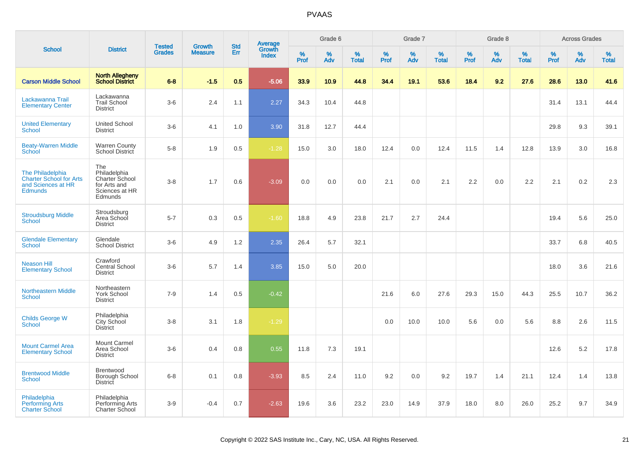|                                                                                            |                                                                                    |                                |                                 | <b>Std</b> |                                          |              | Grade 6     |                   |           | Grade 7  |                   |           | Grade 8     |                   |                     | <b>Across Grades</b> |                   |
|--------------------------------------------------------------------------------------------|------------------------------------------------------------------------------------|--------------------------------|---------------------------------|------------|------------------------------------------|--------------|-------------|-------------------|-----------|----------|-------------------|-----------|-------------|-------------------|---------------------|----------------------|-------------------|
| <b>School</b>                                                                              | <b>District</b>                                                                    | <b>Tested</b><br><b>Grades</b> | <b>Growth</b><br><b>Measure</b> | Err        | <b>Average</b><br>Growth<br><b>Index</b> | $\%$<br>Prof | $\%$<br>Adv | %<br><b>Total</b> | %<br>Prof | %<br>Adv | %<br><b>Total</b> | %<br>Prof | $\%$<br>Adv | %<br><b>Total</b> | $\%$<br><b>Prof</b> | %<br>Adv             | %<br><b>Total</b> |
| <b>Carson Middle School</b>                                                                | <b>North Allegheny</b><br><b>School District</b>                                   | $6 - 8$                        | $-1.5$                          | 0.5        | $-5.06$                                  | 33.9         | 10.9        | 44.8              | 34.4      | 19.1     | 53.6              | 18.4      | 9.2         | 27.6              | 28.6                | 13.0                 | 41.6              |
| Lackawanna Trail<br><b>Elementary Center</b>                                               | Lackawanna<br><b>Trail School</b><br><b>District</b>                               | $3-6$                          | 2.4                             | 1.1        | 2.27                                     | 34.3         | 10.4        | 44.8              |           |          |                   |           |             |                   | 31.4                | 13.1                 | 44.4              |
| <b>United Elementary</b><br><b>School</b>                                                  | <b>United School</b><br><b>District</b>                                            | $3-6$                          | 4.1                             | 1.0        | 3.90                                     | 31.8         | 12.7        | 44.4              |           |          |                   |           |             |                   | 29.8                | 9.3                  | 39.1              |
| <b>Beaty-Warren Middle</b><br>School                                                       | <b>Warren County</b><br>School District                                            | $5-8$                          | 1.9                             | 0.5        | $-1.28$                                  | 15.0         | 3.0         | 18.0              | 12.4      | 0.0      | 12.4              | 11.5      | 1.4         | 12.8              | 13.9                | 3.0                  | 16.8              |
| The Philadelphia<br><b>Charter School for Arts</b><br>and Sciences at HR<br><b>Edmunds</b> | The<br>Philadelphia<br>Charter School<br>for Arts and<br>Sciences at HR<br>Edmunds | $3 - 8$                        | 1.7                             | 0.6        | $-3.09$                                  | 0.0          | 0.0         | 0.0               | 2.1       | 0.0      | 2.1               | 2.2       | 0.0         | 2.2               | 2.1                 | 0.2                  | 2.3               |
| <b>Stroudsburg Middle</b><br><b>School</b>                                                 | Stroudsburg<br>Area School<br><b>District</b>                                      | $5 - 7$                        | 0.3                             | 0.5        | $-1.60$                                  | 18.8         | 4.9         | 23.8              | 21.7      | 2.7      | 24.4              |           |             |                   | 19.4                | 5.6                  | 25.0              |
| <b>Glendale Elementary</b><br><b>School</b>                                                | Glendale<br><b>School District</b>                                                 | $3-6$                          | 4.9                             | 1.2        | 2.35                                     | 26.4         | $5.7\,$     | 32.1              |           |          |                   |           |             |                   | 33.7                | 6.8                  | 40.5              |
| <b>Neason Hill</b><br><b>Elementary School</b>                                             | Crawford<br>Central School<br><b>District</b>                                      | $3-6$                          | 5.7                             | 1.4        | 3.85                                     | 15.0         | 5.0         | 20.0              |           |          |                   |           |             |                   | 18.0                | 3.6                  | 21.6              |
| <b>Northeastern Middle</b><br><b>School</b>                                                | Northeastern<br>York School<br><b>District</b>                                     | $7-9$                          | 1.4                             | 0.5        | $-0.42$                                  |              |             |                   | 21.6      | 6.0      | 27.6              | 29.3      | 15.0        | 44.3              | 25.5                | 10.7                 | 36.2              |
| <b>Childs George W</b><br>School                                                           | Philadelphia<br>City School<br><b>District</b>                                     | $3-8$                          | 3.1                             | 1.8        | $-1.29$                                  |              |             |                   | 0.0       | 10.0     | 10.0              | 5.6       | 0.0         | 5.6               | 8.8                 | 2.6                  | 11.5              |
| <b>Mount Carmel Area</b><br><b>Elementary School</b>                                       | <b>Mount Carmel</b><br>Area School<br><b>District</b>                              | $3-6$                          | 0.4                             | 0.8        | 0.55                                     | 11.8         | 7.3         | 19.1              |           |          |                   |           |             |                   | 12.6                | 5.2                  | 17.8              |
| <b>Brentwood Middle</b><br><b>School</b>                                                   | Brentwood<br>Borough School<br>District                                            | $6 - 8$                        | 0.1                             | 0.8        | $-3.93$                                  | 8.5          | 2.4         | 11.0              | 9.2       | 0.0      | 9.2               | 19.7      | 1.4         | 21.1              | 12.4                | 1.4                  | 13.8              |
| Philadelphia<br><b>Performing Arts</b><br><b>Charter School</b>                            | Philadelphia<br>Performing Arts<br>Charter School                                  | $3-9$                          | $-0.4$                          | 0.7        | $-2.63$                                  | 19.6         | 3.6         | 23.2              | 23.0      | 14.9     | 37.9              | 18.0      | 8.0         | 26.0              | 25.2                | 9.7                  | 34.9              |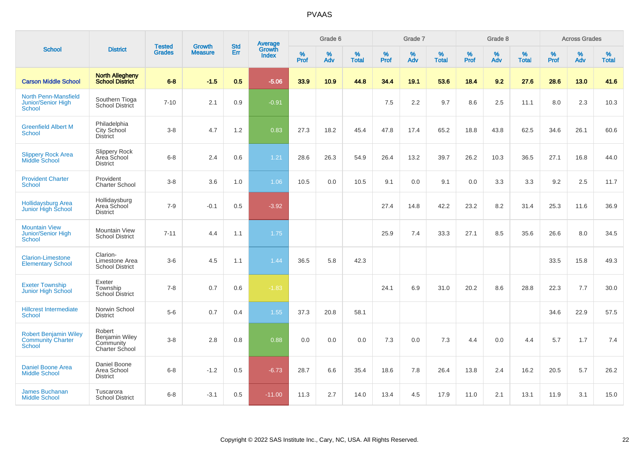|                                                                           |                                                         |                                | <b>Growth</b>  | <b>Std</b> | <b>Average</b><br>Growth |                  | Grade 6  |                   |           | Grade 7  |                   |           | Grade 8  |                   |           | <b>Across Grades</b> |                   |
|---------------------------------------------------------------------------|---------------------------------------------------------|--------------------------------|----------------|------------|--------------------------|------------------|----------|-------------------|-----------|----------|-------------------|-----------|----------|-------------------|-----------|----------------------|-------------------|
| <b>School</b>                                                             | <b>District</b>                                         | <b>Tested</b><br><b>Grades</b> | <b>Measure</b> | Err        | <b>Index</b>             | %<br><b>Prof</b> | %<br>Adv | %<br><b>Total</b> | %<br>Prof | %<br>Adv | %<br><b>Total</b> | %<br>Prof | %<br>Adv | %<br><b>Total</b> | %<br>Prof | $\%$<br>Adv          | %<br><b>Total</b> |
| <b>Carson Middle School</b>                                               | <b>North Allegheny</b><br><b>School District</b>        | $6 - 8$                        | $-1.5$         | 0.5        | $-5.06$                  | 33.9             | 10.9     | 44.8              | 34.4      | 19.1     | 53.6              | 18.4      | 9.2      | 27.6              | 28.6      | 13.0                 | 41.6              |
| North Penn-Mansfield<br><b>Junior/Senior High</b><br>School               | Southern Tioga<br>School District                       | $7 - 10$                       | 2.1            | 0.9        | $-0.91$                  |                  |          |                   | 7.5       | 2.2      | 9.7               | 8.6       | 2.5      | 11.1              | 8.0       | 2.3                  | 10.3              |
| <b>Greenfield Albert M</b><br><b>School</b>                               | Philadelphia<br>City School<br><b>District</b>          | $3-8$                          | 4.7            | 1.2        | 0.83                     | 27.3             | 18.2     | 45.4              | 47.8      | 17.4     | 65.2              | 18.8      | 43.8     | 62.5              | 34.6      | 26.1                 | 60.6              |
| <b>Slippery Rock Area</b><br><b>Middle School</b>                         | Slippery Rock<br>Area School<br><b>District</b>         | $6 - 8$                        | 2.4            | 0.6        | 1.21                     | 28.6             | 26.3     | 54.9              | 26.4      | 13.2     | 39.7              | 26.2      | 10.3     | 36.5              | 27.1      | 16.8                 | 44.0              |
| <b>Provident Charter</b><br><b>School</b>                                 | Provident<br><b>Charter School</b>                      | $3-8$                          | 3.6            | 1.0        | 1.06                     | 10.5             | 0.0      | 10.5              | 9.1       | 0.0      | 9.1               | 0.0       | 3.3      | 3.3               | 9.2       | 2.5                  | 11.7              |
| Hollidaysburg Area<br>Junior High School                                  | Hollidaysburg<br>Area School<br><b>District</b>         | $7 - 9$                        | $-0.1$         | 0.5        | $-3.92$                  |                  |          |                   | 27.4      | 14.8     | 42.2              | 23.2      | 8.2      | 31.4              | 25.3      | 11.6                 | 36.9              |
| <b>Mountain View</b><br>Junior/Senior High<br><b>School</b>               | Mountain View<br><b>School District</b>                 | $7 - 11$                       | 4.4            | 1.1        | 1.75                     |                  |          |                   | 25.9      | 7.4      | 33.3              | 27.1      | 8.5      | 35.6              | 26.6      | 8.0                  | 34.5              |
| <b>Clarion-Limestone</b><br><b>Elementary School</b>                      | Clarion-<br>Limestone Area<br><b>School District</b>    | $3-6$                          | 4.5            | 1.1        | 1.44                     | 36.5             | 5.8      | 42.3              |           |          |                   |           |          |                   | 33.5      | 15.8                 | 49.3              |
| <b>Exeter Township</b><br>Junior High School                              | Exeter<br>Township<br><b>School District</b>            | $7 - 8$                        | 0.7            | 0.6        | $-1.83$                  |                  |          |                   | 24.1      | 6.9      | 31.0              | 20.2      | 8.6      | 28.8              | 22.3      | 7.7                  | 30.0              |
| <b>Hillcrest Intermediate</b><br>School                                   | Norwin School<br><b>District</b>                        | $5-6$                          | 0.7            | 0.4        | 1.55                     | 37.3             | 20.8     | 58.1              |           |          |                   |           |          |                   | 34.6      | 22.9                 | 57.5              |
| <b>Robert Benjamin Wiley</b><br><b>Community Charter</b><br><b>School</b> | Robert<br>Benjamin Wiley<br>Community<br>Charter School | $3-8$                          | 2.8            | 0.8        | 0.88                     | 0.0              | 0.0      | 0.0               | 7.3       | 0.0      | 7.3               | 4.4       | 0.0      | 4.4               | 5.7       | 1.7                  | 7.4               |
| <b>Daniel Boone Area</b><br><b>Middle School</b>                          | Daniel Boone<br>Area School<br><b>District</b>          | $6 - 8$                        | $-1.2$         | 0.5        | $-6.73$                  | 28.7             | 6.6      | 35.4              | 18.6      | 7.8      | 26.4              | 13.8      | 2.4      | 16.2              | 20.5      | 5.7                  | 26.2              |
| <b>James Buchanan</b><br><b>Middle School</b>                             | Tuscarora<br><b>School District</b>                     | $6 - 8$                        | $-3.1$         | 0.5        | $-11.00$                 | 11.3             | 2.7      | 14.0              | 13.4      | 4.5      | 17.9              | 11.0      | 2.1      | 13.1              | 11.9      | 3.1                  | 15.0              |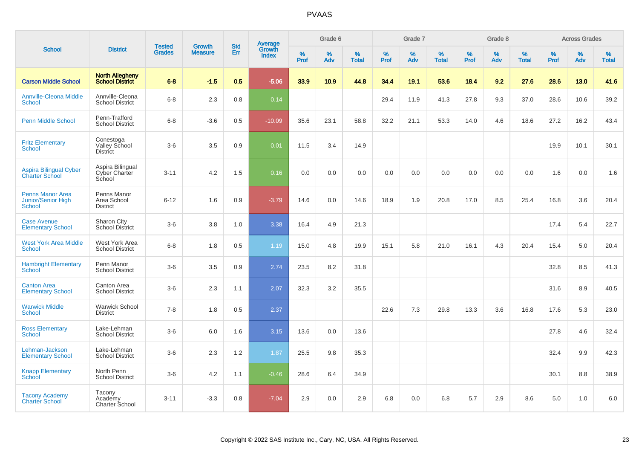|                                                                       |                                                  |                                | <b>Growth</b>  | <b>Std</b> |                                          |                  | Grade 6  |                   |              | Grade 7  |                   |           | Grade 8  |                   |           | <b>Across Grades</b> |                   |
|-----------------------------------------------------------------------|--------------------------------------------------|--------------------------------|----------------|------------|------------------------------------------|------------------|----------|-------------------|--------------|----------|-------------------|-----------|----------|-------------------|-----------|----------------------|-------------------|
| <b>School</b>                                                         | <b>District</b>                                  | <b>Tested</b><br><b>Grades</b> | <b>Measure</b> | Err        | <b>Average</b><br>Growth<br><b>Index</b> | %<br><b>Prof</b> | %<br>Adv | %<br><b>Total</b> | $\%$<br>Prof | %<br>Adv | %<br><b>Total</b> | %<br>Prof | %<br>Adv | %<br><b>Total</b> | %<br>Prof | $\%$<br>Adv          | %<br><b>Total</b> |
| <b>Carson Middle School</b>                                           | <b>North Allegheny</b><br><b>School District</b> | $6 - 8$                        | $-1.5$         | 0.5        | $-5.06$                                  | 33.9             | 10.9     | 44.8              | 34.4         | 19.1     | 53.6              | 18.4      | 9.2      | 27.6              | 28.6      | 13.0                 | 41.6              |
| <b>Annville-Cleona Middle</b><br>School                               | Annville-Cleona<br><b>School District</b>        | $6-8$                          | 2.3            | 0.8        | 0.14                                     |                  |          |                   | 29.4         | 11.9     | 41.3              | 27.8      | 9.3      | 37.0              | 28.6      | 10.6                 | 39.2              |
| <b>Penn Middle School</b>                                             | Penn-Trafford<br><b>School District</b>          | $6 - 8$                        | $-3.6$         | 0.5        | $-10.09$                                 | 35.6             | 23.1     | 58.8              | 32.2         | 21.1     | 53.3              | 14.0      | 4.6      | 18.6              | 27.2      | 16.2                 | 43.4              |
| <b>Fritz Elementary</b><br><b>School</b>                              | Conestoga<br>Valley School<br><b>District</b>    | $3-6$                          | 3.5            | 0.9        | 0.01                                     | 11.5             | 3.4      | 14.9              |              |          |                   |           |          |                   | 19.9      | 10.1                 | 30.1              |
| <b>Aspira Bilingual Cyber</b><br><b>Charter School</b>                | Aspira Bilingual<br>Cyber Charter<br>School      | $3 - 11$                       | 4.2            | 1.5        | 0.16                                     | 0.0              | 0.0      | 0.0               | 0.0          | 0.0      | 0.0               | 0.0       | 0.0      | 0.0               | 1.6       | 0.0                  | 1.6               |
| <b>Penns Manor Area</b><br><b>Junior/Senior High</b><br><b>School</b> | Penns Manor<br>Area School<br><b>District</b>    | $6 - 12$                       | 1.6            | 0.9        | $-3.79$                                  | 14.6             | 0.0      | 14.6              | 18.9         | 1.9      | 20.8              | 17.0      | 8.5      | 25.4              | 16.8      | 3.6                  | 20.4              |
| <b>Case Avenue</b><br><b>Elementary School</b>                        | Sharon City<br><b>School District</b>            | $3-6$                          | 3.8            | 1.0        | 3.38                                     | 16.4             | 4.9      | 21.3              |              |          |                   |           |          |                   | 17.4      | 5.4                  | 22.7              |
| <b>West York Area Middle</b><br><b>School</b>                         | West York Area<br><b>School District</b>         | $6 - 8$                        | 1.8            | 0.5        | 1.19                                     | 15.0             | 4.8      | 19.9              | 15.1         | 5.8      | 21.0              | 16.1      | 4.3      | 20.4              | 15.4      | 5.0                  | 20.4              |
| <b>Hambright Elementary</b><br><b>School</b>                          | Penn Manor<br><b>School District</b>             | $3-6$                          | 3.5            | 0.9        | 2.74                                     | 23.5             | 8.2      | 31.8              |              |          |                   |           |          |                   | 32.8      | 8.5                  | 41.3              |
| <b>Canton Area</b><br><b>Elementary School</b>                        | Canton Area<br><b>School District</b>            | $3-6$                          | 2.3            | 1.1        | 2.07                                     | 32.3             | 3.2      | 35.5              |              |          |                   |           |          |                   | 31.6      | 8.9                  | 40.5              |
| <b>Warwick Middle</b><br>School                                       | <b>Warwick School</b><br><b>District</b>         | $7 - 8$                        | 1.8            | 0.5        | 2.37                                     |                  |          |                   | 22.6         | 7.3      | 29.8              | 13.3      | 3.6      | 16.8              | 17.6      | 5.3                  | 23.0              |
| <b>Ross Elementary</b><br><b>School</b>                               | Lake-Lehman<br><b>School District</b>            | $3-6$                          | 6.0            | 1.6        | 3.15                                     | 13.6             | 0.0      | 13.6              |              |          |                   |           |          |                   | 27.8      | 4.6                  | 32.4              |
| Lehman-Jackson<br><b>Elementary School</b>                            | Lake-Lehman<br><b>School District</b>            | $3-6$                          | 2.3            | 1.2        | 1.87                                     | 25.5             | 9.8      | 35.3              |              |          |                   |           |          |                   | 32.4      | 9.9                  | 42.3              |
| <b>Knapp Elementary</b><br>School                                     | North Penn<br><b>School District</b>             | $3-6$                          | 4.2            | 1.1        | $-0.46$                                  | 28.6             | 6.4      | 34.9              |              |          |                   |           |          |                   | 30.1      | 8.8                  | 38.9              |
| <b>Tacony Academy</b><br><b>Charter School</b>                        | Tacony<br>Academy<br>Charter School              | $3 - 11$                       | $-3.3$         | 0.8        | $-7.04$                                  | 2.9              | 0.0      | 2.9               | 6.8          | 0.0      | 6.8               | 5.7       | 2.9      | 8.6               | 5.0       | 1.0                  | 6.0               |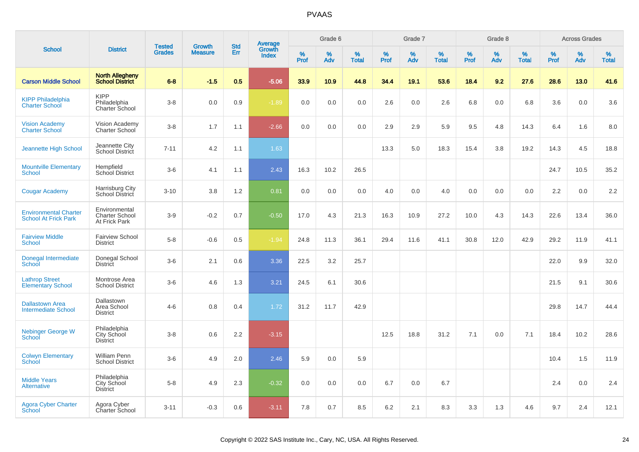|                                                             |                                                         |                                | <b>Growth</b>  | <b>Std</b> |                                          |                  | Grade 6  |                   |           | Grade 7  |                   |           | Grade 8  |                   |           | <b>Across Grades</b> |                   |
|-------------------------------------------------------------|---------------------------------------------------------|--------------------------------|----------------|------------|------------------------------------------|------------------|----------|-------------------|-----------|----------|-------------------|-----------|----------|-------------------|-----------|----------------------|-------------------|
| <b>School</b>                                               | <b>District</b>                                         | <b>Tested</b><br><b>Grades</b> | <b>Measure</b> | Err        | <b>Average</b><br>Growth<br><b>Index</b> | %<br><b>Prof</b> | %<br>Adv | %<br><b>Total</b> | %<br>Prof | %<br>Adv | %<br><b>Total</b> | %<br>Prof | %<br>Adv | %<br><b>Total</b> | %<br>Prof | %<br>Adv             | %<br><b>Total</b> |
| <b>Carson Middle School</b>                                 | <b>North Allegheny</b><br><b>School District</b>        | $6 - 8$                        | $-1.5$         | 0.5        | $-5.06$                                  | 33.9             | 10.9     | 44.8              | 34.4      | 19.1     | 53.6              | 18.4      | 9.2      | 27.6              | 28.6      | 13.0                 | 41.6              |
| <b>KIPP Philadelphia</b><br><b>Charter School</b>           | <b>KIPP</b><br>Philadelphia<br><b>Charter School</b>    | $3-8$                          | 0.0            | 0.9        | $-1.89$                                  | 0.0              | 0.0      | 0.0               | 2.6       | 0.0      | 2.6               | 6.8       | 0.0      | 6.8               | 3.6       | 0.0                  | 3.6               |
| <b>Vision Academy</b><br>Charter School                     | Vision Academy<br>Charter School                        | $3-8$                          | 1.7            | 1.1        | $-2.66$                                  | 0.0              | 0.0      | 0.0               | 2.9       | 2.9      | 5.9               | 9.5       | 4.8      | 14.3              | 6.4       | 1.6                  | 8.0               |
| Jeannette High School                                       | Jeannette City<br>School District                       | $7 - 11$                       | 4.2            | 1.1        | 1.63                                     |                  |          |                   | 13.3      | 5.0      | 18.3              | 15.4      | 3.8      | 19.2              | 14.3      | 4.5                  | 18.8              |
| <b>Mountville Elementary</b><br><b>School</b>               | Hempfield<br>School District                            | $3-6$                          | 4.1            | 1.1        | 2.43                                     | 16.3             | 10.2     | 26.5              |           |          |                   |           |          |                   | 24.7      | 10.5                 | 35.2              |
| <b>Cougar Academy</b>                                       | Harrisburg City<br>School District                      | $3 - 10$                       | 3.8            | 1.2        | 0.81                                     | 0.0              | 0.0      | 0.0               | 4.0       | 0.0      | 4.0               | 0.0       | 0.0      | 0.0               | 2.2       | 0.0                  | 2.2               |
| <b>Environmental Charter</b><br><b>School At Frick Park</b> | Environmental<br><b>Charter School</b><br>At Frick Park | $3-9$                          | $-0.2$         | 0.7        | $-0.50$                                  | 17.0             | 4.3      | 21.3              | 16.3      | 10.9     | 27.2              | 10.0      | 4.3      | 14.3              | 22.6      | 13.4                 | 36.0              |
| <b>Fairview Middle</b><br><b>School</b>                     | <b>Fairview School</b><br><b>District</b>               | $5-8$                          | $-0.6$         | 0.5        | $-1.94$                                  | 24.8             | 11.3     | 36.1              | 29.4      | 11.6     | 41.1              | 30.8      | 12.0     | 42.9              | 29.2      | 11.9                 | 41.1              |
| Donegal Intermediate<br>School                              | Donegal School<br><b>District</b>                       | $3-6$                          | 2.1            | 0.6        | 3.36                                     | 22.5             | 3.2      | 25.7              |           |          |                   |           |          |                   | 22.0      | 9.9                  | 32.0              |
| <b>Lathrop Street</b><br><b>Elementary School</b>           | Montrose Area<br><b>School District</b>                 | $3-6$                          | 4.6            | 1.3        | 3.21                                     | 24.5             | 6.1      | 30.6              |           |          |                   |           |          |                   | 21.5      | 9.1                  | 30.6              |
| <b>Dallastown Area</b><br><b>Intermediate School</b>        | Dallastown<br>Area School<br><b>District</b>            | $4 - 6$                        | 0.8            | 0.4        | 1.72                                     | 31.2             | 11.7     | 42.9              |           |          |                   |           |          |                   | 29.8      | 14.7                 | 44.4              |
| Nebinger George W<br>School                                 | Philadelphia<br>City School<br><b>District</b>          | $3-8$                          | 0.6            | 2.2        | $-3.15$                                  |                  |          |                   | 12.5      | 18.8     | 31.2              | 7.1       | 0.0      | 7.1               | 18.4      | 10.2                 | 28.6              |
| <b>Colwyn Elementary</b><br><b>School</b>                   | William Penn<br><b>School District</b>                  | $3-6$                          | 4.9            | 2.0        | 2.46                                     | 5.9              | 0.0      | 5.9               |           |          |                   |           |          |                   | 10.4      | 1.5                  | 11.9              |
| <b>Middle Years</b><br><b>Alternative</b>                   | Philadelphia<br>City School<br><b>District</b>          | $5-8$                          | 4.9            | 2.3        | $-0.32$                                  | 0.0              | 0.0      | 0.0               | 6.7       | 0.0      | 6.7               |           |          |                   | 2.4       | 0.0                  | 2.4               |
| <b>Agora Cyber Charter</b><br>School                        | Agora Cyber<br>Charter School                           | $3 - 11$                       | $-0.3$         | 0.6        | $-3.11$                                  | 7.8              | 0.7      | 8.5               | 6.2       | 2.1      | 8.3               | 3.3       | 1.3      | 4.6               | 9.7       | 2.4                  | 12.1              |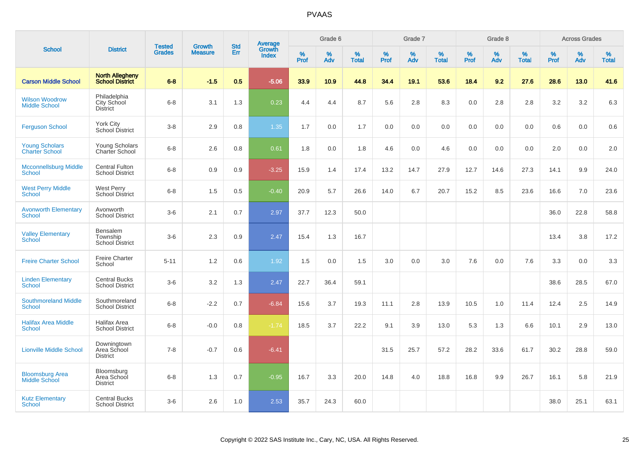|                                                |                                                  |                                | <b>Growth</b>  | <b>Std</b> |                                          |                  | Grade 6  |                   |                  | Grade 7     |                   |           | Grade 8  |                   |                  | <b>Across Grades</b> |                   |
|------------------------------------------------|--------------------------------------------------|--------------------------------|----------------|------------|------------------------------------------|------------------|----------|-------------------|------------------|-------------|-------------------|-----------|----------|-------------------|------------------|----------------------|-------------------|
| <b>School</b>                                  | <b>District</b>                                  | <b>Tested</b><br><b>Grades</b> | <b>Measure</b> | Err        | <b>Average</b><br>Growth<br><b>Index</b> | %<br><b>Prof</b> | %<br>Adv | %<br><b>Total</b> | %<br><b>Prof</b> | $\%$<br>Adv | %<br><b>Total</b> | %<br>Prof | %<br>Adv | %<br><b>Total</b> | %<br><b>Prof</b> | $\%$<br>Adv          | %<br><b>Total</b> |
| <b>Carson Middle School</b>                    | <b>North Allegheny</b><br><b>School District</b> | $6 - 8$                        | $-1.5$         | 0.5        | $-5.06$                                  | 33.9             | 10.9     | 44.8              | 34.4             | 19.1        | 53.6              | 18.4      | 9.2      | 27.6              | 28.6             | 13.0                 | 41.6              |
| <b>Wilson Woodrow</b><br><b>Middle School</b>  | Philadelphia<br>City School<br><b>District</b>   | $6 - 8$                        | 3.1            | 1.3        | 0.23                                     | 4.4              | 4.4      | 8.7               | 5.6              | 2.8         | 8.3               | 0.0       | 2.8      | 2.8               | 3.2              | 3.2                  | 6.3               |
| <b>Ferguson School</b>                         | York City<br>School District                     | $3 - 8$                        | 2.9            | 0.8        | 1.35                                     | 1.7              | 0.0      | 1.7               | 0.0              | 0.0         | 0.0               | 0.0       | 0.0      | 0.0               | 0.6              | 0.0                  | 0.6               |
| <b>Young Scholars</b><br><b>Charter School</b> | Young Scholars<br>Charter School                 | $6 - 8$                        | 2.6            | 0.8        | 0.61                                     | 1.8              | 0.0      | 1.8               | 4.6              | 0.0         | 4.6               | 0.0       | 0.0      | 0.0               | 2.0              | 0.0                  | 2.0               |
| <b>Mcconnellsburg Middle</b><br><b>School</b>  | <b>Central Fulton</b><br><b>School District</b>  | $6 - 8$                        | 0.9            | 0.9        | $-3.25$                                  | 15.9             | 1.4      | 17.4              | 13.2             | 14.7        | 27.9              | 12.7      | 14.6     | 27.3              | 14.1             | 9.9                  | 24.0              |
| <b>West Perry Middle</b><br>School             | <b>West Perry</b><br><b>School District</b>      | $6 - 8$                        | 1.5            | 0.5        | $-0.40$                                  | 20.9             | 5.7      | 26.6              | 14.0             | 6.7         | 20.7              | 15.2      | 8.5      | 23.6              | 16.6             | 7.0                  | 23.6              |
| <b>Avonworth Elementary</b><br><b>School</b>   | Avonworth<br><b>School District</b>              | $3-6$                          | 2.1            | 0.7        | 2.97                                     | 37.7             | 12.3     | 50.0              |                  |             |                   |           |          |                   | 36.0             | 22.8                 | 58.8              |
| <b>Valley Elementary</b><br>School             | Bensalem<br>Township<br><b>School District</b>   | $3-6$                          | 2.3            | 0.9        | 2.47                                     | 15.4             | 1.3      | 16.7              |                  |             |                   |           |          |                   | 13.4             | 3.8                  | 17.2              |
| <b>Freire Charter School</b>                   | <b>Freire Charter</b><br>School                  | $5 - 11$                       | 1.2            | 0.6        | 1.92                                     | 1.5              | 0.0      | 1.5               | 3.0              | 0.0         | 3.0               | 7.6       | 0.0      | 7.6               | 3.3              | 0.0                  | 3.3               |
| <b>Linden Elementary</b><br>School             | <b>Central Bucks</b><br><b>School District</b>   | $3-6$                          | 3.2            | 1.3        | 2.47                                     | 22.7             | 36.4     | 59.1              |                  |             |                   |           |          |                   | 38.6             | 28.5                 | 67.0              |
| <b>Southmoreland Middle</b><br><b>School</b>   | Southmoreland<br><b>School District</b>          | $6 - 8$                        | $-2.2$         | 0.7        | $-6.84$                                  | 15.6             | 3.7      | 19.3              | 11.1             | 2.8         | 13.9              | 10.5      | 1.0      | 11.4              | 12.4             | 2.5                  | 14.9              |
| <b>Halifax Area Middle</b><br><b>School</b>    | Halifax Area<br><b>School District</b>           | $6 - 8$                        | $-0.0$         | 0.8        | $-1.74$                                  | 18.5             | 3.7      | 22.2              | 9.1              | 3.9         | 13.0              | 5.3       | 1.3      | 6.6               | 10.1             | 2.9                  | 13.0              |
| <b>Lionville Middle School</b>                 | Downingtown<br>Area School<br><b>District</b>    | $7 - 8$                        | $-0.7$         | 0.6        | $-6.41$                                  |                  |          |                   | 31.5             | 25.7        | 57.2              | 28.2      | 33.6     | 61.7              | 30.2             | 28.8                 | 59.0              |
| <b>Bloomsburg Area</b><br><b>Middle School</b> | Bloomsburg<br>Area School<br><b>District</b>     | $6 - 8$                        | 1.3            | 0.7        | $-0.95$                                  | 16.7             | 3.3      | 20.0              | 14.8             | 4.0         | 18.8              | 16.8      | 9.9      | 26.7              | 16.1             | 5.8                  | 21.9              |
| <b>Kutz Elementary</b><br><b>School</b>        | <b>Central Bucks</b><br><b>School District</b>   | $3-6$                          | 2.6            | 1.0        | 2.53                                     | 35.7             | 24.3     | 60.0              |                  |             |                   |           |          |                   | 38.0             | 25.1                 | 63.1              |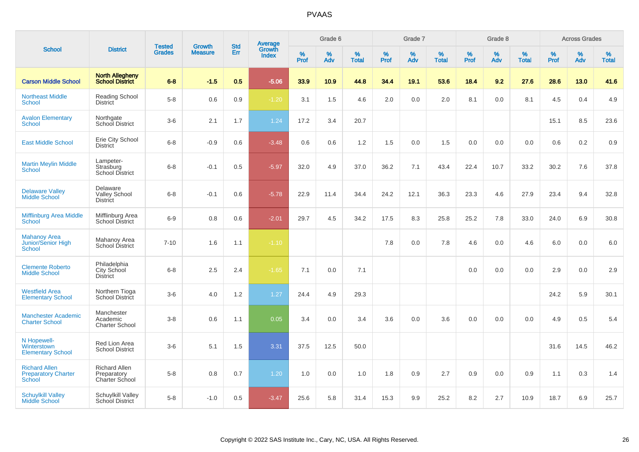| <b>School</b>                                                |                                                       | <b>Tested</b> | <b>Growth</b>  | <b>Std</b> |                                          |                     | Grade 6     |                   |              | Grade 7     |                      |              | Grade 8  |                   |              | <b>Across Grades</b> |                   |
|--------------------------------------------------------------|-------------------------------------------------------|---------------|----------------|------------|------------------------------------------|---------------------|-------------|-------------------|--------------|-------------|----------------------|--------------|----------|-------------------|--------------|----------------------|-------------------|
|                                                              | <b>District</b>                                       | <b>Grades</b> | <b>Measure</b> | <b>Err</b> | <b>Average</b><br>Growth<br><b>Index</b> | $\%$<br><b>Prof</b> | $\%$<br>Adv | %<br><b>Total</b> | $\%$<br>Prof | $\%$<br>Adv | $\%$<br><b>Total</b> | $\%$<br>Prof | %<br>Adv | %<br><b>Total</b> | $\%$<br>Prof | $\%$<br>Adv          | %<br><b>Total</b> |
| <b>Carson Middle School</b>                                  | <b>North Allegheny</b><br><b>School District</b>      | $6 - 8$       | $-1.5$         | 0.5        | $-5.06$                                  | 33.9                | 10.9        | 44.8              | 34.4         | 19.1        | 53.6                 | 18.4         | 9.2      | 27.6              | 28.6         | 13.0                 | 41.6              |
| <b>Northeast Middle</b><br>School                            | <b>Reading School</b><br><b>District</b>              | $5-8$         | 0.6            | 0.9        | $-1.20$                                  | 3.1                 | 1.5         | 4.6               | 2.0          | 0.0         | 2.0                  | 8.1          | 0.0      | 8.1               | 4.5          | 0.4                  | 4.9               |
| <b>Avalon Elementary</b><br>School                           | Northgate<br>School District                          | $3-6$         | 2.1            | 1.7        | 1.24                                     | 17.2                | 3.4         | 20.7              |              |             |                      |              |          |                   | 15.1         | 8.5                  | 23.6              |
| <b>East Middle School</b>                                    | Erie City School<br><b>District</b>                   | $6 - 8$       | $-0.9$         | 0.6        | $-3.48$                                  | 0.6                 | 0.6         | 1.2               | 1.5          | 0.0         | 1.5                  | 0.0          | 0.0      | 0.0               | 0.6          | 0.2                  | 0.9               |
| <b>Martin Meylin Middle</b><br><b>School</b>                 | Lampeter-<br>Strasburg<br>School District             | $6 - 8$       | $-0.1$         | 0.5        | $-5.97$                                  | 32.0                | 4.9         | 37.0              | 36.2         | 7.1         | 43.4                 | 22.4         | 10.7     | 33.2              | 30.2         | 7.6                  | 37.8              |
| <b>Delaware Valley</b><br><b>Middle School</b>               | Delaware<br><b>Valley School</b><br><b>District</b>   | $6 - 8$       | $-0.1$         | 0.6        | $-5.78$                                  | 22.9                | 11.4        | 34.4              | 24.2         | 12.1        | 36.3                 | 23.3         | 4.6      | 27.9              | 23.4         | 9.4                  | 32.8              |
| <b>Mifflinburg Area Middle</b><br>School                     | Mifflinburg Area<br>School District                   | $6 - 9$       | 0.8            | 0.6        | $-2.01$                                  | 29.7                | 4.5         | 34.2              | 17.5         | 8.3         | 25.8                 | 25.2         | 7.8      | 33.0              | 24.0         | 6.9                  | 30.8              |
| <b>Mahanoy Area</b><br><b>Junior/Senior High</b><br>School   | Mahanoy Area<br>School District                       | $7 - 10$      | 1.6            | 1.1        | $-1.10$                                  |                     |             |                   | 7.8          | 0.0         | 7.8                  | 4.6          | 0.0      | 4.6               | 6.0          | 0.0                  | 6.0               |
| <b>Clemente Roberto</b><br><b>Middle School</b>              | Philadelphia<br>City School<br><b>District</b>        | $6 - 8$       | 2.5            | 2.4        | $-1.65$                                  | 7.1                 | 0.0         | 7.1               |              |             |                      | 0.0          | 0.0      | 0.0               | 2.9          | 0.0                  | 2.9               |
| <b>Westfield Area</b><br><b>Elementary School</b>            | Northern Tioga<br><b>School District</b>              | $3-6$         | 4.0            | 1.2        | 1.27                                     | 24.4                | 4.9         | 29.3              |              |             |                      |              |          |                   | 24.2         | 5.9                  | 30.1              |
| <b>Manchester Academic</b><br><b>Charter School</b>          | Manchester<br>Academic<br><b>Charter School</b>       | $3-8$         | 0.6            | 1.1        | 0.05                                     | 3.4                 | 0.0         | 3.4               | 3.6          | 0.0         | 3.6                  | 0.0          | 0.0      | 0.0               | 4.9          | 0.5                  | 5.4               |
| N Hopewell-<br>Winterstown<br><b>Elementary School</b>       | Red Lion Area<br><b>School District</b>               | $3-6$         | 5.1            | 1.5        | 3.31                                     | 37.5                | 12.5        | 50.0              |              |             |                      |              |          |                   | 31.6         | 14.5                 | 46.2              |
| <b>Richard Allen</b><br><b>Preparatory Charter</b><br>School | <b>Richard Allen</b><br>Preparatory<br>Charter School | $5 - 8$       | 0.8            | 0.7        | 1.20                                     | 1.0                 | 0.0         | 1.0               | 1.8          | 0.9         | 2.7                  | 0.9          | 0.0      | 0.9               | 1.1          | 0.3                  | 1.4               |
| <b>Schuylkill Valley</b><br>Middle School                    | <b>Schuylkill Valley</b><br>School District           | $5-8$         | $-1.0$         | 0.5        | $-3.47$                                  | 25.6                | 5.8         | 31.4              | 15.3         | 9.9         | 25.2                 | 8.2          | 2.7      | 10.9              | 18.7         | 6.9                  | 25.7              |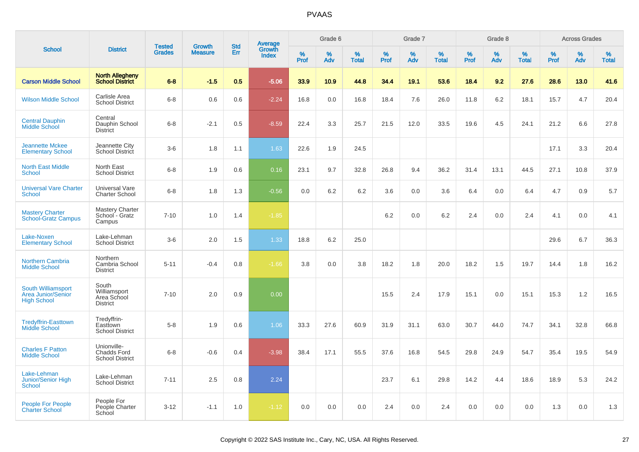|                                                                       |                                                             | <b>Tested</b> | Growth         | <b>Std</b> |                                          |                  | Grade 6     |                   |           | Grade 7  |                   |           | Grade 8  |                   |           | <b>Across Grades</b> |                   |
|-----------------------------------------------------------------------|-------------------------------------------------------------|---------------|----------------|------------|------------------------------------------|------------------|-------------|-------------------|-----------|----------|-------------------|-----------|----------|-------------------|-----------|----------------------|-------------------|
| <b>School</b>                                                         | <b>District</b>                                             | <b>Grades</b> | <b>Measure</b> | Err        | <b>Average</b><br>Growth<br><b>Index</b> | %<br><b>Prof</b> | $\%$<br>Adv | %<br><b>Total</b> | %<br>Prof | %<br>Adv | %<br><b>Total</b> | %<br>Prof | %<br>Adv | %<br><b>Total</b> | %<br>Prof | %<br>Adv             | %<br><b>Total</b> |
| <b>Carson Middle School</b>                                           | <b>North Allegheny</b><br><b>School District</b>            | $6 - 8$       | $-1.5$         | 0.5        | $-5.06$                                  | 33.9             | 10.9        | 44.8              | 34.4      | 19.1     | 53.6              | 18.4      | 9.2      | 27.6              | 28.6      | 13.0                 | 41.6              |
| <b>Wilson Middle School</b>                                           | Carlisle Area<br><b>School District</b>                     | $6 - 8$       | 0.6            | 0.6        | $-2.24$                                  | 16.8             | 0.0         | 16.8              | 18.4      | 7.6      | 26.0              | 11.8      | 6.2      | 18.1              | 15.7      | 4.7                  | 20.4              |
| <b>Central Dauphin</b><br>Middle School                               | Central<br>Dauphin School<br><b>District</b>                | $6 - 8$       | $-2.1$         | 0.5        | $-8.59$                                  | 22.4             | 3.3         | 25.7              | 21.5      | 12.0     | 33.5              | 19.6      | 4.5      | 24.1              | 21.2      | 6.6                  | 27.8              |
| <b>Jeannette Mckee</b><br><b>Elementary School</b>                    | Jeannette City<br><b>School District</b>                    | $3-6$         | 1.8            | 1.1        | 1.63                                     | 22.6             | 1.9         | 24.5              |           |          |                   |           |          |                   | 17.1      | 3.3                  | 20.4              |
| <b>North East Middle</b><br>School                                    | North East<br><b>School District</b>                        | $6 - 8$       | 1.9            | 0.6        | 0.16                                     | 23.1             | 9.7         | 32.8              | 26.8      | 9.4      | 36.2              | 31.4      | 13.1     | 44.5              | 27.1      | 10.8                 | 37.9              |
| <b>Universal Vare Charter</b><br><b>School</b>                        | Universal Vare<br><b>Charter School</b>                     | $6 - 8$       | 1.8            | 1.3        | $-0.56$                                  | 0.0              | 6.2         | 6.2               | 3.6       | 0.0      | 3.6               | 6.4       | 0.0      | 6.4               | 4.7       | 0.9                  | 5.7               |
| <b>Mastery Charter</b><br><b>School-Gratz Campus</b>                  | <b>Mastery Charter</b><br>School - Gratz<br>Campus          | $7 - 10$      | 1.0            | 1.4        | $-1.85$                                  |                  |             |                   | 6.2       | 0.0      | 6.2               | 2.4       | 0.0      | 2.4               | 4.1       | 0.0                  | 4.1               |
| Lake-Noxen<br><b>Elementary School</b>                                | Lake-Lehman<br><b>School District</b>                       | $3-6$         | 2.0            | 1.5        | 1.33                                     | 18.8             | 6.2         | 25.0              |           |          |                   |           |          |                   | 29.6      | 6.7                  | 36.3              |
| <b>Northern Cambria</b><br><b>Middle School</b>                       | Northern<br>Cambria School<br><b>District</b>               | $5 - 11$      | $-0.4$         | 0.8        | $-1.66$                                  | 3.8              | 0.0         | 3.8               | 18.2      | 1.8      | 20.0              | 18.2      | 1.5      | 19.7              | 14.4      | 1.8                  | 16.2              |
| South Williamsport<br><b>Area Junior/Senior</b><br><b>High School</b> | South<br>Williamsport<br>Area School<br><b>District</b>     | $7 - 10$      | 2.0            | 0.9        | 0.00                                     |                  |             |                   | 15.5      | 2.4      | 17.9              | 15.1      | 0.0      | 15.1              | 15.3      | 1.2                  | 16.5              |
| <b>Tredyffrin-Easttown</b><br><b>Middle School</b>                    | Tredyffrin-<br>Easttown<br><b>School District</b>           | $5 - 8$       | 1.9            | 0.6        | 1.06                                     | 33.3             | 27.6        | 60.9              | 31.9      | 31.1     | 63.0              | 30.7      | 44.0     | 74.7              | 34.1      | 32.8                 | 66.8              |
| <b>Charles F Patton</b><br><b>Middle School</b>                       | Unionville-<br><b>Chadds Ford</b><br><b>School District</b> | $6 - 8$       | $-0.6$         | 0.4        | $-3.98$                                  | 38.4             | 17.1        | 55.5              | 37.6      | 16.8     | 54.5              | 29.8      | 24.9     | 54.7              | 35.4      | 19.5                 | 54.9              |
| Lake-Lehman<br>Junior/Senior High<br><b>School</b>                    | Lake-Lehman<br><b>School District</b>                       | $7 - 11$      | 2.5            | 0.8        | 2.24                                     |                  |             |                   | 23.7      | 6.1      | 29.8              | 14.2      | 4.4      | 18.6              | 18.9      | 5.3                  | 24.2              |
| People For People<br><b>Charter School</b>                            | People For<br>People Charter<br>School                      | $3 - 12$      | $-1.1$         | 1.0        | $-1.12$                                  | 0.0              | 0.0         | 0.0               | 2.4       | 0.0      | 2.4               | 0.0       | 0.0      | 0.0               | 1.3       | 0.0                  | 1.3               |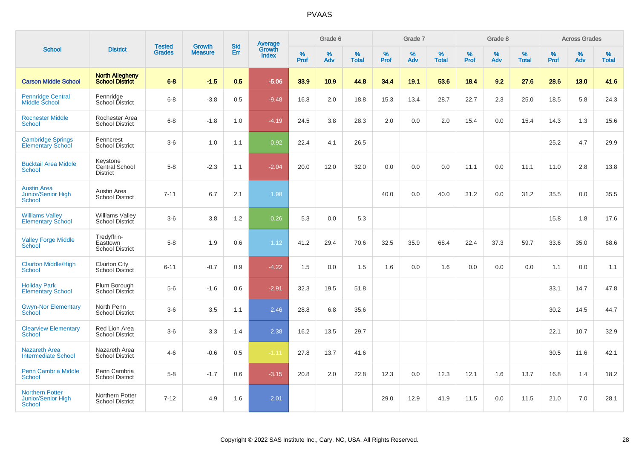|                                                               |                                                   | <b>Tested</b> | <b>Growth</b>  | <b>Std</b> |                                          |                  | Grade 6  |                   |              | Grade 7  |                   |                  | Grade 8  |                   |                  | <b>Across Grades</b> |                   |
|---------------------------------------------------------------|---------------------------------------------------|---------------|----------------|------------|------------------------------------------|------------------|----------|-------------------|--------------|----------|-------------------|------------------|----------|-------------------|------------------|----------------------|-------------------|
| <b>School</b>                                                 | <b>District</b>                                   | <b>Grades</b> | <b>Measure</b> | Err        | <b>Average</b><br>Growth<br><b>Index</b> | %<br><b>Prof</b> | %<br>Adv | %<br><b>Total</b> | $\%$<br>Prof | %<br>Adv | %<br><b>Total</b> | %<br><b>Prof</b> | %<br>Adv | %<br><b>Total</b> | %<br><b>Prof</b> | $\%$<br>Adv          | %<br><b>Total</b> |
| <b>Carson Middle School</b>                                   | <b>North Allegheny</b><br><b>School District</b>  | $6 - 8$       | $-1.5$         | 0.5        | $-5.06$                                  | 33.9             | 10.9     | 44.8              | 34.4         | 19.1     | 53.6              | 18.4             | 9.2      | 27.6              | 28.6             | 13.0                 | 41.6              |
| <b>Pennridge Central</b><br>Middle School                     | Pennridge<br>School District                      | $6 - 8$       | $-3.8$         | 0.5        | $-9.48$                                  | 16.8             | 2.0      | 18.8              | 15.3         | 13.4     | 28.7              | 22.7             | 2.3      | 25.0              | 18.5             | 5.8                  | 24.3              |
| <b>Rochester Middle</b><br>School                             | Rochester Area<br><b>School District</b>          | $6 - 8$       | $-1.8$         | 1.0        | $-4.19$                                  | 24.5             | 3.8      | 28.3              | 2.0          | 0.0      | 2.0               | 15.4             | 0.0      | 15.4              | 14.3             | 1.3                  | 15.6              |
| <b>Cambridge Springs</b><br><b>Elementary School</b>          | Penncrest<br><b>School District</b>               | $3-6$         | 1.0            | 1.1        | 0.92                                     | 22.4             | 4.1      | 26.5              |              |          |                   |                  |          |                   | 25.2             | 4.7                  | 29.9              |
| <b>Bucktail Area Middle</b><br><b>School</b>                  | Keystone<br>Central School<br><b>District</b>     | $5 - 8$       | $-2.3$         | 1.1        | $-2.04$                                  | 20.0             | 12.0     | 32.0              | 0.0          | 0.0      | 0.0               | 11.1             | 0.0      | 11.1              | 11.0             | 2.8                  | 13.8              |
| <b>Austin Area</b><br><b>Junior/Senior High</b><br>School     | Austin Area<br><b>School District</b>             | $7 - 11$      | 6.7            | 2.1        | 1.98                                     |                  |          |                   | 40.0         | 0.0      | 40.0              | 31.2             | 0.0      | 31.2              | 35.5             | 0.0                  | 35.5              |
| <b>Williams Valley</b><br><b>Elementary School</b>            | <b>Williams Valley</b><br>School District         | $3-6$         | 3.8            | 1.2        | 0.26                                     | 5.3              | 0.0      | 5.3               |              |          |                   |                  |          |                   | 15.8             | 1.8                  | 17.6              |
| <b>Valley Forge Middle</b><br>School                          | Tredyffrin-<br>Easttown<br><b>School District</b> | $5 - 8$       | 1.9            | 0.6        | 1.12                                     | 41.2             | 29.4     | 70.6              | 32.5         | 35.9     | 68.4              | 22.4             | 37.3     | 59.7              | 33.6             | 35.0                 | 68.6              |
| <b>Clairton Middle/High</b><br><b>School</b>                  | <b>Clairton City</b><br><b>School District</b>    | $6 - 11$      | $-0.7$         | 0.9        | $-4.22$                                  | 1.5              | 0.0      | 1.5               | 1.6          | 0.0      | 1.6               | 0.0              | 0.0      | 0.0               | 1.1              | 0.0                  | 1.1               |
| <b>Holiday Park</b><br><b>Elementary School</b>               | Plum Borough<br>School District                   | $5-6$         | $-1.6$         | 0.6        | $-2.91$                                  | 32.3             | 19.5     | 51.8              |              |          |                   |                  |          |                   | 33.1             | 14.7                 | 47.8              |
| <b>Gwyn-Nor Elementary</b><br>School                          | North Penn<br><b>School District</b>              | $3-6$         | 3.5            | 1.1        | 2.46                                     | 28.8             | 6.8      | 35.6              |              |          |                   |                  |          |                   | 30.2             | 14.5                 | 44.7              |
| <b>Clearview Elementary</b><br><b>School</b>                  | Red Lion Area<br><b>School District</b>           | $3-6$         | 3.3            | 1.4        | 2.38                                     | 16.2             | 13.5     | 29.7              |              |          |                   |                  |          |                   | 22.1             | 10.7                 | 32.9              |
| <b>Nazareth Area</b><br><b>Intermediate School</b>            | Nazareth Area<br><b>School District</b>           | $4 - 6$       | $-0.6$         | 0.5        | $-1.11$                                  | 27.8             | 13.7     | 41.6              |              |          |                   |                  |          |                   | 30.5             | 11.6                 | 42.1              |
| <b>Penn Cambria Middle</b><br>School                          | Penn Cambria<br><b>School District</b>            | $5 - 8$       | $-1.7$         | 0.6        | $-3.15$                                  | 20.8             | 2.0      | 22.8              | 12.3         | 0.0      | 12.3              | 12.1             | 1.6      | 13.7              | 16.8             | 1.4                  | 18.2              |
| <b>Northern Potter</b><br><b>Junior/Senior High</b><br>School | Northern Potter<br><b>School District</b>         | $7 - 12$      | 4.9            | 1.6        | 2.01                                     |                  |          |                   | 29.0         | 12.9     | 41.9              | 11.5             | 0.0      | 11.5              | 21.0             | 7.0                  | 28.1              |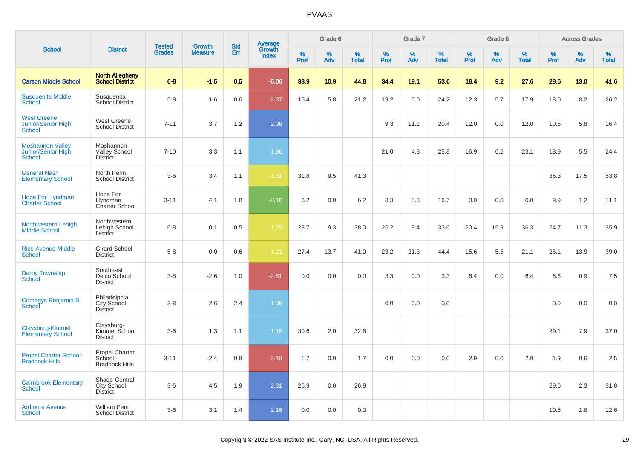|                                                                  |                                                            |                                |                                 | <b>Std</b> |                                          |           | Grade 6  |                   |           | Grade 7  |                   |           | Grade 8  |                   |           | <b>Across Grades</b> |                   |
|------------------------------------------------------------------|------------------------------------------------------------|--------------------------------|---------------------------------|------------|------------------------------------------|-----------|----------|-------------------|-----------|----------|-------------------|-----------|----------|-------------------|-----------|----------------------|-------------------|
| <b>School</b>                                                    | <b>District</b>                                            | <b>Tested</b><br><b>Grades</b> | <b>Growth</b><br><b>Measure</b> | Err        | <b>Average</b><br>Growth<br><b>Index</b> | %<br>Prof | %<br>Adv | %<br><b>Total</b> | %<br>Prof | %<br>Adv | %<br><b>Total</b> | %<br>Prof | %<br>Adv | %<br><b>Total</b> | %<br>Prof | %<br>Adv             | %<br><b>Total</b> |
| <b>Carson Middle School</b>                                      | <b>North Allegheny</b><br><b>School District</b>           | $6 - 8$                        | $-1.5$                          | 0.5        | $-5.06$                                  | 33.9      | 10.9     | 44.8              | 34.4      | 19.1     | 53.6              | 18.4      | 9.2      | 27.6              | 28.6      | 13.0                 | 41.6              |
| <b>Susquenita Middle</b><br>School                               | Susquenita<br>School District                              | $5-8$                          | 1.6                             | 0.6        | $-2.37$                                  | 15.4      | 5.8      | 21.2              | 19.2      | 5.0      | 24.2              | 12.3      | 5.7      | 17.9              | 18.0      | 8.2                  | 26.2              |
| <b>West Greene</b><br><b>Junior/Senior High</b><br><b>School</b> | <b>West Greene</b><br><b>School District</b>               | $7 - 11$                       | 3.7                             | 1.2        | 2.08                                     |           |          |                   | 9.3       | 11.1     | 20.4              | 12.0      | 0.0      | 12.0              | 10.6      | 5.8                  | 16.4              |
| <b>Moshannon Valley</b><br>Junior/Senior High<br><b>School</b>   | Moshannon<br><b>Valley School</b><br><b>District</b>       | $7 - 10$                       | 3.3                             | 1.1        | 1.96                                     |           |          |                   | 21.0      | 4.8      | 25.8              | 16.9      | 6.2      | 23.1              | 18.9      | 5.5                  | 24.4              |
| <b>General Nash</b><br><b>Elementary School</b>                  | North Penn<br><b>School District</b>                       | $3-6$                          | 3.4                             | 1.1        | $-1.61$                                  | 31.8      | 9.5      | 41.3              |           |          |                   |           |          |                   | 36.3      | 17.5                 | 53.8              |
| <b>Hope For Hyndman</b><br><b>Charter School</b>                 | Hope For<br>Hyndman<br>Charter School                      | $3 - 11$                       | 4.1                             | 1.8        | $-0.16$                                  | 6.2       | 0.0      | 6.2               | 8.3       | 8.3      | 16.7              | 0.0       | 0.0      | 0.0               | 9.9       | 1.2                  | 11.1              |
| Northwestern Lehigh<br><b>Middle School</b>                      | Northwestern<br>Lehigh School<br><b>District</b>           | $6 - 8$                        | 0.1                             | 0.5        | $-1.79$                                  | 28.7      | 9.3      | 38.0              | 25.2      | 8.4      | 33.6              | 20.4      | 15.9     | 36.3              | 24.7      | 11.3                 | 35.9              |
| <b>Rice Avenue Middle</b><br>School                              | <b>Girard School</b><br><b>District</b>                    | $5 - 8$                        | 0.0                             | 0.6        | $-1.21$                                  | 27.4      | 13.7     | 41.0              | 23.2      | 21.3     | 44.4              | 15.6      | 5.5      | 21.1              | 25.1      | 13.9                 | 39.0              |
| <b>Darby Township</b><br><b>School</b>                           | Southeast<br>Delco School<br><b>District</b>               | $3-8$                          | $-2.6$                          | 1.0        | $-2.81$                                  | 0.0       | 0.0      | 0.0               | 3.3       | 0.0      | 3.3               | 6.4       | 0.0      | 6.4               | 6.6       | 0.9                  | 7.5               |
| Comegys Benjamin B<br>School                                     | Philadelphia<br>City School<br><b>District</b>             | $3 - 8$                        | 2.6                             | 2.4        | 1.09                                     |           |          |                   | 0.0       | 0.0      | 0.0               |           |          |                   | 0.0       | 0.0                  | 0.0               |
| Claysburg-Kimmel<br><b>Elementary School</b>                     | Claysburg-<br>Kimmel School<br><b>District</b>             | $3-6$                          | 1.3                             | 1.1        | 1.18                                     | 30.6      | 2.0      | 32.6              |           |          |                   |           |          |                   | 29.1      | 7.9                  | 37.0              |
| <b>Propel Charter School-</b><br><b>Braddock Hills</b>           | <b>Propel Charter</b><br>School -<br><b>Braddock Hills</b> | $3 - 11$                       | $-2.4$                          | 0.8        | $-3.18$                                  | 1.7       | 0.0      | 1.7               | 0.0       | 0.0      | 0.0               | 2.9       | 0.0      | 2.9               | 1.9       | 0.6                  | 2.5               |
| <b>Cairnbrook Elementary</b><br><b>School</b>                    | Shade-Central<br>City School<br><b>District</b>            | $3-6$                          | 4.5                             | 1.9        | 2.31                                     | 26.9      | 0.0      | 26.9              |           |          |                   |           |          |                   | 29.6      | 2.3                  | 31.8              |
| <b>Ardmore Avenue</b><br><b>School</b>                           | <b>William Penn</b><br><b>School District</b>              | $3-6$                          | 3.1                             | 1.4        | 2.16                                     | 0.0       | 0.0      | 0.0               |           |          |                   |           |          |                   | 10.8      | 1.8                  | 12.6              |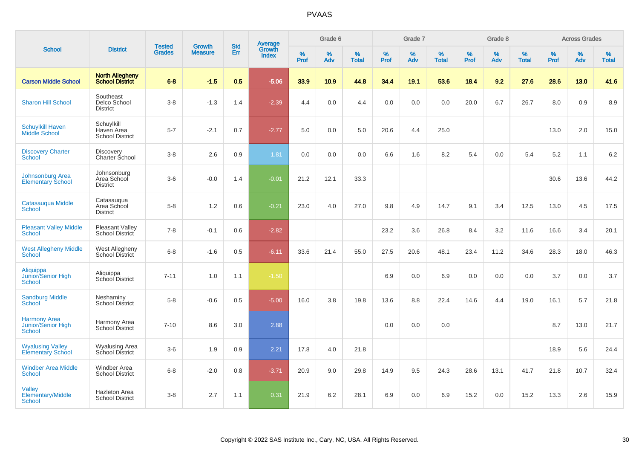|                                                            |                                                    |                                |                                 | <b>Std</b> |                                          |           | Grade 6  |                   |           | Grade 7  |                   |           | Grade 8  |                   |              | <b>Across Grades</b> |                   |
|------------------------------------------------------------|----------------------------------------------------|--------------------------------|---------------------------------|------------|------------------------------------------|-----------|----------|-------------------|-----------|----------|-------------------|-----------|----------|-------------------|--------------|----------------------|-------------------|
| <b>School</b>                                              | <b>District</b>                                    | <b>Tested</b><br><b>Grades</b> | <b>Growth</b><br><b>Measure</b> | Err        | <b>Average</b><br>Growth<br><b>Index</b> | %<br>Prof | %<br>Adv | %<br><b>Total</b> | %<br>Prof | %<br>Adv | %<br><b>Total</b> | %<br>Prof | %<br>Adv | %<br><b>Total</b> | $\%$<br>Prof | %<br>Adv             | %<br><b>Total</b> |
| <b>Carson Middle School</b>                                | <b>North Allegheny</b><br><b>School District</b>   | $6 - 8$                        | $-1.5$                          | 0.5        | $-5.06$                                  | 33.9      | 10.9     | 44.8              | 34.4      | 19.1     | 53.6              | 18.4      | 9.2      | 27.6              | 28.6         | 13.0                 | 41.6              |
| <b>Sharon Hill School</b>                                  | Southeast<br>Delco School<br><b>District</b>       | $3 - 8$                        | $-1.3$                          | 1.4        | $-2.39$                                  | 4.4       | 0.0      | 4.4               | 0.0       | 0.0      | 0.0               | 20.0      | 6.7      | 26.7              | 8.0          | 0.9                  | 8.9               |
| <b>Schuylkill Haven</b><br>Middle School                   | Schuylkill<br>Haven Area<br><b>School District</b> | $5 - 7$                        | $-2.1$                          | 0.7        | $-2.77$                                  | 5.0       | 0.0      | 5.0               | 20.6      | 4.4      | 25.0              |           |          |                   | 13.0         | 2.0                  | 15.0              |
| <b>Discovery Charter</b><br>School                         | <b>Discovery</b><br><b>Charter School</b>          | $3 - 8$                        | 2.6                             | 0.9        | 1.81                                     | 0.0       | 0.0      | 0.0               | 6.6       | 1.6      | 8.2               | 5.4       | 0.0      | 5.4               | 5.2          | 1.1                  | 6.2               |
| <b>Johnsonburg Area</b><br><b>Elementary School</b>        | Johnsonburg<br>Area School<br><b>District</b>      | $3-6$                          | $-0.0$                          | 1.4        | $-0.01$                                  | 21.2      | 12.1     | 33.3              |           |          |                   |           |          |                   | 30.6         | 13.6                 | 44.2              |
| Catasauqua Middle<br><b>School</b>                         | Catasauqua<br>Area School<br><b>District</b>       | $5-8$                          | 1.2                             | 0.6        | $-0.21$                                  | 23.0      | 4.0      | 27.0              | 9.8       | 4.9      | 14.7              | 9.1       | 3.4      | 12.5              | 13.0         | 4.5                  | 17.5              |
| <b>Pleasant Valley Middle</b><br><b>School</b>             | <b>Pleasant Valley</b><br>School District          | $7 - 8$                        | $-0.1$                          | 0.6        | $-2.82$                                  |           |          |                   | 23.2      | 3.6      | 26.8              | 8.4       | 3.2      | 11.6              | 16.6         | 3.4                  | 20.1              |
| <b>West Allegheny Middle</b><br><b>School</b>              | West Allegheny<br>School District                  | $6 - 8$                        | $-1.6$                          | 0.5        | $-6.11$                                  | 33.6      | 21.4     | 55.0              | 27.5      | 20.6     | 48.1              | 23.4      | 11.2     | 34.6              | 28.3         | 18.0                 | 46.3              |
| Aliquippa<br>Junior/Senior High<br><b>School</b>           | Aliquippa<br>School District                       | $7 - 11$                       | 1.0                             | 1.1        | $-1.50$                                  |           |          |                   | 6.9       | 0.0      | 6.9               | 0.0       | 0.0      | 0.0               | 3.7          | 0.0                  | 3.7               |
| <b>Sandburg Middle</b><br>School                           | Neshaminy<br>School District                       | $5 - 8$                        | $-0.6$                          | 0.5        | $-5.00$                                  | 16.0      | 3.8      | 19.8              | 13.6      | 8.8      | 22.4              | 14.6      | 4.4      | 19.0              | 16.1         | 5.7                  | 21.8              |
| <b>Harmony Area</b><br><b>Junior/Senior High</b><br>School | Harmony Area<br>School District                    | $7 - 10$                       | 8.6                             | 3.0        | 2.88                                     |           |          |                   | 0.0       | 0.0      | 0.0               |           |          |                   | 8.7          | 13.0                 | 21.7              |
| <b>Wyalusing Valley</b><br><b>Elementary School</b>        | <b>Wyalusing Area</b><br>School District           | $3-6$                          | 1.9                             | 0.9        | 2.21                                     | 17.8      | 4.0      | 21.8              |           |          |                   |           |          |                   | 18.9         | 5.6                  | 24.4              |
| <b>Windber Area Middle</b><br><b>School</b>                | Windber Area<br><b>School District</b>             | $6 - 8$                        | $-2.0$                          | 0.8        | $-3.71$                                  | 20.9      | 9.0      | 29.8              | 14.9      | 9.5      | 24.3              | 28.6      | 13.1     | 41.7              | 21.8         | 10.7                 | 32.4              |
| Valley<br><b>Elementary/Middle</b><br>School               | <b>Hazleton Area</b><br><b>School District</b>     | $3 - 8$                        | 2.7                             | 1.1        | 0.31                                     | 21.9      | 6.2      | 28.1              | 6.9       | 0.0      | 6.9               | 15.2      | 0.0      | 15.2              | 13.3         | 2.6                  | 15.9              |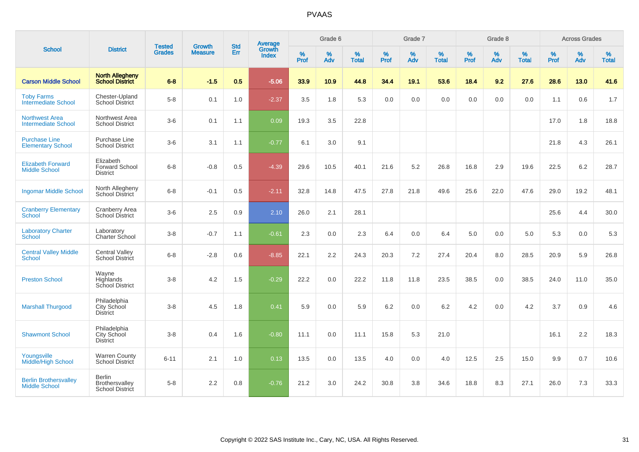| <b>School</b>                                        |                                                       |                                |                                 |                   | Average                |                  | Grade 6  |                   |                  | Grade 7  |                   |                  | Grade 8  |                   |                  | <b>Across Grades</b> |                   |
|------------------------------------------------------|-------------------------------------------------------|--------------------------------|---------------------------------|-------------------|------------------------|------------------|----------|-------------------|------------------|----------|-------------------|------------------|----------|-------------------|------------------|----------------------|-------------------|
|                                                      | <b>District</b>                                       | <b>Tested</b><br><b>Grades</b> | <b>Growth</b><br><b>Measure</b> | <b>Std</b><br>Err | Growth<br><b>Index</b> | %<br><b>Prof</b> | %<br>Adv | %<br><b>Total</b> | %<br><b>Prof</b> | %<br>Adv | %<br><b>Total</b> | %<br><b>Prof</b> | %<br>Adv | %<br><b>Total</b> | %<br><b>Prof</b> | %<br>Adv             | %<br><b>Total</b> |
| <b>Carson Middle School</b>                          | <b>North Allegheny</b><br>School District             | $6 - 8$                        | $-1.5$                          | 0.5               | $-5.06$                | 33.9             | 10.9     | 44.8              | 34.4             | 19.1     | 53.6              | 18.4             | 9.2      | 27.6              | 28.6             | 13.0                 | 41.6              |
| <b>Toby Farms</b><br><b>Intermediate School</b>      | Chester-Upland<br><b>School District</b>              | $5-8$                          | 0.1                             | 1.0               | $-2.37$                | 3.5              | 1.8      | 5.3               | 0.0              | 0.0      | 0.0               | 0.0              | 0.0      | 0.0               | 1.1              | 0.6                  | 1.7               |
| <b>Northwest Area</b><br><b>Intermediate School</b>  | Northwest Area<br><b>School District</b>              | $3-6$                          | 0.1                             | 1.1               | 0.09                   | 19.3             | 3.5      | 22.8              |                  |          |                   |                  |          |                   | 17.0             | 1.8                  | 18.8              |
| <b>Purchase Line</b><br><b>Elementary School</b>     | Purchase Line<br><b>School District</b>               | $3-6$                          | 3.1                             | 1.1               | $-0.77$                | 6.1              | 3.0      | 9.1               |                  |          |                   |                  |          |                   | 21.8             | 4.3                  | 26.1              |
| <b>Elizabeth Forward</b><br><b>Middle School</b>     | Elizabeth<br><b>Forward School</b><br><b>District</b> | $6 - 8$                        | $-0.8$                          | 0.5               | $-4.39$                | 29.6             | 10.5     | 40.1              | 21.6             | 5.2      | 26.8              | 16.8             | 2.9      | 19.6              | 22.5             | 6.2                  | 28.7              |
| <b>Ingomar Middle School</b>                         | North Allegheny<br><b>School District</b>             | $6 - 8$                        | $-0.1$                          | 0.5               | $-2.11$                | 32.8             | 14.8     | 47.5              | 27.8             | 21.8     | 49.6              | 25.6             | 22.0     | 47.6              | 29.0             | 19.2                 | 48.1              |
| <b>Cranberry Elementary</b><br>School                | Cranberry Area<br>School District                     | $3-6$                          | 2.5                             | 0.9               | 2.10                   | 26.0             | 2.1      | 28.1              |                  |          |                   |                  |          |                   | 25.6             | 4.4                  | 30.0              |
| <b>Laboratory Charter</b><br><b>School</b>           | Laboratory<br>Charter School                          | $3-8$                          | $-0.7$                          | 1.1               | $-0.61$                | 2.3              | 0.0      | 2.3               | 6.4              | 0.0      | 6.4               | $5.0\,$          | 0.0      | 5.0               | 5.3              | 0.0                  | 5.3               |
| <b>Central Valley Middle</b><br><b>School</b>        | <b>Central Valley</b><br>School District              | $6 - 8$                        | $-2.8$                          | 0.6               | $-8.85$                | 22.1             | 2.2      | 24.3              | 20.3             | 7.2      | 27.4              | 20.4             | 8.0      | 28.5              | 20.9             | 5.9                  | 26.8              |
| <b>Preston School</b>                                | Wayne<br>Highlands<br>School District                 | $3 - 8$                        | 4.2                             | 1.5               | $-0.29$                | 22.2             | 0.0      | 22.2              | 11.8             | 11.8     | 23.5              | 38.5             | 0.0      | 38.5              | 24.0             | 11.0                 | 35.0              |
| <b>Marshall Thurgood</b>                             | Philadelphia<br>City School<br><b>District</b>        | $3 - 8$                        | 4.5                             | 1.8               | 0.41                   | 5.9              | 0.0      | 5.9               | 6.2              | 0.0      | 6.2               | 4.2              | 0.0      | 4.2               | 3.7              | 0.9                  | 4.6               |
| <b>Shawmont School</b>                               | Philadelphia<br>City School<br><b>District</b>        | $3-8$                          | 0.4                             | 1.6               | $-0.80$                | 11.1             | 0.0      | 11.1              | 15.8             | 5.3      | 21.0              |                  |          |                   | 16.1             | 2.2                  | 18.3              |
| Youngsville<br><b>Middle/High School</b>             | <b>Warren County</b><br>School District               | $6 - 11$                       | 2.1                             | 1.0               | 0.13                   | 13.5             | 0.0      | 13.5              | 4.0              | 0.0      | 4.0               | 12.5             | 2.5      | 15.0              | 9.9              | 0.7                  | 10.6              |
| <b>Berlin Brothersvalley</b><br><b>Middle School</b> | <b>Berlin</b><br>Brothersvalley<br>School District    | $5-8$                          | 2.2                             | 0.8               | $-0.76$                | 21.2             | 3.0      | 24.2              | 30.8             | $3.8\,$  | 34.6              | 18.8             | 8.3      | 27.1              | 26.0             | 7.3                  | 33.3              |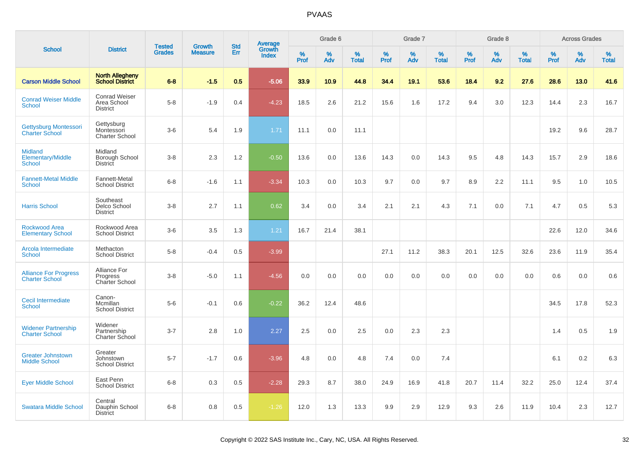|                                                             |                                                        |                                |                                 |                   |                                          |                  | Grade 6  |                   |              | Grade 7  |                   |           | Grade 8  |                   |              | <b>Across Grades</b> |                   |
|-------------------------------------------------------------|--------------------------------------------------------|--------------------------------|---------------------------------|-------------------|------------------------------------------|------------------|----------|-------------------|--------------|----------|-------------------|-----------|----------|-------------------|--------------|----------------------|-------------------|
| <b>School</b>                                               | <b>District</b>                                        | <b>Tested</b><br><b>Grades</b> | <b>Growth</b><br><b>Measure</b> | <b>Std</b><br>Err | <b>Average</b><br>Growth<br><b>Index</b> | %<br><b>Prof</b> | %<br>Adv | %<br><b>Total</b> | $\%$<br>Prof | %<br>Adv | %<br><b>Total</b> | %<br>Prof | %<br>Adv | %<br><b>Total</b> | $\%$<br>Prof | $\%$<br>Adv          | %<br><b>Total</b> |
| <b>Carson Middle School</b>                                 | <b>North Allegheny</b><br><b>School District</b>       | $6 - 8$                        | $-1.5$                          | 0.5               | $-5.06$                                  | 33.9             | 10.9     | 44.8              | 34.4         | 19.1     | 53.6              | 18.4      | 9.2      | 27.6              | 28.6         | 13.0                 | 41.6              |
| <b>Conrad Weiser Middle</b><br><b>School</b>                | <b>Conrad Weiser</b><br>Area School<br><b>District</b> | $5-8$                          | $-1.9$                          | 0.4               | $-4.23$                                  | 18.5             | 2.6      | 21.2              | 15.6         | 1.6      | 17.2              | 9.4       | 3.0      | 12.3              | 14.4         | 2.3                  | 16.7              |
| Gettysburg Montessori<br><b>Charter School</b>              | Gettysburg<br>Montessori<br><b>Charter School</b>      | $3-6$                          | 5.4                             | 1.9               | 1.71                                     | 11.1             | 0.0      | 11.1              |              |          |                   |           |          |                   | 19.2         | 9.6                  | 28.7              |
| <b>Midland</b><br><b>Elementary/Middle</b><br><b>School</b> | Midland<br>Borough School<br>District                  | $3 - 8$                        | 2.3                             | 1.2               | $-0.50$                                  | 13.6             | 0.0      | 13.6              | 14.3         | 0.0      | 14.3              | 9.5       | 4.8      | 14.3              | 15.7         | 2.9                  | 18.6              |
| <b>Fannett-Metal Middle</b><br><b>School</b>                | Fannett-Metal<br><b>School District</b>                | $6 - 8$                        | $-1.6$                          | 1.1               | $-3.34$                                  | 10.3             | 0.0      | 10.3              | 9.7          | 0.0      | 9.7               | 8.9       | 2.2      | 11.1              | 9.5          | 1.0                  | 10.5              |
| <b>Harris School</b>                                        | Southeast<br>Delco School<br><b>District</b>           | $3 - 8$                        | 2.7                             | 1.1               | 0.62                                     | 3.4              | 0.0      | 3.4               | 2.1          | 2.1      | 4.3               | 7.1       | 0.0      | 7.1               | 4.7          | 0.5                  | 5.3               |
| <b>Rockwood Area</b><br><b>Elementary School</b>            | Rockwood Area<br><b>School District</b>                | $3-6$                          | 3.5                             | 1.3               | 1.21                                     | 16.7             | 21.4     | 38.1              |              |          |                   |           |          |                   | 22.6         | 12.0                 | 34.6              |
| Arcola Intermediate<br><b>School</b>                        | Methacton<br><b>School District</b>                    | $5-8$                          | $-0.4$                          | 0.5               | $-3.99$                                  |                  |          |                   | 27.1         | 11.2     | 38.3              | 20.1      | 12.5     | 32.6              | 23.6         | 11.9                 | 35.4              |
| <b>Alliance For Progress</b><br><b>Charter School</b>       | Alliance For<br>Progress<br>Charter School             | $3 - 8$                        | $-5.0$                          | 1.1               | $-4.56$                                  | 0.0              | 0.0      | 0.0               | 0.0          | 0.0      | 0.0               | 0.0       | 0.0      | 0.0               | 0.6          | 0.0                  | 0.6               |
| Cecil Intermediate<br><b>School</b>                         | Canon-<br>Mcmillan<br><b>School District</b>           | $5-6$                          | $-0.1$                          | 0.6               | $-0.22$                                  | 36.2             | 12.4     | 48.6              |              |          |                   |           |          |                   | 34.5         | 17.8                 | 52.3              |
| <b>Widener Partnership</b><br><b>Charter School</b>         | Widener<br>Partnership<br><b>Charter School</b>        | $3 - 7$                        | 2.8                             | 1.0               | 2.27                                     | 2.5              | 0.0      | 2.5               | 0.0          | 2.3      | 2.3               |           |          |                   | 1.4          | 0.5                  | 1.9               |
| <b>Greater Johnstown</b><br><b>Middle School</b>            | Greater<br>Johnstown<br><b>School District</b>         | $5 - 7$                        | $-1.7$                          | 0.6               | $-3.96$                                  | 4.8              | 0.0      | 4.8               | 7.4          | 0.0      | 7.4               |           |          |                   | 6.1          | 0.2                  | 6.3               |
| <b>Eyer Middle School</b>                                   | East Penn<br><b>School District</b>                    | $6 - 8$                        | 0.3                             | 0.5               | $-2.28$                                  | 29.3             | 8.7      | 38.0              | 24.9         | 16.9     | 41.8              | 20.7      | 11.4     | 32.2              | 25.0         | 12.4                 | 37.4              |
| <b>Swatara Middle School</b>                                | Central<br>Dauphin School<br><b>District</b>           | $6 - 8$                        | 0.8                             | 0.5               | $-1.26$                                  | 12.0             | 1.3      | 13.3              | 9.9          | 2.9      | 12.9              | 9.3       | 2.6      | 11.9              | 10.4         | 2.3                  | 12.7              |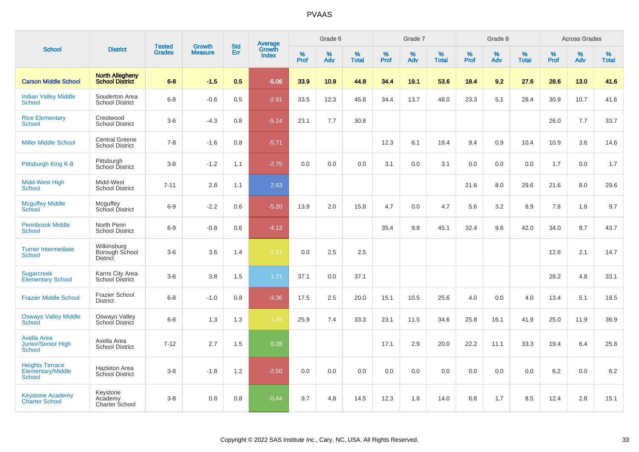|                                                       |                                                  |                                |                                 | <b>Std</b> |                                          |                  | Grade 6     |                   |              | Grade 7     |                   |           | Grade 8  |                   |              | <b>Across Grades</b> |                   |
|-------------------------------------------------------|--------------------------------------------------|--------------------------------|---------------------------------|------------|------------------------------------------|------------------|-------------|-------------------|--------------|-------------|-------------------|-----------|----------|-------------------|--------------|----------------------|-------------------|
| <b>School</b>                                         | <b>District</b>                                  | <b>Tested</b><br><b>Grades</b> | <b>Growth</b><br><b>Measure</b> | Err        | <b>Average</b><br>Growth<br><b>Index</b> | %<br><b>Prof</b> | $\%$<br>Adv | %<br><b>Total</b> | $\%$<br>Prof | $\%$<br>Adv | %<br><b>Total</b> | %<br>Prof | %<br>Adv | %<br><b>Total</b> | $\%$<br>Prof | $\%$<br>Adv          | %<br><b>Total</b> |
| <b>Carson Middle School</b>                           | <b>North Allegheny</b><br><b>School District</b> | $6 - 8$                        | $-1.5$                          | 0.5        | $-5.06$                                  | 33.9             | 10.9        | 44.8              | 34.4         | 19.1        | 53.6              | 18.4      | 9.2      | 27.6              | 28.6         | 13.0                 | 41.6              |
| <b>Indian Valley Middle</b><br>School                 | Souderton Area<br><b>School District</b>         | $6 - 8$                        | $-0.6$                          | 0.5        | $-2.91$                                  | 33.5             | 12.3        | 45.8              | 34.4         | 13.7        | 48.0              | 23.3      | 5.1      | 28.4              | 30.9         | 10.7                 | 41.6              |
| <b>Rice Elementary</b><br>School                      | Crestwood<br><b>School District</b>              | $3-6$                          | $-4.3$                          | 0.8        | $-5.14$                                  | 23.1             | 7.7         | 30.8              |              |             |                   |           |          |                   | 26.0         | 7.7                  | 33.7              |
| <b>Miller Middle School</b>                           | <b>Central Greene</b><br><b>School District</b>  | $7 - 8$                        | $-1.6$                          | 0.8        | $-5.71$                                  |                  |             |                   | 12.3         | 6.1         | 18.4              | 9.4       | 0.9      | 10.4              | 10.9         | 3.6                  | 14.6              |
| Pittsburgh King K-8                                   | Pittsburgh<br>School District                    | $3 - 8$                        | $-1.2$                          | 1.1        | $-2.75$                                  | 0.0              | 0.0         | 0.0               | 3.1          | 0.0         | 3.1               | 0.0       | 0.0      | 0.0               | 1.7          | 0.0                  | 1.7               |
| Midd-West High<br>School                              | Midd-West<br><b>School District</b>              | $7 - 11$                       | 2.8                             | 1.1        | 2.63                                     |                  |             |                   |              |             |                   | 21.6      | 8.0      | 29.6              | 21.6         | 8.0                  | 29.6              |
| <b>Mcguffey Middle</b><br>School                      | Mcguffey<br>School District                      | $6-9$                          | $-2.2$                          | 0.6        | $-5.20$                                  | 13.9             | 2.0         | 15.8              | 4.7          | 0.0         | 4.7               | 5.6       | 3.2      | 8.9               | 7.8          | 1.8                  | 9.7               |
| <b>Pennbrook Middle</b><br><b>School</b>              | North Penn<br><b>School District</b>             | $6-9$                          | $-0.8$                          | 0.6        | $-4.13$                                  |                  |             |                   | 35.4         | 9.8         | 45.1              | 32.4      | 9.6      | 42.0              | 34.0         | 9.7                  | 43.7              |
| <b>Turner Intermediate</b><br>School                  | Wilkinsburg<br>Borough School<br><b>District</b> | $3 - 6$                        | 3.6                             | 1.4        | $-1.51$                                  | 0.0              | 2.5         | 2.5               |              |             |                   |           |          |                   | 12.6         | 2.1                  | 14.7              |
| <b>Sugarcreek</b><br><b>Elementary School</b>         | Karns City Area<br><b>School District</b>        | $3-6$                          | 3.8                             | 1.5        | 1.21                                     | 37.1             | 0.0         | 37.1              |              |             |                   |           |          |                   | 28.2         | 4.8                  | 33.1              |
| <b>Frazier Middle School</b>                          | <b>Frazier School</b><br><b>District</b>         | $6 - 8$                        | $-1.0$                          | 0.8        | $-3.36$                                  | 17.5             | 2.5         | 20.0              | 15.1         | 10.5        | 25.6              | 4.0       | 0.0      | 4.0               | 13.4         | 5.1                  | 18.5              |
| <b>Oswayo Valley Middle</b><br>School                 | Oswayo Valley<br>School District                 | $6-8$                          | 1.3                             | 1.3        | $-1.05$                                  | 25.9             | 7.4         | 33.3              | 23.1         | 11.5        | 34.6              | 25.8      | 16.1     | 41.9              | 25.0         | 11.9                 | 36.9              |
| <b>Avella Area</b><br>Junior/Senior High<br>School    | Avella Area<br><b>School District</b>            | $7 - 12$                       | 2.7                             | 1.5        | 0.28                                     |                  |             |                   | 17.1         | 2.9         | 20.0              | 22.2      | 11.1     | 33.3              | 19.4         | 6.4                  | 25.8              |
| <b>Heights Terrace</b><br>Elementary/Middle<br>School | Hazleton Area<br><b>School District</b>          | $3 - 8$                        | $-1.8$                          | 1.2        | $-2.50$                                  | 0.0              | 0.0         | 0.0               | 0.0          | 0.0         | 0.0               | 0.0       | 0.0      | 0.0               | 6.2          | 0.0                  | $6.2\,$           |
| <b>Keystone Academy</b><br><b>Charter School</b>      | Keystone<br>Academy<br>Charter School            | $3 - 8$                        | 0.8                             | 0.8        | $-0.44$                                  | 9.7              | 4.8         | 14.5              | 12.3         | 1.8         | 14.0              | 6.8       | 1.7      | 8.5               | 12.4         | 2.8                  | 15.1              |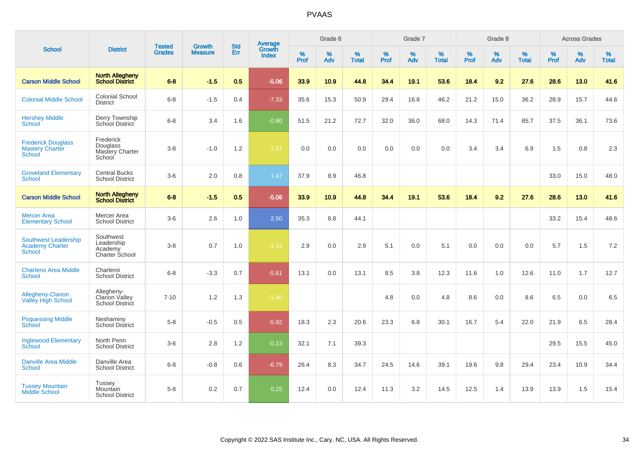|                                                                        |                                                             |                         |                                 | <b>Std</b> |                                          |                  | Grade 6  |                   |           | Grade 7  |                   |           | Grade 8  |                   |           | <b>Across Grades</b> |                   |
|------------------------------------------------------------------------|-------------------------------------------------------------|-------------------------|---------------------------------|------------|------------------------------------------|------------------|----------|-------------------|-----------|----------|-------------------|-----------|----------|-------------------|-----------|----------------------|-------------------|
| <b>School</b>                                                          | <b>District</b>                                             | Tested<br><b>Grades</b> | <b>Growth</b><br><b>Measure</b> | Err        | <b>Average</b><br>Growth<br><b>Index</b> | %<br><b>Prof</b> | %<br>Adv | %<br><b>Total</b> | %<br>Prof | %<br>Adv | %<br><b>Total</b> | %<br>Prof | %<br>Adv | %<br><b>Total</b> | %<br>Prof | $\%$<br>Adv          | %<br><b>Total</b> |
| <b>Carson Middle School</b>                                            | <b>North Allegheny</b><br><b>School District</b>            | $6 - 8$                 | $-1.5$                          | 0.5        | $-5.06$                                  | 33.9             | 10.9     | 44.8              | 34.4      | 19.1     | 53.6              | 18.4      | 9.2      | 27.6              | 28.6      | 13.0                 | 41.6              |
| <b>Colonial Middle School</b>                                          | Colonial School<br><b>District</b>                          | $6-8$                   | $-1.5$                          | 0.4        | $-7.33$                                  | 35.6             | 15.3     | 50.9              | 29.4      | 16.8     | 46.2              | 21.2      | 15.0     | 36.2              | 28.9      | 15.7                 | 44.6              |
| <b>Hershey Middle</b><br>School                                        | Derry Township<br>School District                           | $6-8$                   | 3.4                             | 1.6        | $-0.80$                                  | 51.5             | 21.2     | 72.7              | 32.0      | 36.0     | 68.0              | 14.3      | 71.4     | 85.7              | 37.5      | 36.1                 | 73.6              |
| <b>Frederick Douglass</b><br><b>Mastery Charter</b><br>School          | Frederick<br>Douglass<br>Mastery Charter<br>School          | $3 - 8$                 | $-1.0$                          | 1.2        | $-1.57$                                  | 0.0              | 0.0      | 0.0               | 0.0       | 0.0      | 0.0               | 3.4       | 3.4      | 6.9               | 1.5       | 0.8                  | 2.3               |
| <b>Groveland Elementary</b><br>School                                  | <b>Central Bucks</b><br><b>School District</b>              | $3-6$                   | 2.0                             | 0.8        | 1.47                                     | 37.9             | 8.9      | 46.8              |           |          |                   |           |          |                   | 33.0      | 15.0                 | 48.0              |
| <b>Carson Middle School</b>                                            | <b>North Allegheny</b><br><b>School District</b>            | $6 - 8$                 | $-1.5$                          | 0.5        | $-5.06$                                  | 33.9             | 10.9     | 44.8              | 34.4      | 19.1     | 53.6              | 18.4      | 9.2      | 27.6              | 28.6      | 13.0                 | 41.6              |
| <b>Mercer Area</b><br><b>Elementary School</b>                         | Mercer Area<br><b>School District</b>                       | $3-6$                   | 2.6                             | 1.0        | 2.50                                     | 35.3             | 8.8      | 44.1              |           |          |                   |           |          |                   | 33.2      | 15.4                 | 48.6              |
| <b>Southwest Leadership</b><br><b>Academy Charter</b><br><b>School</b> | Southwest<br>Leadership<br>Academy<br><b>Charter School</b> | $3 - 8$                 | 0.7                             | 1.0        | $-1.34$                                  | 2.9              | 0.0      | 2.9               | 5.1       | 0.0      | 5.1               | 0.0       | 0.0      | 0.0               | 5.7       | 1.5                  | $7.2\,$           |
| <b>Charleroi Area Middle</b><br>School                                 | Charleroi<br><b>School District</b>                         | $6 - 8$                 | $-3.3$                          | 0.7        | $-5.61$                                  | 13.1             | 0.0      | 13.1              | 8.5       | 3.8      | 12.3              | 11.6      | 1.0      | 12.6              | 11.0      | 1.7                  | 12.7              |
| <b>Allegheny-Clarion</b><br><b>Valley High School</b>                  | Allegheny-<br>Clarion Valley<br>School District             | $7 - 10$                | 1.2                             | 1.3        | $-1.40$                                  |                  |          |                   | 4.8       | 0.0      | 4.8               | 8.6       | 0.0      | 8.6               | 6.5       | 0.0                  | 6.5               |
| <b>Poquessing Middle</b><br>School                                     | Neshaminy<br><b>School District</b>                         | $5-8$                   | $-0.5$                          | 0.5        | $-5.92$                                  | 18.3             | 2.3      | 20.6              | 23.3      | 6.8      | 30.1              | 16.7      | 5.4      | 22.0              | 21.9      | 6.5                  | 28.4              |
| <b>Inglewood Elementary</b><br>School                                  | North Penn<br><b>School District</b>                        | $3-6$                   | 2.8                             | 1.2        | $-0.13$                                  | 32.1             | 7.1      | 39.3              |           |          |                   |           |          |                   | 29.5      | 15.5                 | 45.0              |
| Danville Area Middle<br><b>School</b>                                  | Danville Area<br><b>School District</b>                     | $6 - 8$                 | $-0.8$                          | 0.6        | $-6.79$                                  | 26.4             | 8.3      | 34.7              | 24.5      | 14.6     | 39.1              | 19.6      | 9.8      | 29.4              | 23.4      | 10.9                 | 34.4              |
| <b>Tussey Mountain</b><br><b>Middle School</b>                         | <b>Tussey</b><br>Mountain<br><b>School District</b>         | $5-8$                   | 0.2                             | 0.7        | 0.25                                     | 12.4             | 0.0      | 12.4              | 11.3      | 3.2      | 14.5              | 12.5      | 1.4      | 13.9              | 13.9      | 1.5                  | 15.4              |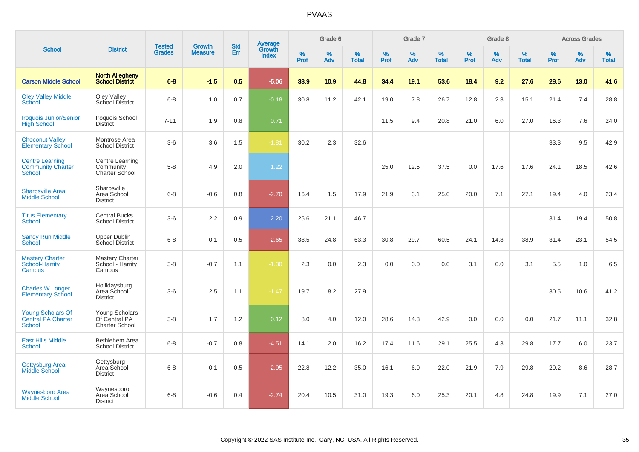| <b>School</b>                                                          |                                                          |                                | <b>Growth</b>  | <b>Std</b> |                                          |                  | Grade 6     |                   |              | Grade 7     |                   |              | Grade 8  |                   |              | <b>Across Grades</b> |                   |
|------------------------------------------------------------------------|----------------------------------------------------------|--------------------------------|----------------|------------|------------------------------------------|------------------|-------------|-------------------|--------------|-------------|-------------------|--------------|----------|-------------------|--------------|----------------------|-------------------|
|                                                                        | <b>District</b>                                          | <b>Tested</b><br><b>Grades</b> | <b>Measure</b> | Err        | <b>Average</b><br>Growth<br><b>Index</b> | %<br><b>Prof</b> | $\%$<br>Adv | %<br><b>Total</b> | $\%$<br>Prof | $\%$<br>Adv | %<br><b>Total</b> | $\%$<br>Prof | %<br>Adv | %<br><b>Total</b> | $\%$<br>Prof | $\%$<br>Adv          | %<br><b>Total</b> |
| <b>Carson Middle School</b>                                            | <b>North Allegheny</b><br><b>School District</b>         | $6 - 8$                        | $-1.5$         | 0.5        | $-5.06$                                  | 33.9             | 10.9        | 44.8              | 34.4         | 19.1        | 53.6              | 18.4         | 9.2      | 27.6              | 28.6         | 13.0                 | 41.6              |
| <b>Oley Valley Middle</b><br>School                                    | Oley Valley<br>School District                           | $6 - 8$                        | 1.0            | 0.7        | $-0.18$                                  | 30.8             | 11.2        | 42.1              | 19.0         | 7.8         | 26.7              | 12.8         | 2.3      | 15.1              | 21.4         | 7.4                  | 28.8              |
| <b>Iroquois Junior/Senior</b><br><b>High School</b>                    | Iroquois School<br><b>District</b>                       | $7 - 11$                       | 1.9            | 0.8        | 0.71                                     |                  |             |                   | 11.5         | 9.4         | 20.8              | 21.0         | 6.0      | 27.0              | 16.3         | 7.6                  | 24.0              |
| <b>Choconut Valley</b><br><b>Elementary School</b>                     | Montrose Area<br><b>School District</b>                  | $3-6$                          | 3.6            | 1.5        | $-1.81$                                  | 30.2             | 2.3         | 32.6              |              |             |                   |              |          |                   | 33.3         | 9.5                  | 42.9              |
| <b>Centre Learning</b><br><b>Community Charter</b><br><b>School</b>    | Centre Learning<br>Community<br>Charter School           | $5-8$                          | 4.9            | 2.0        | 1.22                                     |                  |             |                   | 25.0         | 12.5        | 37.5              | 0.0          | 17.6     | 17.6              | 24.1         | 18.5                 | 42.6              |
| <b>Sharpsville Area</b><br><b>Middle School</b>                        | Sharpsville<br>Area School<br><b>District</b>            | $6 - 8$                        | $-0.6$         | 0.8        | $-2.70$                                  | 16.4             | 1.5         | 17.9              | 21.9         | 3.1         | 25.0              | 20.0         | 7.1      | 27.1              | 19.4         | 4.0                  | 23.4              |
| <b>Titus Elementary</b><br>School                                      | <b>Central Bucks</b><br><b>School District</b>           | $3-6$                          | 2.2            | 0.9        | 2.20                                     | 25.6             | 21.1        | 46.7              |              |             |                   |              |          |                   | 31.4         | 19.4                 | 50.8              |
| <b>Sandy Run Middle</b><br><b>School</b>                               | <b>Upper Dublin</b><br>School District                   | $6 - 8$                        | 0.1            | 0.5        | $-2.65$                                  | 38.5             | 24.8        | 63.3              | 30.8         | 29.7        | 60.5              | 24.1         | 14.8     | 38.9              | 31.4         | 23.1                 | 54.5              |
| <b>Mastery Charter</b><br>School-Harrity<br>Campus                     | <b>Mastery Charter</b><br>School - Harrity<br>Campus     | $3 - 8$                        | $-0.7$         | 1.1        | $-1.30$                                  | 2.3              | 0.0         | 2.3               | 0.0          | 0.0         | 0.0               | 3.1          | 0.0      | 3.1               | 5.5          | 1.0                  | 6.5               |
| <b>Charles W Longer</b><br><b>Elementary School</b>                    | Hollidaysburg<br>Area School<br><b>District</b>          | $3-6$                          | 2.5            | 1.1        | $-1.47$                                  | 19.7             | 8.2         | 27.9              |              |             |                   |              |          |                   | 30.5         | 10.6                 | 41.2              |
| <b>Young Scholars Of</b><br><b>Central PA Charter</b><br><b>School</b> | Young Scholars<br>Of Central PA<br><b>Charter School</b> | $3 - 8$                        | 1.7            | 1.2        | 0.12                                     | 8.0              | 4.0         | 12.0              | 28.6         | 14.3        | 42.9              | 0.0          | 0.0      | 0.0               | 21.7         | 11.1                 | 32.8              |
| <b>East Hills Middle</b><br><b>School</b>                              | Bethlehem Area<br><b>School District</b>                 | $6-8$                          | $-0.7$         | 0.8        | $-4.51$                                  | 14.1             | 2.0         | 16.2              | 17.4         | 11.6        | 29.1              | 25.5         | 4.3      | 29.8              | 17.7         | 6.0                  | 23.7              |
| <b>Gettysburg Area</b><br><b>Middle School</b>                         | Gettysburg<br>Area School<br><b>District</b>             | $6 - 8$                        | $-0.1$         | 0.5        | $-2.95$                                  | 22.8             | 12.2        | 35.0              | 16.1         | 6.0         | 22.0              | 21.9         | 7.9      | 29.8              | 20.2         | 8.6                  | 28.7              |
| <b>Waynesboro Area</b><br><b>Middle School</b>                         | Waynesboro<br>Area School<br><b>District</b>             | $6 - 8$                        | $-0.6$         | 0.4        | $-2.74$                                  | 20.4             | 10.5        | 31.0              | 19.3         | 6.0         | 25.3              | 20.1         | 4.8      | 24.8              | 19.9         | 7.1                  | 27.0              |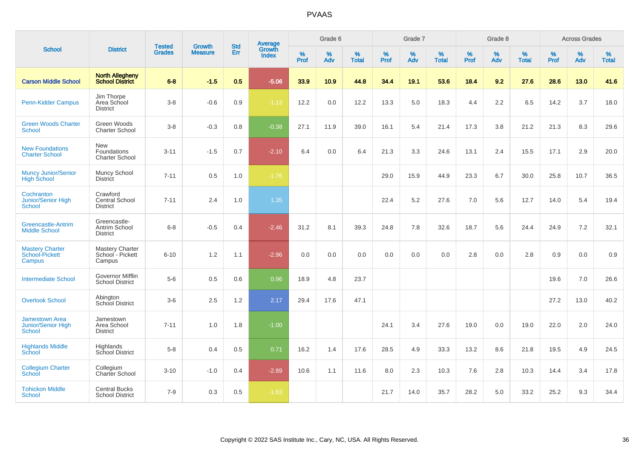| <b>School</b>                                                       | <b>District</b>                                      | <b>Tested</b><br><b>Grades</b> | <b>Growth</b><br><b>Measure</b> | <b>Std</b><br>Err | <b>Average</b><br>Growth<br><b>Index</b> | Grade 6   |          |                   | Grade 7          |          |                   | Grade 8   |          |                   | <b>Across Grades</b> |             |                   |
|---------------------------------------------------------------------|------------------------------------------------------|--------------------------------|---------------------------------|-------------------|------------------------------------------|-----------|----------|-------------------|------------------|----------|-------------------|-----------|----------|-------------------|----------------------|-------------|-------------------|
|                                                                     |                                                      |                                |                                 |                   |                                          | %<br>Prof | %<br>Adv | %<br><b>Total</b> | %<br><b>Prof</b> | %<br>Adv | %<br><b>Total</b> | %<br>Prof | %<br>Adv | %<br><b>Total</b> | $\%$<br>Prof         | $\%$<br>Adv | %<br><b>Total</b> |
| <b>Carson Middle School</b>                                         | <b>North Allegheny</b><br>School District            | $6 - 8$                        | $-1.5$                          | 0.5               | $-5.06$                                  | 33.9      | 10.9     | 44.8              | 34.4             | 19.1     | 53.6              | 18.4      | 9.2      | 27.6              | 28.6                 | 13.0        | 41.6              |
| <b>Penn-Kidder Campus</b>                                           | Jim Thorpe<br>Area School<br><b>District</b>         | $3-8$                          | $-0.6$                          | 0.9               | $-1.13$                                  | 12.2      | 0.0      | 12.2              | 13.3             | 5.0      | 18.3              | 4.4       | 2.2      | 6.5               | 14.2                 | 3.7         | 18.0              |
| <b>Green Woods Charter</b><br><b>School</b>                         | Green Woods<br><b>Charter School</b>                 | $3 - 8$                        | $-0.3$                          | 0.8               | $-0.38$                                  | 27.1      | 11.9     | 39.0              | 16.1             | 5.4      | 21.4              | 17.3      | 3.8      | 21.2              | 21.3                 | 8.3         | 29.6              |
| <b>New Foundations</b><br><b>Charter School</b>                     | <b>New</b><br>Foundations<br><b>Charter School</b>   | $3 - 11$                       | $-1.5$                          | 0.7               | $-2.10$                                  | 6.4       | 0.0      | 6.4               | 21.3             | 3.3      | 24.6              | 13.1      | 2.4      | 15.5              | 17.1                 | 2.9         | 20.0              |
| <b>Muncy Junior/Senior</b><br><b>High School</b>                    | Muncy School<br><b>District</b>                      | $7 - 11$                       | 0.5                             | 1.0               | $-1.76$                                  |           |          |                   | 29.0             | 15.9     | 44.9              | 23.3      | 6.7      | 30.0              | 25.8                 | 10.7        | 36.5              |
| Cochranton<br>Junior/Senior High<br>School                          | Crawford<br>Central School<br><b>District</b>        | $7 - 11$                       | 2.4                             | 1.0               | 1.35                                     |           |          |                   | 22.4             | 5.2      | 27.6              | 7.0       | 5.6      | 12.7              | 14.0                 | 5.4         | 19.4              |
| <b>Greencastle-Antrim</b><br><b>Middle School</b>                   | Greencastle-<br>Antrim School<br><b>District</b>     | $6 - 8$                        | $-0.5$                          | 0.4               | $-2.46$                                  | 31.2      | 8.1      | 39.3              | 24.8             | 7.8      | 32.6              | 18.7      | 5.6      | 24.4              | 24.9                 | 7.2         | 32.1              |
| <b>Mastery Charter</b><br>School-Pickett<br>Campus                  | <b>Mastery Charter</b><br>School - Pickett<br>Campus | $6 - 10$                       | 1.2                             | 1.1               | $-2.96$                                  | 0.0       | 0.0      | 0.0               | 0.0              | 0.0      | 0.0               | 2.8       | 0.0      | 2.8               | 0.9                  | 0.0         | 0.9               |
| <b>Intermediate School</b>                                          | Governor Mifflin<br>School District                  | $5-6$                          | 0.5                             | 0.6               | 0.96                                     | 18.9      | 4.8      | 23.7              |                  |          |                   |           |          |                   | 19.6                 | 7.0         | 26.6              |
| <b>Overlook School</b>                                              | Abington<br>School District                          | $3-6$                          | 2.5                             | 1.2               | 2.17                                     | 29.4      | 17.6     | 47.1              |                  |          |                   |           |          |                   | 27.2                 | 13.0        | 40.2              |
| <b>Jamestown Area</b><br><b>Junior/Senior High</b><br><b>School</b> | Jamestown<br>Area School<br><b>District</b>          | $7 - 11$                       | 1.0                             | 1.8               | $-1.00$                                  |           |          |                   | 24.1             | 3.4      | 27.6              | 19.0      | 0.0      | 19.0              | 22.0                 | 2.0         | 24.0              |
| <b>Highlands Middle</b><br>School                                   | Highlands<br>School District                         | $5 - 8$                        | 0.4                             | 0.5               | 0.71                                     | 16.2      | 1.4      | 17.6              | 28.5             | 4.9      | 33.3              | 13.2      | 8.6      | 21.8              | 19.5                 | 4.9         | 24.5              |
| <b>Collegium Charter</b><br>School                                  | Collegium<br>Charter School                          | $3 - 10$                       | $-1.0$                          | 0.4               | $-2.89$                                  | 10.6      | 1.1      | 11.6              | 8.0              | 2.3      | 10.3              | 7.6       | 2.8      | 10.3              | 14.4                 | 3.4         | 17.8              |
| <b>Tohickon Middle</b><br><b>School</b>                             | <b>Central Bucks</b><br><b>School District</b>       | $7 - 9$                        | 0.3                             | 0.5               | $-1.63$                                  |           |          |                   | 21.7             | 14.0     | 35.7              | 28.2      | 5.0      | 33.2              | 25.2                 | 9.3         | 34.4              |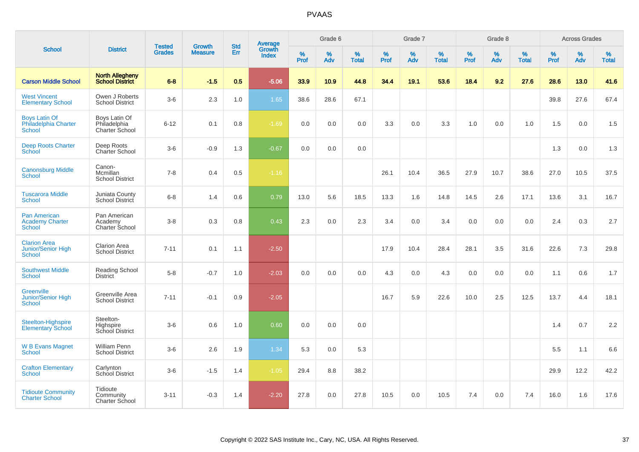| <b>School</b>                                                     |                                                  |                                |                                 |                   |                                          |                  | Grade 6     |                   |           | Grade 7     |                   |           | Grade 8  |                   |           | <b>Across Grades</b> |                   |
|-------------------------------------------------------------------|--------------------------------------------------|--------------------------------|---------------------------------|-------------------|------------------------------------------|------------------|-------------|-------------------|-----------|-------------|-------------------|-----------|----------|-------------------|-----------|----------------------|-------------------|
|                                                                   | <b>District</b>                                  | <b>Tested</b><br><b>Grades</b> | <b>Growth</b><br><b>Measure</b> | <b>Std</b><br>Err | <b>Average</b><br>Growth<br><b>Index</b> | %<br><b>Prof</b> | $\%$<br>Adv | %<br><b>Total</b> | %<br>Prof | $\%$<br>Adv | %<br><b>Total</b> | %<br>Prof | %<br>Adv | %<br><b>Total</b> | %<br>Prof | $\%$<br>Adv          | %<br><b>Total</b> |
| <b>Carson Middle School</b>                                       | <b>North Allegheny</b><br><b>School District</b> | $6 - 8$                        | $-1.5$                          | 0.5               | $-5.06$                                  | 33.9             | 10.9        | 44.8              | 34.4      | 19.1        | 53.6              | 18.4      | 9.2      | 27.6              | 28.6      | 13.0                 | 41.6              |
| <b>West Vincent</b><br><b>Elementary School</b>                   | Owen J Roberts<br><b>School District</b>         | $3-6$                          | 2.3                             | 1.0               | 1.65                                     | 38.6             | 28.6        | 67.1              |           |             |                   |           |          |                   | 39.8      | 27.6                 | 67.4              |
| <b>Boys Latin Of</b><br>Philadelphia Charter<br><b>School</b>     | Boys Latin Of<br>Philadelphia<br>Charter School  | $6 - 12$                       | 0.1                             | 0.8               | $-1.69$                                  | 0.0              | 0.0         | 0.0               | 3.3       | 0.0         | 3.3               | 1.0       | 0.0      | 1.0               | 1.5       | 0.0                  | 1.5               |
| <b>Deep Roots Charter</b><br>School                               | Deep Roots<br><b>Charter School</b>              | $3-6$                          | $-0.9$                          | 1.3               | $-0.67$                                  | 0.0              | 0.0         | 0.0               |           |             |                   |           |          |                   | 1.3       | 0.0                  | 1.3               |
| <b>Canonsburg Middle</b><br>School                                | Canon-<br>Mcmillan<br><b>School District</b>     | $7 - 8$                        | 0.4                             | 0.5               | $-1.16$                                  |                  |             |                   | 26.1      | 10.4        | 36.5              | 27.9      | 10.7     | 38.6              | 27.0      | 10.5                 | 37.5              |
| <b>Tuscarora Middle</b><br><b>School</b>                          | Juniata County<br>School District                | $6 - 8$                        | 1.4                             | 0.6               | 0.79                                     | 13.0             | 5.6         | 18.5              | 13.3      | 1.6         | 14.8              | 14.5      | 2.6      | 17.1              | 13.6      | 3.1                  | 16.7              |
| <b>Pan American</b><br><b>Academy Charter</b><br><b>School</b>    | Pan American<br>Academy<br>Charter School        | $3 - 8$                        | 0.3                             | 0.8               | 0.43                                     | 2.3              | $0.0\,$     | 2.3               | 3.4       | 0.0         | 3.4               | 0.0       | 0.0      | 0.0               | 2.4       | 0.3                  | 2.7               |
| <b>Clarion Area</b><br><b>Junior/Senior High</b><br><b>School</b> | <b>Clarion Area</b><br><b>School District</b>    | $7 - 11$                       | 0.1                             | 1.1               | $-2.50$                                  |                  |             |                   | 17.9      | 10.4        | 28.4              | 28.1      | 3.5      | 31.6              | 22.6      | 7.3                  | 29.8              |
| <b>Southwest Middle</b><br><b>School</b>                          | Reading School<br><b>District</b>                | $5-8$                          | $-0.7$                          | 1.0               | $-2.03$                                  | 0.0              | 0.0         | 0.0               | 4.3       | 0.0         | 4.3               | 0.0       | 0.0      | 0.0               | 1.1       | 0.6                  | 1.7               |
| <b>Greenville</b><br><b>Junior/Senior High</b><br>School          | Greenville Area<br><b>School District</b>        | $7 - 11$                       | $-0.1$                          | 0.9               | $-2.05$                                  |                  |             |                   | 16.7      | 5.9         | 22.6              | 10.0      | 2.5      | 12.5              | 13.7      | 4.4                  | 18.1              |
| Steelton-Highspire<br><b>Elementary School</b>                    | Steelton-<br>Highspire<br>School District        | $3-6$                          | 0.6                             | 1.0               | 0.60                                     | 0.0              | 0.0         | 0.0               |           |             |                   |           |          |                   | 1.4       | 0.7                  | 2.2               |
| <b>W B Evans Magnet</b><br><b>School</b>                          | William Penn<br><b>School District</b>           | $3-6$                          | 2.6                             | 1.9               | 1.34                                     | 5.3              | 0.0         | 5.3               |           |             |                   |           |          |                   | 5.5       | 1.1                  | 6.6               |
| <b>Crafton Elementary</b><br><b>School</b>                        | Carlynton<br>School District                     | $3 - 6$                        | $-1.5$                          | 1.4               | $-1.05$                                  | 29.4             | 8.8         | 38.2              |           |             |                   |           |          |                   | 29.9      | 12.2                 | 42.2              |
| <b>Tidioute Community</b><br><b>Charter School</b>                | Tidioute<br>Community<br>Charter School          | $3 - 11$                       | $-0.3$                          | 1.4               | $-2.20$                                  | 27.8             | 0.0         | 27.8              | 10.5      | 0.0         | 10.5              | 7.4       | 0.0      | 7.4               | 16.0      | 1.6                  | 17.6              |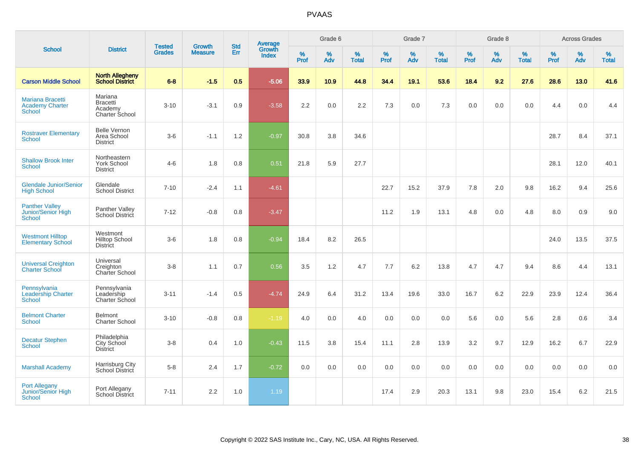| <b>School</b>                                               |                                                         |                                | <b>Growth</b>  | <b>Std</b> |                                          |           | Grade 6  |                   |           | Grade 7  |                   |           | Grade 8  |                   |           | <b>Across Grades</b> |                   |
|-------------------------------------------------------------|---------------------------------------------------------|--------------------------------|----------------|------------|------------------------------------------|-----------|----------|-------------------|-----------|----------|-------------------|-----------|----------|-------------------|-----------|----------------------|-------------------|
|                                                             | <b>District</b>                                         | <b>Tested</b><br><b>Grades</b> | <b>Measure</b> | Err        | <b>Average</b><br>Growth<br><b>Index</b> | %<br>Prof | %<br>Adv | %<br><b>Total</b> | %<br>Prof | %<br>Adv | %<br><b>Total</b> | %<br>Prof | %<br>Adv | %<br><b>Total</b> | %<br>Prof | %<br>Adv             | %<br><b>Total</b> |
| <b>Carson Middle School</b>                                 | <b>North Allegheny</b><br><b>School District</b>        | $6 - 8$                        | $-1.5$         | 0.5        | $-5.06$                                  | 33.9      | 10.9     | 44.8              | 34.4      | 19.1     | 53.6              | 18.4      | 9.2      | 27.6              | 28.6      | 13.0                 | 41.6              |
| Mariana Bracetti<br><b>Academy Charter</b><br><b>School</b> | Mariana<br><b>Bracetti</b><br>Academy<br>Charter School | $3 - 10$                       | $-3.1$         | 0.9        | $-3.58$                                  | 2.2       | 0.0      | 2.2               | 7.3       | 0.0      | 7.3               | 0.0       | 0.0      | 0.0               | 4.4       | 0.0                  | 4.4               |
| <b>Rostraver Elementary</b><br><b>School</b>                | <b>Belle Vernon</b><br>Area School<br><b>District</b>   | $3-6$                          | $-1.1$         | 1.2        | $-0.97$                                  | 30.8      | 3.8      | 34.6              |           |          |                   |           |          |                   | 28.7      | 8.4                  | 37.1              |
| <b>Shallow Brook Inter</b><br><b>School</b>                 | Northeastern<br><b>York School</b><br><b>District</b>   | $4 - 6$                        | 1.8            | 0.8        | 0.51                                     | 21.8      | 5.9      | 27.7              |           |          |                   |           |          |                   | 28.1      | 12.0                 | 40.1              |
| <b>Glendale Junior/Senior</b><br><b>High School</b>         | Glendale<br><b>School District</b>                      | $7 - 10$                       | $-2.4$         | 1.1        | $-4.61$                                  |           |          |                   | 22.7      | 15.2     | 37.9              | 7.8       | 2.0      | 9.8               | 16.2      | 9.4                  | 25.6              |
| <b>Panther Valley</b><br>Junior/Senior High<br>School       | Panther Valley<br><b>School District</b>                | $7 - 12$                       | $-0.8$         | 0.8        | $-3.47$                                  |           |          |                   | 11.2      | 1.9      | 13.1              | 4.8       | 0.0      | 4.8               | 8.0       | 0.9                  | 9.0               |
| <b>Westmont Hilltop</b><br><b>Elementary School</b>         | Westmont<br><b>Hilltop School</b><br><b>District</b>    | $3-6$                          | 1.8            | 0.8        | $-0.94$                                  | 18.4      | 8.2      | 26.5              |           |          |                   |           |          |                   | 24.0      | 13.5                 | 37.5              |
| <b>Universal Creighton</b><br><b>Charter School</b>         | Universal<br>Creighton<br>Charter School                | $3-8$                          | 1.1            | 0.7        | 0.56                                     | 3.5       | 1.2      | 4.7               | 7.7       | 6.2      | 13.8              | 4.7       | 4.7      | 9.4               | 8.6       | 4.4                  | 13.1              |
| Pennsylvania<br><b>Leadership Charter</b><br>School         | Pennsylvania<br>Leadership<br><b>Charter School</b>     | $3 - 11$                       | $-1.4$         | 0.5        | $-4.74$                                  | 24.9      | 6.4      | 31.2              | 13.4      | 19.6     | 33.0              | 16.7      | 6.2      | 22.9              | 23.9      | 12.4                 | 36.4              |
| <b>Belmont Charter</b><br>School                            | <b>Belmont</b><br><b>Charter School</b>                 | $3 - 10$                       | $-0.8$         | 0.8        | $-1.19$                                  | 4.0       | 0.0      | 4.0               | 0.0       | 0.0      | 0.0               | 5.6       | 0.0      | 5.6               | 2.8       | 0.6                  | 3.4               |
| <b>Decatur Stephen</b><br>School                            | Philadelphia<br>City School<br><b>District</b>          | $3-8$                          | 0.4            | 1.0        | $-0.43$                                  | 11.5      | 3.8      | 15.4              | 11.1      | 2.8      | 13.9              | 3.2       | 9.7      | 12.9              | 16.2      | 6.7                  | 22.9              |
| <b>Marshall Academy</b>                                     | Harrisburg City<br>School District                      | $5-8$                          | 2.4            | 1.7        | $-0.72$                                  | 0.0       | 0.0      | 0.0               | 0.0       | 0.0      | 0.0               | 0.0       | 0.0      | 0.0               | 0.0       | 0.0                  | 0.0               |
| <b>Port Allegany</b><br><b>Junior/Senior High</b><br>School | Port Allegany<br><b>School District</b>                 | $7 - 11$                       | 2.2            | 1.0        | 1.19                                     |           |          |                   | 17.4      | 2.9      | 20.3              | 13.1      | 9.8      | 23.0              | 15.4      | 6.2                  | 21.5              |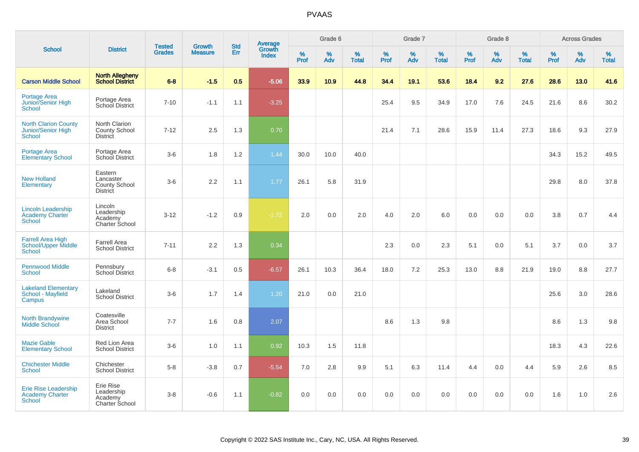|                                                                         |                                                                 | <b>Tested</b> | <b>Growth</b>  | <b>Std</b> |                                          |                  | Grade 6  |                   |                     | Grade 7     |                      |              | Grade 8         |                   |                     | <b>Across Grades</b> |                   |
|-------------------------------------------------------------------------|-----------------------------------------------------------------|---------------|----------------|------------|------------------------------------------|------------------|----------|-------------------|---------------------|-------------|----------------------|--------------|-----------------|-------------------|---------------------|----------------------|-------------------|
| <b>School</b>                                                           | <b>District</b>                                                 | <b>Grades</b> | <b>Measure</b> | Err        | <b>Average</b><br>Growth<br><b>Index</b> | %<br><b>Prof</b> | %<br>Adv | %<br><b>Total</b> | $\%$<br><b>Prof</b> | $\%$<br>Adv | $\%$<br><b>Total</b> | $\%$<br>Prof | %<br><b>Adv</b> | %<br><b>Total</b> | $\%$<br><b>Prof</b> | $\%$<br>Adv          | %<br><b>Total</b> |
| <b>Carson Middle School</b>                                             | <b>North Allegheny</b><br><b>School District</b>                | $6-8$         | $-1.5$         | 0.5        | $-5.06$                                  | 33.9             | 10.9     | 44.8              | 34.4                | 19.1        | 53.6                 | 18.4         | 9.2             | 27.6              | 28.6                | 13.0                 | 41.6              |
| <b>Portage Area</b><br>Junior/Senior High<br>School                     | Portage Area<br>School District                                 | $7 - 10$      | $-1.1$         | 1.1        | $-3.25$                                  |                  |          |                   | 25.4                | 9.5         | 34.9                 | 17.0         | 7.6             | 24.5              | 21.6                | 8.6                  | 30.2              |
| <b>North Clarion County</b><br>Junior/Senior High<br>School             | North Clarion<br>County School<br>District                      | $7 - 12$      | 2.5            | 1.3        | 0.70                                     |                  |          |                   | 21.4                | 7.1         | 28.6                 | 15.9         | 11.4            | 27.3              | 18.6                | 9.3                  | 27.9              |
| <b>Portage Area</b><br><b>Elementary School</b>                         | Portage Area<br>School District                                 | $3-6$         | 1.8            | 1.2        | 1.44                                     | 30.0             | 10.0     | 40.0              |                     |             |                      |              |                 |                   | 34.3                | 15.2                 | 49.5              |
| <b>New Holland</b><br>Elementary                                        | Eastern<br>Lancaster<br><b>County School</b><br><b>District</b> | $3-6$         | 2.2            | 1.1        | 1.77                                     | 26.1             | 5.8      | 31.9              |                     |             |                      |              |                 |                   | 29.8                | 8.0                  | 37.8              |
| <b>Lincoln Leadership</b><br><b>Academy Charter</b><br><b>School</b>    | Lincoln<br>Leadership<br>Academy<br><b>Charter School</b>       | $3 - 12$      | $-1.2$         | 0.9        | $-1.72$                                  | 2.0              | 0.0      | 2.0               | 4.0                 | 2.0         | 6.0                  | 0.0          | 0.0             | 0.0               | 3.8                 | 0.7                  | 4.4               |
| <b>Farrell Area High</b><br><b>School/Upper Middle</b><br><b>School</b> | <b>Farrell Area</b><br><b>School District</b>                   | $7 - 11$      | 2.2            | 1.3        | 0.34                                     |                  |          |                   | 2.3                 | 0.0         | 2.3                  | 5.1          | 0.0             | 5.1               | 3.7                 | 0.0                  | 3.7               |
| <b>Pennwood Middle</b><br>School                                        | Pennsbury<br><b>School District</b>                             | $6 - 8$       | $-3.1$         | 0.5        | $-6.57$                                  | 26.1             | 10.3     | 36.4              | 18.0                | 7.2         | 25.3                 | 13.0         | 8.8             | 21.9              | 19.0                | 8.8                  | 27.7              |
| <b>Lakeland Elementary</b><br><b>School - Mayfield</b><br>Campus        | Lakeland<br><b>School District</b>                              | $3-6$         | 1.7            | 1.4        | 1.20                                     | 21.0             | 0.0      | 21.0              |                     |             |                      |              |                 |                   | 25.6                | 3.0                  | 28.6              |
| <b>North Brandywine</b><br><b>Middle School</b>                         | Coatesville<br>Area School<br><b>District</b>                   | $7 - 7$       | 1.6            | 0.8        | 2.07                                     |                  |          |                   | 8.6                 | 1.3         | 9.8                  |              |                 |                   | 8.6                 | 1.3                  | 9.8               |
| <b>Mazie Gable</b><br><b>Elementary School</b>                          | Red Lion Area<br><b>School District</b>                         | $3-6$         | 1.0            | 1.1        | 0.92                                     | 10.3             | 1.5      | 11.8              |                     |             |                      |              |                 |                   | 18.3                | 4.3                  | 22.6              |
| <b>Chichester Middle</b><br>School                                      | Chichester<br><b>School District</b>                            | $5-8$         | $-3.8$         | 0.7        | $-5.54$                                  | 7.0              | 2.8      | 9.9               | 5.1                 | 6.3         | 11.4                 | 4.4          | 0.0             | 4.4               | 5.9                 | 2.6                  | 8.5               |
| <b>Erie Rise Leadership</b><br><b>Academy Charter</b><br><b>School</b>  | Erie Rise<br>Leadership<br>Academy<br>Charter School            | $3-8$         | $-0.6$         | 1.1        | $-0.82$                                  | 0.0              | 0.0      | 0.0               | 0.0                 | 0.0         | 0.0                  | 0.0          | 0.0             | 0.0               | 1.6                 | 1.0                  | 2.6               |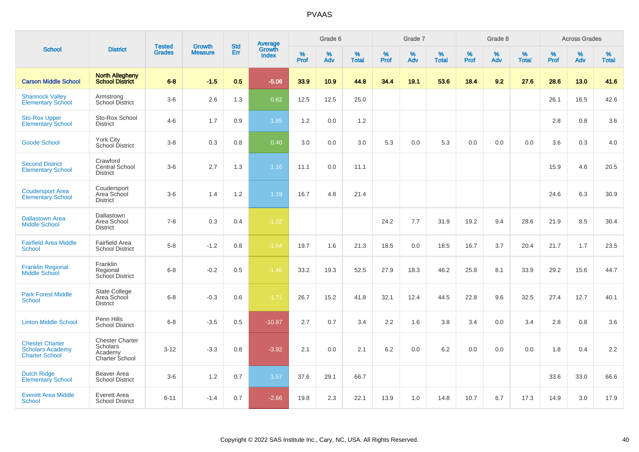|                                                                            |                                                                 |                                | Growth         | <b>Std</b> |                                          |                     | Grade 6     |                   |              | Grade 7     |                      |              | Grade 8  |                   |              | <b>Across Grades</b> |                   |
|----------------------------------------------------------------------------|-----------------------------------------------------------------|--------------------------------|----------------|------------|------------------------------------------|---------------------|-------------|-------------------|--------------|-------------|----------------------|--------------|----------|-------------------|--------------|----------------------|-------------------|
| <b>School</b>                                                              | <b>District</b>                                                 | <b>Tested</b><br><b>Grades</b> | <b>Measure</b> | Err        | <b>Average</b><br>Growth<br><b>Index</b> | $\%$<br><b>Prof</b> | $\%$<br>Adv | %<br><b>Total</b> | $\%$<br>Prof | $\%$<br>Adv | $\%$<br><b>Total</b> | $\%$<br>Prof | %<br>Adv | %<br><b>Total</b> | $\%$<br>Prof | $\%$<br>Adv          | %<br><b>Total</b> |
| <b>Carson Middle School</b>                                                | <b>North Allegheny</b><br><b>School District</b>                | $6 - 8$                        | $-1.5$         | 0.5        | $-5.06$                                  | 33.9                | 10.9        | 44.8              | 34.4         | 19.1        | 53.6                 | 18.4         | 9.2      | 27.6              | 28.6         | 13.0                 | 41.6              |
| <b>Shannock Valley</b><br><b>Elementary School</b>                         | Armstrong<br><b>School District</b>                             | $3-6$                          | 2.6            | 1.3        | 0.62                                     | 12.5                | 12.5        | 25.0              |              |             |                      |              |          |                   | 26.1         | 16.5                 | 42.6              |
| <b>Sto-Rox Upper</b><br><b>Elementary School</b>                           | Sto-Rox School<br><b>District</b>                               | $4 - 6$                        | 1.7            | 0.9        | 1.85                                     | 1.2                 | 0.0         | 1.2               |              |             |                      |              |          |                   | 2.8          | 0.8                  | 3.6               |
| <b>Goode School</b>                                                        | York City<br>School District                                    | $3-8$                          | 0.3            | 0.8        | 0.40                                     | 3.0                 | 0.0         | 3.0               | 5.3          | 0.0         | 5.3                  | 0.0          | 0.0      | 0.0               | 3.6          | 0.3                  | 4.0               |
| <b>Second District</b><br><b>Elementary School</b>                         | Crawford<br><b>Central School</b><br><b>District</b>            | $3-6$                          | 2.7            | 1.3        | 1.16                                     | 11.1                | 0.0         | 11.1              |              |             |                      |              |          |                   | 15.9         | 4.6                  | 20.5              |
| <b>Coudersport Area</b><br><b>Elementary School</b>                        | Coudersport<br>Area School<br><b>District</b>                   | $3-6$                          | 1.4            | 1.2        | 1.19                                     | 16.7                | 4.8         | 21.4              |              |             |                      |              |          |                   | 24.6         | 6.3                  | 30.9              |
| <b>Dallastown Area</b><br><b>Middle School</b>                             | Dallastown<br>Area School<br><b>District</b>                    | $7 - 8$                        | 0.3            | 0.4        | $-1.22$                                  |                     |             |                   | 24.2         | 7.7         | 31.9                 | 19.2         | 9.4      | 28.6              | 21.9         | 8.5                  | 30.4              |
| <b>Fairfield Area Middle</b><br><b>School</b>                              | <b>Fairfield Area</b><br><b>School District</b>                 | $5-8$                          | $-1.2$         | 0.8        | $-1.64$                                  | 19.7                | 1.6         | 21.3              | 18.5         | 0.0         | 18.5                 | 16.7         | 3.7      | 20.4              | 21.7         | 1.7                  | 23.5              |
| <b>Franklin Regional</b><br><b>Middle School</b>                           | Franklin<br>Regional<br>School District                         | $6 - 8$                        | $-0.2$         | 0.5        | $-1.46$                                  | 33.2                | 19.3        | 52.5              | 27.9         | 18.3        | 46.2                 | 25.8         | 8.1      | 33.9              | 29.2         | 15.6                 | 44.7              |
| <b>Park Forest Middle</b><br><b>School</b>                                 | State College<br>Area School<br><b>District</b>                 | $6 - 8$                        | $-0.3$         | 0.6        | $-1.71$                                  | 26.7                | 15.2        | 41.8              | 32.1         | 12.4        | 44.5                 | 22.8         | 9.6      | 32.5              | 27.4         | 12.7                 | 40.1              |
| <b>Linton Middle School</b>                                                | Penn Hills<br><b>School District</b>                            | $6 - 8$                        | $-3.5$         | 0.5        | $-10.87$                                 | 2.7                 | 0.7         | 3.4               | 2.2          | 1.6         | 3.8                  | 3.4          | 0.0      | 3.4               | 2.8          | 0.8                  | 3.6               |
| <b>Chester Charter</b><br><b>Scholars Academy</b><br><b>Charter School</b> | <b>Chester Charter</b><br>Scholars<br>Academy<br>Charter School | $3 - 12$                       | $-3.3$         | 0.8        | $-3.92$                                  | 2.1                 | 0.0         | 2.1               | 6.2          | 0.0         | 6.2                  | 0.0          | 0.0      | 0.0               | 1.8          | 0.4                  | 2.2               |
| <b>Dutch Ridge</b><br><b>Elementary School</b>                             | Beaver Area<br><b>School District</b>                           | $3-6$                          | 1.2            | 0.7        | 1.57                                     | 37.6                | 29.1        | 66.7              |              |             |                      |              |          |                   | 33.6         | 33.0                 | 66.6              |
| <b>Everett Area Middle</b><br><b>School</b>                                | Everett Area<br><b>School District</b>                          | $6 - 11$                       | $-1.4$         | 0.7        | $-2.66$                                  | 19.8                | 2.3         | 22.1              | 13.9         | 1.0         | 14.8                 | 10.7         | 6.7      | 17.3              | 14.9         | 3.0                  | 17.9              |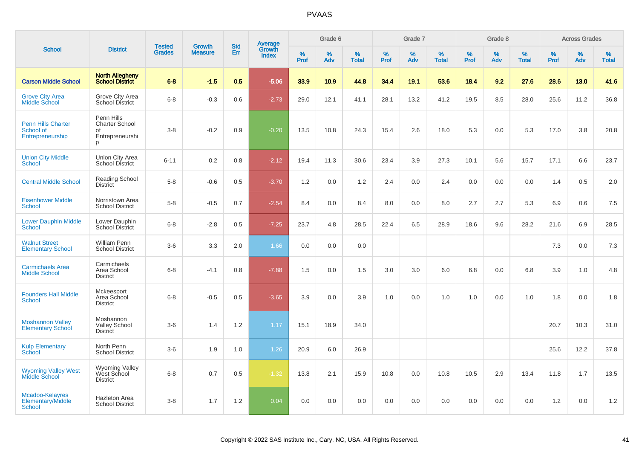|                                                            |                                                                   | <b>Tested</b> | <b>Growth</b>  | <b>Std</b> |                                          |                  | Grade 6     |                   |           | Grade 7     |                      |              | Grade 8  |                   |              | <b>Across Grades</b> |                   |
|------------------------------------------------------------|-------------------------------------------------------------------|---------------|----------------|------------|------------------------------------------|------------------|-------------|-------------------|-----------|-------------|----------------------|--------------|----------|-------------------|--------------|----------------------|-------------------|
| <b>School</b>                                              | <b>District</b>                                                   | <b>Grades</b> | <b>Measure</b> | Err        | <b>Average</b><br>Growth<br><b>Index</b> | %<br><b>Prof</b> | $\%$<br>Adv | %<br><b>Total</b> | %<br>Prof | $\%$<br>Adv | $\%$<br><b>Total</b> | $\%$<br>Prof | %<br>Adv | %<br><b>Total</b> | $\%$<br>Prof | $\%$<br>Adv          | %<br><b>Total</b> |
| <b>Carson Middle School</b>                                | <b>North Allegheny</b><br><b>School District</b>                  | $6 - 8$       | $-1.5$         | 0.5        | $-5.06$                                  | 33.9             | 10.9        | 44.8              | 34.4      | 19.1        | 53.6                 | 18.4         | 9.2      | 27.6              | 28.6         | 13.0                 | 41.6              |
| <b>Grove City Area</b><br><b>Middle School</b>             | Grove City Area<br><b>School District</b>                         | $6 - 8$       | $-0.3$         | 0.6        | $-2.73$                                  | 29.0             | 12.1        | 41.1              | 28.1      | 13.2        | 41.2                 | 19.5         | 8.5      | 28.0              | 25.6         | 11.2                 | 36.8              |
| <b>Penn Hills Charter</b><br>School of<br>Entrepreneurship | Penn Hills<br><b>Charter School</b><br>of<br>Entrepreneurshi<br>p | $3 - 8$       | $-0.2$         | 0.9        | $-0.20$                                  | 13.5             | 10.8        | 24.3              | 15.4      | 2.6         | 18.0                 | 5.3          | 0.0      | 5.3               | 17.0         | 3.8                  | 20.8              |
| <b>Union City Middle</b><br><b>School</b>                  | Union City Area<br><b>School District</b>                         | $6 - 11$      | 0.2            | 0.8        | $-2.12$                                  | 19.4             | 11.3        | 30.6              | 23.4      | 3.9         | 27.3                 | 10.1         | 5.6      | 15.7              | 17.1         | 6.6                  | 23.7              |
| <b>Central Middle School</b>                               | <b>Reading School</b><br><b>District</b>                          | $5-8$         | $-0.6$         | 0.5        | $-3.70$                                  | 1.2              | 0.0         | 1.2               | 2.4       | 0.0         | 2.4                  | 0.0          | 0.0      | 0.0               | 1.4          | 0.5                  | 2.0               |
| <b>Eisenhower Middle</b><br>School                         | Norristown Area<br><b>School District</b>                         | $5-8$         | $-0.5$         | 0.7        | $-2.54$                                  | 8.4              | 0.0         | 8.4               | 8.0       | 0.0         | 8.0                  | 2.7          | 2.7      | 5.3               | 6.9          | 0.6                  | 7.5               |
| <b>Lower Dauphin Middle</b><br><b>School</b>               | Lower Dauphin<br>School District                                  | $6 - 8$       | $-2.8$         | 0.5        | $-7.25$                                  | 23.7             | 4.8         | 28.5              | 22.4      | 6.5         | 28.9                 | 18.6         | 9.6      | 28.2              | 21.6         | 6.9                  | 28.5              |
| <b>Walnut Street</b><br><b>Elementary School</b>           | <b>William Penn</b><br><b>School District</b>                     | $3-6$         | 3.3            | 2.0        | 1.66                                     | 0.0              | 0.0         | 0.0               |           |             |                      |              |          |                   | 7.3          | 0.0                  | 7.3               |
| <b>Carmichaels Area</b><br><b>Middle School</b>            | Carmichaels<br>Area School<br><b>District</b>                     | $6 - 8$       | $-4.1$         | 0.8        | $-7.88$                                  | 1.5              | 0.0         | 1.5               | 3.0       | 3.0         | 6.0                  | 6.8          | 0.0      | 6.8               | 3.9          | 1.0                  | 4.8               |
| <b>Founders Hall Middle</b><br><b>School</b>               | Mckeesport<br>Area School<br><b>District</b>                      | $6 - 8$       | $-0.5$         | 0.5        | $-3.65$                                  | 3.9              | 0.0         | 3.9               | 1.0       | 0.0         | 1.0                  | 1.0          | 0.0      | 1.0               | 1.8          | 0.0                  | 1.8               |
| <b>Moshannon Valley</b><br><b>Elementary School</b>        | Moshannon<br><b>Valley School</b><br><b>District</b>              | $3-6$         | 1.4            | 1.2        | 1.17                                     | 15.1             | 18.9        | 34.0              |           |             |                      |              |          |                   | 20.7         | 10.3                 | 31.0              |
| <b>Kulp Elementary</b><br>School                           | North Penn<br><b>School District</b>                              | $3-6$         | 1.9            | 1.0        | 1.26                                     | 20.9             | 6.0         | 26.9              |           |             |                      |              |          |                   | 25.6         | 12.2                 | 37.8              |
| <b>Wyoming Valley West</b><br><b>Middle School</b>         | Wyoming Valley<br>West School<br><b>District</b>                  | $6 - 8$       | 0.7            | 0.5        | $-1.32$                                  | 13.8             | 2.1         | 15.9              | 10.8      | 0.0         | 10.8                 | 10.5         | 2.9      | 13.4              | 11.8         | 1.7                  | 13.5              |
| Mcadoo-Kelayres<br>Elementary/Middle<br>School             | <b>Hazleton Area</b><br><b>School District</b>                    | $3 - 8$       | 1.7            | 1.2        | 0.04                                     | 0.0              | 0.0         | 0.0               | 0.0       | 0.0         | 0.0                  | 0.0          | 0.0      | 0.0               | 1.2          | 0.0                  | 1.2               |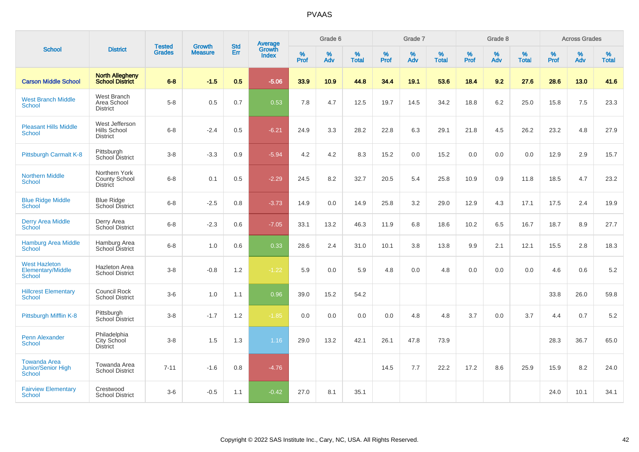|                                                     |                                                          |                                |                                 | <b>Std</b> |                                          |                  | Grade 6  |                   |           | Grade 7     |                   |           | Grade 8  |                   |           | <b>Across Grades</b> |                   |
|-----------------------------------------------------|----------------------------------------------------------|--------------------------------|---------------------------------|------------|------------------------------------------|------------------|----------|-------------------|-----------|-------------|-------------------|-----------|----------|-------------------|-----------|----------------------|-------------------|
| <b>School</b>                                       | <b>District</b>                                          | <b>Tested</b><br><b>Grades</b> | <b>Growth</b><br><b>Measure</b> | Err        | <b>Average</b><br>Growth<br><b>Index</b> | %<br><b>Prof</b> | %<br>Adv | %<br><b>Total</b> | %<br>Prof | $\%$<br>Adv | %<br><b>Total</b> | %<br>Prof | %<br>Adv | %<br><b>Total</b> | %<br>Prof | $\%$<br>Adv          | %<br><b>Total</b> |
| <b>Carson Middle School</b>                         | North Allegheny<br>School District                       | $6 - 8$                        | $-1.5$                          | 0.5        | $-5.06$                                  | 33.9             | 10.9     | 44.8              | 34.4      | 19.1        | 53.6              | 18.4      | 9.2      | 27.6              | 28.6      | 13.0                 | 41.6              |
| <b>West Branch Middle</b><br>School                 | West Branch<br>Area School<br><b>District</b>            | $5-8$                          | 0.5                             | 0.7        | 0.53                                     | 7.8              | 4.7      | 12.5              | 19.7      | 14.5        | 34.2              | 18.8      | 6.2      | 25.0              | 15.8      | 7.5                  | 23.3              |
| <b>Pleasant Hills Middle</b><br>School              | West Jefferson<br>Hills School<br><b>District</b>        | $6 - 8$                        | $-2.4$                          | 0.5        | $-6.21$                                  | 24.9             | 3.3      | 28.2              | 22.8      | 6.3         | 29.1              | 21.8      | 4.5      | 26.2              | 23.2      | 4.8                  | 27.9              |
| Pittsburgh Carmalt K-8                              | Pittsburgh<br>School District                            | $3-8$                          | $-3.3$                          | 0.9        | $-5.94$                                  | 4.2              | 4.2      | 8.3               | 15.2      | 0.0         | 15.2              | 0.0       | 0.0      | 0.0               | 12.9      | 2.9                  | 15.7              |
| <b>Northern Middle</b><br><b>School</b>             | Northern York<br><b>County School</b><br><b>District</b> | $6 - 8$                        | 0.1                             | 0.5        | $-2.29$                                  | 24.5             | 8.2      | 32.7              | 20.5      | 5.4         | 25.8              | 10.9      | 0.9      | 11.8              | 18.5      | 4.7                  | 23.2              |
| <b>Blue Ridge Middle</b><br>School                  | <b>Blue Ridge</b><br>School District                     | $6 - 8$                        | $-2.5$                          | 0.8        | $-3.73$                                  | 14.9             | 0.0      | 14.9              | 25.8      | 3.2         | 29.0              | 12.9      | 4.3      | 17.1              | 17.5      | 2.4                  | 19.9              |
| <b>Derry Area Middle</b><br>School                  | Derry Area<br>School District                            | $6 - 8$                        | $-2.3$                          | 0.6        | $-7.05$                                  | 33.1             | 13.2     | 46.3              | 11.9      | 6.8         | 18.6              | 10.2      | 6.5      | 16.7              | 18.7      | 8.9                  | 27.7              |
| <b>Hamburg Area Middle</b><br><b>School</b>         | Hamburg Area<br>School District                          | $6 - 8$                        | 1.0                             | 0.6        | 0.33                                     | 28.6             | 2.4      | 31.0              | 10.1      | 3.8         | 13.8              | 9.9       | 2.1      | 12.1              | 15.5      | 2.8                  | 18.3              |
| <b>West Hazleton</b><br>Elementary/Middle<br>School | Hazleton Area<br><b>School District</b>                  | $3 - 8$                        | $-0.8$                          | 1.2        | $-1.22$                                  | 5.9              | 0.0      | 5.9               | 4.8       | 0.0         | 4.8               | 0.0       | 0.0      | 0.0               | 4.6       | 0.6                  | 5.2               |
| <b>Hillcrest Elementary</b><br>School               | Council Rock<br><b>School District</b>                   | $3-6$                          | 1.0                             | 1.1        | 0.96                                     | 39.0             | 15.2     | 54.2              |           |             |                   |           |          |                   | 33.8      | 26.0                 | 59.8              |
| Pittsburgh Mifflin K-8                              | Pittsburgh<br>School District                            | $3 - 8$                        | $-1.7$                          | 1.2        | $-1.85$                                  | 0.0              | 0.0      | 0.0               | 0.0       | 4.8         | 4.8               | 3.7       | 0.0      | 3.7               | 4.4       | 0.7                  | 5.2               |
| <b>Penn Alexander</b><br>School                     | Philadelphia<br>City School<br><b>District</b>           | $3 - 8$                        | 1.5                             | 1.3        | 1.16                                     | 29.0             | 13.2     | 42.1              | 26.1      | 47.8        | 73.9              |           |          |                   | 28.3      | 36.7                 | 65.0              |
| <b>Towanda Area</b><br>Junior/Senior High<br>School | Towanda Area<br><b>School District</b>                   | $7 - 11$                       | $-1.6$                          | 0.8        | $-4.76$                                  |                  |          |                   | 14.5      | 7.7         | 22.2              | 17.2      | 8.6      | 25.9              | 15.9      | 8.2                  | 24.0              |
| <b>Fairview Elementary</b><br>School                | Crestwood<br><b>School District</b>                      | $3 - 6$                        | $-0.5$                          | 1.1        | $-0.42$                                  | 27.0             | 8.1      | 35.1              |           |             |                   |           |          |                   | 24.0      | 10.1                 | 34.1              |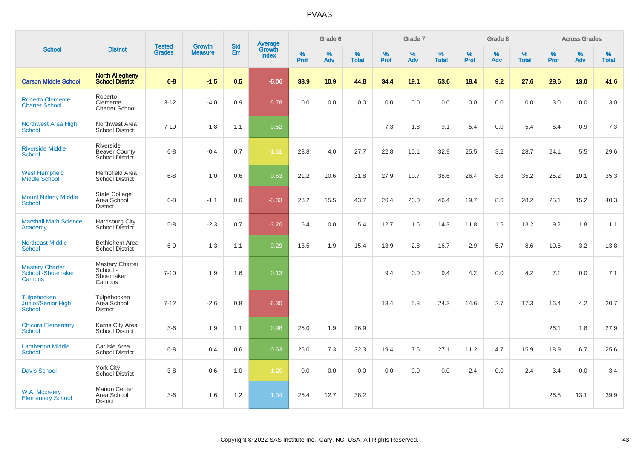|                                                           |                                                        |                                |                          | <b>Std</b> |                                          |           | Grade 6  |                   |           | Grade 7  |                   |           | Grade 8  |                   |              | <b>Across Grades</b> |                   |
|-----------------------------------------------------------|--------------------------------------------------------|--------------------------------|--------------------------|------------|------------------------------------------|-----------|----------|-------------------|-----------|----------|-------------------|-----------|----------|-------------------|--------------|----------------------|-------------------|
| <b>School</b>                                             | <b>District</b>                                        | <b>Tested</b><br><b>Grades</b> | Growth<br><b>Measure</b> | Err        | <b>Average</b><br>Growth<br><b>Index</b> | %<br>Prof | %<br>Adv | %<br><b>Total</b> | %<br>Prof | %<br>Adv | %<br><b>Total</b> | %<br>Prof | %<br>Adv | %<br><b>Total</b> | $\%$<br>Prof | %<br>Adv             | %<br><b>Total</b> |
| <b>Carson Middle School</b>                               | <b>North Allegheny</b><br><b>School District</b>       | $6 - 8$                        | $-1.5$                   | 0.5        | $-5.06$                                  | 33.9      | 10.9     | 44.8              | 34.4      | 19.1     | 53.6              | 18.4      | 9.2      | 27.6              | 28.6         | 13.0                 | 41.6              |
| <b>Roberto Clemente</b><br><b>Charter School</b>          | Roberto<br>Clemente<br><b>Charter School</b>           | $3 - 12$                       | $-4.0$                   | 0.9        | $-5.78$                                  | 0.0       | 0.0      | 0.0               | 0.0       | 0.0      | 0.0               | 0.0       | 0.0      | 0.0               | 3.0          | 0.0                  | 3.0               |
| Northwest Area High<br><b>School</b>                      | Northwest Area<br><b>School District</b>               | $7 - 10$                       | 1.8                      | 1.1        | 0.52                                     |           |          |                   | 7.3       | 1.8      | 9.1               | 5.4       | 0.0      | 5.4               | 6.4          | 0.9                  | 7.3               |
| <b>Riverside Middle</b><br><b>School</b>                  | Riverside<br><b>Beaver County</b><br>School District   | $6 - 8$                        | $-0.4$                   | 0.7        | $-1.61$                                  | 23.8      | 4.0      | 27.7              | 22.8      | 10.1     | 32.9              | 25.5      | 3.2      | 28.7              | 24.1         | 5.5                  | 29.6              |
| <b>West Hempfield</b><br><b>Middle School</b>             | Hempfield Area<br><b>School District</b>               | $6 - 8$                        | 1.0                      | 0.6        | 0.53                                     | 21.2      | 10.6     | 31.8              | 27.9      | 10.7     | 38.6              | 26.4      | 8.8      | 35.2              | 25.2         | 10.1                 | 35.3              |
| <b>Mount Nittany Middle</b><br><b>School</b>              | <b>State College</b><br>Area School<br><b>District</b> | $6 - 8$                        | $-1.1$                   | 0.6        | $-3.33$                                  | 28.2      | 15.5     | 43.7              | 26.4      | 20.0     | 46.4              | 19.7      | 8.6      | 28.2              | 25.1         | 15.2                 | 40.3              |
| <b>Marshall Math Science</b><br>Academy                   | Harrisburg City<br>School District                     | $5-8$                          | $-2.3$                   | 0.7        | $-3.20$                                  | 5.4       | 0.0      | 5.4               | 12.7      | 1.6      | 14.3              | 11.8      | 1.5      | 13.2              | 9.2          | 1.8                  | 11.1              |
| <b>Northeast Middle</b><br><b>School</b>                  | Bethlehem Area<br><b>School District</b>               | $6-9$                          | 1.3                      | 1.1        | $-0.29$                                  | 13.5      | 1.9      | 15.4              | 13.9      | 2.8      | 16.7              | 2.9       | 5.7      | 8.6               | 10.6         | 3.2                  | 13.8              |
| <b>Mastery Charter</b><br>School - Shoemaker<br>Campus    | Mastery Charter<br>School-<br>Shoemaker<br>Campus      | $7 - 10$                       | 1.9                      | 1.6        | 0.13                                     |           |          |                   | 9.4       | 0.0      | 9.4               | 4.2       | 0.0      | 4.2               | 7.1          | 0.0                  | 7.1               |
| <b>Tulpehocken</b><br>Junior/Senior High<br><b>School</b> | Tulpehocken<br>Area School<br><b>District</b>          | $7 - 12$                       | $-2.6$                   | 0.8        | $-6.30$                                  |           |          |                   | 18.4      | 5.8      | 24.3              | 14.6      | 2.7      | 17.3              | 16.4         | 4.2                  | 20.7              |
| <b>Chicora Elementary</b><br><b>School</b>                | Karns City Area<br>School District                     | $3-6$                          | 1.9                      | 1.1        | 0.98                                     | 25.0      | 1.9      | 26.9              |           |          |                   |           |          |                   | 26.1         | 1.8                  | 27.9              |
| <b>Lamberton Middle</b><br><b>School</b>                  | Carlisle Area<br><b>School District</b>                | $6 - 8$                        | 0.4                      | 0.6        | $-0.63$                                  | 25.0      | 7.3      | 32.3              | 19.4      | 7.6      | 27.1              | 11.2      | 4.7      | 15.9              | 18.9         | 6.7                  | 25.6              |
| <b>Davis School</b>                                       | <b>York City</b><br>School District                    | $3 - 8$                        | 0.6                      | 1.0        | $-1.20$                                  | 0.0       | 0.0      | 0.0               | 0.0       | 0.0      | 0.0               | 2.4       | 0.0      | 2.4               | 3.4          | 0.0                  | 3.4               |
| W.A. Mccreery<br><b>Elementary School</b>                 | <b>Marion Center</b><br>Area School<br><b>District</b> | $3-6$                          | 1.6                      | 1.2        | 1.34                                     | 25.4      | 12.7     | 38.2              |           |          |                   |           |          |                   | 26.8         | 13.1                 | 39.9              |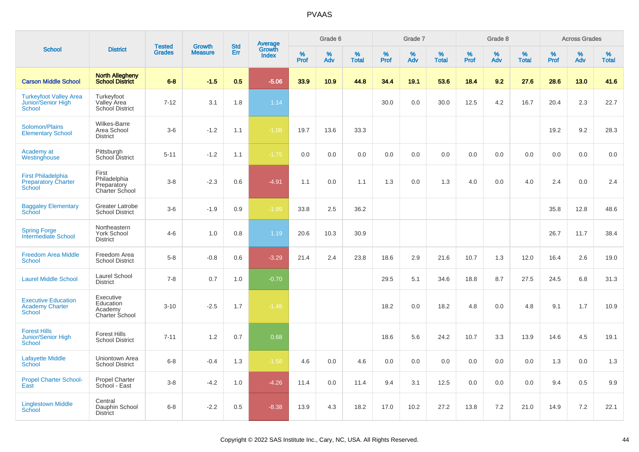|                                                                   |                                                            |                                |                                 |                   |                                          |                  | Grade 6  |                   |           | Grade 7  |                   |              | Grade 8  |                   |           | <b>Across Grades</b> |                   |
|-------------------------------------------------------------------|------------------------------------------------------------|--------------------------------|---------------------------------|-------------------|------------------------------------------|------------------|----------|-------------------|-----------|----------|-------------------|--------------|----------|-------------------|-----------|----------------------|-------------------|
| <b>School</b>                                                     | <b>District</b>                                            | <b>Tested</b><br><b>Grades</b> | <b>Growth</b><br><b>Measure</b> | <b>Std</b><br>Err | <b>Average</b><br>Growth<br><b>Index</b> | %<br><b>Prof</b> | %<br>Adv | %<br><b>Total</b> | %<br>Prof | %<br>Adv | %<br><b>Total</b> | $\%$<br>Prof | %<br>Adv | %<br><b>Total</b> | %<br>Prof | %<br>Adv             | %<br><b>Total</b> |
| <b>Carson Middle School</b>                                       | <b>North Allegheny</b><br><b>School District</b>           | $6 - 8$                        | $-1.5$                          | 0.5               | $-5.06$                                  | 33.9             | 10.9     | 44.8              | 34.4      | 19.1     | 53.6              | 18.4         | 9.2      | 27.6              | 28.6      | 13.0                 | 41.6              |
| <b>Turkeyfoot Valley Area</b><br>Junior/Senior High<br>School     | Turkeyfoot<br>Valley Area<br>School District               | $7 - 12$                       | 3.1                             | 1.8               | 1.14                                     |                  |          |                   | 30.0      | 0.0      | 30.0              | 12.5         | 4.2      | 16.7              | 20.4      | 2.3                  | 22.7              |
| Solomon/Plains<br><b>Elementary School</b>                        | <b>Wilkes-Barre</b><br>Area School<br><b>District</b>      | $3-6$                          | $-1.2$                          | 1.1               | $-1.08$                                  | 19.7             | 13.6     | 33.3              |           |          |                   |              |          |                   | 19.2      | 9.2                  | 28.3              |
| Academy at<br>Westinghouse                                        | Pittsburgh<br>School District                              | $5 - 11$                       | $-1.2$                          | 1.1               | $-1.75$                                  | 0.0              | 0.0      | 0.0               | 0.0       | 0.0      | 0.0               | 0.0          | 0.0      | 0.0               | 0.0       | 0.0                  | 0.0               |
| <b>First Philadelphia</b><br><b>Preparatory Charter</b><br>School | First<br>Philadelphia<br>Preparatory<br>Charter School     | $3 - 8$                        | $-2.3$                          | 0.6               | $-4.91$                                  | 1.1              | 0.0      | 1.1               | 1.3       | 0.0      | 1.3               | 4.0          | 0.0      | 4.0               | 2.4       | $0.0\,$              | 2.4               |
| <b>Baggaley Elementary</b><br><b>School</b>                       | <b>Greater Latrobe</b><br><b>School District</b>           | $3-6$                          | $-1.9$                          | 0.9               | $-1.99$                                  | 33.8             | 2.5      | 36.2              |           |          |                   |              |          |                   | 35.8      | 12.8                 | 48.6              |
| <b>Spring Forge</b><br><b>Intermediate School</b>                 | Northeastern<br>York School<br><b>District</b>             | $4 - 6$                        | 1.0                             | 0.8               | 1.19                                     | 20.6             | 10.3     | 30.9              |           |          |                   |              |          |                   | 26.7      | 11.7                 | 38.4              |
| <b>Freedom Area Middle</b><br><b>School</b>                       | Freedom Area<br><b>School District</b>                     | $5 - 8$                        | $-0.8$                          | 0.6               | $-3.29$                                  | 21.4             | 2.4      | 23.8              | 18.6      | 2.9      | 21.6              | 10.7         | 1.3      | 12.0              | 16.4      | 2.6                  | 19.0              |
| <b>Laurel Middle School</b>                                       | Laurel School<br><b>District</b>                           | $7 - 8$                        | 0.7                             | 1.0               | $-0.70$                                  |                  |          |                   | 29.5      | 5.1      | 34.6              | 18.8         | 8.7      | 27.5              | 24.5      | 6.8                  | 31.3              |
| <b>Executive Education</b><br><b>Academy Charter</b><br>School    | Executive<br>Education<br>Academy<br><b>Charter School</b> | $3 - 10$                       | $-2.5$                          | 1.7               | $-1.48$                                  |                  |          |                   | 18.2      | 0.0      | 18.2              | 4.8          | 0.0      | 4.8               | 9.1       | 1.7                  | 10.9              |
| <b>Forest Hills</b><br><b>Junior/Senior High</b><br><b>School</b> | <b>Forest Hills</b><br><b>School District</b>              | $7 - 11$                       | 1.2                             | 0.7               | 0.68                                     |                  |          |                   | 18.6      | 5.6      | 24.2              | 10.7         | 3.3      | 13.9              | 14.6      | 4.5                  | 19.1              |
| <b>Lafayette Middle</b><br>School                                 | Uniontown Area<br><b>School District</b>                   | $6 - 8$                        | $-0.4$                          | 1.3               | $-1.58$                                  | 4.6              | 0.0      | 4.6               | 0.0       | 0.0      | 0.0               | 0.0          | 0.0      | 0.0               | 1.3       | 0.0                  | 1.3               |
| <b>Propel Charter School-</b><br>East                             | <b>Propel Charter</b><br>School - East                     | $3 - 8$                        | $-4.2$                          | 1.0               | $-4.26$                                  | 11.4             | 0.0      | 11.4              | 9.4       | 3.1      | 12.5              | 0.0          | 0.0      | 0.0               | 9.4       | 0.5                  | 9.9               |
| <b>Linglestown Middle</b><br><b>School</b>                        | Central<br>Dauphin School<br><b>District</b>               | $6 - 8$                        | $-2.2$                          | 0.5               | $-8.38$                                  | 13.9             | 4.3      | 18.2              | 17.0      | 10.2     | 27.2              | 13.8         | $7.2\,$  | 21.0              | 14.9      | 7.2                  | 22.1              |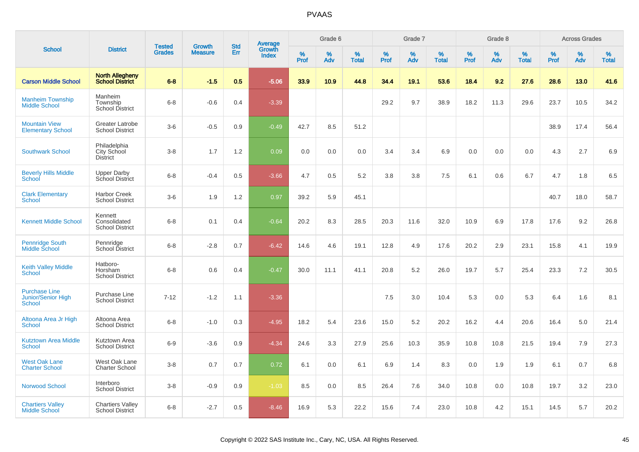|                                                             |                                                   |                                |                                 | <b>Std</b> |                                          |                  | Grade 6  |                   |           | Grade 7  |                   |           | Grade 8  |                   |           | <b>Across Grades</b> |                   |
|-------------------------------------------------------------|---------------------------------------------------|--------------------------------|---------------------------------|------------|------------------------------------------|------------------|----------|-------------------|-----------|----------|-------------------|-----------|----------|-------------------|-----------|----------------------|-------------------|
| <b>School</b>                                               | <b>District</b>                                   | <b>Tested</b><br><b>Grades</b> | <b>Growth</b><br><b>Measure</b> | Err        | <b>Average</b><br>Growth<br><b>Index</b> | %<br><b>Prof</b> | %<br>Adv | %<br><b>Total</b> | %<br>Prof | %<br>Adv | %<br><b>Total</b> | %<br>Prof | %<br>Adv | %<br><b>Total</b> | %<br>Prof | %<br>Adv             | %<br><b>Total</b> |
| <b>Carson Middle School</b>                                 | <b>North Allegheny</b><br><b>School District</b>  | $6 - 8$                        | $-1.5$                          | 0.5        | $-5.06$                                  | 33.9             | 10.9     | 44.8              | 34.4      | 19.1     | 53.6              | 18.4      | 9.2      | 27.6              | 28.6      | 13.0                 | 41.6              |
| <b>Manheim Township</b><br><b>Middle School</b>             | Manheim<br>Township<br><b>School District</b>     | $6 - 8$                        | $-0.6$                          | 0.4        | $-3.39$                                  |                  |          |                   | 29.2      | 9.7      | 38.9              | 18.2      | 11.3     | 29.6              | 23.7      | 10.5                 | 34.2              |
| <b>Mountain View</b><br><b>Elementary School</b>            | <b>Greater Latrobe</b><br><b>School District</b>  | $3-6$                          | $-0.5$                          | 0.9        | $-0.49$                                  | 42.7             | 8.5      | 51.2              |           |          |                   |           |          |                   | 38.9      | 17.4                 | 56.4              |
| <b>Southwark School</b>                                     | Philadelphia<br>City School<br><b>District</b>    | $3 - 8$                        | 1.7                             | 1.2        | 0.09                                     | 0.0              | 0.0      | 0.0               | 3.4       | 3.4      | 6.9               | 0.0       | 0.0      | 0.0               | 4.3       | 2.7                  | 6.9               |
| <b>Beverly Hills Middle</b><br>School                       | <b>Upper Darby</b><br>School District             | $6 - 8$                        | $-0.4$                          | 0.5        | $-3.66$                                  | 4.7              | 0.5      | 5.2               | 3.8       | 3.8      | 7.5               | 6.1       | 0.6      | 6.7               | 4.7       | 1.8                  | 6.5               |
| <b>Clark Elementary</b><br>School                           | <b>Harbor Creek</b><br><b>School District</b>     | $3-6$                          | 1.9                             | 1.2        | 0.97                                     | 39.2             | 5.9      | 45.1              |           |          |                   |           |          |                   | 40.7      | 18.0                 | 58.7              |
| <b>Kennett Middle School</b>                                | Kennett<br>Consolidated<br><b>School District</b> | $6 - 8$                        | 0.1                             | 0.4        | $-0.64$                                  | 20.2             | 8.3      | 28.5              | 20.3      | 11.6     | 32.0              | 10.9      | 6.9      | 17.8              | 17.6      | 9.2                  | 26.8              |
| <b>Pennridge South</b><br>Middle School                     | Pennridge<br>School District                      | $6 - 8$                        | $-2.8$                          | 0.7        | $-6.42$                                  | 14.6             | 4.6      | 19.1              | 12.8      | 4.9      | 17.6              | 20.2      | 2.9      | 23.1              | 15.8      | 4.1                  | 19.9              |
| <b>Keith Valley Middle</b><br>School                        | Hatboro-<br>Horsham<br><b>School District</b>     | $6 - 8$                        | 0.6                             | 0.4        | $-0.47$                                  | 30.0             | 11.1     | 41.1              | 20.8      | 5.2      | 26.0              | 19.7      | 5.7      | 25.4              | 23.3      | 7.2                  | 30.5              |
| <b>Purchase Line</b><br><b>Junior/Senior High</b><br>School | Purchase Line<br><b>School District</b>           | $7 - 12$                       | $-1.2$                          | 1.1        | $-3.36$                                  |                  |          |                   | 7.5       | 3.0      | 10.4              | 5.3       | 0.0      | 5.3               | 6.4       | 1.6                  | 8.1               |
| Altoona Area Jr High<br><b>School</b>                       | Altoona Area<br><b>School District</b>            | $6 - 8$                        | $-1.0$                          | 0.3        | $-4.95$                                  | 18.2             | 5.4      | 23.6              | 15.0      | 5.2      | 20.2              | 16.2      | 4.4      | 20.6              | 16.4      | 5.0                  | 21.4              |
| <b>Kutztown Area Middle</b><br><b>School</b>                | Kutztown Area<br><b>School District</b>           | $6-9$                          | $-3.6$                          | 0.9        | $-4.34$                                  | 24.6             | 3.3      | 27.9              | 25.6      | 10.3     | 35.9              | 10.8      | 10.8     | 21.5              | 19.4      | 7.9                  | 27.3              |
| <b>West Oak Lane</b><br><b>Charter School</b>               | West Oak Lane<br><b>Charter School</b>            | $3 - 8$                        | 0.7                             | 0.7        | 0.72                                     | 6.1              | 0.0      | 6.1               | 6.9       | 1.4      | 8.3               | 0.0       | 1.9      | 1.9               | 6.1       | 0.7                  | 6.8               |
| Norwood School                                              | Interboro<br><b>School District</b>               | $3 - 8$                        | $-0.9$                          | 0.9        | $-1.03$                                  | 8.5              | 0.0      | 8.5               | 26.4      | 7.6      | 34.0              | 10.8      | 0.0      | 10.8              | 19.7      | 3.2                  | 23.0              |
| <b>Chartiers Valley</b><br><b>Middle School</b>             | <b>Chartiers Valley</b><br><b>School District</b> | $6 - 8$                        | $-2.7$                          | 0.5        | $-8.46$                                  | 16.9             | 5.3      | 22.2              | 15.6      | 7.4      | 23.0              | 10.8      | 4.2      | 15.1              | 14.5      | 5.7                  | 20.2              |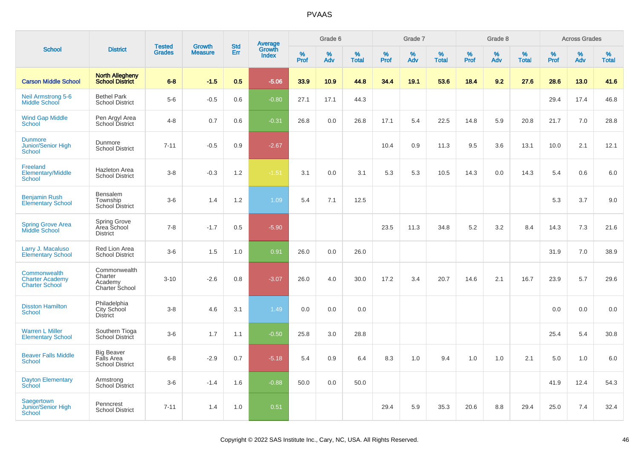| <b>School</b>                                                   |                                                           | <b>Tested</b> | <b>Growth</b>  | <b>Std</b> |                                          |           | Grade 6  |                   |           | Grade 7  |                   |           | Grade 8  |                   |           | <b>Across Grades</b> |                   |
|-----------------------------------------------------------------|-----------------------------------------------------------|---------------|----------------|------------|------------------------------------------|-----------|----------|-------------------|-----------|----------|-------------------|-----------|----------|-------------------|-----------|----------------------|-------------------|
|                                                                 | <b>District</b>                                           | <b>Grades</b> | <b>Measure</b> | Err        | <b>Average</b><br>Growth<br><b>Index</b> | %<br>Prof | %<br>Adv | %<br><b>Total</b> | %<br>Prof | %<br>Adv | %<br><b>Total</b> | %<br>Prof | %<br>Adv | %<br><b>Total</b> | %<br>Prof | %<br>Adv             | %<br><b>Total</b> |
| <b>Carson Middle School</b>                                     | <b>North Allegheny</b><br><b>School District</b>          | $6 - 8$       | $-1.5$         | 0.5        | $-5.06$                                  | 33.9      | 10.9     | 44.8              | 34.4      | 19.1     | 53.6              | 18.4      | 9.2      | 27.6              | 28.6      | 13.0                 | 41.6              |
| <b>Neil Armstrong 5-6</b><br><b>Middle School</b>               | <b>Bethel Park</b><br><b>School District</b>              | $5-6$         | $-0.5$         | 0.6        | $-0.80$                                  | 27.1      | 17.1     | 44.3              |           |          |                   |           |          |                   | 29.4      | 17.4                 | 46.8              |
| <b>Wind Gap Middle</b><br><b>School</b>                         | Pen Argyl Area<br>School District                         | $4 - 8$       | 0.7            | 0.6        | $-0.31$                                  | 26.8      | 0.0      | 26.8              | 17.1      | 5.4      | 22.5              | 14.8      | 5.9      | 20.8              | 21.7      | 7.0                  | 28.8              |
| <b>Dunmore</b><br>Junior/Senior High<br><b>School</b>           | Dunmore<br><b>School District</b>                         | $7 - 11$      | $-0.5$         | 0.9        | $-2.67$                                  |           |          |                   | 10.4      | 0.9      | 11.3              | 9.5       | 3.6      | 13.1              | 10.0      | 2.1                  | 12.1              |
| Freeland<br><b>Elementary/Middle</b><br><b>School</b>           | <b>Hazleton Area</b><br><b>School District</b>            | $3-8$         | $-0.3$         | 1.2        | $-1.51$                                  | 3.1       | 0.0      | 3.1               | 5.3       | 5.3      | 10.5              | 14.3      | 0.0      | 14.3              | 5.4       | 0.6                  | 6.0               |
| <b>Benjamin Rush</b><br><b>Elementary School</b>                | Bensalem<br>Township<br>School District                   | $3-6$         | 1.4            | 1.2        | 1.09                                     | 5.4       | 7.1      | 12.5              |           |          |                   |           |          |                   | 5.3       | 3.7                  | 9.0               |
| <b>Spring Grove Area</b><br><b>Middle School</b>                | <b>Spring Grove</b><br>Area School<br><b>District</b>     | $7 - 8$       | $-1.7$         | 0.5        | $-5.90$                                  |           |          |                   | 23.5      | 11.3     | 34.8              | 5.2       | 3.2      | 8.4               | 14.3      | 7.3                  | 21.6              |
| Larry J. Macaluso<br><b>Elementary School</b>                   | Red Lion Area<br><b>School District</b>                   | $3-6$         | 1.5            | 1.0        | 0.91                                     | 26.0      | 0.0      | 26.0              |           |          |                   |           |          |                   | 31.9      | 7.0                  | 38.9              |
| Commonwealth<br><b>Charter Academy</b><br><b>Charter School</b> | Commonwealth<br>Charter<br>Academy<br>Charter School      | $3 - 10$      | $-2.6$         | 0.8        | $-3.07$                                  | 26.0      | 4.0      | 30.0              | 17.2      | 3.4      | 20.7              | 14.6      | 2.1      | 16.7              | 23.9      | 5.7                  | 29.6              |
| <b>Disston Hamilton</b><br>School                               | Philadelphia<br>City School<br><b>District</b>            | $3 - 8$       | 4.6            | 3.1        | 1.49                                     | 0.0       | 0.0      | 0.0               |           |          |                   |           |          |                   | 0.0       | 0.0                  | 0.0               |
| <b>Warren L Miller</b><br><b>Elementary School</b>              | Southern Tioga<br>School District                         | $3-6$         | 1.7            | 1.1        | $-0.50$                                  | 25.8      | 3.0      | 28.8              |           |          |                   |           |          |                   | 25.4      | 5.4                  | 30.8              |
| <b>Beaver Falls Middle</b><br><b>School</b>                     | <b>Big Beaver</b><br>Falls Area<br><b>School District</b> | $6 - 8$       | $-2.9$         | 0.7        | $-5.18$                                  | 5.4       | 0.9      | 6.4               | 8.3       | 1.0      | 9.4               | 1.0       | 1.0      | 2.1               | 5.0       | 1.0                  | 6.0               |
| <b>Dayton Elementary</b><br>School                              | Armstrong<br><b>School District</b>                       | $3-6$         | $-1.4$         | 1.6        | $-0.88$                                  | 50.0      | 0.0      | 50.0              |           |          |                   |           |          |                   | 41.9      | 12.4                 | 54.3              |
| Saegertown<br><b>Junior/Senior High</b><br><b>School</b>        | Penncrest<br><b>School District</b>                       | $7 - 11$      | 1.4            | 1.0        | 0.51                                     |           |          |                   | 29.4      | 5.9      | 35.3              | 20.6      | 8.8      | 29.4              | 25.0      | 7.4                  | 32.4              |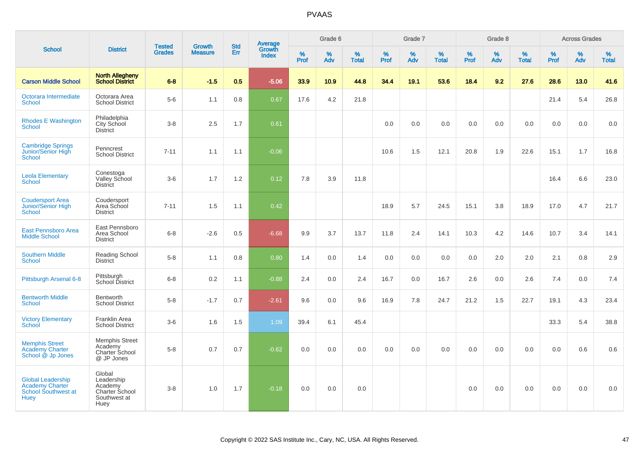|                                                                                   |                                                                           |                                | <b>Growth</b>  | <b>Std</b> |                                          |                  | Grade 6  |                   |           | Grade 7  |                   |           | Grade 8  |                   |              | <b>Across Grades</b> |                   |
|-----------------------------------------------------------------------------------|---------------------------------------------------------------------------|--------------------------------|----------------|------------|------------------------------------------|------------------|----------|-------------------|-----------|----------|-------------------|-----------|----------|-------------------|--------------|----------------------|-------------------|
| <b>School</b>                                                                     | <b>District</b>                                                           | <b>Tested</b><br><b>Grades</b> | <b>Measure</b> | <b>Err</b> | <b>Average</b><br>Growth<br><b>Index</b> | %<br><b>Prof</b> | %<br>Adv | %<br><b>Total</b> | %<br>Prof | %<br>Adv | %<br><b>Total</b> | %<br>Prof | %<br>Adv | %<br><b>Total</b> | $\%$<br>Prof | %<br>Adv             | %<br><b>Total</b> |
| <b>Carson Middle School</b>                                                       | <b>North Allegheny</b><br><b>School District</b>                          | $6 - 8$                        | $-1.5$         | 0.5        | $-5.06$                                  | 33.9             | 10.9     | 44.8              | 34.4      | 19.1     | 53.6              | 18.4      | 9.2      | 27.6              | 28.6         | 13.0                 | 41.6              |
| Octorara Intermediate<br><b>School</b>                                            | Octorara Area<br><b>School District</b>                                   | $5-6$                          | 1.1            | 0.8        | 0.67                                     | 17.6             | 4.2      | 21.8              |           |          |                   |           |          |                   | 21.4         | 5.4                  | 26.8              |
| <b>Rhodes E Washington</b><br><b>School</b>                                       | Philadelphia<br>City School<br><b>District</b>                            | $3 - 8$                        | 2.5            | 1.7        | 0.61                                     |                  |          |                   | 0.0       | 0.0      | 0.0               | 0.0       | 0.0      | 0.0               | 0.0          | 0.0                  | 0.0               |
| <b>Cambridge Springs</b><br>Junior/Senior High<br>School                          | Penncrest<br><b>School District</b>                                       | $7 - 11$                       | 1.1            | 1.1        | $-0.06$                                  |                  |          |                   | 10.6      | 1.5      | 12.1              | 20.8      | 1.9      | 22.6              | 15.1         | 1.7                  | 16.8              |
| <b>Leola Elementary</b><br><b>School</b>                                          | Conestoga<br><b>Valley School</b><br><b>District</b>                      | $3-6$                          | 1.7            | 1.2        | 0.12                                     | 7.8              | 3.9      | 11.8              |           |          |                   |           |          |                   | 16.4         | 6.6                  | 23.0              |
| <b>Coudersport Area</b><br>Junior/Senior High<br>School                           | Coudersport<br>Area School<br><b>District</b>                             | $7 - 11$                       | 1.5            | 1.1        | 0.42                                     |                  |          |                   | 18.9      | 5.7      | 24.5              | 15.1      | 3.8      | 18.9              | 17.0         | 4.7                  | 21.7              |
| <b>East Pennsboro Area</b><br><b>Middle School</b>                                | East Pennsboro<br>Area School<br><b>District</b>                          | $6 - 8$                        | $-2.6$         | 0.5        | $-6.68$                                  | 9.9              | 3.7      | 13.7              | 11.8      | 2.4      | 14.1              | 10.3      | 4.2      | 14.6              | 10.7         | 3.4                  | 14.1              |
| <b>Southern Middle</b><br>School                                                  | <b>Reading School</b><br>District                                         | $5-8$                          | 1.1            | 0.8        | 0.80                                     | 1.4              | 0.0      | 1.4               | 0.0       | 0.0      | 0.0               | 0.0       | 2.0      | 2.0               | 2.1          | 0.8                  | 2.9               |
| Pittsburgh Arsenal 6-8                                                            | Pittsburgh<br>School District                                             | $6-8$                          | 0.2            | 1.1        | $-0.88$                                  | 2.4              | 0.0      | 2.4               | 16.7      | 0.0      | 16.7              | 2.6       | 0.0      | 2.6               | 7.4          | 0.0                  | 7.4               |
| <b>Bentworth Middle</b><br><b>School</b>                                          | Bentworth<br><b>School District</b>                                       | $5-8$                          | $-1.7$         | 0.7        | $-2.61$                                  | 9.6              | 0.0      | 9.6               | 16.9      | 7.8      | 24.7              | 21.2      | 1.5      | 22.7              | 19.1         | 4.3                  | 23.4              |
| <b>Victory Elementary</b><br>School                                               | <b>Franklin Area</b><br><b>School District</b>                            | $3-6$                          | 1.6            | 1.5        | 1.09                                     | 39.4             | 6.1      | 45.4              |           |          |                   |           |          |                   | 33.3         | 5.4                  | 38.8              |
| <b>Memphis Street</b><br><b>Academy Charter</b><br>School @ Jp Jones              | <b>Memphis Street</b><br>Academy<br>Charter School<br>@ JP Jones          | $5-8$                          | 0.7            | 0.7        | $-0.62$                                  | 0.0              | 0.0      | 0.0               | 0.0       | 0.0      | 0.0               | 0.0       | 0.0      | 0.0               | 0.0          | 0.6                  | 0.6               |
| <b>Global Leadership</b><br>Academy Charter<br>School Southwest at<br><b>Huey</b> | Global<br>Leadership<br>Academy<br>Charter School<br>Southwest at<br>Huey | $3 - 8$                        | 1.0            | 1.7        | $-0.18$                                  | 0.0              | 0.0      | 0.0               |           |          |                   | 0.0       | 0.0      | 0.0               | 0.0          | 0.0                  | 0.0               |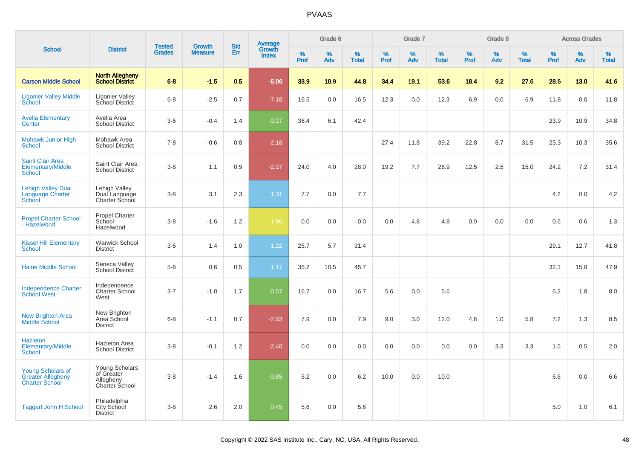|                                                                               |                                                             |                                | <b>Growth</b>  | <b>Std</b> |                                          |                  | Grade 6     |                   |              | Grade 7     |                      |              | Grade 8  |                   |              | <b>Across Grades</b> |                   |
|-------------------------------------------------------------------------------|-------------------------------------------------------------|--------------------------------|----------------|------------|------------------------------------------|------------------|-------------|-------------------|--------------|-------------|----------------------|--------------|----------|-------------------|--------------|----------------------|-------------------|
| <b>School</b>                                                                 | <b>District</b>                                             | <b>Tested</b><br><b>Grades</b> | <b>Measure</b> | Err        | <b>Average</b><br>Growth<br><b>Index</b> | %<br><b>Prof</b> | $\%$<br>Adv | %<br><b>Total</b> | $\%$<br>Prof | $\%$<br>Adv | $\%$<br><b>Total</b> | $\%$<br>Prof | %<br>Adv | %<br><b>Total</b> | $\%$<br>Prof | %<br>Adv             | %<br><b>Total</b> |
| <b>Carson Middle School</b>                                                   | <b>North Allegheny</b><br><b>School District</b>            | $6 - 8$                        | $-1.5$         | 0.5        | $-5.06$                                  | 33.9             | 10.9        | 44.8              | 34.4         | 19.1        | 53.6                 | 18.4         | 9.2      | 27.6              | 28.6         | 13.0                 | 41.6              |
| <b>Ligonier Valley Middle</b><br>School                                       | Ligonier Valley<br>School District                          | $6 - 8$                        | $-2.5$         | 0.7        | $-7.18$                                  | 16.5             | 0.0         | 16.5              | 12.3         | 0.0         | 12.3                 | 6.9          | 0.0      | 6.9               | 11.8         | 0.0                  | 11.8              |
| <b>Avella Elementary</b><br>Center                                            | Avella Area<br><b>School District</b>                       | $3-6$                          | $-0.4$         | 1.4        | $-0.27$                                  | 36.4             | 6.1         | 42.4              |              |             |                      |              |          |                   | 23.9         | 10.9                 | 34.8              |
| <b>Mohawk Junior High</b><br><b>School</b>                                    | Mohawk Area<br><b>School District</b>                       | $7 - 8$                        | $-0.6$         | 0.8        | $-2.18$                                  |                  |             |                   | 27.4         | 11.8        | 39.2                 | 22.8         | 8.7      | 31.5              | 25.3         | 10.3                 | 35.6              |
| <b>Saint Clair Area</b><br>Elementary/Middle<br>School                        | Saint Clair Area<br><b>School District</b>                  | $3 - 8$                        | 1.1            | 0.9        | $-2.27$                                  | 24.0             | 4.0         | 28.0              | 19.2         | 7.7         | 26.9                 | 12.5         | 2.5      | 15.0              | 24.2         | 7.2                  | 31.4              |
| <b>Lehigh Valley Dual</b><br>Language Charter<br>School                       | Lehigh Valley<br>Dual Language<br>Charter School            | $3 - 8$                        | 3.1            | 2.3        | 1.31                                     | 7.7              | 0.0         | 7.7               |              |             |                      |              |          |                   | 4.2          | 0.0                  | 4.2               |
| <b>Propel Charter School</b><br>- Hazelwood                                   | Propel Charter<br>School-<br>Hazelwood                      | $3 - 8$                        | $-1.6$         | 1.2        | $-1.96$                                  | 0.0              | 0.0         | 0.0               | 0.0          | 4.8         | 4.8                  | 0.0          | 0.0      | 0.0               | 0.6          | 0.6                  | 1.3               |
| <b>Kissel Hill Elementary</b><br>School                                       | <b>Warwick School</b><br><b>District</b>                    | $3-6$                          | 1.4            | 1.0        | 1.22                                     | 25.7             | 5.7         | 31.4              |              |             |                      |              |          |                   | 29.1         | 12.7                 | 41.8              |
| <b>Haine Middle School</b>                                                    | Seneca Valley<br>School District                            | $5-6$                          | 0.6            | 0.5        | 1.17                                     | 35.2             | 10.5        | 45.7              |              |             |                      |              |          |                   | 32.1         | 15.8                 | 47.9              |
| <b>Independence Charter</b><br><b>School West</b>                             | Independence<br><b>Charter School</b><br>West               | $3 - 7$                        | $-1.0$         | 1.7        | $-0.57$                                  | 16.7             | 0.0         | 16.7              | 5.6          | 0.0         | 5.6                  |              |          |                   | 6.2          | 1.8                  | 8.0               |
| <b>New Brighton Area</b><br><b>Middle School</b>                              | New Brighton<br>Area School<br><b>District</b>              | $6 - 8$                        | $-1.1$         | 0.7        | $-2.53$                                  | 7.9              | 0.0         | 7.9               | 9.0          | 3.0         | 12.0                 | 4.8          | 1.0      | 5.8               | 7.2          | 1.3                  | 8.5               |
| Hazleton<br><b>Elementary/Middle</b><br>School                                | <b>Hazleton Area</b><br><b>School District</b>              | $3 - 8$                        | $-0.1$         | 1.2        | $-2.40$                                  | 0.0              | 0.0         | 0.0               | 0.0          | 0.0         | 0.0                  | 0.0          | 3.3      | 3.3               | 1.5          | 0.5                  | 2.0               |
| <b>Young Scholars of</b><br><b>Greater Allegheny</b><br><b>Charter School</b> | Young Scholars<br>of Greater<br>Allegheny<br>Charter School | $3 - 8$                        | $-1.4$         | 1.6        | $-0.85$                                  | 6.2              | 0.0         | 6.2               | 10.0         | 0.0         | 10.0                 |              |          |                   | 6.6          | 0.0                  | 6.6               |
| <b>Taggart John H School</b>                                                  | Philadelphia<br>City School<br><b>District</b>              | $3 - 8$                        | 2.6            | 2.0        | 0.45                                     | 5.6              | 0.0         | 5.6               |              |             |                      |              |          |                   | 5.0          | 1.0                  | 6.1               |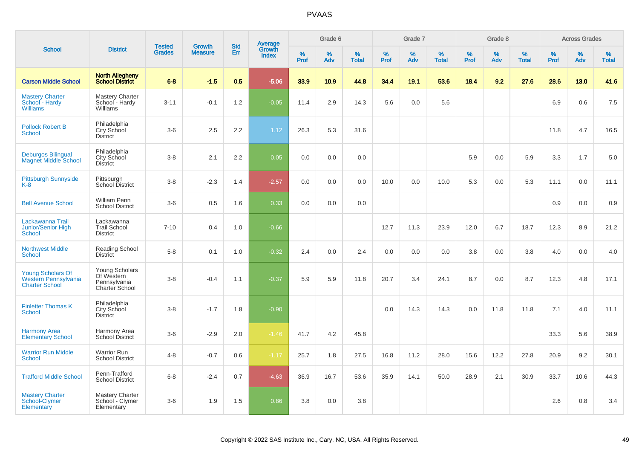|                                                                           |                                                                | <b>Tested</b> | <b>Growth</b>  | <b>Std</b> |                                          |                  | Grade 6     |                   |              | Grade 7  |                   |              | Grade 8  |                   |           | <b>Across Grades</b> |                   |
|---------------------------------------------------------------------------|----------------------------------------------------------------|---------------|----------------|------------|------------------------------------------|------------------|-------------|-------------------|--------------|----------|-------------------|--------------|----------|-------------------|-----------|----------------------|-------------------|
| <b>School</b>                                                             | <b>District</b>                                                | <b>Grades</b> | <b>Measure</b> | Err        | <b>Average</b><br>Growth<br><b>Index</b> | %<br><b>Prof</b> | $\%$<br>Adv | %<br><b>Total</b> | $\%$<br>Prof | %<br>Adv | %<br><b>Total</b> | $\%$<br>Prof | %<br>Adv | %<br><b>Total</b> | %<br>Prof | %<br>Adv             | %<br><b>Total</b> |
| <b>Carson Middle School</b>                                               | <b>North Allegheny</b><br><b>School District</b>               | $6 - 8$       | $-1.5$         | 0.5        | $-5.06$                                  | 33.9             | 10.9        | 44.8              | 34.4         | 19.1     | 53.6              | 18.4         | 9.2      | 27.6              | 28.6      | 13.0                 | 41.6              |
| <b>Mastery Charter</b><br>School - Hardy<br><b>Williams</b>               | <b>Mastery Charter</b><br>School - Hardy<br>Williams           | $3 - 11$      | $-0.1$         | 1.2        | $-0.05$                                  | 11.4             | 2.9         | 14.3              | 5.6          | 0.0      | 5.6               |              |          |                   | 6.9       | 0.6                  | 7.5               |
| <b>Pollock Robert B</b><br><b>School</b>                                  | Philadelphia<br><b>City School</b><br><b>District</b>          | $3-6$         | 2.5            | 2.2        | 1.12                                     | 26.3             | 5.3         | 31.6              |              |          |                   |              |          |                   | 11.8      | 4.7                  | 16.5              |
| <b>Deburgos Bilingual</b><br><b>Magnet Middle School</b>                  | Philadelphia<br>City School<br><b>District</b>                 | $3-8$         | 2.1            | 2.2        | 0.05                                     | 0.0              | 0.0         | 0.0               |              |          |                   | 5.9          | 0.0      | 5.9               | 3.3       | 1.7                  | 5.0               |
| <b>Pittsburgh Sunnyside</b><br>$K-8$                                      | Pittsburgh<br>School District                                  | $3 - 8$       | $-2.3$         | 1.4        | $-2.57$                                  | 0.0              | 0.0         | 0.0               | 10.0         | 0.0      | 10.0              | 5.3          | 0.0      | 5.3               | 11.1      | 0.0                  | 11.1              |
| <b>Bell Avenue School</b>                                                 | <b>William Penn</b><br><b>School District</b>                  | $3-6$         | 0.5            | 1.6        | 0.33                                     | 0.0              | 0.0         | 0.0               |              |          |                   |              |          |                   | 0.9       | 0.0                  | 0.9               |
| Lackawanna Trail<br>Junior/Senior High<br>School                          | Lackawanna<br><b>Trail School</b><br><b>District</b>           | $7 - 10$      | 0.4            | 1.0        | $-0.66$                                  |                  |             |                   | 12.7         | 11.3     | 23.9              | 12.0         | 6.7      | 18.7              | 12.3      | 8.9                  | 21.2              |
| <b>Northwest Middle</b><br><b>School</b>                                  | Reading School<br><b>District</b>                              | $5 - 8$       | 0.1            | 1.0        | $-0.32$                                  | 2.4              | 0.0         | 2.4               | 0.0          | 0.0      | 0.0               | 3.8          | 0.0      | 3.8               | 4.0       | 0.0                  | 4.0               |
| <b>Young Scholars Of</b><br>Western Pennsylvania<br><b>Charter School</b> | Young Scholars<br>Of Western<br>Pennsylvania<br>Charter School | $3 - 8$       | $-0.4$         | 1.1        | $-0.37$                                  | 5.9              | 5.9         | 11.8              | 20.7         | 3.4      | 24.1              | 8.7          | 0.0      | 8.7               | 12.3      | 4.8                  | 17.1              |
| <b>Finletter Thomas K</b><br><b>School</b>                                | Philadelphia<br><b>City School</b><br><b>District</b>          | $3 - 8$       | $-1.7$         | 1.8        | $-0.90$                                  |                  |             |                   | 0.0          | 14.3     | 14.3              | 0.0          | 11.8     | 11.8              | 7.1       | 4.0                  | 11.1              |
| <b>Harmony Area</b><br><b>Elementary School</b>                           | Harmony Area<br>School District                                | $3-6$         | $-2.9$         | 2.0        | $-1.46$                                  | 41.7             | 4.2         | 45.8              |              |          |                   |              |          |                   | 33.3      | 5.6                  | 38.9              |
| <b>Warrior Run Middle</b><br><b>School</b>                                | <b>Warrior Run</b><br><b>School District</b>                   | $4 - 8$       | $-0.7$         | 0.6        | $-1.17$                                  | 25.7             | 1.8         | 27.5              | 16.8         | 11.2     | 28.0              | 15.6         | 12.2     | 27.8              | 20.9      | 9.2                  | 30.1              |
| <b>Trafford Middle School</b>                                             | Penn-Trafford<br><b>School District</b>                        | $6 - 8$       | $-2.4$         | 0.7        | $-4.63$                                  | 36.9             | 16.7        | 53.6              | 35.9         | 14.1     | 50.0              | 28.9         | 2.1      | 30.9              | 33.7      | 10.6                 | 44.3              |
| <b>Mastery Charter</b><br>School-Clymer<br>Elementary                     | <b>Mastery Charter</b><br>School - Clymer<br>Elementary        | $3-6$         | 1.9            | 1.5        | 0.86                                     | 3.8              | 0.0         | 3.8               |              |          |                   |              |          |                   | 2.6       | 0.8                  | 3.4               |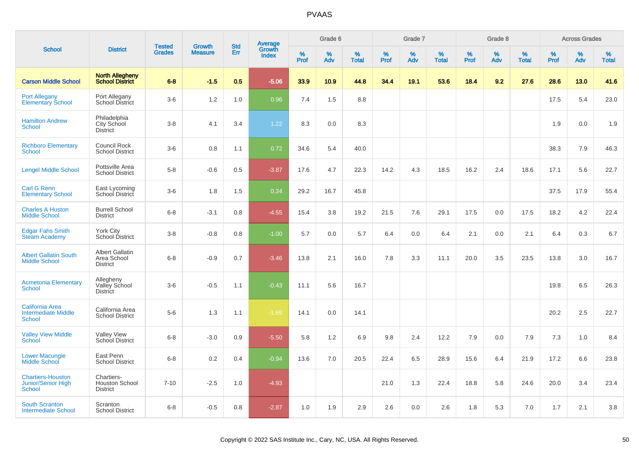|                                                                       |                                                          | <b>Tested</b> | <b>Growth</b>  | <b>Std</b> |                                          |           | Grade 6  |                   |           | Grade 7  |                   |           | Grade 8  |                   |           | <b>Across Grades</b> |                   |
|-----------------------------------------------------------------------|----------------------------------------------------------|---------------|----------------|------------|------------------------------------------|-----------|----------|-------------------|-----------|----------|-------------------|-----------|----------|-------------------|-----------|----------------------|-------------------|
| <b>School</b>                                                         | <b>District</b>                                          | <b>Grades</b> | <b>Measure</b> | Err        | <b>Average</b><br>Growth<br><b>Index</b> | %<br>Prof | %<br>Adv | %<br><b>Total</b> | %<br>Prof | %<br>Adv | %<br><b>Total</b> | %<br>Prof | %<br>Adv | %<br><b>Total</b> | %<br>Prof | %<br>Adv             | %<br><b>Total</b> |
| <b>Carson Middle School</b>                                           | <b>North Allegheny</b><br><b>School District</b>         | $6 - 8$       | $-1.5$         | 0.5        | $-5.06$                                  | 33.9      | 10.9     | 44.8              | 34.4      | 19.1     | 53.6              | 18.4      | 9.2      | 27.6              | 28.6      | 13.0                 | 41.6              |
| <b>Port Allegany</b><br><b>Elementary School</b>                      | Port Allegany<br>School District                         | $3-6$         | 1.2            | 1.0        | 0.96                                     | 7.4       | 1.5      | 8.8               |           |          |                   |           |          |                   | 17.5      | 5.4                  | 23.0              |
| <b>Hamilton Andrew</b><br><b>School</b>                               | Philadelphia<br>City School<br><b>District</b>           | $3-8$         | 4.1            | 3.4        | 1.22                                     | 8.3       | 0.0      | 8.3               |           |          |                   |           |          |                   | 1.9       | 0.0                  | 1.9               |
| <b>Richboro Elementary</b><br><b>School</b>                           | Council Rock<br><b>School District</b>                   | $3-6$         | 0.8            | 1.1        | 0.72                                     | 34.6      | 5.4      | 40.0              |           |          |                   |           |          |                   | 38.3      | 7.9                  | 46.3              |
| <b>Lengel Middle School</b>                                           | Pottsville Area<br><b>School District</b>                | $5-8$         | $-0.6$         | 0.5        | $-3.87$                                  | 17.6      | 4.7      | 22.3              | 14.2      | 4.3      | 18.5              | 16.2      | 2.4      | 18.6              | 17.1      | 5.6                  | 22.7              |
| <b>Carl G Renn</b><br><b>Elementary School</b>                        | East Lycoming<br>School District                         | $3-6$         | 1.8            | 1.5        | 0.24                                     | 29.2      | 16.7     | 45.8              |           |          |                   |           |          |                   | 37.5      | 17.9                 | 55.4              |
| <b>Charles A Huston</b><br><b>Middle School</b>                       | <b>Burrell School</b><br><b>District</b>                 | $6 - 8$       | $-3.1$         | 0.8        | $-4.55$                                  | 15.4      | 3.8      | 19.2              | 21.5      | 7.6      | 29.1              | 17.5      | 0.0      | 17.5              | 18.2      | 4.2                  | 22.4              |
| <b>Edgar Fahs Smith</b><br><b>Steam Academy</b>                       | <b>York City</b><br>School District                      | $3 - 8$       | $-0.8$         | 0.8        | $-1.00$                                  | 5.7       | 0.0      | 5.7               | 6.4       | 0.0      | 6.4               | 2.1       | 0.0      | 2.1               | 6.4       | 0.3                  | 6.7               |
| <b>Albert Gallatin South</b><br><b>Middle School</b>                  | <b>Albert Gallatin</b><br>Area School<br><b>District</b> | $6 - 8$       | $-0.9$         | 0.7        | $-3.46$                                  | 13.8      | 2.1      | 16.0              | 7.8       | 3.3      | 11.1              | 20.0      | 3.5      | 23.5              | 13.8      | 3.0                  | 16.7              |
| <b>Acmetonia Elementary</b><br><b>School</b>                          | Allegheny<br>Valley School<br><b>District</b>            | $3-6$         | $-0.5$         | 1.1        | $-0.43$                                  | 11.1      | 5.6      | 16.7              |           |          |                   |           |          |                   | 19.8      | 6.5                  | 26.3              |
| <b>California Area</b><br><b>Intermediate Middle</b><br><b>School</b> | California Area<br><b>School District</b>                | $5-6$         | 1.3            | 1.1        | $-1.69$                                  | 14.1      | 0.0      | 14.1              |           |          |                   |           |          |                   | 20.2      | 2.5                  | 22.7              |
| <b>Valley View Middle</b><br><b>School</b>                            | <b>Valley View</b><br>School District                    | $6 - 8$       | $-3.0$         | 0.9        | $-5.50$                                  | 5.8       | 1.2      | 6.9               | 9.8       | 2.4      | 12.2              | 7.9       | 0.0      | 7.9               | 7.3       | 1.0                  | 8.4               |
| <b>Lower Macungie</b><br>Middle School                                | East Penn<br><b>School District</b>                      | $6 - 8$       | 0.2            | 0.4        | $-0.94$                                  | 13.6      | 7.0      | 20.5              | 22.4      | 6.5      | 28.9              | 15.6      | 6.4      | 21.9              | 17.2      | 6.6                  | 23.8              |
| <b>Chartiers-Houston</b><br><b>Junior/Senior High</b><br>School       | Chartiers-<br><b>Houston School</b><br><b>District</b>   | $7 - 10$      | $-2.5$         | 1.0        | $-4.93$                                  |           |          |                   | 21.0      | 1.3      | 22.4              | 18.8      | 5.8      | 24.6              | 20.0      | 3.4                  | 23.4              |
| <b>South Scranton</b><br><b>Intermediate School</b>                   | Scranton<br><b>School District</b>                       | $6 - 8$       | $-0.5$         | 0.8        | $-2.87$                                  | 1.0       | 1.9      | 2.9               | 2.6       | 0.0      | 2.6               | 1.8       | 5.3      | 7.0               | 1.7       | 2.1                  | 3.8               |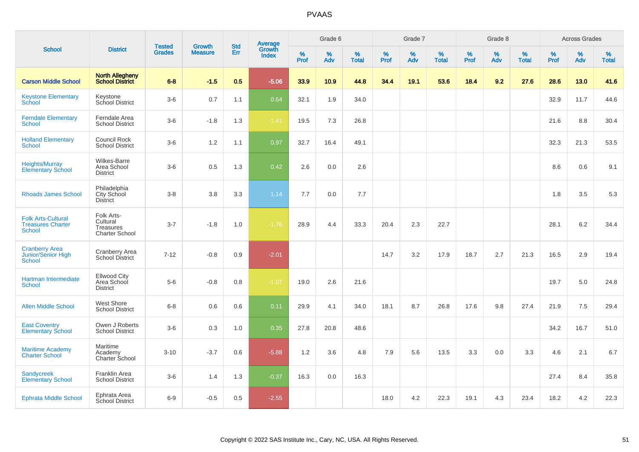| <b>School</b>                                                          |                                                              |                                |                                 | <b>Std</b> |                                          |              | Grade 6     |                      |              | Grade 7     |                   |              | Grade 8     |                   |              | <b>Across Grades</b> |                   |
|------------------------------------------------------------------------|--------------------------------------------------------------|--------------------------------|---------------------------------|------------|------------------------------------------|--------------|-------------|----------------------|--------------|-------------|-------------------|--------------|-------------|-------------------|--------------|----------------------|-------------------|
|                                                                        | <b>District</b>                                              | <b>Tested</b><br><b>Grades</b> | <b>Growth</b><br><b>Measure</b> | Err        | <b>Average</b><br>Growth<br><b>Index</b> | $\%$<br>Prof | $\%$<br>Adv | $\%$<br><b>Total</b> | $\%$<br>Prof | $\%$<br>Adv | %<br><b>Total</b> | $\%$<br>Prof | $\%$<br>Adv | %<br><b>Total</b> | $\%$<br>Prof | $\%$<br>Adv          | %<br><b>Total</b> |
| <b>Carson Middle School</b>                                            | <b>North Allegheny</b><br><b>School District</b>             | $6 - 8$                        | $-1.5$                          | 0.5        | $-5.06$                                  | 33.9         | 10.9        | 44.8                 | 34.4         | 19.1        | 53.6              | 18.4         | 9.2         | 27.6              | 28.6         | 13.0                 | 41.6              |
| <b>Keystone Elementary</b><br>School                                   | Keystone<br>School District                                  | $3-6$                          | 0.7                             | 1.1        | 0.64                                     | 32.1         | 1.9         | 34.0                 |              |             |                   |              |             |                   | 32.9         | 11.7                 | 44.6              |
| <b>Ferndale Elementary</b><br><b>School</b>                            | Ferndale Area<br><b>School District</b>                      | $3-6$                          | $-1.8$                          | 1.3        | $-1.41$                                  | 19.5         | 7.3         | 26.8                 |              |             |                   |              |             |                   | 21.6         | 8.8                  | 30.4              |
| <b>Holland Elementary</b><br><b>School</b>                             | Council Rock<br><b>School District</b>                       | $3-6$                          | 1.2                             | 1.1        | 0.97                                     | 32.7         | 16.4        | 49.1                 |              |             |                   |              |             |                   | 32.3         | 21.3                 | 53.5              |
| <b>Heights/Murray</b><br><b>Elementary School</b>                      | Wilkes-Barre<br>Area School<br><b>District</b>               | $3-6$                          | 0.5                             | 1.3        | 0.42                                     | 2.6          | 0.0         | 2.6                  |              |             |                   |              |             |                   | 8.6          | 0.6                  | 9.1               |
| <b>Rhoads James School</b>                                             | Philadelphia<br>City School<br>District                      | $3 - 8$                        | 3.8                             | 3.3        | 1.14                                     | 7.7          | 0.0         | 7.7                  |              |             |                   |              |             |                   | 1.8          | 3.5                  | 5.3               |
| <b>Folk Arts-Cultural</b><br><b>Treasures Charter</b><br><b>School</b> | Folk Arts-<br>Cultural<br>Treasures<br><b>Charter School</b> | $3 - 7$                        | $-1.8$                          | 1.0        | $-1.76$                                  | 28.9         | 4.4         | 33.3                 | 20.4         | 2.3         | 22.7              |              |             |                   | 28.1         | 6.2                  | 34.4              |
| <b>Cranberry Area</b><br><b>Junior/Senior High</b><br><b>School</b>    | <b>Cranberry Area</b><br><b>School District</b>              | $7 - 12$                       | $-0.8$                          | 0.9        | $-2.01$                                  |              |             |                      | 14.7         | 3.2         | 17.9              | 18.7         | 2.7         | 21.3              | 16.5         | 2.9                  | 19.4              |
| Hartman Intermediate<br><b>School</b>                                  | <b>Ellwood City</b><br>Area School<br><b>District</b>        | $5-6$                          | $-0.8$                          | 0.8        | $-1.07$                                  | 19.0         | 2.6         | 21.6                 |              |             |                   |              |             |                   | 19.7         | 5.0                  | 24.8              |
| <b>Allen Middle School</b>                                             | <b>West Shore</b><br><b>School District</b>                  | $6-8$                          | 0.6                             | 0.6        | 0.11                                     | 29.9         | 4.1         | 34.0                 | 18.1         | 8.7         | 26.8              | 17.6         | 9.8         | 27.4              | 21.9         | 7.5                  | 29.4              |
| <b>East Coventry</b><br><b>Elementary School</b>                       | Owen J Roberts<br><b>School District</b>                     | $3-6$                          | 0.3                             | 1.0        | 0.35                                     | 27.8         | 20.8        | 48.6                 |              |             |                   |              |             |                   | 34.2         | 16.7                 | 51.0              |
| <b>Maritime Academy</b><br><b>Charter School</b>                       | Maritime<br>Academy<br>Charter School                        | $3 - 10$                       | $-3.7$                          | 0.6        | $-5.88$                                  | 1.2          | 3.6         | 4.8                  | 7.9          | 5.6         | 13.5              | 3.3          | 0.0         | 3.3               | 4.6          | 2.1                  | 6.7               |
| <b>Sandycreek</b><br><b>Elementary School</b>                          | Franklin Area<br><b>School District</b>                      | $3-6$                          | 1.4                             | 1.3        | $-0.37$                                  | 16.3         | 0.0         | 16.3                 |              |             |                   |              |             |                   | 27.4         | 8.4                  | 35.8              |
| <b>Ephrata Middle School</b>                                           | Ephrata Area<br><b>School District</b>                       | $6-9$                          | $-0.5$                          | 0.5        | $-2.55$                                  |              |             |                      | 18.0         | 4.2         | 22.3              | 19.1         | 4.3         | 23.4              | 18.2         | 4.2                  | 22.3              |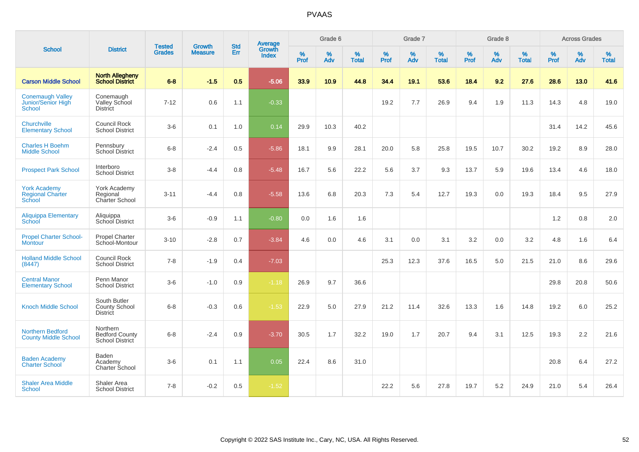|                                                                |                                                         |                                |                          | <b>Std</b> |                                          |                  | Grade 6  |                   |                  | Grade 7  |                   |           | Grade 8  |                   |                     | <b>Across Grades</b> |                   |
|----------------------------------------------------------------|---------------------------------------------------------|--------------------------------|--------------------------|------------|------------------------------------------|------------------|----------|-------------------|------------------|----------|-------------------|-----------|----------|-------------------|---------------------|----------------------|-------------------|
| <b>School</b>                                                  | <b>District</b>                                         | <b>Tested</b><br><b>Grades</b> | Growth<br><b>Measure</b> | Err        | <b>Average</b><br>Growth<br><b>Index</b> | %<br><b>Prof</b> | %<br>Adv | %<br><b>Total</b> | %<br><b>Prof</b> | %<br>Adv | %<br><b>Total</b> | %<br>Prof | %<br>Adv | %<br><b>Total</b> | $\%$<br><b>Prof</b> | %<br>Adv             | %<br><b>Total</b> |
| <b>Carson Middle School</b>                                    | <b>North Allegheny</b><br><b>School District</b>        | $6 - 8$                        | $-1.5$                   | 0.5        | $-5.06$                                  | 33.9             | 10.9     | 44.8              | 34.4             | 19.1     | 53.6              | 18.4      | 9.2      | 27.6              | 28.6                | 13.0                 | 41.6              |
| <b>Conemaugh Valley</b><br><b>Junior/Senior High</b><br>School | Conemaugh<br>Valley School<br><b>District</b>           | $7 - 12$                       | 0.6                      | 1.1        | $-0.33$                                  |                  |          |                   | 19.2             | 7.7      | 26.9              | 9.4       | 1.9      | 11.3              | 14.3                | 4.8                  | 19.0              |
| Churchville<br><b>Elementary School</b>                        | Council Rock<br><b>School District</b>                  | $3-6$                          | 0.1                      | 1.0        | 0.14                                     | 29.9             | 10.3     | 40.2              |                  |          |                   |           |          |                   | 31.4                | 14.2                 | 45.6              |
| <b>Charles H Boehm</b><br><b>Middle School</b>                 | Pennsbury<br><b>School District</b>                     | $6 - 8$                        | $-2.4$                   | $0.5\,$    | $-5.86$                                  | 18.1             | $9.9\,$  | 28.1              | 20.0             | 5.8      | 25.8              | 19.5      | 10.7     | 30.2              | 19.2                | 8.9                  | 28.0              |
| <b>Prospect Park School</b>                                    | Interboro<br><b>School District</b>                     | $3-8$                          | -4.4                     | 0.8        | $-5.48$                                  | 16.7             | 5.6      | 22.2              | 5.6              | 3.7      | 9.3               | 13.7      | 5.9      | 19.6              | 13.4                | 4.6                  | 18.0              |
| <b>York Academy</b><br><b>Regional Charter</b><br>School       | York Academy<br>Regional<br><b>Charter School</b>       | $3 - 11$                       | $-4.4$                   | 0.8        | $-5.58$                                  | 13.6             | 6.8      | 20.3              | 7.3              | 5.4      | 12.7              | 19.3      | 0.0      | 19.3              | 18.4                | 9.5                  | 27.9              |
| <b>Aliquippa Elementary</b><br>School                          | Aliquippa<br>School District                            | $3-6$                          | $-0.9$                   | 1.1        | $-0.80$                                  | 0.0              | 1.6      | 1.6               |                  |          |                   |           |          |                   | 1.2                 | 0.8                  | 2.0               |
| <b>Propel Charter School-</b><br><b>Montour</b>                | <b>Propel Charter</b><br>School-Montour                 | $3 - 10$                       | $-2.8$                   | 0.7        | $-3.84$                                  | 4.6              | 0.0      | 4.6               | 3.1              | 0.0      | 3.1               | 3.2       | 0.0      | 3.2               | 4.8                 | 1.6                  | 6.4               |
| <b>Holland Middle School</b><br>(8447)                         | Council Rock<br><b>School District</b>                  | $7 - 8$                        | $-1.9$                   | 0.4        | $-7.03$                                  |                  |          |                   | 25.3             | 12.3     | 37.6              | 16.5      | 5.0      | 21.5              | 21.0                | 8.6                  | 29.6              |
| <b>Central Manor</b><br><b>Elementary School</b>               | Penn Manor<br><b>School District</b>                    | $3-6$                          | $-1.0$                   | 0.9        | $-1.18$                                  | 26.9             | 9.7      | 36.6              |                  |          |                   |           |          |                   | 29.8                | 20.8                 | 50.6              |
| <b>Knoch Middle School</b>                                     | South Butler<br><b>County School</b><br><b>District</b> | $6 - 8$                        | $-0.3$                   | 0.6        | $-1.53$                                  | 22.9             | 5.0      | 27.9              | 21.2             | 11.4     | 32.6              | 13.3      | 1.6      | 14.8              | 19.2                | 6.0                  | 25.2              |
| <b>Northern Bedford</b><br><b>County Middle School</b>         | Northern<br><b>Bedford County</b><br>School District    | $6 - 8$                        | $-2.4$                   | 0.9        | $-3.70$                                  | 30.5             | 1.7      | 32.2              | 19.0             | 1.7      | 20.7              | 9.4       | 3.1      | 12.5              | 19.3                | 2.2                  | 21.6              |
| <b>Baden Academy</b><br><b>Charter School</b>                  | Baden<br>Academy<br>Charter School                      | $3-6$                          | 0.1                      | 1.1        | 0.05                                     | 22.4             | 8.6      | 31.0              |                  |          |                   |           |          |                   | 20.8                | 6.4                  | 27.2              |
| <b>Shaler Area Middle</b><br>School                            | Shaler Area<br><b>School District</b>                   | $7 - 8$                        | $-0.2$                   | 0.5        | $-1.52$                                  |                  |          |                   | 22.2             | 5.6      | 27.8              | 19.7      | 5.2      | 24.9              | 21.0                | 5.4                  | 26.4              |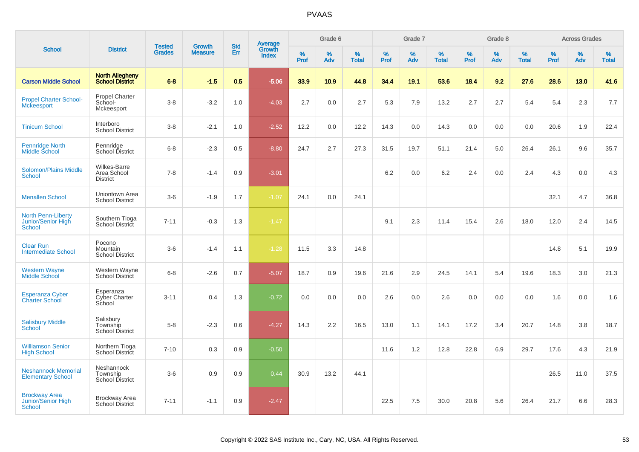|                                                                  |                                                  |                                |                                 | <b>Std</b> |                                          |                  | Grade 6  |                   |           | Grade 7  |                   |           | Grade 8  |                   |           | <b>Across Grades</b> |                   |
|------------------------------------------------------------------|--------------------------------------------------|--------------------------------|---------------------------------|------------|------------------------------------------|------------------|----------|-------------------|-----------|----------|-------------------|-----------|----------|-------------------|-----------|----------------------|-------------------|
| <b>School</b>                                                    | <b>District</b>                                  | <b>Tested</b><br><b>Grades</b> | <b>Growth</b><br><b>Measure</b> | Err        | <b>Average</b><br>Growth<br><b>Index</b> | %<br><b>Prof</b> | %<br>Adv | %<br><b>Total</b> | %<br>Prof | %<br>Adv | %<br><b>Total</b> | %<br>Prof | %<br>Adv | %<br><b>Total</b> | %<br>Prof | %<br>Adv             | %<br><b>Total</b> |
| <b>Carson Middle School</b>                                      | <b>North Allegheny</b><br><b>School District</b> | $6 - 8$                        | $-1.5$                          | 0.5        | $-5.06$                                  | 33.9             | 10.9     | 44.8              | 34.4      | 19.1     | 53.6              | 18.4      | 9.2      | 27.6              | 28.6      | 13.0                 | 41.6              |
| <b>Propel Charter School-</b><br><b>Mckeesport</b>               | <b>Propel Charter</b><br>School-<br>Mckeesport   | $3 - 8$                        | $-3.2$                          | 1.0        | $-4.03$                                  | 2.7              | 0.0      | 2.7               | 5.3       | 7.9      | 13.2              | 2.7       | 2.7      | 5.4               | 5.4       | 2.3                  | 7.7               |
| <b>Tinicum School</b>                                            | Interboro<br><b>School District</b>              | $3-8$                          | $-2.1$                          | 1.0        | $-2.52$                                  | 12.2             | 0.0      | 12.2              | 14.3      | 0.0      | 14.3              | 0.0       | 0.0      | 0.0               | 20.6      | 1.9                  | 22.4              |
| Pennridge North<br>Middle School                                 | Pennridge<br>School District                     | $6 - 8$                        | $-2.3$                          | 0.5        | $-8.80$                                  | 24.7             | 2.7      | 27.3              | 31.5      | 19.7     | 51.1              | 21.4      | $5.0\,$  | 26.4              | 26.1      | 9.6                  | 35.7              |
| <b>Solomon/Plains Middle</b><br><b>School</b>                    | Wilkes-Barre<br>Area School<br><b>District</b>   | $7 - 8$                        | $-1.4$                          | 0.9        | $-3.01$                                  |                  |          |                   | 6.2       | 0.0      | 6.2               | 2.4       | 0.0      | 2.4               | 4.3       | 0.0                  | 4.3               |
| <b>Menallen School</b>                                           | Uniontown Area<br><b>School District</b>         | $3-6$                          | $-1.9$                          | 1.7        | $-1.07$                                  | 24.1             | 0.0      | 24.1              |           |          |                   |           |          |                   | 32.1      | 4.7                  | 36.8              |
| <b>North Penn-Liberty</b><br>Junior/Senior High<br><b>School</b> | Southern Tioga<br>School District                | $7 - 11$                       | $-0.3$                          | 1.3        | $-1.47$                                  |                  |          |                   | 9.1       | 2.3      | 11.4              | 15.4      | 2.6      | 18.0              | 12.0      | 2.4                  | 14.5              |
| <b>Clear Run</b><br><b>Intermediate School</b>                   | Pocono<br>Mountain<br><b>School District</b>     | $3-6$                          | $-1.4$                          | 1.1        | $-1.28$                                  | 11.5             | 3.3      | 14.8              |           |          |                   |           |          |                   | 14.8      | 5.1                  | 19.9              |
| <b>Western Wayne</b><br><b>Middle School</b>                     | Western Wayne<br><b>School District</b>          | $6 - 8$                        | $-2.6$                          | 0.7        | $-5.07$                                  | 18.7             | 0.9      | 19.6              | 21.6      | 2.9      | 24.5              | 14.1      | 5.4      | 19.6              | 18.3      | 3.0                  | 21.3              |
| <b>Esperanza Cyber</b><br><b>Charter School</b>                  | Esperanza<br><b>Cyber Charter</b><br>School      | $3 - 11$                       | 0.4                             | 1.3        | $-0.72$                                  | 0.0              | 0.0      | 0.0               | 2.6       | 0.0      | 2.6               | 0.0       | 0.0      | 0.0               | 1.6       | 0.0                  | 1.6               |
| <b>Salisbury Middle</b><br>School                                | Salisbury<br>Township<br><b>School District</b>  | $5 - 8$                        | $-2.3$                          | 0.6        | $-4.27$                                  | 14.3             | 2.2      | 16.5              | 13.0      | 1.1      | 14.1              | 17.2      | 3.4      | 20.7              | 14.8      | 3.8                  | 18.7              |
| <b>Williamson Senior</b><br><b>High School</b>                   | Northern Tioga<br>School District                | $7 - 10$                       | 0.3                             | 0.9        | $-0.50$                                  |                  |          |                   | 11.6      | 1.2      | 12.8              | 22.8      | 6.9      | 29.7              | 17.6      | 4.3                  | 21.9              |
| <b>Neshannock Memorial</b><br><b>Elementary School</b>           | Neshannock<br>Township<br><b>School District</b> | $3-6$                          | 0.9                             | 0.9        | 0.44                                     | 30.9             | 13.2     | 44.1              |           |          |                   |           |          |                   | 26.5      | 11.0                 | 37.5              |
| <b>Brockway Area</b><br>Junior/Senior High<br><b>School</b>      | <b>Brockway Area</b><br><b>School District</b>   | $7 - 11$                       | $-1.1$                          | 0.9        | $-2.47$                                  |                  |          |                   | 22.5      | 7.5      | 30.0              | 20.8      | 5.6      | 26.4              | 21.7      | 6.6                  | 28.3              |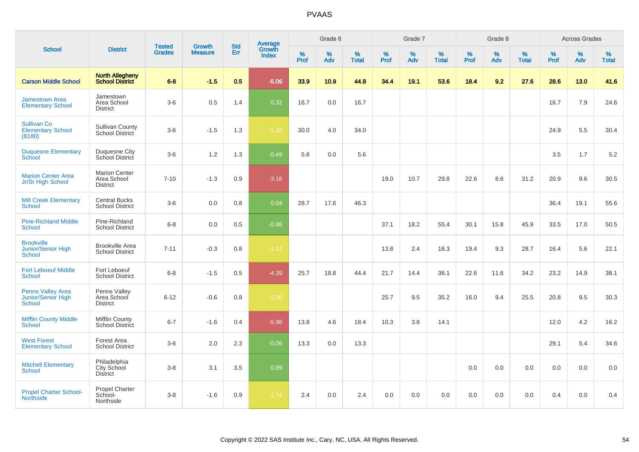|                                                          |                                                        |                                |                                 | <b>Std</b> |                                          |                  | Grade 6  |                   |           | Grade 7  |                   |           | Grade 8  |                   |           | <b>Across Grades</b> |                   |
|----------------------------------------------------------|--------------------------------------------------------|--------------------------------|---------------------------------|------------|------------------------------------------|------------------|----------|-------------------|-----------|----------|-------------------|-----------|----------|-------------------|-----------|----------------------|-------------------|
| <b>School</b>                                            | <b>District</b>                                        | <b>Tested</b><br><b>Grades</b> | <b>Growth</b><br><b>Measure</b> | Err        | <b>Average</b><br>Growth<br><b>Index</b> | %<br><b>Prof</b> | %<br>Adv | %<br><b>Total</b> | %<br>Prof | %<br>Adv | %<br><b>Total</b> | %<br>Prof | %<br>Adv | %<br><b>Total</b> | %<br>Prof | %<br>Adv             | %<br><b>Total</b> |
| <b>Carson Middle School</b>                              | <b>North Allegheny</b><br><b>School District</b>       | $6-8$                          | $-1.5$                          | 0.5        | $-5.06$                                  | 33.9             | 10.9     | 44.8              | 34.4      | 19.1     | 53.6              | 18.4      | 9.2      | 27.6              | 28.6      | 13.0                 | 41.6              |
| <b>Jamestown Area</b><br><b>Elementary School</b>        | Jamestown<br>Area School<br><b>District</b>            | $3-6$                          | 0.5                             | 1.4        | 0.32                                     | 16.7             | 0.0      | 16.7              |           |          |                   |           |          |                   | 16.7      | 7.9                  | 24.6              |
| <b>Sullivan Co</b><br><b>Elementary School</b><br>(8180) | <b>Sullivan County</b><br>School District              | $3-6$                          | $-1.5$                          | 1.3        | $-1.16$                                  | 30.0             | 4.0      | 34.0              |           |          |                   |           |          |                   | 24.9      | 5.5                  | 30.4              |
| <b>Duquesne Elementary</b><br>School                     | Duquesne City<br>School District                       | $3-6$                          | 1.2                             | 1.3        | $-0.49$                                  | 5.6              | 0.0      | 5.6               |           |          |                   |           |          |                   | 3.5       | 1.7                  | 5.2               |
| <b>Marion Center Area</b><br>Jr/Sr High School           | <b>Marion Center</b><br>Area School<br><b>District</b> | $7 - 10$                       | $-1.3$                          | 0.9        | $-3.16$                                  |                  |          |                   | 19.0      | 10.7     | 29.8              | 22.6      | 8.6      | 31.2              | 20.9      | 9.6                  | 30.5              |
| <b>Mill Creek Elementary</b><br><b>School</b>            | <b>Central Bucks</b><br><b>School District</b>         | $3-6$                          | 0.0                             | 0.8        | 0.04                                     | 28.7             | 17.6     | 46.3              |           |          |                   |           |          |                   | 36.4      | 19.1                 | 55.6              |
| <b>Pine-Richland Middle</b><br><b>School</b>             | Pine-Richland<br><b>School District</b>                | $6-8$                          | 0.0                             | 0.5        | $-0.86$                                  |                  |          |                   | 37.1      | 18.2     | 55.4              | 30.1      | 15.8     | 45.9              | 33.5      | 17.0                 | 50.5              |
| <b>Brookville</b><br>Junior/Senior High<br><b>School</b> | <b>Brookville Area</b><br><b>School District</b>       | $7 - 11$                       | $-0.3$                          | 0.8        | $-1.37$                                  |                  |          |                   | 13.8      | 2.4      | 16.3              | 19.4      | 9.3      | 28.7              | 16.4      | 5.6                  | 22.1              |
| <b>Fort Leboeuf Middle</b><br><b>School</b>              | Fort Leboeuf<br><b>School District</b>                 | $6 - 8$                        | $-1.5$                          | 0.5        | $-4.39$                                  | 25.7             | 18.8     | 44.4              | 21.7      | 14.4     | 36.1              | 22.6      | 11.6     | 34.2              | 23.2      | 14.9                 | 38.1              |
| <b>Penns Valley Area</b><br>Junior/Senior High<br>School | Penns Valley<br>Area School<br><b>District</b>         | $6 - 12$                       | $-0.6$                          | 0.8        | $-2.00$                                  |                  |          |                   | 25.7      | 9.5      | 35.2              | 16.0      | 9.4      | 25.5              | 20.8      | 9.5                  | 30.3              |
| <b>Mifflin County Middle</b><br>School                   | Mifflin County<br><b>School District</b>               | $6 - 7$                        | $-1.6$                          | 0.4        | $-5.98$                                  | 13.8             | 4.6      | 18.4              | 10.3      | 3.8      | 14.1              |           |          |                   | 12.0      | 4.2                  | 16.2              |
| <b>West Forest</b><br><b>Elementary School</b>           | Forest Area<br><b>School District</b>                  | $3-6$                          | 2.0                             | 2.3        | $-0.06$                                  | 13.3             | 0.0      | 13.3              |           |          |                   |           |          |                   | 29.1      | 5.4                  | 34.6              |
| <b>Mitchell Elementary</b><br><b>School</b>              | Philadelphia<br>City School<br><b>District</b>         | $3-8$                          | 3.1                             | 3.5        | 0.89                                     |                  |          |                   |           |          |                   | 0.0       | 0.0      | 0.0               | 0.0       | 0.0                  | 0.0               |
| <b>Propel Charter School-</b><br><b>Northside</b>        | Propel Charter<br>School-<br>Northside                 | $3-8$                          | $-1.6$                          | 0.9        | $-1.74$                                  | 2.4              | 0.0      | 2.4               | 0.0       | 0.0      | 0.0               | 0.0       | 0.0      | 0.0               | 0.4       | 0.0                  | 0.4               |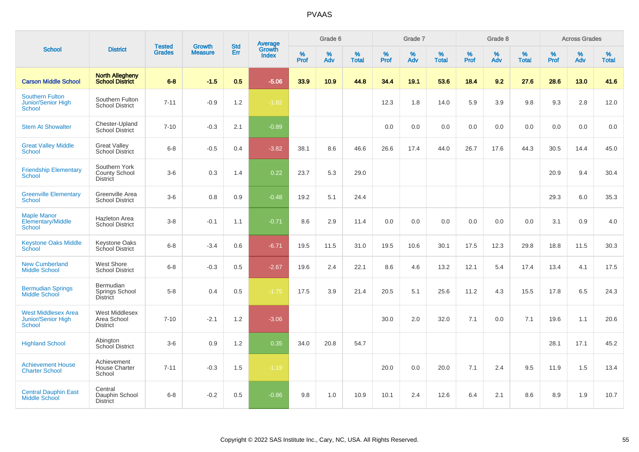|                                                                      |                                                   |                                |                                 | <b>Std</b> |                                          |           | Grade 6  |                   |           | Grade 7  |                   |                  | Grade 8  |                   |           | <b>Across Grades</b> |                   |
|----------------------------------------------------------------------|---------------------------------------------------|--------------------------------|---------------------------------|------------|------------------------------------------|-----------|----------|-------------------|-----------|----------|-------------------|------------------|----------|-------------------|-----------|----------------------|-------------------|
| <b>School</b>                                                        | <b>District</b>                                   | <b>Tested</b><br><b>Grades</b> | <b>Growth</b><br><b>Measure</b> | <b>Err</b> | <b>Average</b><br>Growth<br><b>Index</b> | %<br>Prof | %<br>Adv | %<br><b>Total</b> | %<br>Prof | %<br>Adv | %<br><b>Total</b> | %<br><b>Prof</b> | %<br>Adv | %<br><b>Total</b> | %<br>Prof | %<br>Adv             | %<br><b>Total</b> |
| <b>Carson Middle School</b>                                          | <b>North Allegheny</b><br><b>School District</b>  | $6 - 8$                        | $-1.5$                          | 0.5        | $-5.06$                                  | 33.9      | 10.9     | 44.8              | 34.4      | 19.1     | 53.6              | 18.4             | 9.2      | 27.6              | 28.6      | 13.0                 | 41.6              |
| <b>Southern Fulton</b><br><b>Junior/Senior High</b><br><b>School</b> | Southern Fulton<br><b>School District</b>         | $7 - 11$                       | $-0.9$                          | 1.2        | $-1.82$                                  |           |          |                   | 12.3      | 1.8      | 14.0              | 5.9              | 3.9      | 9.8               | 9.3       | 2.8                  | 12.0              |
| <b>Stem At Showalter</b>                                             | Chester-Upland<br><b>School District</b>          | $7 - 10$                       | $-0.3$                          | 2.1        | $-0.89$                                  |           |          |                   | 0.0       | 0.0      | 0.0               | 0.0              | 0.0      | 0.0               | 0.0       | 0.0                  | 0.0               |
| <b>Great Valley Middle</b><br>School                                 | <b>Great Valley</b><br><b>School District</b>     | $6 - 8$                        | $-0.5$                          | 0.4        | $-3.82$                                  | 38.1      | 8.6      | 46.6              | 26.6      | 17.4     | 44.0              | 26.7             | 17.6     | 44.3              | 30.5      | 14.4                 | 45.0              |
| <b>Friendship Elementary</b><br>School                               | Southern York<br>County School<br><b>District</b> | $3-6$                          | 0.3                             | 1.4        | 0.22                                     | 23.7      | 5.3      | 29.0              |           |          |                   |                  |          |                   | 20.9      | 9.4                  | 30.4              |
| <b>Greenville Elementary</b><br>School                               | Greenville Area<br><b>School District</b>         | $3-6$                          | 0.8                             | 0.9        | $-0.48$                                  | 19.2      | 5.1      | 24.4              |           |          |                   |                  |          |                   | 29.3      | 6.0                  | 35.3              |
| <b>Maple Manor</b><br>Elementary/Middle<br>School                    | Hazleton Area<br><b>School District</b>           | $3 - 8$                        | $-0.1$                          | 1.1        | $-0.71$                                  | 8.6       | 2.9      | 11.4              | 0.0       | 0.0      | 0.0               | 0.0              | 0.0      | 0.0               | 3.1       | 0.9                  | 4.0               |
| <b>Keystone Oaks Middle</b><br>School                                | <b>Keystone Oaks</b><br>School District           | $6 - 8$                        | $-3.4$                          | 0.6        | $-6.71$                                  | 19.5      | 11.5     | 31.0              | 19.5      | 10.6     | 30.1              | 17.5             | 12.3     | 29.8              | 18.8      | 11.5                 | 30.3              |
| <b>New Cumberland</b><br><b>Middle School</b>                        | West Shore<br><b>School District</b>              | $6 - 8$                        | $-0.3$                          | 0.5        | $-2.67$                                  | 19.6      | 2.4      | 22.1              | 8.6       | 4.6      | 13.2              | 12.1             | 5.4      | 17.4              | 13.4      | 4.1                  | 17.5              |
| <b>Bermudian Springs</b><br>Middle School                            | Bermudian<br>Springs School<br><b>District</b>    | $5-8$                          | 0.4                             | 0.5        | $-1.75$                                  | 17.5      | 3.9      | 21.4              | 20.5      | 5.1      | 25.6              | 11.2             | 4.3      | 15.5              | 17.8      | 6.5                  | 24.3              |
| <b>West Middlesex Area</b><br>Junior/Senior High<br><b>School</b>    | West Middlesex<br>Area School<br><b>District</b>  | $7 - 10$                       | $-2.1$                          | 1.2        | $-3.06$                                  |           |          |                   | 30.0      | 2.0      | 32.0              | 7.1              | 0.0      | 7.1               | 19.6      | 1.1                  | 20.6              |
| <b>Highland School</b>                                               | Abington<br>School District                       | $3-6$                          | 0.9                             | 1.2        | 0.35                                     | 34.0      | 20.8     | 54.7              |           |          |                   |                  |          |                   | 28.1      | 17.1                 | 45.2              |
| <b>Achievement House</b><br><b>Charter School</b>                    | Achievement<br><b>House Charter</b><br>School     | $7 - 11$                       | $-0.3$                          | 1.5        | $-1.19$                                  |           |          |                   | 20.0      | 0.0      | 20.0              | 7.1              | 2.4      | 9.5               | 11.9      | 1.5                  | 13.4              |
| <b>Central Dauphin East</b><br><b>Middle School</b>                  | Central<br>Dauphin School<br><b>District</b>      | $6 - 8$                        | $-0.2$                          | 0.5        | $-0.86$                                  | 9.8       | 1.0      | 10.9              | 10.1      | 2.4      | 12.6              | 6.4              | 2.1      | 8.6               | 8.9       | 1.9                  | 10.7              |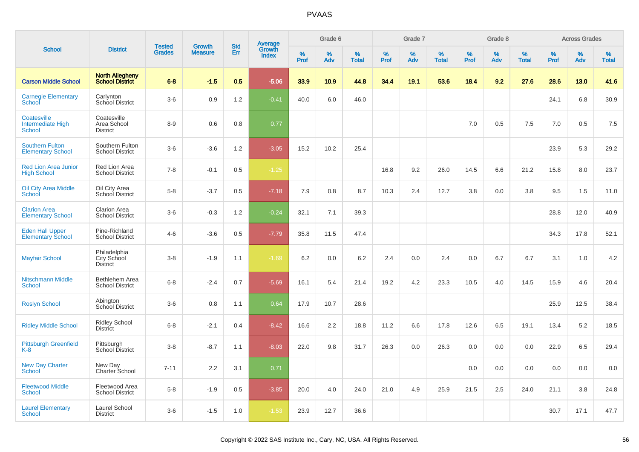|                                                          |                                                  |                                |                                 | <b>Std</b> |                                          |                  | Grade 6           |                   |           | Grade 7  |                   |           | Grade 8  |                   |           | <b>Across Grades</b> |                   |
|----------------------------------------------------------|--------------------------------------------------|--------------------------------|---------------------------------|------------|------------------------------------------|------------------|-------------------|-------------------|-----------|----------|-------------------|-----------|----------|-------------------|-----------|----------------------|-------------------|
| <b>School</b>                                            | <b>District</b>                                  | <b>Tested</b><br><b>Grades</b> | <b>Growth</b><br><b>Measure</b> | Err        | <b>Average</b><br>Growth<br><b>Index</b> | %<br><b>Prof</b> | %<br>Adv          | %<br><b>Total</b> | %<br>Prof | %<br>Adv | %<br><b>Total</b> | %<br>Prof | %<br>Adv | %<br><b>Total</b> | %<br>Prof | %<br>Adv             | %<br><b>Total</b> |
| <b>Carson Middle School</b>                              | <b>North Allegheny</b><br><b>School District</b> | $6 - 8$                        | $-1.5$                          | 0.5        | $-5.06$                                  | 33.9             | 10.9 <sub>2</sub> | 44.8              | 34.4      | 19.1     | 53.6              | 18.4      | 9.2      | 27.6              | 28.6      | 13.0                 | 41.6              |
| <b>Carnegie Elementary</b><br><b>School</b>              | Carlynton<br>School District                     | $3-6$                          | 0.9                             | 1.2        | $-0.41$                                  | 40.0             | 6.0               | 46.0              |           |          |                   |           |          |                   | 24.1      | 6.8                  | 30.9              |
| Coatesville<br><b>Intermediate High</b><br><b>School</b> | Coatesville<br>Area School<br><b>District</b>    | $8 - 9$                        | 0.6                             | 0.8        | 0.77                                     |                  |                   |                   |           |          |                   | 7.0       | 0.5      | 7.5               | 7.0       | 0.5                  | 7.5               |
| <b>Southern Fulton</b><br><b>Elementary School</b>       | Southern Fulton<br><b>School District</b>        | $3-6$                          | $-3.6$                          | 1.2        | $-3.05$                                  | 15.2             | 10.2              | 25.4              |           |          |                   |           |          |                   | 23.9      | 5.3                  | 29.2              |
| <b>Red Lion Area Junior</b><br><b>High School</b>        | Red Lion Area<br><b>School District</b>          | $7 - 8$                        | $-0.1$                          | 0.5        | $-1.25$                                  |                  |                   |                   | 16.8      | 9.2      | 26.0              | 14.5      | 6.6      | 21.2              | 15.8      | 8.0                  | 23.7              |
| <b>Oil City Area Middle</b><br>School                    | Oil City Area<br>School District                 | $5 - 8$                        | $-3.7$                          | 0.5        | $-7.18$                                  | 7.9              | 0.8               | 8.7               | 10.3      | 2.4      | 12.7              | 3.8       | 0.0      | 3.8               | 9.5       | 1.5                  | 11.0              |
| <b>Clarion Area</b><br><b>Elementary School</b>          | <b>Clarion Area</b><br><b>School District</b>    | $3-6$                          | $-0.3$                          | 1.2        | $-0.24$                                  | 32.1             | 7.1               | 39.3              |           |          |                   |           |          |                   | 28.8      | 12.0                 | 40.9              |
| <b>Eden Hall Upper</b><br><b>Elementary School</b>       | Pine-Richland<br><b>School District</b>          | $4 - 6$                        | $-3.6$                          | 0.5        | $-7.79$                                  | 35.8             | 11.5              | 47.4              |           |          |                   |           |          |                   | 34.3      | 17.8                 | 52.1              |
| <b>Mayfair School</b>                                    | Philadelphia<br>City School<br><b>District</b>   | $3 - 8$                        | $-1.9$                          | 1.1        | $-1.69$                                  | 6.2              | 0.0               | 6.2               | 2.4       | 0.0      | 2.4               | 0.0       | 6.7      | 6.7               | 3.1       | 1.0                  | 4.2               |
| <b>Nitschmann Middle</b><br>School                       | Bethlehem Area<br><b>School District</b>         | $6 - 8$                        | $-2.4$                          | 0.7        | $-5.69$                                  | 16.1             | 5.4               | 21.4              | 19.2      | 4.2      | 23.3              | 10.5      | 4.0      | 14.5              | 15.9      | 4.6                  | 20.4              |
| <b>Roslyn School</b>                                     | Abington<br><b>School District</b>               | $3-6$                          | 0.8                             | 1.1        | 0.64                                     | 17.9             | 10.7              | 28.6              |           |          |                   |           |          |                   | 25.9      | 12.5                 | 38.4              |
| <b>Ridley Middle School</b>                              | <b>Ridley School</b><br><b>District</b>          | $6 - 8$                        | $-2.1$                          | 0.4        | $-8.42$                                  | 16.6             | 2.2               | 18.8              | 11.2      | 6.6      | 17.8              | 12.6      | 6.5      | 19.1              | 13.4      | 5.2                  | 18.5              |
| <b>Pittsburgh Greenfield</b><br>$K-8$                    | Pittsburgh<br>School District                    | $3 - 8$                        | $-8.7$                          | 1.1        | $-8.03$                                  | 22.0             | 9.8               | 31.7              | 26.3      | 0.0      | 26.3              | 0.0       | 0.0      | 0.0               | 22.9      | 6.5                  | 29.4              |
| New Day Charter<br><b>School</b>                         | New Day<br>Charter School                        | $7 - 11$                       | 2.2                             | 3.1        | 0.71                                     |                  |                   |                   |           |          |                   | 0.0       | 0.0      | 0.0               | 0.0       | 0.0                  | 0.0               |
| <b>Fleetwood Middle</b><br><b>School</b>                 | Fleetwood Area<br><b>School District</b>         | $5-8$                          | $-1.9$                          | 0.5        | $-3.85$                                  | 20.0             | 4.0               | 24.0              | 21.0      | 4.9      | 25.9              | 21.5      | 2.5      | 24.0              | 21.1      | 3.8                  | 24.8              |
| <b>Laurel Elementary</b><br>School                       | Laurel School<br><b>District</b>                 | $3-6$                          | $-1.5$                          | 1.0        | $-1.53$                                  | 23.9             | 12.7              | 36.6              |           |          |                   |           |          |                   | 30.7      | 17.1                 | 47.7              |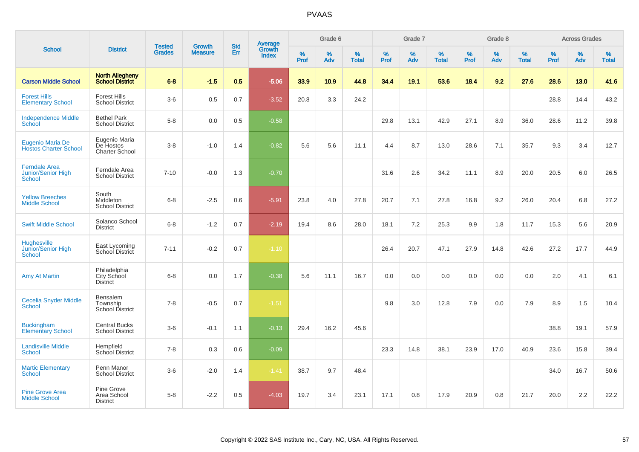| <b>School</b>                                        |                                                  |                                |                                 | <b>Std</b> |                                          |                     | Grade 6     |                   |              | Grade 7     |                   |              | Grade 8  |                   |              | <b>Across Grades</b> |                   |
|------------------------------------------------------|--------------------------------------------------|--------------------------------|---------------------------------|------------|------------------------------------------|---------------------|-------------|-------------------|--------------|-------------|-------------------|--------------|----------|-------------------|--------------|----------------------|-------------------|
|                                                      | <b>District</b>                                  | <b>Tested</b><br><b>Grades</b> | <b>Growth</b><br><b>Measure</b> | <b>Err</b> | <b>Average</b><br>Growth<br><b>Index</b> | $\%$<br><b>Prof</b> | $\%$<br>Adv | %<br><b>Total</b> | $\%$<br>Prof | $\%$<br>Adv | %<br><b>Total</b> | $\%$<br>Prof | %<br>Adv | %<br><b>Total</b> | $\%$<br>Prof | $\%$<br>Adv          | %<br><b>Total</b> |
| <b>Carson Middle School</b>                          | <b>North Allegheny</b><br><b>School District</b> | $6 - 8$                        | $-1.5$                          | 0.5        | $-5.06$                                  | 33.9                | 10.9        | 44.8              | 34.4         | 19.1        | 53.6              | 18.4         | 9.2      | 27.6              | 28.6         | 13.0                 | 41.6              |
| <b>Forest Hills</b><br><b>Elementary School</b>      | <b>Forest Hills</b><br><b>School District</b>    | $3-6$                          | 0.5                             | 0.7        | $-3.52$                                  | 20.8                | 3.3         | 24.2              |              |             |                   |              |          |                   | 28.8         | 14.4                 | 43.2              |
| <b>Independence Middle</b><br>School                 | <b>Bethel Park</b><br><b>School District</b>     | $5-8$                          | 0.0                             | 0.5        | $-0.58$                                  |                     |             |                   | 29.8         | 13.1        | 42.9              | 27.1         | 8.9      | 36.0              | 28.6         | 11.2                 | 39.8              |
| Eugenio Maria De<br><b>Hostos Charter School</b>     | Eugenio Maria<br>De Hostos<br>Charter School     | $3-8$                          | $-1.0$                          | 1.4        | $-0.82$                                  | 5.6                 | 5.6         | 11.1              | 4.4          | 8.7         | 13.0              | 28.6         | 7.1      | 35.7              | 9.3          | 3.4                  | 12.7              |
| <b>Ferndale Area</b><br>Junior/Senior High<br>School | Ferndale Area<br><b>School District</b>          | $7 - 10$                       | $-0.0$                          | 1.3        | $-0.70$                                  |                     |             |                   | 31.6         | 2.6         | 34.2              | 11.1         | 8.9      | 20.0              | 20.5         | 6.0                  | 26.5              |
| <b>Yellow Breeches</b><br><b>Middle School</b>       | South<br>Middleton<br><b>School District</b>     | $6 - 8$                        | $-2.5$                          | 0.6        | $-5.91$                                  | 23.8                | 4.0         | 27.8              | 20.7         | 7.1         | 27.8              | 16.8         | 9.2      | 26.0              | 20.4         | 6.8                  | 27.2              |
| <b>Swift Middle School</b>                           | Solanco School<br><b>District</b>                | $6 - 8$                        | $-1.2$                          | 0.7        | $-2.19$                                  | 19.4                | 8.6         | 28.0              | 18.1         | 7.2         | 25.3              | 9.9          | 1.8      | 11.7              | 15.3         | 5.6                  | 20.9              |
| <b>Hughesville</b><br>Junior/Senior High<br>School   | East Lycoming<br>School District                 | $7 - 11$                       | $-0.2$                          | 0.7        | $-1.10$                                  |                     |             |                   | 26.4         | 20.7        | 47.1              | 27.9         | 14.8     | 42.6              | 27.2         | 17.7                 | 44.9              |
| <b>Amy At Martin</b>                                 | Philadelphia<br>City School<br><b>District</b>   | $6 - 8$                        | 0.0                             | 1.7        | $-0.38$                                  | 5.6                 | 11.1        | 16.7              | 0.0          | 0.0         | 0.0               | 0.0          | 0.0      | 0.0               | 2.0          | 4.1                  | 6.1               |
| <b>Cecelia Snyder Middle</b><br><b>School</b>        | Bensalem<br>Township<br><b>School District</b>   | $7 - 8$                        | $-0.5$                          | 0.7        | $-1.51$                                  |                     |             |                   | 9.8          | 3.0         | 12.8              | 7.9          | 0.0      | 7.9               | 8.9          | 1.5                  | 10.4              |
| <b>Buckingham</b><br><b>Elementary School</b>        | <b>Central Bucks</b><br><b>School District</b>   | $3-6$                          | $-0.1$                          | 1.1        | $-0.13$                                  | 29.4                | 16.2        | 45.6              |              |             |                   |              |          |                   | 38.8         | 19.1                 | 57.9              |
| <b>Landisville Middle</b><br><b>School</b>           | Hempfield<br><b>School District</b>              | $7 - 8$                        | 0.3                             | 0.6        | $-0.09$                                  |                     |             |                   | 23.3         | 14.8        | 38.1              | 23.9         | 17.0     | 40.9              | 23.6         | 15.8                 | 39.4              |
| <b>Martic Elementary</b><br><b>School</b>            | Penn Manor<br><b>School District</b>             | $3-6$                          | $-2.0$                          | 1.4        | $-1.41$                                  | 38.7                | 9.7         | 48.4              |              |             |                   |              |          |                   | 34.0         | 16.7                 | 50.6              |
| <b>Pine Grove Area</b><br><b>Middle School</b>       | Pine Grove<br>Area School<br><b>District</b>     | $5 - 8$                        | $-2.2$                          | 0.5        | $-4.03$                                  | 19.7                | 3.4         | 23.1              | 17.1         | 0.8         | 17.9              | 20.9         | 0.8      | 21.7              | 20.0         | 2.2                  | 22.2              |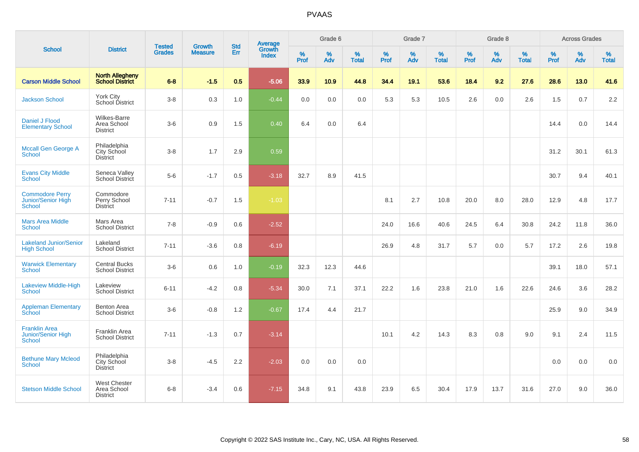| <b>School</b>                                                 |                                                       |                                |                                 | <b>Std</b> |                                          |           | Grade 6     |                   |                  | Grade 7  |                   |           | Grade 8  |                   |              | <b>Across Grades</b> |                   |
|---------------------------------------------------------------|-------------------------------------------------------|--------------------------------|---------------------------------|------------|------------------------------------------|-----------|-------------|-------------------|------------------|----------|-------------------|-----------|----------|-------------------|--------------|----------------------|-------------------|
|                                                               | <b>District</b>                                       | <b>Tested</b><br><b>Grades</b> | <b>Growth</b><br><b>Measure</b> | Err        | <b>Average</b><br>Growth<br><b>Index</b> | %<br>Prof | $\%$<br>Adv | %<br><b>Total</b> | %<br><b>Prof</b> | %<br>Adv | %<br><b>Total</b> | %<br>Prof | %<br>Adv | %<br><b>Total</b> | $\%$<br>Prof | $\%$<br>Adv          | %<br><b>Total</b> |
| <b>Carson Middle School</b>                                   | <b>North Allegheny</b><br>School District             | $6 - 8$                        | $-1.5$                          | 0.5        | $-5.06$                                  | 33.9      | 10.9        | 44.8              | 34.4             | 19.1     | 53.6              | 18.4      | 9.2      | 27.6              | 28.6         | 13.0                 | 41.6              |
| <b>Jackson School</b>                                         | York City<br>School District                          | $3-8$                          | 0.3                             | 1.0        | $-0.44$                                  | 0.0       | 0.0         | 0.0               | 5.3              | 5.3      | 10.5              | 2.6       | 0.0      | 2.6               | 1.5          | 0.7                  | 2.2               |
| Daniel J Flood<br><b>Elementary School</b>                    | Wilkes-Barre<br>Area School<br><b>District</b>        | $3-6$                          | $0.9\,$                         | 1.5        | 0.40                                     | 6.4       | 0.0         | 6.4               |                  |          |                   |           |          |                   | 14.4         | 0.0                  | 14.4              |
| Mccall Gen George A<br><b>School</b>                          | Philadelphia<br>City School<br><b>District</b>        | $3-8$                          | 1.7                             | 2.9        | 0.59                                     |           |             |                   |                  |          |                   |           |          |                   | 31.2         | 30.1                 | 61.3              |
| <b>Evans City Middle</b><br><b>School</b>                     | Seneca Valley<br>School District                      | $5-6$                          | $-1.7$                          | 0.5        | $-3.18$                                  | 32.7      | 8.9         | 41.5              |                  |          |                   |           |          |                   | 30.7         | 9.4                  | 40.1              |
| <b>Commodore Perry</b><br>Junior/Senior High<br><b>School</b> | Commodore<br>Perry School<br><b>District</b>          | $7 - 11$                       | $-0.7$                          | 1.5        | $-1.03$                                  |           |             |                   | 8.1              | 2.7      | 10.8              | 20.0      | 8.0      | 28.0              | 12.9         | 4.8                  | 17.7              |
| <b>Mars Area Middle</b><br><b>School</b>                      | Mars Area<br><b>School District</b>                   | $7 - 8$                        | $-0.9$                          | 0.6        | $-2.52$                                  |           |             |                   | 24.0             | 16.6     | 40.6              | 24.5      | 6.4      | 30.8              | 24.2         | 11.8                 | 36.0              |
| <b>Lakeland Junior/Senior</b><br><b>High School</b>           | Lakeland<br><b>School District</b>                    | $7 - 11$                       | $-3.6$                          | 0.8        | $-6.19$                                  |           |             |                   | 26.9             | 4.8      | 31.7              | 5.7       | 0.0      | 5.7               | 17.2         | 2.6                  | 19.8              |
| <b>Warwick Elementary</b><br><b>School</b>                    | <b>Central Bucks</b><br><b>School District</b>        | $3-6$                          | 0.6                             | 1.0        | $-0.19$                                  | 32.3      | 12.3        | 44.6              |                  |          |                   |           |          |                   | 39.1         | 18.0                 | 57.1              |
| Lakeview Middle-High<br><b>School</b>                         | Lakeview<br><b>School District</b>                    | $6 - 11$                       | $-4.2$                          | 0.8        | $-5.34$                                  | 30.0      | 7.1         | 37.1              | 22.2             | 1.6      | 23.8              | 21.0      | 1.6      | 22.6              | 24.6         | 3.6                  | 28.2              |
| <b>Appleman Elementary</b><br>School                          | Benton Area<br><b>School District</b>                 | $3-6$                          | $-0.8$                          | 1.2        | $-0.67$                                  | 17.4      | 4.4         | 21.7              |                  |          |                   |           |          |                   | 25.9         | 9.0                  | 34.9              |
| <b>Franklin Area</b><br>Junior/Senior High<br><b>School</b>   | Franklin Area<br><b>School District</b>               | $7 - 11$                       | $-1.3$                          | 0.7        | $-3.14$                                  |           |             |                   | 10.1             | 4.2      | 14.3              | 8.3       | 0.8      | 9.0               | 9.1          | 2.4                  | 11.5              |
| <b>Bethune Mary Mcleod</b><br><b>School</b>                   | Philadelphia<br>City School<br><b>District</b>        | $3 - 8$                        | $-4.5$                          | 2.2        | $-2.03$                                  | 0.0       | 0.0         | 0.0               |                  |          |                   |           |          |                   | 0.0          | 0.0                  | 0.0               |
| <b>Stetson Middle School</b>                                  | <b>West Chester</b><br>Area School<br><b>District</b> | $6 - 8$                        | $-3.4$                          | 0.6        | $-7.15$                                  | 34.8      | 9.1         | 43.8              | 23.9             | 6.5      | 30.4              | 17.9      | 13.7     | 31.6              | 27.0         | 9.0                  | 36.0              |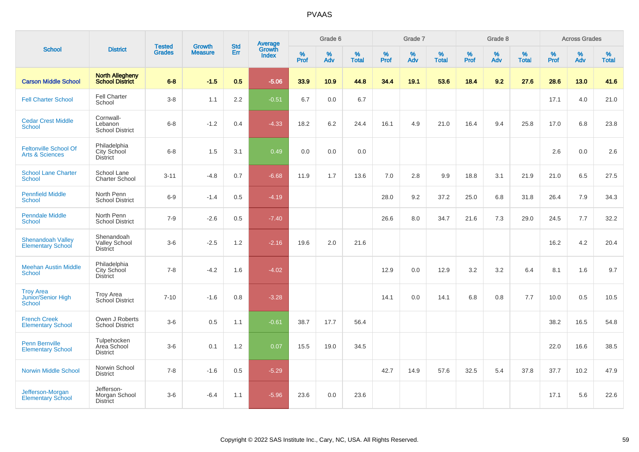|                                                            |                                                       |                                |                                 |                   |                                          |           | Grade 6     |                   |           | Grade 7  |                   |           | Grade 8  |                   |           | <b>Across Grades</b> |                   |
|------------------------------------------------------------|-------------------------------------------------------|--------------------------------|---------------------------------|-------------------|------------------------------------------|-----------|-------------|-------------------|-----------|----------|-------------------|-----------|----------|-------------------|-----------|----------------------|-------------------|
| <b>School</b>                                              | <b>District</b>                                       | <b>Tested</b><br><b>Grades</b> | <b>Growth</b><br><b>Measure</b> | <b>Std</b><br>Err | <b>Average</b><br>Growth<br><b>Index</b> | %<br>Prof | $\%$<br>Adv | %<br><b>Total</b> | %<br>Prof | %<br>Adv | %<br><b>Total</b> | %<br>Prof | %<br>Adv | %<br><b>Total</b> | %<br>Prof | $\%$<br>Adv          | %<br><b>Total</b> |
| <b>Carson Middle School</b>                                | <b>North Allegheny</b><br><b>School District</b>      | $6-8$                          | $-1.5$                          | 0.5               | $-5.06$                                  | 33.9      | 10.9        | 44.8              | 34.4      | 19.1     | 53.6              | 18.4      | 9.2      | 27.6              | 28.6      | 13.0                 | 41.6              |
| <b>Fell Charter School</b>                                 | <b>Fell Charter</b><br>School                         | $3-8$                          | 1.1                             | 2.2               | $-0.51$                                  | 6.7       | 0.0         | 6.7               |           |          |                   |           |          |                   | 17.1      | 4.0                  | 21.0              |
| <b>Cedar Crest Middle</b><br><b>School</b>                 | Cornwall-<br>Lebanon<br><b>School District</b>        | $6 - 8$                        | $-1.2$                          | 0.4               | $-4.33$                                  | 18.2      | 6.2         | 24.4              | 16.1      | 4.9      | 21.0              | 16.4      | 9.4      | 25.8              | 17.0      | 6.8                  | 23.8              |
| <b>Feltonville School Of</b><br><b>Arts &amp; Sciences</b> | Philadelphia<br>City School<br><b>District</b>        | $6 - 8$                        | 1.5                             | 3.1               | 0.49                                     | 0.0       | 0.0         | 0.0               |           |          |                   |           |          |                   | 2.6       | 0.0                  | 2.6               |
| <b>School Lane Charter</b><br><b>School</b>                | School Lane<br><b>Charter School</b>                  | $3 - 11$                       | $-4.8$                          | 0.7               | $-6.68$                                  | 11.9      | 1.7         | 13.6              | 7.0       | 2.8      | 9.9               | 18.8      | 3.1      | 21.9              | 21.0      | 6.5                  | 27.5              |
| <b>Pennfield Middle</b><br><b>School</b>                   | North Penn<br><b>School District</b>                  | $6-9$                          | $-1.4$                          | 0.5               | $-4.19$                                  |           |             |                   | 28.0      | 9.2      | 37.2              | 25.0      | 6.8      | 31.8              | 26.4      | 7.9                  | 34.3              |
| <b>Penndale Middle</b><br><b>School</b>                    | North Penn<br><b>School District</b>                  | $7-9$                          | $-2.6$                          | 0.5               | $-7.40$                                  |           |             |                   | 26.6      | 8.0      | 34.7              | 21.6      | 7.3      | 29.0              | 24.5      | 7.7                  | 32.2              |
| <b>Shenandoah Valley</b><br><b>Elementary School</b>       | Shenandoah<br><b>Valley School</b><br><b>District</b> | $3-6$                          | $-2.5$                          | 1.2               | $-2.16$                                  | 19.6      | 2.0         | 21.6              |           |          |                   |           |          |                   | 16.2      | 4.2                  | 20.4              |
| <b>Meehan Austin Middle</b><br><b>School</b>               | Philadelphia<br>City School<br><b>District</b>        | $7 - 8$                        | $-4.2$                          | 1.6               | $-4.02$                                  |           |             |                   | 12.9      | 0.0      | 12.9              | 3.2       | 3.2      | 6.4               | 8.1       | 1.6                  | 9.7               |
| <b>Troy Area</b><br>Junior/Senior High<br><b>School</b>    | <b>Troy Area</b><br>School District                   | $7 - 10$                       | $-1.6$                          | 0.8               | $-3.28$                                  |           |             |                   | 14.1      | 0.0      | 14.1              | 6.8       | 0.8      | 7.7               | 10.0      | 0.5                  | 10.5              |
| <b>French Creek</b><br><b>Elementary School</b>            | Owen J Roberts<br><b>School District</b>              | $3-6$                          | $0.5\,$                         | 1.1               | $-0.61$                                  | 38.7      | 17.7        | 56.4              |           |          |                   |           |          |                   | 38.2      | 16.5                 | 54.8              |
| Penn Bernville<br><b>Elementary School</b>                 | Tulpehocken<br>Area School<br><b>District</b>         | $3-6$                          | 0.1                             | 1.2               | 0.07                                     | 15.5      | 19.0        | 34.5              |           |          |                   |           |          |                   | 22.0      | 16.6                 | 38.5              |
| <b>Norwin Middle School</b>                                | Norwin School<br><b>District</b>                      | $7 - 8$                        | $-1.6$                          | 0.5               | $-5.29$                                  |           |             |                   | 42.7      | 14.9     | 57.6              | 32.5      | 5.4      | 37.8              | 37.7      | 10.2                 | 47.9              |
| Jefferson-Morgan<br><b>Elementary School</b>               | Jefferson-<br>Morgan School<br><b>District</b>        | $3-6$                          | $-6.4$                          | 1.1               | $-5.96$                                  | 23.6      | 0.0         | 23.6              |           |          |                   |           |          |                   | 17.1      | 5.6                  | 22.6              |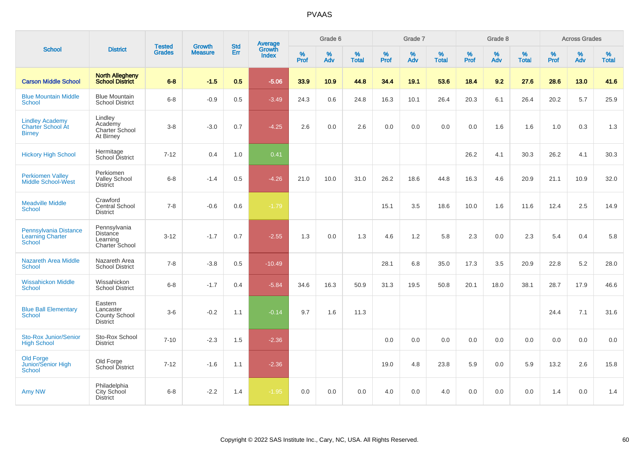|                                                                   |                                                          |                                | <b>Growth</b>  | <b>Std</b> |                                          |           | Grade 6  |                   |           | Grade 7  |                   |           | Grade 8  |                   |           | <b>Across Grades</b> |                   |
|-------------------------------------------------------------------|----------------------------------------------------------|--------------------------------|----------------|------------|------------------------------------------|-----------|----------|-------------------|-----------|----------|-------------------|-----------|----------|-------------------|-----------|----------------------|-------------------|
| <b>School</b>                                                     | <b>District</b>                                          | <b>Tested</b><br><b>Grades</b> | <b>Measure</b> | Err        | <b>Average</b><br>Growth<br><b>Index</b> | %<br>Prof | %<br>Adv | %<br><b>Total</b> | %<br>Prof | %<br>Adv | %<br><b>Total</b> | %<br>Prof | %<br>Adv | %<br><b>Total</b> | %<br>Prof | %<br>Adv             | %<br><b>Total</b> |
| <b>Carson Middle School</b>                                       | <b>North Allegheny</b><br><b>School District</b>         | $6 - 8$                        | $-1.5$         | 0.5        | $-5.06$                                  | 33.9      | 10.9     | 44.8              | 34.4      | 19.1     | 53.6              | 18.4      | 9.2      | 27.6              | 28.6      | 13.0                 | 41.6              |
| <b>Blue Mountain Middle</b><br><b>School</b>                      | <b>Blue Mountain</b><br><b>School District</b>           | $6 - 8$                        | $-0.9$         | 0.5        | $-3.49$                                  | 24.3      | 0.6      | 24.8              | 16.3      | 10.1     | 26.4              | 20.3      | 6.1      | 26.4              | 20.2      | 5.7                  | 25.9              |
| <b>Lindley Academy</b><br>Charter School At<br><b>Birney</b>      | Lindley<br>Academy<br>Charter School<br>At Birney        | $3 - 8$                        | $-3.0$         | 0.7        | $-4.25$                                  | 2.6       | 0.0      | 2.6               | 0.0       | 0.0      | 0.0               | 0.0       | 1.6      | 1.6               | 1.0       | 0.3                  | 1.3               |
| <b>Hickory High School</b>                                        | Hermitage<br>School District                             | $7 - 12$                       | 0.4            | 1.0        | 0.41                                     |           |          |                   |           |          |                   | 26.2      | 4.1      | 30.3              | 26.2      | 4.1                  | 30.3              |
| <b>Perkiomen Valley</b><br>Middle School-West                     | Perkiomen<br>Valley School<br><b>District</b>            | $6 - 8$                        | $-1.4$         | 0.5        | $-4.26$                                  | 21.0      | 10.0     | 31.0              | 26.2      | 18.6     | 44.8              | 16.3      | 4.6      | 20.9              | 21.1      | 10.9                 | 32.0              |
| <b>Meadville Middle</b><br>School                                 | Crawford<br><b>Central School</b><br><b>District</b>     | $7 - 8$                        | $-0.6$         | 0.6        | $-1.79$                                  |           |          |                   | 15.1      | 3.5      | 18.6              | 10.0      | 1.6      | 11.6              | 12.4      | 2.5                  | 14.9              |
| Pennsylvania Distance<br><b>Learning Charter</b><br><b>School</b> | Pennsylvania<br>Distance<br>Learning<br>Charter School   | $3 - 12$                       | $-1.7$         | 0.7        | $-2.55$                                  | 1.3       | 0.0      | 1.3               | 4.6       | 1.2      | 5.8               | 2.3       | 0.0      | 2.3               | 5.4       | 0.4                  | 5.8               |
| <b>Nazareth Area Middle</b><br>School                             | Nazareth Area<br><b>School District</b>                  | $7 - 8$                        | $-3.8$         | 0.5        | $-10.49$                                 |           |          |                   | 28.1      | 6.8      | 35.0              | 17.3      | 3.5      | 20.9              | 22.8      | 5.2                  | 28.0              |
| <b>Wissahickon Middle</b><br><b>School</b>                        | Wissahickon<br><b>School District</b>                    | $6 - 8$                        | $-1.7$         | 0.4        | $-5.84$                                  | 34.6      | 16.3     | 50.9              | 31.3      | 19.5     | 50.8              | 20.1      | 18.0     | 38.1              | 28.7      | 17.9                 | 46.6              |
| <b>Blue Ball Elementary</b><br><b>School</b>                      | Eastern<br>Lancaster<br>County School<br><b>District</b> | $3-6$                          | $-0.2$         | 1.1        | $-0.14$                                  | 9.7       | 1.6      | 11.3              |           |          |                   |           |          |                   | 24.4      | 7.1                  | 31.6              |
| Sto-Rox Junior/Senior<br><b>High School</b>                       | Sto-Rox School<br><b>District</b>                        | $7 - 10$                       | $-2.3$         | 1.5        | $-2.36$                                  |           |          |                   | 0.0       | 0.0      | 0.0               | 0.0       | 0.0      | 0.0               | 0.0       | 0.0                  | 0.0               |
| <b>Old Forge</b><br>Junior/Senior High<br><b>School</b>           | Old Forge<br>School District                             | $7 - 12$                       | $-1.6$         | 1.1        | $-2.36$                                  |           |          |                   | 19.0      | 4.8      | 23.8              | 5.9       | 0.0      | 5.9               | 13.2      | 2.6                  | 15.8              |
| Amy NW                                                            | Philadelphia<br><b>City School</b><br><b>District</b>    | $6 - 8$                        | $-2.2$         | 1.4        | $-1.95$                                  | 0.0       | 0.0      | 0.0               | 4.0       | 0.0      | 4.0               | 0.0       | 0.0      | 0.0               | 1.4       | 0.0                  | 1.4               |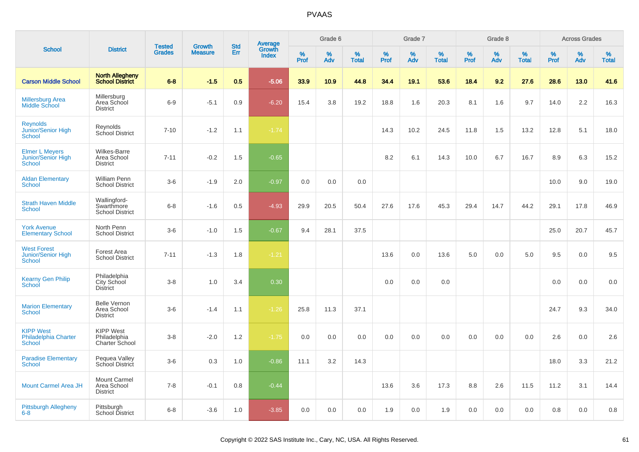|                                                                  |                                                       |                                |                                 | <b>Std</b> |                                          |                  | Grade 6  |                   |           | Grade 7  |                   |           | Grade 8  |                   |           | <b>Across Grades</b> |                   |
|------------------------------------------------------------------|-------------------------------------------------------|--------------------------------|---------------------------------|------------|------------------------------------------|------------------|----------|-------------------|-----------|----------|-------------------|-----------|----------|-------------------|-----------|----------------------|-------------------|
| <b>School</b>                                                    | <b>District</b>                                       | <b>Tested</b><br><b>Grades</b> | <b>Growth</b><br><b>Measure</b> | Err        | <b>Average</b><br>Growth<br><b>Index</b> | %<br><b>Prof</b> | %<br>Adv | %<br><b>Total</b> | %<br>Prof | %<br>Adv | %<br><b>Total</b> | %<br>Prof | %<br>Adv | %<br><b>Total</b> | %<br>Prof | %<br>Adv             | %<br><b>Total</b> |
| <b>Carson Middle School</b>                                      | <b>North Allegheny</b><br><b>School District</b>      | $6 - 8$                        | $-1.5$                          | 0.5        | $-5.06$                                  | 33.9             | 10.9     | 44.8              | 34.4      | 19.1     | 53.6              | 18.4      | 9.2      | 27.6              | 28.6      | 13.0                 | 41.6              |
| <b>Millersburg Area</b><br>Middle School                         | Millersburg<br>Area School<br><b>District</b>         | $6-9$                          | $-5.1$                          | 0.9        | $-6.20$                                  | 15.4             | 3.8      | 19.2              | 18.8      | 1.6      | 20.3              | 8.1       | 1.6      | 9.7               | 14.0      | 2.2                  | 16.3              |
| <b>Reynolds</b><br>Junior/Senior High<br>School                  | Reynolds<br>School District                           | $7 - 10$                       | $-1.2$                          | 1.1        | $-1.74$                                  |                  |          |                   | 14.3      | 10.2     | 24.5              | 11.8      | 1.5      | 13.2              | 12.8      | 5.1                  | 18.0              |
| <b>Elmer L Meyers</b><br>Junior/Senior High<br>School            | <b>Wilkes-Barre</b><br>Area School<br><b>District</b> | $7 - 11$                       | $-0.2$                          | 1.5        | $-0.65$                                  |                  |          |                   | 8.2       | 6.1      | 14.3              | 10.0      | 6.7      | 16.7              | 8.9       | 6.3                  | 15.2              |
| <b>Aldan Elementary</b><br><b>School</b>                         | William Penn<br><b>School District</b>                | $3-6$                          | $-1.9$                          | 2.0        | $-0.97$                                  | 0.0              | 0.0      | 0.0               |           |          |                   |           |          |                   | 10.0      | 9.0                  | 19.0              |
| <b>Strath Haven Middle</b><br><b>School</b>                      | Wallingford-<br>Swarthmore<br><b>School District</b>  | $6-8$                          | $-1.6$                          | 0.5        | $-4.93$                                  | 29.9             | 20.5     | 50.4              | 27.6      | 17.6     | 45.3              | 29.4      | 14.7     | 44.2              | 29.1      | 17.8                 | 46.9              |
| <b>York Avenue</b><br><b>Elementary School</b>                   | North Penn<br><b>School District</b>                  | $3-6$                          | $-1.0$                          | 1.5        | $-0.67$                                  | 9.4              | 28.1     | 37.5              |           |          |                   |           |          |                   | 25.0      | 20.7                 | 45.7              |
| <b>West Forest</b><br>Junior/Senior High<br>School               | Forest Area<br><b>School District</b>                 | $7 - 11$                       | $-1.3$                          | 1.8        | $-1.21$                                  |                  |          |                   | 13.6      | 0.0      | 13.6              | 5.0       | 0.0      | 5.0               | 9.5       | 0.0                  | 9.5               |
| <b>Kearny Gen Philip</b><br>School                               | Philadelphia<br>City School<br>District               | $3-8$                          | 1.0                             | 3.4        | 0.30                                     |                  |          |                   | 0.0       | 0.0      | 0.0               |           |          |                   | 0.0       | 0.0                  | 0.0               |
| <b>Marion Elementary</b><br><b>School</b>                        | <b>Belle Vernon</b><br>Area School<br><b>District</b> | $3-6$                          | $-1.4$                          | 1.1        | $-1.26$                                  | 25.8             | 11.3     | 37.1              |           |          |                   |           |          |                   | 24.7      | 9.3                  | 34.0              |
| <b>KIPP West</b><br><b>Philadelphia Charter</b><br><b>School</b> | <b>KIPP West</b><br>Philadelphia<br>Charter School    | $3-8$                          | $-2.0$                          | 1.2        | $-1.75$                                  | 0.0              | 0.0      | 0.0               | 0.0       | 0.0      | 0.0               | 0.0       | 0.0      | 0.0               | 2.6       | 0.0                  | 2.6               |
| <b>Paradise Elementary</b><br><b>School</b>                      | Pequea Valley<br>School District                      | $3-6$                          | 0.3                             | 1.0        | $-0.86$                                  | 11.1             | 3.2      | 14.3              |           |          |                   |           |          |                   | 18.0      | 3.3                  | 21.2              |
| <b>Mount Carmel Area JH</b>                                      | <b>Mount Carmel</b><br>Area School<br><b>District</b> | $7 - 8$                        | $-0.1$                          | 0.8        | $-0.44$                                  |                  |          |                   | 13.6      | 3.6      | 17.3              | 8.8       | 2.6      | 11.5              | 11.2      | 3.1                  | 14.4              |
| Pittsburgh Allegheny<br>$6 - 8$                                  | Pittsburgh<br>School District                         | $6 - 8$                        | $-3.6$                          | 1.0        | $-3.85$                                  | 0.0              | 0.0      | 0.0               | 1.9       | 0.0      | 1.9               | 0.0       | 0.0      | 0.0               | 0.8       | 0.0                  | 0.8               |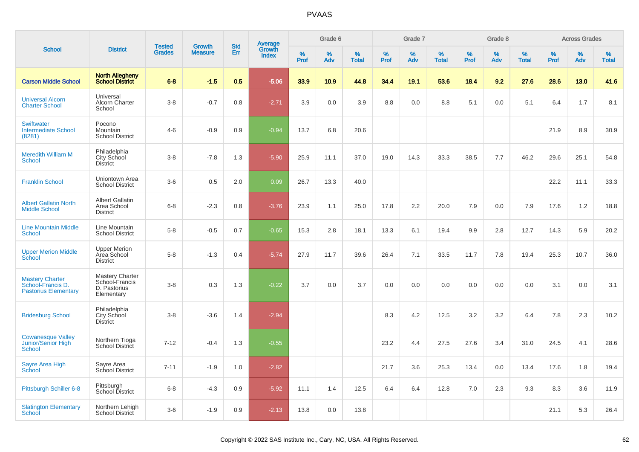|                                                                            |                                                                 |                                |                                 | <b>Std</b> |                                          |           | Grade 6  |                   |           | Grade 7  |                   |           | Grade 8  |                   |           | <b>Across Grades</b> |                   |
|----------------------------------------------------------------------------|-----------------------------------------------------------------|--------------------------------|---------------------------------|------------|------------------------------------------|-----------|----------|-------------------|-----------|----------|-------------------|-----------|----------|-------------------|-----------|----------------------|-------------------|
| <b>School</b>                                                              | <b>District</b>                                                 | <b>Tested</b><br><b>Grades</b> | <b>Growth</b><br><b>Measure</b> | Err        | <b>Average</b><br>Growth<br><b>Index</b> | %<br>Prof | %<br>Adv | %<br><b>Total</b> | %<br>Prof | %<br>Adv | %<br><b>Total</b> | %<br>Prof | %<br>Adv | %<br><b>Total</b> | %<br>Prof | %<br>Adv             | %<br><b>Total</b> |
| <b>Carson Middle School</b>                                                | <b>North Allegheny</b><br><b>School District</b>                | $6 - 8$                        | $-1.5$                          | 0.5        | $-5.06$                                  | 33.9      | 10.9     | 44.8              | 34.4      | 19.1     | 53.6              | 18.4      | 9.2      | 27.6              | 28.6      | 13.0                 | 41.6              |
| <b>Universal Alcorn</b><br><b>Charter School</b>                           | Universal<br>Alcorn Charter<br>School                           | $3 - 8$                        | $-0.7$                          | 0.8        | $-2.71$                                  | 3.9       | 0.0      | 3.9               | 8.8       | 0.0      | 8.8               | 5.1       | 0.0      | 5.1               | 6.4       | 1.7                  | 8.1               |
| <b>Swiftwater</b><br><b>Intermediate School</b><br>(8281)                  | Pocono<br><b>Mountain</b><br><b>School District</b>             | $4 - 6$                        | $-0.9$                          | 0.9        | $-0.94$                                  | 13.7      | 6.8      | 20.6              |           |          |                   |           |          |                   | 21.9      | 8.9                  | 30.9              |
| <b>Meredith William M</b><br>School                                        | Philadelphia<br>City School<br>District                         | $3 - 8$                        | $-7.8$                          | 1.3        | $-5.90$                                  | 25.9      | 11.1     | 37.0              | 19.0      | 14.3     | 33.3              | 38.5      | 7.7      | 46.2              | 29.6      | 25.1                 | 54.8              |
| <b>Franklin School</b>                                                     | Uniontown Area<br><b>School District</b>                        | $3-6$                          | 0.5                             | 2.0        | 0.09                                     | 26.7      | 13.3     | 40.0              |           |          |                   |           |          |                   | 22.2      | 11.1                 | 33.3              |
| <b>Albert Gallatin North</b><br><b>Middle School</b>                       | <b>Albert Gallatin</b><br>Area School<br><b>District</b>        | $6 - 8$                        | $-2.3$                          | 0.8        | $-3.76$                                  | 23.9      | 1.1      | 25.0              | 17.8      | 2.2      | 20.0              | 7.9       | 0.0      | 7.9               | 17.6      | 1.2                  | 18.8              |
| <b>Line Mountain Middle</b><br><b>School</b>                               | Line Mountain<br><b>School District</b>                         | $5-8$                          | $-0.5$                          | 0.7        | $-0.65$                                  | 15.3      | 2.8      | 18.1              | 13.3      | 6.1      | 19.4              | 9.9       | 2.8      | 12.7              | 14.3      | 5.9                  | 20.2              |
| <b>Upper Merion Middle</b><br>School                                       | <b>Upper Merion</b><br>Area School<br><b>District</b>           | $5-8$                          | $-1.3$                          | 0.4        | $-5.74$                                  | 27.9      | 11.7     | 39.6              | 26.4      | 7.1      | 33.5              | 11.7      | 7.8      | 19.4              | 25.3      | 10.7                 | 36.0              |
| <b>Mastery Charter</b><br>School-Francis D.<br><b>Pastorius Elementary</b> | Mastery Charter<br>School-Francis<br>D. Pastorius<br>Elementary | $3 - 8$                        | 0.3                             | 1.3        | $-0.22$                                  | 3.7       | 0.0      | 3.7               | 0.0       | 0.0      | 0.0               | 0.0       | 0.0      | 0.0               | 3.1       | 0.0                  | 3.1               |
| <b>Bridesburg School</b>                                                   | Philadelphia<br>City School<br><b>District</b>                  | $3 - 8$                        | $-3.6$                          | 1.4        | $-2.94$                                  |           |          |                   | 8.3       | 4.2      | 12.5              | 3.2       | 3.2      | 6.4               | 7.8       | 2.3                  | 10.2              |
| <b>Cowanesque Valley</b><br>Junior/Senior High<br>School                   | Northern Tioga<br>School District                               | $7 - 12$                       | $-0.4$                          | 1.3        | $-0.55$                                  |           |          |                   | 23.2      | 4.4      | 27.5              | 27.6      | 3.4      | 31.0              | 24.5      | 4.1                  | 28.6              |
| Sayre Area High<br>School                                                  | Sayre Area<br>School District                                   | $7 - 11$                       | $-1.9$                          | 1.0        | $-2.82$                                  |           |          |                   | 21.7      | 3.6      | 25.3              | 13.4      | 0.0      | 13.4              | 17.6      | 1.8                  | 19.4              |
| Pittsburgh Schiller 6-8                                                    | Pittsburgh<br>School District                                   | $6 - 8$                        | $-4.3$                          | 0.9        | $-5.92$                                  | 11.1      | 1.4      | 12.5              | 6.4       | 6.4      | 12.8              | 7.0       | 2.3      | 9.3               | 8.3       | 3.6                  | 11.9              |
| <b>Slatington Elementary</b><br>School                                     | Northern Lehigh<br>School District                              | $3-6$                          | $-1.9$                          | 0.9        | $-2.13$                                  | 13.8      | 0.0      | 13.8              |           |          |                   |           |          |                   | 21.1      | 5.3                  | 26.4              |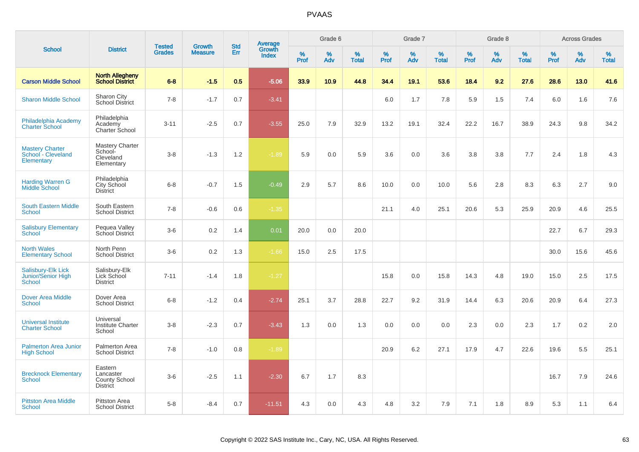|                                                            |                                                                 | <b>Tested</b> | <b>Growth</b>  | <b>Std</b> |                                          |                  | Grade 6     |                   |              | Grade 7  |                   |              | Grade 8  |                   |              | <b>Across Grades</b> |                   |
|------------------------------------------------------------|-----------------------------------------------------------------|---------------|----------------|------------|------------------------------------------|------------------|-------------|-------------------|--------------|----------|-------------------|--------------|----------|-------------------|--------------|----------------------|-------------------|
| <b>School</b>                                              | <b>District</b>                                                 | <b>Grades</b> | <b>Measure</b> | Err        | <b>Average</b><br>Growth<br><b>Index</b> | %<br><b>Prof</b> | $\%$<br>Adv | %<br><b>Total</b> | $\%$<br>Prof | %<br>Adv | %<br><b>Total</b> | $\%$<br>Prof | %<br>Adv | %<br><b>Total</b> | $\%$<br>Prof | $\%$<br>Adv          | %<br><b>Total</b> |
| <b>Carson Middle School</b>                                | <b>North Allegheny</b><br><b>School District</b>                | $6 - 8$       | $-1.5$         | 0.5        | $-5.06$                                  | 33.9             | 10.9        | 44.8              | 34.4         | 19.1     | 53.6              | 18.4         | 9.2      | 27.6              | 28.6         | 13.0                 | 41.6              |
| <b>Sharon Middle School</b>                                | Sharon City<br><b>School District</b>                           | $7 - 8$       | $-1.7$         | 0.7        | $-3.41$                                  |                  |             |                   | 6.0          | 1.7      | 7.8               | 5.9          | 1.5      | 7.4               | 6.0          | 1.6                  | 7.6               |
| Philadelphia Academy<br><b>Charter School</b>              | Philadelphia<br>Academy<br><b>Charter School</b>                | $3 - 11$      | $-2.5$         | 0.7        | $-3.55$                                  | 25.0             | 7.9         | 32.9              | 13.2         | 19.1     | 32.4              | 22.2         | 16.7     | 38.9              | 24.3         | 9.8                  | 34.2              |
| <b>Mastery Charter</b><br>School - Cleveland<br>Elementary | Mastery Charter<br>School-<br>Cleveland<br>Elementary           | $3 - 8$       | $-1.3$         | 1.2        | $-1.89$                                  | 5.9              | 0.0         | 5.9               | 3.6          | 0.0      | 3.6               | 3.8          | 3.8      | 7.7               | 2.4          | 1.8                  | 4.3               |
| <b>Harding Warren G</b><br><b>Middle School</b>            | Philadelphia<br>City School<br><b>District</b>                  | $6 - 8$       | $-0.7$         | 1.5        | $-0.49$                                  | 2.9              | 5.7         | 8.6               | 10.0         | 0.0      | 10.0              | 5.6          | 2.8      | 8.3               | 6.3          | 2.7                  | 9.0               |
| <b>South Eastern Middle</b><br>School                      | South Eastern<br><b>School District</b>                         | $7 - 8$       | $-0.6$         | 0.6        | $-1.35$                                  |                  |             |                   | 21.1         | 4.0      | 25.1              | 20.6         | 5.3      | 25.9              | 20.9         | 4.6                  | 25.5              |
| <b>Salisbury Elementary</b><br><b>School</b>               | Pequea Valley<br>School District                                | $3-6$         | 0.2            | 1.4        | 0.01                                     | 20.0             | 0.0         | 20.0              |              |          |                   |              |          |                   | 22.7         | 6.7                  | 29.3              |
| <b>North Wales</b><br><b>Elementary School</b>             | North Penn<br><b>School District</b>                            | $3-6$         | 0.2            | 1.3        | $-1.66$                                  | 15.0             | 2.5         | 17.5              |              |          |                   |              |          |                   | 30.0         | 15.6                 | 45.6              |
| Salisbury-Elk Lick<br>Junior/Senior High<br>School         | Salisbury-Elk<br>Lick School<br><b>District</b>                 | $7 - 11$      | $-1.4$         | 1.8        | $-1.27$                                  |                  |             |                   | 15.8         | 0.0      | 15.8              | 14.3         | 4.8      | 19.0              | 15.0         | 2.5                  | 17.5              |
| <b>Dover Area Middle</b><br><b>School</b>                  | Dover Area<br><b>School District</b>                            | $6 - 8$       | $-1.2$         | 0.4        | $-2.74$                                  | 25.1             | 3.7         | 28.8              | 22.7         | 9.2      | 31.9              | 14.4         | 6.3      | 20.6              | 20.9         | 6.4                  | 27.3              |
| <b>Universal Institute</b><br><b>Charter School</b>        | Universal<br><b>Institute Charter</b><br>School                 | $3-8$         | $-2.3$         | 0.7        | $-3.43$                                  | 1.3              | 0.0         | 1.3               | 0.0          | 0.0      | 0.0               | 2.3          | 0.0      | 2.3               | 1.7          | 0.2                  | 2.0               |
| <b>Palmerton Area Junior</b><br><b>High School</b>         | Palmerton Area<br><b>School District</b>                        | $7 - 8$       | $-1.0$         | 0.8        | $-1.89$                                  |                  |             |                   | 20.9         | 6.2      | 27.1              | 17.9         | 4.7      | 22.6              | 19.6         | 5.5                  | 25.1              |
| <b>Brecknock Elementary</b><br>School                      | Eastern<br>Lancaster<br><b>County School</b><br><b>District</b> | $3-6$         | $-2.5$         | 1.1        | $-2.30$                                  | 6.7              | 1.7         | 8.3               |              |          |                   |              |          |                   | 16.7         | 7.9                  | 24.6              |
| <b>Pittston Area Middle</b><br><b>School</b>               | <b>Pittston Area</b><br><b>School District</b>                  | $5 - 8$       | $-8.4$         | 0.7        | $-11.51$                                 | 4.3              | 0.0         | 4.3               | 4.8          | 3.2      | 7.9               | 7.1          | 1.8      | 8.9               | 5.3          | 1.1                  | 6.4               |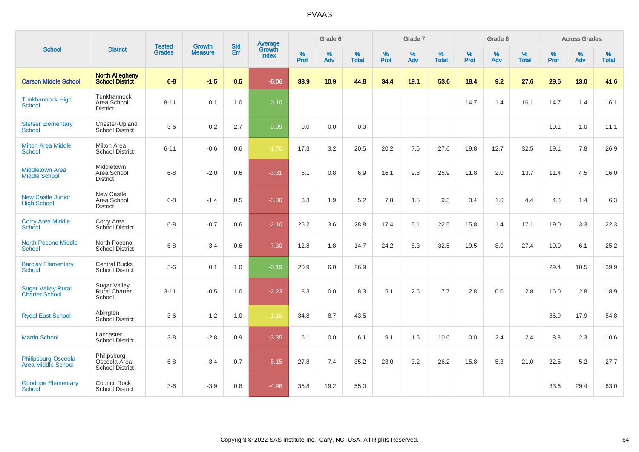| <b>School</b>                                      |                                                        |                                |                                 | <b>Std</b> |                                          |              | Grade 6  |                   |                  | Grade 7     |                   |                     | Grade 8  |                      |              | <b>Across Grades</b> |                   |
|----------------------------------------------------|--------------------------------------------------------|--------------------------------|---------------------------------|------------|------------------------------------------|--------------|----------|-------------------|------------------|-------------|-------------------|---------------------|----------|----------------------|--------------|----------------------|-------------------|
|                                                    | <b>District</b>                                        | <b>Tested</b><br><b>Grades</b> | <b>Growth</b><br><b>Measure</b> | <b>Err</b> | <b>Average</b><br>Growth<br><b>Index</b> | $\%$<br>Prof | %<br>Adv | %<br><b>Total</b> | %<br><b>Prof</b> | $\%$<br>Adv | %<br><b>Total</b> | $\%$<br><b>Prof</b> | %<br>Adv | $\%$<br><b>Total</b> | $\%$<br>Prof | %<br>Adv             | %<br><b>Total</b> |
| <b>Carson Middle School</b>                        | <b>North Allegheny</b><br>School District              | $6 - 8$                        | $-1.5$                          | 0.5        | $-5.06$                                  | 33.9         | 10.9     | 44.8              | 34.4             | 19.1        | 53.6              | 18.4                | 9.2      | 27.6                 | 28.6         | 13.0                 | 41.6              |
| <b>Tunkhannock High</b><br><b>School</b>           | Tunkhannock<br>Area School<br><b>District</b>          | $8 - 11$                       | 0.1                             | 1.0        | 0.10                                     |              |          |                   |                  |             |                   | 14.7                | 1.4      | 16.1                 | 14.7         | 1.4                  | 16.1              |
| <b>Stetser Elementary</b><br>School                | Chester-Upland<br>School District                      | $3-6$                          | 0.2                             | 2.7        | 0.09                                     | 0.0          | 0.0      | 0.0               |                  |             |                   |                     |          |                      | 10.1         | 1.0                  | 11.1              |
| <b>Milton Area Middle</b><br><b>School</b>         | <b>Milton Area</b><br><b>School District</b>           | $6 - 11$                       | $-0.6$                          | 0.6        | $-1.70$                                  | 17.3         | 3.2      | 20.5              | 20.2             | 7.5         | 27.6              | 19.8                | 12.7     | 32.5                 | 19.1         | 7.8                  | 26.9              |
| <b>Middletown Area</b><br><b>Middle School</b>     | Middletown<br>Area School<br><b>District</b>           | $6 - 8$                        | $-2.0$                          | 0.6        | $-3.31$                                  | 6.1          | 0.8      | 6.9               | 16.1             | 9.8         | 25.9              | 11.8                | 2.0      | 13.7                 | 11.4         | 4.5                  | 16.0              |
| <b>New Castle Junior</b><br><b>High School</b>     | <b>New Castle</b><br>Area School<br><b>District</b>    | $6 - 8$                        | $-1.4$                          | 0.5        | $-3.00$                                  | 3.3          | 1.9      | 5.2               | 7.8              | 1.5         | 9.3               | 3.4                 | 1.0      | 4.4                  | 4.8          | 1.4                  | 6.3               |
| <b>Corry Area Middle</b><br><b>School</b>          | Corry Area<br>School District                          | $6 - 8$                        | $-0.7$                          | 0.6        | $-2.10$                                  | 25.2         | 3.6      | 28.8              | 17.4             | 5.1         | 22.5              | 15.8                | 1.4      | 17.1                 | 19.0         | 3.3                  | 22.3              |
| <b>North Pocono Middle</b><br><b>School</b>        | North Pocono<br>School District                        | $6 - 8$                        | $-3.4$                          | 0.6        | $-7.30$                                  | 12.8         | 1.8      | 14.7              | 24.2             | 8.3         | 32.5              | 19.5                | 8.0      | 27.4                 | 19.0         | 6.1                  | 25.2              |
| <b>Barclay Elementary</b><br>School                | <b>Central Bucks</b><br><b>School District</b>         | $3-6$                          | 0.1                             | 1.0        | $-0.19$                                  | 20.9         | 6.0      | 26.9              |                  |             |                   |                     |          |                      | 29.4         | 10.5                 | 39.9              |
| <b>Sugar Valley Rural</b><br><b>Charter School</b> | <b>Sugar Valley</b><br><b>Rural Charter</b><br>School  | $3 - 11$                       | $-0.5$                          | 1.0        | $-2.23$                                  | 8.3          | 0.0      | 8.3               | 5.1              | 2.6         | 7.7               | 2.8                 | 0.0      | 2.8                  | 16.0         | 2.8                  | 18.9              |
| <b>Rydal East School</b>                           | Abington<br>School District                            | $3-6$                          | $-1.2$                          | 1.0        | $-1.16$                                  | 34.8         | 8.7      | 43.5              |                  |             |                   |                     |          |                      | 36.9         | 17.9                 | 54.8              |
| <b>Martin School</b>                               | Lancaster<br><b>School District</b>                    | $3 - 8$                        | $-2.8$                          | 0.9        | $-3.35$                                  | 6.1          | 0.0      | 6.1               | 9.1              | 1.5         | 10.6              | 0.0                 | 2.4      | 2.4                  | 8.3          | 2.3                  | 10.6              |
| Philipsburg-Osceola<br>Area Middle School          | Philipsburg-<br>Osceola Area<br><b>School District</b> | $6 - 8$                        | $-3.4$                          | 0.7        | $-5.15$                                  | 27.8         | 7.4      | 35.2              | 23.0             | 3.2         | 26.2              | 15.8                | 5.3      | 21.0                 | 22.5         | 5.2                  | 27.7              |
| <b>Goodnoe Elementary</b><br>School                | Council Rock<br><b>School District</b>                 | $3-6$                          | $-3.9$                          | 0.8        | $-4.96$                                  | 35.8         | 19.2     | 55.0              |                  |             |                   |                     |          |                      | 33.6         | 29.4                 | 63.0              |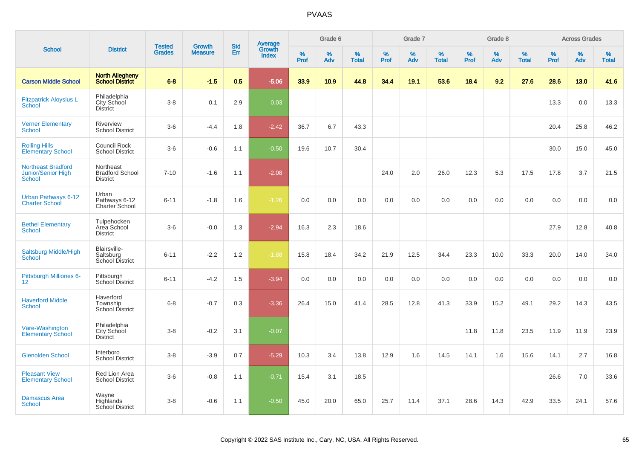| <b>School</b>                                                    |                                                        |                                |                          | <b>Std</b> |                                   |                  | Grade 6     |                   |              | Grade 7     |                      |              | Grade 8  |                   |              | <b>Across Grades</b> |                   |
|------------------------------------------------------------------|--------------------------------------------------------|--------------------------------|--------------------------|------------|-----------------------------------|------------------|-------------|-------------------|--------------|-------------|----------------------|--------------|----------|-------------------|--------------|----------------------|-------------------|
|                                                                  | <b>District</b>                                        | <b>Tested</b><br><b>Grades</b> | Growth<br><b>Measure</b> | Err        | Average<br>Growth<br><b>Index</b> | %<br><b>Prof</b> | $\%$<br>Adv | %<br><b>Total</b> | $\%$<br>Prof | $\%$<br>Adv | $\%$<br><b>Total</b> | $\%$<br>Prof | %<br>Adv | %<br><b>Total</b> | $\%$<br>Prof | $\%$<br>Adv          | %<br><b>Total</b> |
| <b>Carson Middle School</b>                                      | <b>North Allegheny</b><br><b>School District</b>       | $6 - 8$                        | $-1.5$                   | 0.5        | $-5.06$                           | 33.9             | 10.9        | 44.8              | 34.4         | 19.1        | 53.6                 | 18.4         | 9.2      | 27.6              | 28.6         | 13.0                 | 41.6              |
| <b>Fitzpatrick Aloysius L</b><br>School                          | Philadelphia<br>City School<br><b>District</b>         | $3 - 8$                        | 0.1                      | 2.9        | 0.03                              |                  |             |                   |              |             |                      |              |          |                   | 13.3         | 0.0                  | 13.3              |
| <b>Verner Elementary</b><br><b>School</b>                        | <b>Riverview</b><br><b>School District</b>             | $3-6$                          | $-4.4$                   | 1.8        | $-2.42$                           | 36.7             | 6.7         | 43.3              |              |             |                      |              |          |                   | 20.4         | 25.8                 | 46.2              |
| <b>Rolling Hills</b><br><b>Elementary School</b>                 | Council Rock<br><b>School District</b>                 | $3-6$                          | $-0.6$                   | 1.1        | $-0.50$                           | 19.6             | 10.7        | 30.4              |              |             |                      |              |          |                   | 30.0         | 15.0                 | 45.0              |
| <b>Northeast Bradford</b><br><b>Junior/Senior High</b><br>School | Northeast<br><b>Bradford School</b><br><b>District</b> | $7 - 10$                       | $-1.6$                   | 1.1        | $-2.08$                           |                  |             |                   | 24.0         | 2.0         | 26.0                 | 12.3         | 5.3      | 17.5              | 17.8         | 3.7                  | 21.5              |
| Urban Pathways 6-12<br><b>Charter School</b>                     | Urban<br>Pathways 6-12<br>Charter School               | $6 - 11$                       | $-1.8$                   | 1.6        | $-1.26$                           | 0.0              | 0.0         | 0.0               | 0.0          | 0.0         | 0.0                  | 0.0          | 0.0      | 0.0               | 0.0          | 0.0                  | 0.0               |
| <b>Bethel Elementary</b><br>School                               | Tulpehocken<br>Area School<br><b>District</b>          | $3-6$                          | $-0.0$                   | 1.3        | $-2.94$                           | 16.3             | 2.3         | 18.6              |              |             |                      |              |          |                   | 27.9         | 12.8                 | 40.8              |
| Saltsburg Middle/High<br><b>School</b>                           | Blairsville-<br>Saltsburg<br><b>School District</b>    | $6 - 11$                       | $-2.2$                   | 1.2        | $-1.88$                           | 15.8             | 18.4        | 34.2              | 21.9         | 12.5        | 34.4                 | 23.3         | 10.0     | 33.3              | 20.0         | 14.0                 | 34.0              |
| Pittsburgh Milliones 6-<br>12 <sup>2</sup>                       | Pittsburgh<br>School District                          | $6 - 11$                       | $-4.2$                   | 1.5        | $-3.94$                           | 0.0              | 0.0         | 0.0               | 0.0          | 0.0         | 0.0                  | 0.0          | 0.0      | 0.0               | 0.0          | 0.0                  | 0.0               |
| <b>Haverford Middle</b><br>School                                | Haverford<br>Township<br><b>School District</b>        | $6 - 8$                        | $-0.7$                   | 0.3        | $-3.36$                           | 26.4             | 15.0        | 41.4              | 28.5         | 12.8        | 41.3                 | 33.9         | 15.2     | 49.1              | 29.2         | 14.3                 | 43.5              |
| Vare-Washington<br><b>Elementary School</b>                      | Philadelphia<br>City School<br><b>District</b>         | $3 - 8$                        | $-0.2$                   | 3.1        | $-0.07$                           |                  |             |                   |              |             |                      | 11.8         | 11.8     | 23.5              | 11.9         | 11.9                 | 23.9              |
| <b>Glenolden School</b>                                          | Interboro<br><b>School District</b>                    | $3 - 8$                        | $-3.9$                   | 0.7        | $-5.29$                           | 10.3             | 3.4         | 13.8              | 12.9         | 1.6         | 14.5                 | 14.1         | 1.6      | 15.6              | 14.1         | 2.7                  | 16.8              |
| <b>Pleasant View</b><br><b>Elementary School</b>                 | Red Lion Area<br><b>School District</b>                | $3-6$                          | $-0.8$                   | 1.1        | $-0.71$                           | 15.4             | 3.1         | 18.5              |              |             |                      |              |          |                   | 26.6         | 7.0                  | 33.6              |
| <b>Damascus Area</b><br><b>School</b>                            | Wayne<br>Highlands<br><b>School District</b>           | $3 - 8$                        | $-0.6$                   | 1.1        | $-0.50$                           | 45.0             | 20.0        | 65.0              | 25.7         | 11.4        | 37.1                 | 28.6         | 14.3     | 42.9              | 33.5         | 24.1                 | 57.6              |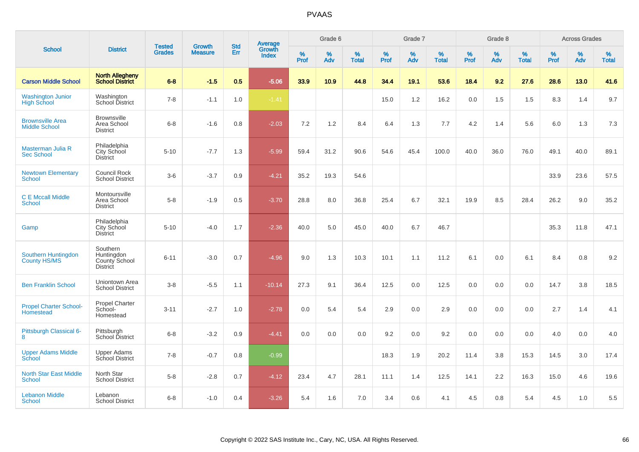|                                                 |                                                            |                                |                                 | <b>Std</b> |                                          |                  | Grade 6     |                   |           | Grade 7  |                   |           | Grade 8     |                   |           | <b>Across Grades</b> |                   |
|-------------------------------------------------|------------------------------------------------------------|--------------------------------|---------------------------------|------------|------------------------------------------|------------------|-------------|-------------------|-----------|----------|-------------------|-----------|-------------|-------------------|-----------|----------------------|-------------------|
| <b>School</b>                                   | <b>District</b>                                            | <b>Tested</b><br><b>Grades</b> | <b>Growth</b><br><b>Measure</b> | Err        | <b>Average</b><br>Growth<br><b>Index</b> | %<br><b>Prof</b> | $\%$<br>Adv | %<br><b>Total</b> | %<br>Prof | %<br>Adv | %<br><b>Total</b> | %<br>Prof | $\%$<br>Adv | %<br><b>Total</b> | %<br>Prof | $\%$<br>Adv          | %<br><b>Total</b> |
| <b>Carson Middle School</b>                     | <b>North Allegheny</b><br><b>School District</b>           | $6 - 8$                        | $-1.5$                          | 0.5        | $-5.06$                                  | 33.9             | 10.9        | 44.8              | 34.4      | 19.1     | 53.6              | 18.4      | 9.2         | 27.6              | 28.6      | 13.0                 | 41.6              |
| <b>Washington Junior</b><br><b>High School</b>  | Washington<br>School District                              | $7 - 8$                        | $-1.1$                          | 1.0        | $-1.41$                                  |                  |             |                   | 15.0      | 1.2      | 16.2              | 0.0       | 1.5         | 1.5               | 8.3       | 1.4                  | 9.7               |
| <b>Brownsville Area</b><br><b>Middle School</b> | <b>Brownsville</b><br>Area School<br><b>District</b>       | $6 - 8$                        | $-1.6$                          | 0.8        | $-2.03$                                  | 7.2              | 1.2         | 8.4               | 6.4       | 1.3      | 7.7               | 4.2       | 1.4         | 5.6               | 6.0       | 1.3                  | 7.3               |
| Masterman Julia R<br><b>Sec School</b>          | Philadelphia<br>City School<br><b>District</b>             | $5 - 10$                       | $-7.7$                          | 1.3        | $-5.99$                                  | 59.4             | 31.2        | 90.6              | 54.6      | 45.4     | 100.0             | 40.0      | 36.0        | 76.0              | 49.1      | 40.0                 | 89.1              |
| <b>Newtown Elementary</b><br>School             | <b>Council Rock</b><br><b>School District</b>              | $3-6$                          | $-3.7$                          | 0.9        | $-4.21$                                  | 35.2             | 19.3        | 54.6              |           |          |                   |           |             |                   | 33.9      | 23.6                 | 57.5              |
| <b>C E Mccall Middle</b><br><b>School</b>       | Montoursville<br>Area School<br><b>District</b>            | $5-8$                          | $-1.9$                          | 0.5        | $-3.70$                                  | 28.8             | 8.0         | 36.8              | 25.4      | 6.7      | 32.1              | 19.9      | 8.5         | 28.4              | 26.2      | 9.0                  | 35.2              |
| Gamp                                            | Philadelphia<br><b>City School</b><br><b>District</b>      | $5 - 10$                       | $-4.0$                          | 1.7        | $-2.36$                                  | 40.0             | 5.0         | 45.0              | 40.0      | 6.7      | 46.7              |           |             |                   | 35.3      | 11.8                 | 47.1              |
| Southern Huntingdon<br>County HS/MS             | Southern<br>Huntingdon<br>County School<br><b>District</b> | $6 - 11$                       | $-3.0$                          | 0.7        | $-4.96$                                  | 9.0              | 1.3         | 10.3              | 10.1      | 1.1      | 11.2              | 6.1       | 0.0         | 6.1               | 8.4       | 0.8                  | 9.2               |
| <b>Ben Franklin School</b>                      | Uniontown Area<br><b>School District</b>                   | $3-8$                          | $-5.5$                          | 1.1        | $-10.14$                                 | 27.3             | 9.1         | 36.4              | 12.5      | 0.0      | 12.5              | 0.0       | 0.0         | 0.0               | 14.7      | 3.8                  | 18.5              |
| <b>Propel Charter School-</b><br>Homestead      | Propel Charter<br>School-<br>Homestead                     | $3 - 11$                       | $-2.7$                          | 1.0        | $-2.78$                                  | 0.0              | 5.4         | 5.4               | 2.9       | 0.0      | 2.9               | 0.0       | 0.0         | 0.0               | 2.7       | 1.4                  | 4.1               |
| Pittsburgh Classical 6-<br>8                    | Pittsburgh<br>School District                              | $6 - 8$                        | $-3.2$                          | 0.9        | $-4.41$                                  | 0.0              | 0.0         | 0.0               | 9.2       | 0.0      | 9.2               | 0.0       | 0.0         | 0.0               | 4.0       | 0.0                  | 4.0               |
| <b>Upper Adams Middle</b><br>School             | <b>Upper Adams</b><br>School District                      | $7 - 8$                        | $-0.7$                          | 0.8        | $-0.99$                                  |                  |             |                   | 18.3      | 1.9      | 20.2              | 11.4      | 3.8         | 15.3              | 14.5      | 3.0                  | 17.4              |
| <b>North Star East Middle</b><br><b>School</b>  | North Star<br><b>School District</b>                       | $5-8$                          | $-2.8$                          | 0.7        | $-4.12$                                  | 23.4             | 4.7         | 28.1              | 11.1      | 1.4      | 12.5              | 14.1      | 2.2         | 16.3              | 15.0      | 4.6                  | 19.6              |
| <b>Lebanon Middle</b><br><b>School</b>          | Lebanon<br><b>School District</b>                          | $6 - 8$                        | $-1.0$                          | 0.4        | $-3.26$                                  | 5.4              | 1.6         | 7.0               | 3.4       | 0.6      | 4.1               | 4.5       | 0.8         | 5.4               | 4.5       | 1.0                  | 5.5               |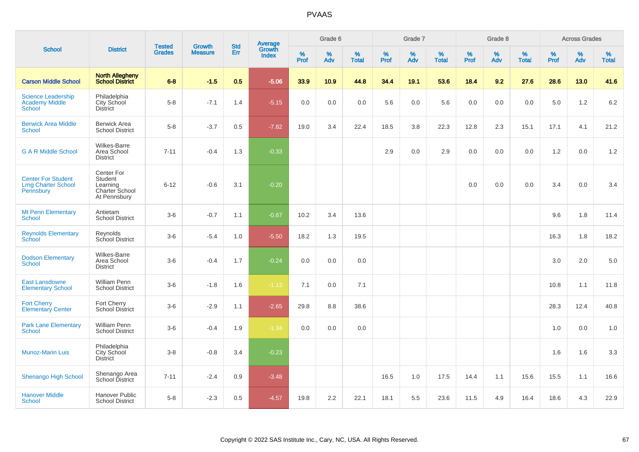|                                                                      |                                                                            |                                |                          |                   |                                          |           | Grade 6  |                   |           | Grade 7  |                   |           | Grade 8  |                   |           | <b>Across Grades</b> |                   |
|----------------------------------------------------------------------|----------------------------------------------------------------------------|--------------------------------|--------------------------|-------------------|------------------------------------------|-----------|----------|-------------------|-----------|----------|-------------------|-----------|----------|-------------------|-----------|----------------------|-------------------|
| <b>School</b>                                                        | <b>District</b>                                                            | <b>Tested</b><br><b>Grades</b> | Growth<br><b>Measure</b> | <b>Std</b><br>Err | <b>Average</b><br>Growth<br><b>Index</b> | %<br>Prof | %<br>Adv | %<br><b>Total</b> | %<br>Prof | %<br>Adv | %<br><b>Total</b> | %<br>Prof | %<br>Adv | %<br><b>Total</b> | %<br>Prof | %<br>Adv             | %<br><b>Total</b> |
| <b>Carson Middle School</b>                                          | <b>North Allegheny</b><br><b>School District</b>                           | $6 - 8$                        | $-1.5$                   | 0.5               | $-5.06$                                  | 33.9      | 10.9     | 44.8              | 34.4      | 19.1     | 53.6              | 18.4      | 9.2      | 27.6              | 28.6      | 13.0                 | 41.6              |
| <b>Science Leadership</b><br><b>Academy Middle</b><br><b>School</b>  | Philadelphia<br>City School<br><b>District</b>                             | $5-8$                          | $-7.1$                   | 1.4               | $-5.15$                                  | 0.0       | 0.0      | 0.0               | 5.6       | 0.0      | 5.6               | 0.0       | 0.0      | 0.0               | 5.0       | 1.2                  | $6.2\,$           |
| <b>Berwick Area Middle</b><br>School                                 | <b>Berwick Area</b><br><b>School District</b>                              | $5 - 8$                        | $-3.7$                   | 0.5               | $-7.82$                                  | 19.0      | 3.4      | 22.4              | 18.5      | 3.8      | 22.3              | 12.8      | 2.3      | 15.1              | 17.1      | 4.1                  | 21.2              |
| <b>G A R Middle School</b>                                           | <b>Wilkes-Barre</b><br>Area School<br><b>District</b>                      | $7 - 11$                       | $-0.4$                   | 1.3               | $-0.33$                                  |           |          |                   | 2.9       | 0.0      | 2.9               | 0.0       | 0.0      | 0.0               | 1.2       | 0.0                  | 1.2               |
| <b>Center For Student</b><br><b>Lrng Charter School</b><br>Pennsbury | Center For<br>Student<br>Learning<br><b>Charter School</b><br>At Pennsbury | $6 - 12$                       | $-0.6$                   | 3.1               | $-0.20$                                  |           |          |                   |           |          |                   | 0.0       | 0.0      | 0.0               | 3.4       | 0.0                  | 3.4               |
| <b>Mt Penn Elementary</b><br><b>School</b>                           | Antietam<br><b>School District</b>                                         | $3-6$                          | $-0.7$                   | 1.1               | $-0.67$                                  | 10.2      | 3.4      | 13.6              |           |          |                   |           |          |                   | 9.6       | 1.8                  | 11.4              |
| <b>Reynolds Elementary</b><br><b>School</b>                          | Reynolds<br>School District                                                | $3-6$                          | $-5.4$                   | 1.0               | $-5.50$                                  | 18.2      | 1.3      | 19.5              |           |          |                   |           |          |                   | 16.3      | 1.8                  | 18.2              |
| <b>Dodson Elementary</b><br>School                                   | <b>Wilkes-Barre</b><br>Area School<br><b>District</b>                      | $3-6$                          | $-0.4$                   | 1.7               | $-0.24$                                  | 0.0       | 0.0      | 0.0               |           |          |                   |           |          |                   | 3.0       | 2.0                  | 5.0               |
| <b>East Lansdowne</b><br><b>Elementary School</b>                    | William Penn<br><b>School District</b>                                     | $3-6$                          | $-1.8$                   | 1.6               | $-1.13$                                  | 7.1       | 0.0      | 7.1               |           |          |                   |           |          |                   | 10.8      | 1.1                  | 11.8              |
| <b>Fort Cherry</b><br><b>Elementary Center</b>                       | Fort Cherry<br>School District                                             | $3-6$                          | $-2.9$                   | 1.1               | $-2.65$                                  | 29.8      | 8.8      | 38.6              |           |          |                   |           |          |                   | 28.3      | 12.4                 | 40.8              |
| <b>Park Lane Elementary</b><br>School                                | <b>William Penn</b><br><b>School District</b>                              | $3-6$                          | $-0.4$                   | 1.9               | $-1.34$                                  | 0.0       | 0.0      | 0.0               |           |          |                   |           |          |                   | 1.0       | 0.0                  | 1.0               |
| <b>Munoz-Marin Luis</b>                                              | Philadelphia<br>City School<br><b>District</b>                             | $3-8$                          | $-0.8$                   | 3.4               | $-0.23$                                  |           |          |                   |           |          |                   |           |          |                   | 1.6       | 1.6                  | 3.3               |
| <b>Shenango High School</b>                                          | Shenango Area<br>School District                                           | $7 - 11$                       | $-2.4$                   | 0.9               | $-3.48$                                  |           |          |                   | 16.5      | 1.0      | 17.5              | 14.4      | 1.1      | 15.6              | 15.5      | 1.1                  | 16.6              |
| <b>Hanover Middle</b><br>School                                      | <b>Hanover Public</b><br><b>School District</b>                            | $5 - 8$                        | $-2.3$                   | 0.5               | $-4.57$                                  | 19.8      | 2.2      | 22.1              | 18.1      | 5.5      | 23.6              | 11.5      | 4.9      | 16.4              | 18.6      | 4.3                  | 22.9              |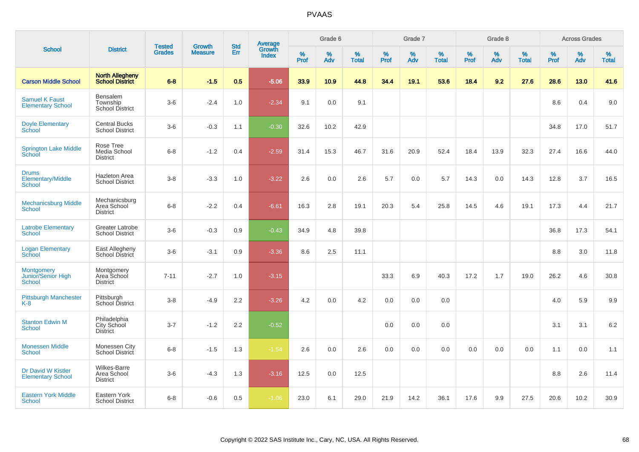|                                                    |                                                       |                                |                                 |                   |                                          |                  | Grade 6  |                   |           | Grade 7  |                   |           | Grade 8  |                   |           | <b>Across Grades</b> |            |
|----------------------------------------------------|-------------------------------------------------------|--------------------------------|---------------------------------|-------------------|------------------------------------------|------------------|----------|-------------------|-----------|----------|-------------------|-----------|----------|-------------------|-----------|----------------------|------------|
| <b>School</b>                                      | <b>District</b>                                       | <b>Tested</b><br><b>Grades</b> | <b>Growth</b><br><b>Measure</b> | <b>Std</b><br>Err | <b>Average</b><br>Growth<br><b>Index</b> | %<br><b>Prof</b> | %<br>Adv | %<br><b>Total</b> | %<br>Prof | %<br>Adv | %<br><b>Total</b> | %<br>Prof | %<br>Adv | %<br><b>Total</b> | %<br>Prof | %<br>Adv             | %<br>Total |
| <b>Carson Middle School</b>                        | <b>North Allegheny</b><br><b>School District</b>      | $6 - 8$                        | $-1.5$                          | 0.5               | $-5.06$                                  | 33.9             | 10.9     | 44.8              | 34.4      | 19.1     | 53.6              | 18.4      | 9.2      | 27.6              | 28.6      | 13.0                 | 41.6       |
| <b>Samuel K Faust</b><br><b>Elementary School</b>  | <b>Bensalem</b><br>Township<br>School District        | $3-6$                          | $-2.4$                          | 1.0               | $-2.34$                                  | 9.1              | 0.0      | 9.1               |           |          |                   |           |          |                   | 8.6       | 0.4                  | 9.0        |
| <b>Doyle Elementary</b><br>School                  | <b>Central Bucks</b><br><b>School District</b>        | $3-6$                          | $-0.3$                          | 1.1               | $-0.30$                                  | 32.6             | 10.2     | 42.9              |           |          |                   |           |          |                   | 34.8      | 17.0                 | 51.7       |
| <b>Springton Lake Middle</b><br>School             | Rose Tree<br>Media School<br><b>District</b>          | $6 - 8$                        | $-1.2$                          | 0.4               | $-2.59$                                  | 31.4             | 15.3     | 46.7              | 31.6      | 20.9     | 52.4              | 18.4      | 13.9     | 32.3              | 27.4      | 16.6                 | 44.0       |
| <b>Drums</b><br>Elementary/Middle<br><b>School</b> | <b>Hazleton Area</b><br><b>School District</b>        | $3 - 8$                        | $-3.3$                          | 1.0               | $-3.22$                                  | 2.6              | 0.0      | 2.6               | 5.7       | 0.0      | 5.7               | 14.3      | 0.0      | 14.3              | 12.8      | 3.7                  | 16.5       |
| <b>Mechanicsburg Middle</b><br><b>School</b>       | Mechanicsburg<br>Area School<br><b>District</b>       | $6 - 8$                        | $-2.2$                          | 0.4               | $-6.61$                                  | 16.3             | 2.8      | 19.1              | 20.3      | 5.4      | 25.8              | 14.5      | 4.6      | 19.1              | 17.3      | 4.4                  | 21.7       |
| <b>Latrobe Elementary</b><br><b>School</b>         | <b>Greater Latrobe</b><br><b>School District</b>      | $3-6$                          | $-0.3$                          | 0.9               | $-0.43$                                  | 34.9             | 4.8      | 39.8              |           |          |                   |           |          |                   | 36.8      | 17.3                 | 54.1       |
| <b>Logan Elementary</b><br>School                  | East Allegheny<br>School District                     | $3-6$                          | $-3.1$                          | 0.9               | $-3.36$                                  | 8.6              | 2.5      | 11.1              |           |          |                   |           |          |                   | 8.8       | 3.0                  | 11.8       |
| <b>Montgomery</b><br>Junior/Senior High<br>School  | Montgomery<br>Area School<br><b>District</b>          | $7 - 11$                       | $-2.7$                          | 1.0               | $-3.15$                                  |                  |          |                   | 33.3      | 6.9      | 40.3              | 17.2      | 1.7      | 19.0              | 26.2      | 4.6                  | 30.8       |
| <b>Pittsburgh Manchester</b><br>$K-8$              | Pittsburgh<br>School District                         | $3 - 8$                        | $-4.9$                          | 2.2               | $-3.26$                                  | 4.2              | 0.0      | 4.2               | 0.0       | 0.0      | 0.0               |           |          |                   | 4.0       | 5.9                  | 9.9        |
| <b>Stanton Edwin M</b><br><b>School</b>            | Philadelphia<br>City School<br><b>District</b>        | $3 - 7$                        | $-1.2$                          | 2.2               | $-0.52$                                  |                  |          |                   | 0.0       | 0.0      | 0.0               |           |          |                   | 3.1       | 3.1                  | $6.2\,$    |
| <b>Monessen Middle</b><br><b>School</b>            | Monessen City<br>School District                      | $6 - 8$                        | $-1.5$                          | 1.3               | $-1.54$                                  | 2.6              | 0.0      | 2.6               | 0.0       | 0.0      | 0.0               | 0.0       | 0.0      | 0.0               | 1.1       | 0.0                  | 1.1        |
| Dr David W Kistler<br><b>Elementary School</b>     | <b>Wilkes-Barre</b><br>Area School<br><b>District</b> | $3-6$                          | $-4.3$                          | 1.3               | $-3.16$                                  | 12.5             | 0.0      | 12.5              |           |          |                   |           |          |                   | 8.8       | 2.6                  | 11.4       |
| <b>Eastern York Middle</b><br>School               | Eastern York<br><b>School District</b>                | $6 - 8$                        | $-0.6$                          | 0.5               | $-1.06$                                  | 23.0             | 6.1      | 29.0              | 21.9      | 14.2     | 36.1              | 17.6      | 9.9      | 27.5              | 20.6      | 10.2                 | 30.9       |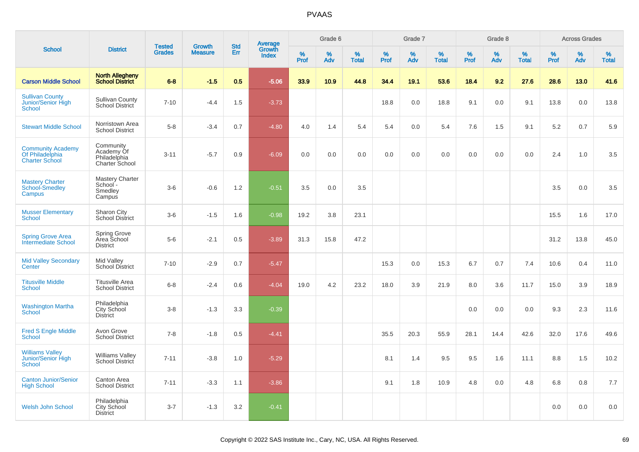|                                                                      |                                                           | <b>Tested</b> | <b>Growth</b>  | <b>Std</b> |                                          |           | Grade 6  |                   |           | Grade 7  |                   |           | Grade 8  |                   |           | <b>Across Grades</b> |                   |
|----------------------------------------------------------------------|-----------------------------------------------------------|---------------|----------------|------------|------------------------------------------|-----------|----------|-------------------|-----------|----------|-------------------|-----------|----------|-------------------|-----------|----------------------|-------------------|
| <b>School</b>                                                        | <b>District</b>                                           | <b>Grades</b> | <b>Measure</b> | Err        | <b>Average</b><br>Growth<br><b>Index</b> | %<br>Prof | %<br>Adv | %<br><b>Total</b> | %<br>Prof | %<br>Adv | %<br><b>Total</b> | %<br>Prof | %<br>Adv | %<br><b>Total</b> | %<br>Prof | %<br>Adv             | %<br><b>Total</b> |
| <b>Carson Middle School</b>                                          | <b>North Allegheny</b><br><b>School District</b>          | $6 - 8$       | $-1.5$         | 0.5        | $-5.06$                                  | 33.9      | 10.9     | 44.8              | 34.4      | 19.1     | 53.6              | 18.4      | 9.2      | 27.6              | 28.6      | 13.0                 | 41.6              |
| <b>Sullivan County</b><br>Junior/Senior High<br><b>School</b>        | <b>Sullivan County</b><br>School District                 | $7 - 10$      | $-4.4$         | 1.5        | $-3.73$                                  |           |          |                   | 18.8      | 0.0      | 18.8              | 9.1       | 0.0      | 9.1               | 13.8      | 0.0                  | 13.8              |
| <b>Stewart Middle School</b>                                         | Norristown Area<br><b>School District</b>                 | $5-8$         | $-3.4$         | 0.7        | $-4.80$                                  | 4.0       | 1.4      | 5.4               | 5.4       | 0.0      | 5.4               | 7.6       | 1.5      | 9.1               | 5.2       | 0.7                  | 5.9               |
| <b>Community Academy</b><br>Of Philadelphia<br><b>Charter School</b> | Community<br>Academy Of<br>Philadelphia<br>Charter School | $3 - 11$      | $-5.7$         | 0.9        | $-6.09$                                  | 0.0       | 0.0      | 0.0               | 0.0       | 0.0      | 0.0               | 0.0       | 0.0      | 0.0               | 2.4       | 1.0                  | 3.5               |
| <b>Mastery Charter</b><br><b>School-Smedley</b><br>Campus            | <b>Mastery Charter</b><br>School -<br>Smedley<br>Campus   | $3-6$         | $-0.6$         | 1.2        | $-0.51$                                  | 3.5       | 0.0      | 3.5               |           |          |                   |           |          |                   | 3.5       | 0.0                  | 3.5               |
| <b>Musser Elementary</b><br><b>School</b>                            | Sharon City<br>School District                            | $3-6$         | $-1.5$         | 1.6        | $-0.98$                                  | 19.2      | 3.8      | 23.1              |           |          |                   |           |          |                   | 15.5      | 1.6                  | 17.0              |
| <b>Spring Grove Area</b><br>Intermediate School                      | Spring Grove<br>Area School<br><b>District</b>            | $5-6$         | $-2.1$         | 0.5        | $-3.89$                                  | 31.3      | 15.8     | 47.2              |           |          |                   |           |          |                   | 31.2      | 13.8                 | 45.0              |
| <b>Mid Valley Secondary</b><br>Center                                | Mid Valley<br><b>School District</b>                      | $7 - 10$      | $-2.9$         | 0.7        | $-5.47$                                  |           |          |                   | 15.3      | 0.0      | 15.3              | 6.7       | 0.7      | 7.4               | 10.6      | 0.4                  | 11.0              |
| <b>Titusville Middle</b><br><b>School</b>                            | <b>Titusville Area</b><br><b>School District</b>          | $6 - 8$       | $-2.4$         | 0.6        | $-4.04$                                  | 19.0      | 4.2      | 23.2              | 18.0      | 3.9      | 21.9              | 8.0       | 3.6      | 11.7              | 15.0      | 3.9                  | 18.9              |
| <b>Washington Martha</b><br><b>School</b>                            | Philadelphia<br>City School<br><b>District</b>            | $3-8$         | $-1.3$         | 3.3        | $-0.39$                                  |           |          |                   |           |          |                   | 0.0       | 0.0      | 0.0               | 9.3       | 2.3                  | 11.6              |
| <b>Fred S Engle Middle</b><br><b>School</b>                          | Avon Grove<br><b>School District</b>                      | $7 - 8$       | $-1.8$         | 0.5        | $-4.41$                                  |           |          |                   | 35.5      | 20.3     | 55.9              | 28.1      | 14.4     | 42.6              | 32.0      | 17.6                 | 49.6              |
| <b>Williams Valley</b><br>Junior/Senior High<br><b>School</b>        | <b>Williams Valley</b><br><b>School District</b>          | $7 - 11$      | $-3.8$         | 1.0        | $-5.29$                                  |           |          |                   | 8.1       | 1.4      | 9.5               | 9.5       | 1.6      | 11.1              | 8.8       | 1.5                  | 10.2              |
| <b>Canton Junior/Senior</b><br><b>High School</b>                    | Canton Area<br><b>School District</b>                     | $7 - 11$      | $-3.3$         | 1.1        | $-3.86$                                  |           |          |                   | 9.1       | 1.8      | 10.9              | 4.8       | 0.0      | 4.8               | 6.8       | 0.8                  | 7.7               |
| <b>Welsh John School</b>                                             | Philadelphia<br><b>City School</b><br><b>District</b>     | $3 - 7$       | $-1.3$         | 3.2        | $-0.41$                                  |           |          |                   |           |          |                   |           |          |                   | 0.0       | 0.0                  | 0.0               |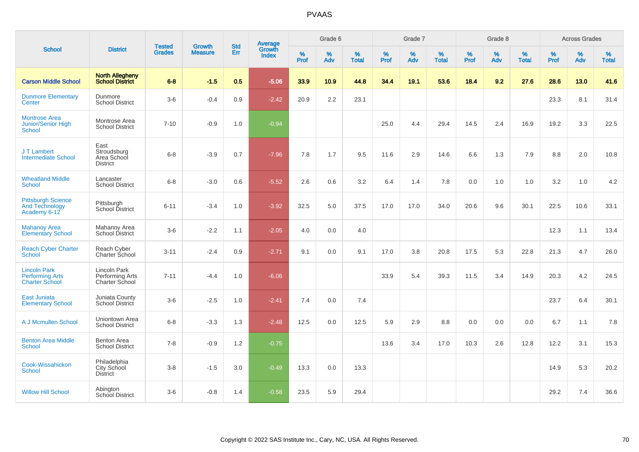|                                                                        |                                                          |                                | <b>Growth</b>  | <b>Std</b> |                                          |           | Grade 6  |                   |           | Grade 7  |                   |           | Grade 8  |                   |           | <b>Across Grades</b> |                   |
|------------------------------------------------------------------------|----------------------------------------------------------|--------------------------------|----------------|------------|------------------------------------------|-----------|----------|-------------------|-----------|----------|-------------------|-----------|----------|-------------------|-----------|----------------------|-------------------|
| <b>School</b>                                                          | <b>District</b>                                          | <b>Tested</b><br><b>Grades</b> | <b>Measure</b> | Err        | <b>Average</b><br>Growth<br><b>Index</b> | %<br>Prof | %<br>Adv | %<br><b>Total</b> | %<br>Prof | %<br>Adv | %<br><b>Total</b> | %<br>Prof | %<br>Adv | %<br><b>Total</b> | %<br>Prof | $\%$<br>Adv          | %<br><b>Total</b> |
| <b>Carson Middle School</b>                                            | <b>North Allegheny</b><br><b>School District</b>         | $6 - 8$                        | $-1.5$         | 0.5        | $-5.06$                                  | 33.9      | 10.9     | 44.8              | 34.4      | 19.1     | 53.6              | 18.4      | 9.2      | 27.6              | 28.6      | 13.0                 | 41.6              |
| <b>Dunmore Elementary</b><br>Center                                    | Dunmore<br><b>School District</b>                        | $3-6$                          | $-0.4$         | 0.9        | $-2.42$                                  | 20.9      | 2.2      | 23.1              |           |          |                   |           |          |                   | 23.3      | 8.1                  | 31.4              |
| <b>Montrose Area</b><br><b>Junior/Senior High</b><br>School            | Montrose Area<br><b>School District</b>                  | $7 - 10$                       | $-0.9$         | 1.0        | $-0.94$                                  |           |          |                   | 25.0      | 4.4      | 29.4              | 14.5      | 2.4      | 16.9              | 19.2      | 3.3                  | 22.5              |
| J T Lambert<br><b>Intermediate School</b>                              | East<br>Stroudsburg<br>Area School<br><b>District</b>    | $6 - 8$                        | $-3.9$         | 0.7        | $-7.96$                                  | 7.8       | 1.7      | 9.5               | 11.6      | 2.9      | 14.6              | 6.6       | 1.3      | 7.9               | 8.8       | 2.0                  | 10.8              |
| <b>Wheatland Middle</b><br>School                                      | Lancaster<br><b>School District</b>                      | $6 - 8$                        | $-3.0$         | 0.6        | $-5.52$                                  | 2.6       | 0.6      | 3.2               | 6.4       | 1.4      | 7.8               | 0.0       | 1.0      | 1.0               | 3.2       | 1.0                  | 4.2               |
| <b>Pittsburgh Science</b><br><b>And Technology</b><br>Academy 6-12     | Pittsburgh<br>School District                            | $6 - 11$                       | $-3.4$         | 1.0        | $-3.92$                                  | 32.5      | 5.0      | 37.5              | 17.0      | 17.0     | 34.0              | 20.6      | 9.6      | 30.1              | 22.5      | 10.6                 | 33.1              |
| <b>Mahanoy Area</b><br><b>Elementary School</b>                        | Mahanoy Area<br>School District                          | $3-6$                          | $-2.2$         | 1.1        | $-2.05$                                  | 4.0       | 0.0      | 4.0               |           |          |                   |           |          |                   | 12.3      | 1.1                  | 13.4              |
| <b>Reach Cyber Charter</b><br><b>School</b>                            | Reach Cyber<br>Charter School                            | $3 - 11$                       | $-2.4$         | 0.9        | $-2.71$                                  | 9.1       | 0.0      | 9.1               | 17.0      | 3.8      | 20.8              | 17.5      | 5.3      | 22.8              | 21.3      | 4.7                  | 26.0              |
| <b>Lincoln Park</b><br><b>Performing Arts</b><br><b>Charter School</b> | Lincoln Park<br>Performing Arts<br><b>Charter School</b> | $7 - 11$                       | $-4.4$         | 1.0        | $-6.06$                                  |           |          |                   | 33.9      | 5.4      | 39.3              | 11.5      | 3.4      | 14.9              | 20.3      | 4.2                  | 24.5              |
| East Juniata<br><b>Elementary School</b>                               | Juniata County<br>School District                        | $3-6$                          | $-2.5$         | 1.0        | $-2.41$                                  | 7.4       | 0.0      | 7.4               |           |          |                   |           |          |                   | 23.7      | 6.4                  | 30.1              |
| A J Mcmullen School                                                    | Uniontown Area<br><b>School District</b>                 | $6 - 8$                        | $-3.3$         | 1.3        | $-2.48$                                  | 12.5      | 0.0      | 12.5              | 5.9       | 2.9      | 8.8               | 0.0       | 0.0      | 0.0               | 6.7       | 1.1                  | 7.8               |
| <b>Benton Area Middle</b><br><b>School</b>                             | <b>Benton Area</b><br><b>School District</b>             | $7 - 8$                        | $-0.9$         | 1.2        | $-0.75$                                  |           |          |                   | 13.6      | 3.4      | 17.0              | 10.3      | 2.6      | 12.8              | 12.2      | 3.1                  | 15.3              |
| Cook-Wissahickon<br>School                                             | Philadelphia<br><b>City School</b><br><b>District</b>    | $3 - 8$                        | $-1.5$         | 3.0        | $-0.49$                                  | 13.3      | 0.0      | 13.3              |           |          |                   |           |          |                   | 14.9      | 5.3                  | 20.2              |
| <b>Willow Hill School</b>                                              | Abington<br><b>School District</b>                       | $3-6$                          | $-0.8$         | 1.4        | $-0.58$                                  | 23.5      | 5.9      | 29.4              |           |          |                   |           |          |                   | 29.2      | 7.4                  | 36.6              |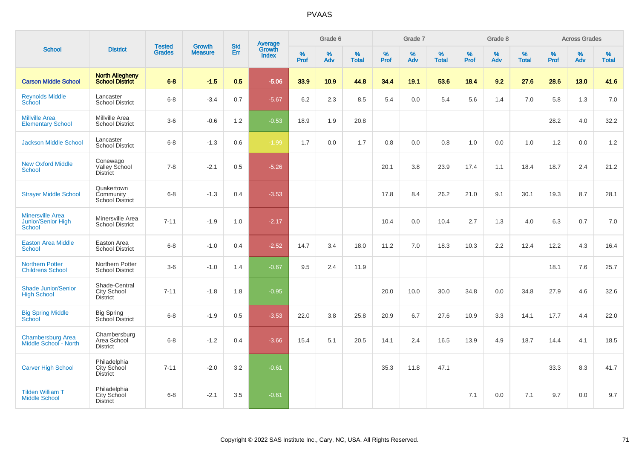| <b>School</b>                                           |                                                        |                                | <b>Growth</b>  | <b>Std</b>    |                                          |                     | Grade 6     |                   |              | Grade 7     |                      |              | Grade 8  |                   |              | <b>Across Grades</b> |                   |
|---------------------------------------------------------|--------------------------------------------------------|--------------------------------|----------------|---------------|------------------------------------------|---------------------|-------------|-------------------|--------------|-------------|----------------------|--------------|----------|-------------------|--------------|----------------------|-------------------|
|                                                         | <b>District</b>                                        | <b>Tested</b><br><b>Grades</b> | <b>Measure</b> | <b>Err</b>    | <b>Average</b><br>Growth<br><b>Index</b> | $\%$<br><b>Prof</b> | $\%$<br>Adv | %<br><b>Total</b> | $\%$<br>Prof | $\%$<br>Adv | $\%$<br><b>Total</b> | $\%$<br>Prof | %<br>Adv | %<br><b>Total</b> | $\%$<br>Prof | $\%$<br>Adv          | %<br><b>Total</b> |
| <b>Carson Middle School</b>                             | <b>North Allegheny</b><br><b>School District</b>       | $6 - 8$                        | $-1.5$         | 0.5           | $-5.06$                                  | 33.9                | 10.9        | 44.8              | 34.4         | 19.1        | 53.6                 | 18.4         | 9.2      | 27.6              | 28.6         | 13.0                 | 41.6              |
| <b>Reynolds Middle</b><br>School                        | Lancaster<br><b>School District</b>                    | $6 - 8$                        | $-3.4$         | 0.7           | $-5.67$                                  | 6.2                 | 2.3         | 8.5               | 5.4          | 0.0         | 5.4                  | 5.6          | 1.4      | 7.0               | 5.8          | 1.3                  | 7.0               |
| <b>Millville Area</b><br><b>Elementary School</b>       | Millville Area<br><b>School District</b>               | $3-6$                          | $-0.6$         | 1.2           | $-0.53$                                  | 18.9                | 1.9         | 20.8              |              |             |                      |              |          |                   | 28.2         | 4.0                  | 32.2              |
| <b>Jackson Middle School</b>                            | Lancaster<br><b>School District</b>                    | $6 - 8$                        | $-1.3$         | 0.6           | $-1.99$                                  | 1.7                 | 0.0         | 1.7               | 0.8          | 0.0         | 0.8                  | 1.0          | 0.0      | 1.0               | 1.2          | 0.0                  | 1.2               |
| <b>New Oxford Middle</b><br><b>School</b>               | Conewago<br>Valley School<br><b>District</b>           | $7 - 8$                        | $-2.1$         | 0.5           | $-5.26$                                  |                     |             |                   | 20.1         | 3.8         | 23.9                 | 17.4         | 1.1      | 18.4              | 18.7         | 2.4                  | 21.2              |
| <b>Strayer Middle School</b>                            | Quakertown<br>Community<br><b>School District</b>      | $6 - 8$                        | $-1.3$         | 0.4           | $-3.53$                                  |                     |             |                   | 17.8         | 8.4         | 26.2                 | 21.0         | 9.1      | 30.1              | 19.3         | 8.7                  | 28.1              |
| <b>Minersville Area</b><br>Junior/Senior High<br>School | Minersville Area<br><b>School District</b>             | $7 - 11$                       | $-1.9$         | 1.0           | $-2.17$                                  |                     |             |                   | 10.4         | 0.0         | 10.4                 | 2.7          | 1.3      | 4.0               | 6.3          | 0.7                  | 7.0               |
| <b>Easton Area Middle</b><br>School                     | Easton Area<br><b>School District</b>                  | $6 - 8$                        | $-1.0$         | $0.4^{\circ}$ | $-2.52$                                  | 14.7                | 3.4         | 18.0              | 11.2         | 7.0         | 18.3                 | 10.3         | 2.2      | 12.4              | 12.2         | 4.3                  | 16.4              |
| <b>Northern Potter</b><br><b>Childrens School</b>       | Northern Potter<br><b>School District</b>              | $3-6$                          | $-1.0$         | 1.4           | $-0.67$                                  | 9.5                 | 2.4         | 11.9              |              |             |                      |              |          |                   | 18.1         | 7.6                  | 25.7              |
| <b>Shade Junior/Senior</b><br><b>High School</b>        | Shade-Central<br><b>City School</b><br><b>District</b> | $7 - 11$                       | $-1.8$         | 1.8           | $-0.95$                                  |                     |             |                   | 20.0         | 10.0        | 30.0                 | 34.8         | 0.0      | 34.8              | 27.9         | 4.6                  | 32.6              |
| <b>Big Spring Middle</b><br>School                      | <b>Big Spring</b><br>School District                   | $6 - 8$                        | $-1.9$         | 0.5           | $-3.53$                                  | 22.0                | 3.8         | 25.8              | 20.9         | 6.7         | 27.6                 | 10.9         | 3.3      | 14.1              | 17.7         | 4.4                  | 22.0              |
| <b>Chambersburg Area</b><br>Middle School - North       | Chambersburg<br>Area School<br><b>District</b>         | $6 - 8$                        | $-1.2$         | 0.4           | $-3.66$                                  | 15.4                | 5.1         | 20.5              | 14.1         | 2.4         | 16.5                 | 13.9         | 4.9      | 18.7              | 14.4         | 4.1                  | 18.5              |
| <b>Carver High School</b>                               | Philadelphia<br>City School<br><b>District</b>         | $7 - 11$                       | $-2.0$         | 3.2           | $-0.61$                                  |                     |             |                   | 35.3         | 11.8        | 47.1                 |              |          |                   | 33.3         | 8.3                  | 41.7              |
| <b>Tilden William T</b><br><b>Middle School</b>         | Philadelphia<br>City School<br><b>District</b>         | $6 - 8$                        | $-2.1$         | 3.5           | $-0.61$                                  |                     |             |                   |              |             |                      | 7.1          | 0.0      | 7.1               | 9.7          | 0.0                  | 9.7               |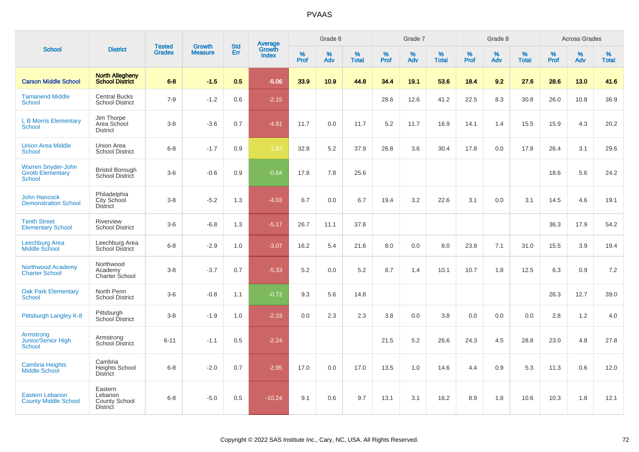| <b>School</b>                                                           |                                                               |                                |                                 | <b>Std</b> |                                   |           | Grade 6     |                   |              | Grade 7     |                      |              | Grade 8  |                   |              | <b>Across Grades</b> |                   |
|-------------------------------------------------------------------------|---------------------------------------------------------------|--------------------------------|---------------------------------|------------|-----------------------------------|-----------|-------------|-------------------|--------------|-------------|----------------------|--------------|----------|-------------------|--------------|----------------------|-------------------|
|                                                                         | <b>District</b>                                               | <b>Tested</b><br><b>Grades</b> | <b>Growth</b><br><b>Measure</b> | <b>Err</b> | Average<br>Growth<br><b>Index</b> | %<br>Prof | $\%$<br>Adv | %<br><b>Total</b> | $\%$<br>Prof | $\%$<br>Adv | $\%$<br><b>Total</b> | $\%$<br>Prof | %<br>Adv | %<br><b>Total</b> | $\%$<br>Prof | $\%$<br>Adv          | %<br><b>Total</b> |
| <b>Carson Middle School</b>                                             | <b>North Allegheny</b><br><b>School District</b>              | $6 - 8$                        | $-1.5$                          | 0.5        | $-5.06$                           | 33.9      | 10.9        | 44.8              | 34.4         | 19.1        | 53.6                 | 18.4         | 9.2      | 27.6              | 28.6         | 13.0                 | 41.6              |
| <b>Tamanend Middle</b><br><b>School</b>                                 | <b>Central Bucks</b><br><b>School District</b>                | $7 - 9$                        | $-1.2$                          | 0.6        | $-2.15$                           |           |             |                   | 28.6         | 12.6        | 41.2                 | 22.5         | 8.3      | 30.8              | 26.0         | 10.8                 | 36.9              |
| <b>L B Morris Elementary</b><br><b>School</b>                           | Jim Thorpe<br>Area School<br><b>District</b>                  | $3 - 8$                        | $-3.6$                          | 0.7        | $-4.91$                           | 11.7      | 0.0         | 11.7              | 5.2          | 11.7        | 16.9                 | 14.1         | 1.4      | 15.5              | 15.9         | 4.3                  | 20.2              |
| <b>Union Area Middle</b><br><b>School</b>                               | Union Area<br><b>School District</b>                          | $6 - 8$                        | $-1.7$                          | 0.9        | $-1.83$                           | 32.8      | 5.2         | 37.9              | 26.8         | 3.6         | 30.4                 | 17.8         | 0.0      | 17.8              | 26.4         | 3.1                  | 29.6              |
| <b>Warren Snyder-John</b><br><b>Girotti Elementary</b><br><b>School</b> | <b>Bristol Borough</b><br>School District                     | $3-6$                          | $-0.6$                          | 0.9        | $-0.64$                           | 17.8      | 7.8         | 25.6              |              |             |                      |              |          |                   | 18.6         | 5.6                  | 24.2              |
| <b>John Hancock</b><br><b>Demonstration School</b>                      | Philadelphia<br>City School<br><b>District</b>                | $3 - 8$                        | $-5.2$                          | 1.3        | $-4.03$                           | 6.7       | 0.0         | 6.7               | 19.4         | 3.2         | 22.6                 | 3.1          | 0.0      | 3.1               | 14.5         | 4.6                  | 19.1              |
| <b>Tenth Street</b><br><b>Elementary School</b>                         | Riverview<br><b>School District</b>                           | $3-6$                          | $-6.8$                          | 1.3        | $-5.17$                           | 26.7      | 11.1        | 37.8              |              |             |                      |              |          |                   | 36.3         | 17.9                 | 54.2              |
| <b>Leechburg Area</b><br><b>Middle School</b>                           | Leechburg Area<br><b>School District</b>                      | $6 - 8$                        | $-2.9$                          | 1.0        | $-3.07$                           | 16.2      | 5.4         | 21.6              | 8.0          | 0.0         | 8.0                  | 23.8         | 7.1      | 31.0              | 15.5         | 3.9                  | 19.4              |
| Northwood Academy<br><b>Charter School</b>                              | Northwood<br>Academy<br>Charter School                        | $3-8$                          | $-3.7$                          | 0.7        | $-5.33$                           | 5.2       | 0.0         | 5.2               | 8.7          | 1.4         | 10.1                 | 10.7         | 1.8      | 12.5              | 6.3          | 0.9                  | 7.2               |
| <b>Oak Park Elementary</b><br><b>School</b>                             | North Penn<br><b>School District</b>                          | $3-6$                          | $-0.8$                          | 1.1        | $-0.72$                           | 9.3       | 5.6         | 14.8              |              |             |                      |              |          |                   | 26.3         | 12.7                 | 39.0              |
| Pittsburgh Langley K-8                                                  | Pittsburgh<br><b>School District</b>                          | $3 - 8$                        | $-1.9$                          | 1.0        | $-2.33$                           | 0.0       | 2.3         | 2.3               | 3.8          | 0.0         | 3.8                  | 0.0          | 0.0      | 0.0               | 2.8          | 1.2                  | 4.0               |
| Armstrong<br>Junior/Senior High<br><b>School</b>                        | Armstrong<br><b>School District</b>                           | $6 - 11$                       | $-1.1$                          | 0.5        | $-2.24$                           |           |             |                   | 21.5         | 5.2         | 26.6                 | 24.3         | 4.5      | 28.8              | 23.0         | 4.8                  | 27.8              |
| <b>Cambria Heights</b><br>Middle School                                 | Cambria<br><b>Heights School</b><br><b>District</b>           | $6 - 8$                        | $-2.0$                          | 0.7        | $-2.95$                           | 17.0      | 0.0         | 17.0              | 13.5         | 1.0         | 14.6                 | 4.4          | 0.9      | 5.3               | 11.3         | 0.6                  | 12.0              |
| <b>Eastern Lebanon</b><br><b>County Middle School</b>                   | Eastern<br>Lebanon<br><b>County School</b><br><b>District</b> | $6 - 8$                        | $-5.0$                          | 0.5        | $-10.24$                          | 9.1       | 0.6         | 9.7               | 13.1         | 3.1         | 16.2                 | 8.9          | 1.8      | 10.6              | 10.3         | 1.8                  | 12.1              |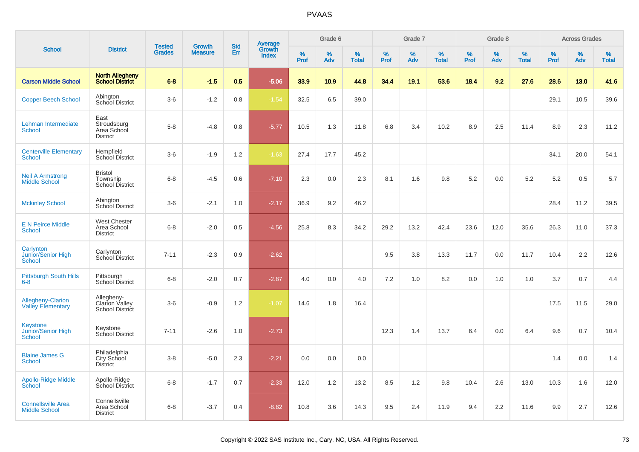| <b>School</b>                                        |                                                               |                                |                                 | <b>Std</b> |                                          |           | Grade 6  |                   |           | Grade 7  |                   |              | Grade 8  |                   |              | <b>Across Grades</b> |                   |
|------------------------------------------------------|---------------------------------------------------------------|--------------------------------|---------------------------------|------------|------------------------------------------|-----------|----------|-------------------|-----------|----------|-------------------|--------------|----------|-------------------|--------------|----------------------|-------------------|
|                                                      | <b>District</b>                                               | <b>Tested</b><br><b>Grades</b> | <b>Growth</b><br><b>Measure</b> | Err        | <b>Average</b><br>Growth<br><b>Index</b> | %<br>Prof | %<br>Adv | %<br><b>Total</b> | %<br>Prof | %<br>Adv | %<br><b>Total</b> | $\%$<br>Prof | %<br>Adv | %<br><b>Total</b> | $\%$<br>Prof | %<br>Adv             | %<br><b>Total</b> |
| <b>Carson Middle School</b>                          | <b>North Allegheny</b><br><b>School District</b>              | $6 - 8$                        | $-1.5$                          | 0.5        | $-5.06$                                  | 33.9      | 10.9     | 44.8              | 34.4      | 19.1     | 53.6              | 18.4         | 9.2      | 27.6              | 28.6         | 13.0                 | 41.6              |
| <b>Copper Beech School</b>                           | Abington<br>School District                                   | $3-6$                          | $-1.2$                          | 0.8        | $-1.54$                                  | 32.5      | 6.5      | 39.0              |           |          |                   |              |          |                   | 29.1         | 10.5                 | 39.6              |
| Lehman Intermediate<br><b>School</b>                 | East<br>Stroudsburg<br>Area School<br><b>District</b>         | $5-8$                          | $-4.8$                          | 0.8        | $-5.77$                                  | 10.5      | 1.3      | 11.8              | 6.8       | 3.4      | 10.2              | 8.9          | 2.5      | 11.4              | 8.9          | 2.3                  | 11.2              |
| <b>Centerville Elementary</b><br>School              | Hempfield<br><b>School District</b>                           | $3-6$                          | $-1.9$                          | 1.2        | $-1.63$                                  | 27.4      | 17.7     | 45.2              |           |          |                   |              |          |                   | 34.1         | 20.0                 | 54.1              |
| <b>Neil A Armstrong</b><br><b>Middle School</b>      | <b>Bristol</b><br>Township<br>School District                 | $6 - 8$                        | $-4.5$                          | 0.6        | $-7.10$                                  | 2.3       | 0.0      | 2.3               | 8.1       | 1.6      | 9.8               | $5.2\,$      | 0.0      | 5.2               | 5.2          | 0.5                  | $5.7\,$           |
| <b>Mckinley School</b>                               | Abington<br>School District                                   | $3-6$                          | $-2.1$                          | 1.0        | $-2.17$                                  | 36.9      | 9.2      | 46.2              |           |          |                   |              |          |                   | 28.4         | 11.2                 | 39.5              |
| <b>E N Peirce Middle</b><br><b>School</b>            | <b>West Chester</b><br>Area School<br><b>District</b>         | $6 - 8$                        | $-2.0$                          | 0.5        | $-4.56$                                  | 25.8      | 8.3      | 34.2              | 29.2      | 13.2     | 42.4              | 23.6         | 12.0     | 35.6              | 26.3         | 11.0                 | 37.3              |
| Carlynton<br>Junior/Senior High<br>School            | Carlynton<br>School District                                  | $7 - 11$                       | $-2.3$                          | 0.9        | $-2.62$                                  |           |          |                   | 9.5       | 3.8      | 13.3              | 11.7         | 0.0      | 11.7              | 10.4         | 2.2                  | 12.6              |
| <b>Pittsburgh South Hills</b><br>$6 - 8$             | Pittsburgh<br>School District                                 | $6 - 8$                        | $-2.0$                          | 0.7        | $-2.87$                                  | 4.0       | 0.0      | 4.0               | 7.2       | 1.0      | 8.2               | 0.0          | 1.0      | 1.0               | 3.7          | 0.7                  | 4.4               |
| <b>Allegheny-Clarion</b><br><b>Valley Elementary</b> | Allegheny-<br><b>Clarion Valley</b><br><b>School District</b> | $3-6$                          | $-0.9$                          | 1.2        | $-1.07$                                  | 14.6      | 1.8      | 16.4              |           |          |                   |              |          |                   | 17.5         | 11.5                 | 29.0              |
| Keystone<br>Junior/Senior High<br>School             | Keystone<br>School District                                   | $7 - 11$                       | $-2.6$                          | 1.0        | $-2.73$                                  |           |          |                   | 12.3      | 1.4      | 13.7              | 6.4          | 0.0      | 6.4               | 9.6          | 0.7                  | 10.4              |
| <b>Blaine James G</b><br><b>School</b>               | Philadelphia<br>City School<br>District                       | $3 - 8$                        | $-5.0$                          | 2.3        | $-2.21$                                  | 0.0       | 0.0      | 0.0               |           |          |                   |              |          |                   | 1.4          | 0.0                  | 1.4               |
| <b>Apollo-Ridge Middle</b><br>School                 | Apollo-Ridge<br><b>School District</b>                        | $6-8$                          | $-1.7$                          | 0.7        | $-2.33$                                  | 12.0      | 1.2      | 13.2              | 8.5       | 1.2      | 9.8               | 10.4         | 2.6      | 13.0              | 10.3         | 1.6                  | 12.0              |
| <b>Connellsville Area</b><br><b>Middle School</b>    | Connellsville<br>Area School<br><b>District</b>               | $6 - 8$                        | $-3.7$                          | 0.4        | $-8.82$                                  | 10.8      | 3.6      | 14.3              | 9.5       | 2.4      | 11.9              | 9.4          | 2.2      | 11.6              | 9.9          | 2.7                  | 12.6              |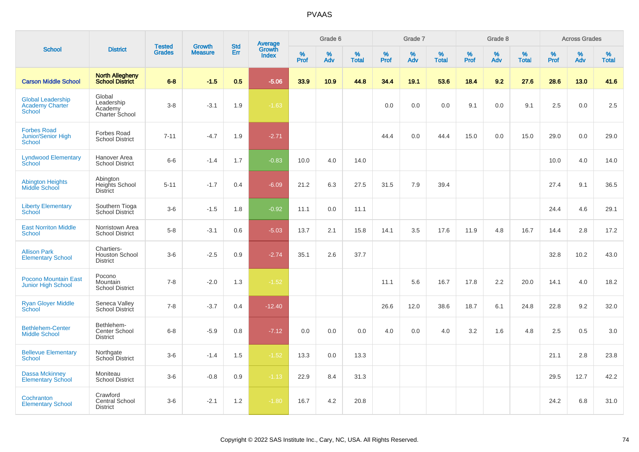| <b>School</b>                                                       |                                                        | <b>Tested</b> | <b>Growth</b>  | <b>Std</b> |                                          |                  | Grade 6     |                   |           | Grade 7     |                   |              | Grade 8  |                   |              | <b>Across Grades</b> |                   |
|---------------------------------------------------------------------|--------------------------------------------------------|---------------|----------------|------------|------------------------------------------|------------------|-------------|-------------------|-----------|-------------|-------------------|--------------|----------|-------------------|--------------|----------------------|-------------------|
|                                                                     | <b>District</b>                                        | <b>Grades</b> | <b>Measure</b> | Err        | <b>Average</b><br>Growth<br><b>Index</b> | %<br><b>Prof</b> | $\%$<br>Adv | %<br><b>Total</b> | %<br>Prof | $\%$<br>Adv | %<br><b>Total</b> | $\%$<br>Prof | %<br>Adv | %<br><b>Total</b> | $\%$<br>Prof | $\%$<br>Adv          | %<br><b>Total</b> |
| <b>Carson Middle School</b>                                         | <b>North Allegheny</b><br><b>School District</b>       | $6 - 8$       | $-1.5$         | 0.5        | $-5.06$                                  | 33.9             | 10.9        | 44.8              | 34.4      | 19.1        | 53.6              | 18.4         | 9.2      | 27.6              | 28.6         | 13.0                 | 41.6              |
| <b>Global Leadership</b><br><b>Academy Charter</b><br><b>School</b> | Global<br>Leadership<br>Academy<br>Charter School      | $3 - 8$       | $-3.1$         | 1.9        | $-1.63$                                  |                  |             |                   | 0.0       | 0.0         | 0.0               | 9.1          | 0.0      | 9.1               | 2.5          | 0.0                  | 2.5               |
| <b>Forbes Road</b><br>Junior/Senior High<br>School                  | <b>Forbes Road</b><br><b>School District</b>           | $7 - 11$      | $-4.7$         | 1.9        | $-2.71$                                  |                  |             |                   | 44.4      | 0.0         | 44.4              | 15.0         | 0.0      | 15.0              | 29.0         | 0.0                  | 29.0              |
| <b>Lyndwood Elementary</b><br>School                                | Hanover Area<br><b>School District</b>                 | $6-6$         | $-1.4$         | 1.7        | $-0.83$                                  | 10.0             | 4.0         | 14.0              |           |             |                   |              |          |                   | 10.0         | 4.0                  | 14.0              |
| <b>Abington Heights</b><br>Middle School                            | Abington<br>Heights School<br><b>District</b>          | $5 - 11$      | $-1.7$         | 0.4        | $-6.09$                                  | 21.2             | 6.3         | 27.5              | 31.5      | 7.9         | 39.4              |              |          |                   | 27.4         | 9.1                  | 36.5              |
| <b>Liberty Elementary</b><br>School                                 | Southern Tioga<br>School District                      | $3-6$         | $-1.5$         | 1.8        | $-0.92$                                  | 11.1             | 0.0         | 11.1              |           |             |                   |              |          |                   | 24.4         | 4.6                  | 29.1              |
| <b>East Norriton Middle</b><br><b>School</b>                        | Norristown Area<br><b>School District</b>              | $5-8$         | $-3.1$         | 0.6        | $-5.03$                                  | 13.7             | 2.1         | 15.8              | 14.1      | 3.5         | 17.6              | 11.9         | 4.8      | 16.7              | 14.4         | 2.8                  | 17.2              |
| <b>Allison Park</b><br><b>Elementary School</b>                     | Chartiers-<br><b>Houston School</b><br><b>District</b> | $3-6$         | $-2.5$         | 0.9        | $-2.74$                                  | 35.1             | 2.6         | 37.7              |           |             |                   |              |          |                   | 32.8         | 10.2                 | 43.0              |
| <b>Pocono Mountain East</b><br>Junior High School                   | Pocono<br>Mountain<br><b>School District</b>           | $7 - 8$       | $-2.0$         | 1.3        | $-1.52$                                  |                  |             |                   | 11.1      | 5.6         | 16.7              | 17.8         | 2.2      | 20.0              | 14.1         | 4.0                  | 18.2              |
| <b>Ryan Gloyer Middle</b><br>School                                 | Seneca Valley<br>School District                       | $7 - 8$       | $-3.7$         | 0.4        | $-12.40$                                 |                  |             |                   | 26.6      | 12.0        | 38.6              | 18.7         | 6.1      | 24.8              | 22.8         | 9.2                  | 32.0              |
| <b>Bethlehem-Center</b><br><b>Middle School</b>                     | Bethlehem-<br>Center School<br><b>District</b>         | $6 - 8$       | $-5.9$         | 0.8        | $-7.12$                                  | 0.0              | 0.0         | 0.0               | 4.0       | 0.0         | 4.0               | 3.2          | 1.6      | 4.8               | 2.5          | 0.5                  | 3.0               |
| <b>Bellevue Elementary</b><br><b>School</b>                         | Northgate<br>School District                           | $3-6$         | $-1.4$         | 1.5        | $-1.52$                                  | 13.3             | 0.0         | 13.3              |           |             |                   |              |          |                   | 21.1         | 2.8                  | 23.8              |
| <b>Dassa Mckinney</b><br><b>Elementary School</b>                   | Moniteau<br><b>School District</b>                     | $3-6$         | $-0.8$         | 0.9        | $-1.13$                                  | 22.9             | 8.4         | 31.3              |           |             |                   |              |          |                   | 29.5         | 12.7                 | 42.2              |
| Cochranton<br><b>Elementary School</b>                              | Crawford<br>Central School<br><b>District</b>          | $3-6$         | $-2.1$         | 1.2        | $-1.80$                                  | 16.7             | 4.2         | 20.8              |           |             |                   |              |          |                   | 24.2         | 6.8                  | 31.0              |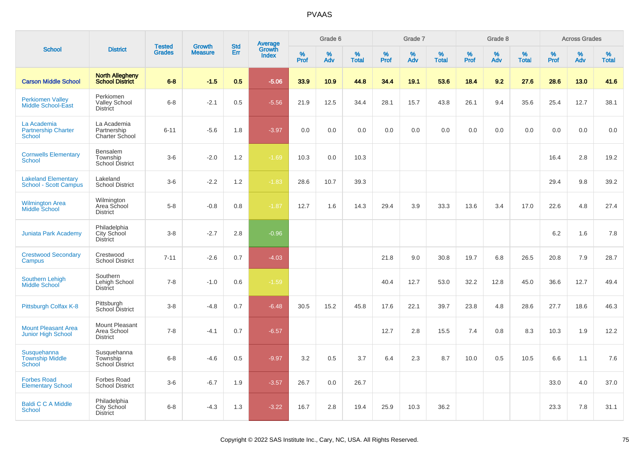|                                                            |                                                       | <b>Tested</b> | <b>Growth</b>  | <b>Std</b> |                                          |                  | Grade 6     |                   |              | Grade 7     |                   |           | Grade 8  |                   |              | <b>Across Grades</b> |                   |
|------------------------------------------------------------|-------------------------------------------------------|---------------|----------------|------------|------------------------------------------|------------------|-------------|-------------------|--------------|-------------|-------------------|-----------|----------|-------------------|--------------|----------------------|-------------------|
| <b>School</b>                                              | <b>District</b>                                       | <b>Grades</b> | <b>Measure</b> | Err        | <b>Average</b><br>Growth<br><b>Index</b> | %<br><b>Prof</b> | $\%$<br>Adv | %<br><b>Total</b> | $\%$<br>Prof | $\%$<br>Adv | %<br><b>Total</b> | %<br>Prof | %<br>Adv | %<br><b>Total</b> | $\%$<br>Prof | %<br>Adv             | %<br><b>Total</b> |
| <b>Carson Middle School</b>                                | <b>North Allegheny</b><br><b>School District</b>      | $6 - 8$       | $-1.5$         | 0.5        | $-5.06$                                  | 33.9             | 10.9        | 44.8              | 34.4         | 19.1        | 53.6              | 18.4      | 9.2      | 27.6              | 28.6         | 13.0                 | 41.6              |
| <b>Perkiomen Valley</b><br><b>Middle School-East</b>       | Perkiomen<br><b>Valley School</b><br><b>District</b>  | $6 - 8$       | $-2.1$         | 0.5        | $-5.56$                                  | 21.9             | 12.5        | 34.4              | 28.1         | 15.7        | 43.8              | 26.1      | 9.4      | 35.6              | 25.4         | 12.7                 | 38.1              |
| La Academia<br><b>Partnership Charter</b><br>School        | La Academia<br>Partnership<br>Charter School          | $6 - 11$      | $-5.6$         | 1.8        | $-3.97$                                  | 0.0              | 0.0         | 0.0               | 0.0          | 0.0         | 0.0               | 0.0       | 0.0      | 0.0               | 0.0          | 0.0                  | 0.0               |
| <b>Cornwells Elementary</b><br><b>School</b>               | Bensalem<br>Township<br>School District               | $3-6$         | $-2.0$         | 1.2        | $-1.69$                                  | 10.3             | 0.0         | 10.3              |              |             |                   |           |          |                   | 16.4         | 2.8                  | 19.2              |
| <b>Lakeland Elementary</b><br><b>School - Scott Campus</b> | Lakeland<br><b>School District</b>                    | $3-6$         | $-2.2$         | 1.2        | $-1.83$                                  | 28.6             | 10.7        | 39.3              |              |             |                   |           |          |                   | 29.4         | 9.8                  | 39.2              |
| <b>Wilmington Area</b><br><b>Middle School</b>             | Wilmington<br>Area School<br><b>District</b>          | $5-8$         | $-0.8$         | 0.8        | $-1.87$                                  | 12.7             | 1.6         | 14.3              | 29.4         | 3.9         | 33.3              | 13.6      | 3.4      | 17.0              | 22.6         | 4.8                  | 27.4              |
| <b>Juniata Park Academy</b>                                | Philadelphia<br>City School<br><b>District</b>        | $3 - 8$       | $-2.7$         | 2.8        | $-0.96$                                  |                  |             |                   |              |             |                   |           |          |                   | 6.2          | 1.6                  | 7.8               |
| <b>Crestwood Secondary</b><br>Campus                       | Crestwood<br><b>School District</b>                   | $7 - 11$      | $-2.6$         | 0.7        | $-4.03$                                  |                  |             |                   | 21.8         | 9.0         | 30.8              | 19.7      | 6.8      | 26.5              | 20.8         | 7.9                  | 28.7              |
| Southern Lehigh<br>Middle School                           | Southern<br>Lehigh School<br><b>District</b>          | $7 - 8$       | $-1.0$         | 0.6        | $-1.59$                                  |                  |             |                   | 40.4         | 12.7        | 53.0              | 32.2      | 12.8     | 45.0              | 36.6         | 12.7                 | 49.4              |
| Pittsburgh Colfax K-8                                      | Pittsburgh<br>School District                         | $3 - 8$       | $-4.8$         | 0.7        | $-6.48$                                  | 30.5             | 15.2        | 45.8              | 17.6         | 22.1        | 39.7              | 23.8      | 4.8      | 28.6              | 27.7         | 18.6                 | 46.3              |
| <b>Mount Pleasant Area</b><br>Junior High School           | Mount Pleasant<br>Area School<br><b>District</b>      | $7 - 8$       | $-4.1$         | 0.7        | $-6.57$                                  |                  |             |                   | 12.7         | 2.8         | 15.5              | 7.4       | 0.8      | 8.3               | 10.3         | 1.9                  | 12.2              |
| Susquehanna<br><b>Township Middle</b><br>School            | Susquehanna<br>Township<br>School District            | $6 - 8$       | $-4.6$         | 0.5        | $-9.97$                                  | 3.2              | 0.5         | 3.7               | 6.4          | 2.3         | 8.7               | 10.0      | 0.5      | 10.5              | 6.6          | 1.1                  | 7.6               |
| <b>Forbes Road</b><br><b>Elementary School</b>             | Forbes Road<br><b>School District</b>                 | $3-6$         | $-6.7$         | 1.9        | $-3.57$                                  | 26.7             | 0.0         | 26.7              |              |             |                   |           |          |                   | 33.0         | 4.0                  | 37.0              |
| <b>Baldi C C A Middle</b><br><b>School</b>                 | Philadelphia<br><b>City School</b><br><b>District</b> | $6 - 8$       | $-4.3$         | 1.3        | $-3.22$                                  | 16.7             | 2.8         | 19.4              | 25.9         | 10.3        | 36.2              |           |          |                   | 23.3         | 7.8                  | 31.1              |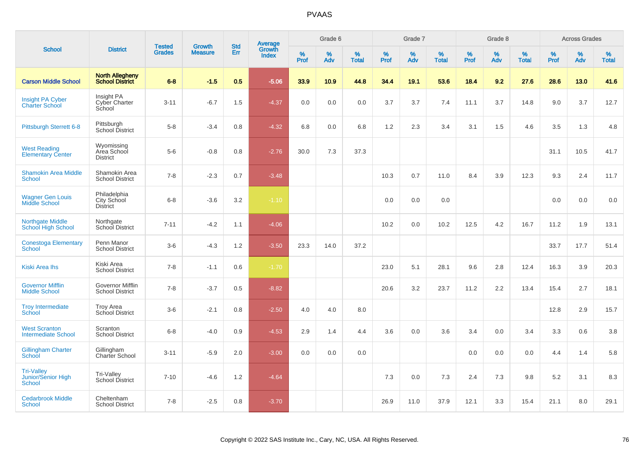|                                                                 |                                                  |                                |                                 | <b>Std</b>       |                                          |                  | Grade 6     |                   |           | Grade 7     |                   |           | Grade 8  |                   |              | <b>Across Grades</b> |                   |
|-----------------------------------------------------------------|--------------------------------------------------|--------------------------------|---------------------------------|------------------|------------------------------------------|------------------|-------------|-------------------|-----------|-------------|-------------------|-----------|----------|-------------------|--------------|----------------------|-------------------|
| <b>School</b>                                                   | <b>District</b>                                  | <b>Tested</b><br><b>Grades</b> | <b>Growth</b><br><b>Measure</b> | Err              | <b>Average</b><br>Growth<br><b>Index</b> | %<br><b>Prof</b> | $\%$<br>Adv | %<br><b>Total</b> | %<br>Prof | $\%$<br>Adv | %<br><b>Total</b> | %<br>Prof | %<br>Adv | %<br><b>Total</b> | $\%$<br>Prof | %<br>Adv             | %<br><b>Total</b> |
| <b>Carson Middle School</b>                                     | <b>North Allegheny</b><br><b>School District</b> | $6 - 8$                        | $-1.5$                          | 0.5 <sub>1</sub> | $-5.06$                                  | 33.9             | 10.9        | 44.8              | 34.4      | 19.1        | 53.6              | 18.4      | 9.2      | 27.6              | 28.6         | 13.0                 | 41.6              |
| <b>Insight PA Cyber</b><br><b>Charter School</b>                | Insight PA<br>Cyber Charter<br>School            | $3 - 11$                       | $-6.7$                          | 1.5              | $-4.37$                                  | 0.0              | 0.0         | 0.0               | 3.7       | 3.7         | 7.4               | 11.1      | 3.7      | 14.8              | 9.0          | 3.7                  | 12.7              |
| <b>Pittsburgh Sterrett 6-8</b>                                  | Pittsburgh<br>School District                    | $5-8$                          | $-3.4$                          | 0.8              | $-4.32$                                  | 6.8              | 0.0         | 6.8               | 1.2       | 2.3         | 3.4               | 3.1       | 1.5      | 4.6               | 3.5          | 1.3                  | 4.8               |
| <b>West Reading</b><br><b>Elementary Center</b>                 | Wyomissing<br>Area School<br><b>District</b>     | $5-6$                          | $-0.8$                          | 0.8              | $-2.76$                                  | 30.0             | 7.3         | 37.3              |           |             |                   |           |          |                   | 31.1         | 10.5                 | 41.7              |
| <b>Shamokin Area Middle</b><br>School                           | Shamokin Area<br><b>School District</b>          | $7 - 8$                        | $-2.3$                          | 0.7              | $-3.48$                                  |                  |             |                   | 10.3      | 0.7         | 11.0              | 8.4       | 3.9      | 12.3              | 9.3          | 2.4                  | 11.7              |
| <b>Wagner Gen Louis</b><br><b>Middle School</b>                 | Philadelphia<br>City School<br>District          | $6 - 8$                        | $-3.6$                          | 3.2              | $-1.10$                                  |                  |             |                   | 0.0       | 0.0         | 0.0               |           |          |                   | 0.0          | 0.0                  | 0.0               |
| <b>Northgate Middle</b><br>School High School                   | Northgate<br>School District                     | $7 - 11$                       | $-4.2$                          | 1.1              | $-4.06$                                  |                  |             |                   | 10.2      | 0.0         | 10.2              | 12.5      | 4.2      | 16.7              | 11.2         | 1.9                  | 13.1              |
| <b>Conestoga Elementary</b><br>School                           | Penn Manor<br><b>School District</b>             | $3-6$                          | $-4.3$                          | 1.2              | $-3.50$                                  | 23.3             | 14.0        | 37.2              |           |             |                   |           |          |                   | 33.7         | 17.7                 | 51.4              |
| <b>Kiski Area Ihs</b>                                           | Kiski Area<br><b>School District</b>             | $7 - 8$                        | $-1.1$                          | 0.6              | $-1.70$                                  |                  |             |                   | 23.0      | 5.1         | 28.1              | 9.6       | 2.8      | 12.4              | 16.3         | 3.9                  | 20.3              |
| <b>Governor Mifflin</b><br><b>Middle School</b>                 | Governor Mifflin<br><b>School District</b>       | $7 - 8$                        | $-3.7$                          | 0.5              | $-8.82$                                  |                  |             |                   | 20.6      | 3.2         | 23.7              | 11.2      | 2.2      | 13.4              | 15.4         | 2.7                  | 18.1              |
| <b>Troy Intermediate</b><br>School                              | <b>Troy Area</b><br>School District              | $3-6$                          | $-2.1$                          | 0.8              | $-2.50$                                  | 4.0              | 4.0         | 8.0               |           |             |                   |           |          |                   | 12.8         | 2.9                  | 15.7              |
| <b>West Scranton</b><br><b>Intermediate School</b>              | Scranton<br><b>School District</b>               | $6 - 8$                        | $-4.0$                          | 0.9              | $-4.53$                                  | 2.9              | 1.4         | 4.4               | 3.6       | 0.0         | 3.6               | 3.4       | 0.0      | 3.4               | 3.3          | 0.6                  | 3.8               |
| <b>Gillingham Charter</b><br>School                             | Gillingham<br>Charter School                     | $3 - 11$                       | $-5.9$                          | 2.0              | $-3.00$                                  | 0.0              | 0.0         | 0.0               |           |             |                   | 0.0       | 0.0      | 0.0               | 4.4          | 1.4                  | 5.8               |
| <b>Tri-Valley</b><br><b>Junior/Senior High</b><br><b>School</b> | Tri-Valley<br>School District                    | $7 - 10$                       | $-4.6$                          | 1.2              | $-4.64$                                  |                  |             |                   | 7.3       | 0.0         | 7.3               | 2.4       | 7.3      | 9.8               | 5.2          | 3.1                  | 8.3               |
| <b>Cedarbrook Middle</b><br><b>School</b>                       | Cheltenham<br><b>School District</b>             | $7 - 8$                        | $-2.5$                          | 0.8              | $-3.70$                                  |                  |             |                   | 26.9      | 11.0        | 37.9              | 12.1      | 3.3      | 15.4              | 21.1         | 8.0                  | 29.1              |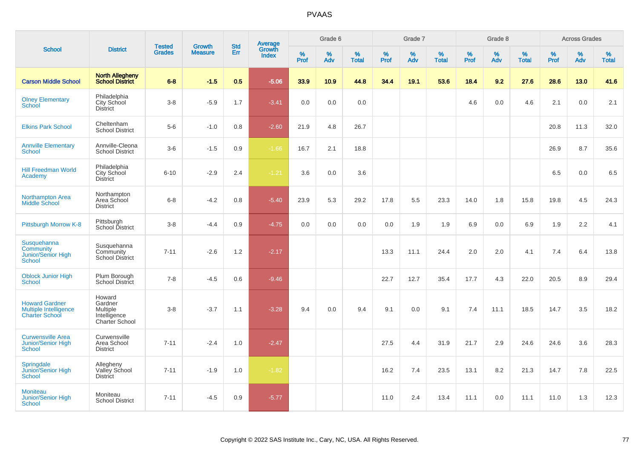| <b>School</b>                                                           |                                                                        |                                |                          | <b>Std</b> |                                          |                  | Grade 6  |                   |           | Grade 7  |                   |           | Grade 8  |                   |           | <b>Across Grades</b> |                   |
|-------------------------------------------------------------------------|------------------------------------------------------------------------|--------------------------------|--------------------------|------------|------------------------------------------|------------------|----------|-------------------|-----------|----------|-------------------|-----------|----------|-------------------|-----------|----------------------|-------------------|
|                                                                         | <b>District</b>                                                        | <b>Tested</b><br><b>Grades</b> | Growth<br><b>Measure</b> | Err        | <b>Average</b><br>Growth<br><b>Index</b> | %<br><b>Prof</b> | %<br>Adv | %<br><b>Total</b> | %<br>Prof | %<br>Adv | %<br><b>Total</b> | %<br>Prof | %<br>Adv | %<br><b>Total</b> | %<br>Prof | %<br>Adv             | %<br><b>Total</b> |
| <b>Carson Middle School</b>                                             | <b>North Allegheny</b><br><b>School District</b>                       | $6 - 8$                        | $-1.5$                   | 0.5        | $-5.06$                                  | 33.9             | 10.9     | 44.8              | 34.4      | 19.1     | 53.6              | 18.4      | 9.2      | 27.6              | 28.6      | 13.0                 | 41.6              |
| <b>Olney Elementary</b><br><b>School</b>                                | Philadelphia<br>City School<br><b>District</b>                         | $3 - 8$                        | $-5.9$                   | 1.7        | $-3.41$                                  | 0.0              | 0.0      | 0.0               |           |          |                   | 4.6       | 0.0      | 4.6               | 2.1       | 0.0                  | 2.1               |
| <b>Elkins Park School</b>                                               | Cheltenham<br>School District                                          | $5-6$                          | $-1.0$                   | 0.8        | $-2.60$                                  | 21.9             | 4.8      | 26.7              |           |          |                   |           |          |                   | 20.8      | 11.3                 | 32.0              |
| <b>Annville Elementary</b><br><b>School</b>                             | Annville-Cleona<br><b>School District</b>                              | $3-6$                          | $-1.5$                   | 0.9        | $-1.66$                                  | 16.7             | 2.1      | 18.8              |           |          |                   |           |          |                   | 26.9      | 8.7                  | 35.6              |
| <b>Hill Freedman World</b><br>Academy                                   | Philadelphia<br>City School<br><b>District</b>                         | $6 - 10$                       | $-2.9$                   | 2.4        | $-1.21$                                  | 3.6              | 0.0      | 3.6               |           |          |                   |           |          |                   | 6.5       | 0.0                  | 6.5               |
| <b>Northampton Area</b><br>Middle School                                | Northampton<br>Area School<br><b>District</b>                          | $6 - 8$                        | $-4.2$                   | 0.8        | $-5.40$                                  | 23.9             | 5.3      | 29.2              | 17.8      | 5.5      | 23.3              | 14.0      | 1.8      | 15.8              | 19.8      | 4.5                  | 24.3              |
| Pittsburgh Morrow K-8                                                   | Pittsburgh<br>School District                                          | $3 - 8$                        | $-4.4$                   | 0.9        | $-4.75$                                  | 0.0              | 0.0      | 0.0               | 0.0       | 1.9      | 1.9               | 6.9       | 0.0      | 6.9               | 1.9       | 2.2                  | 4.1               |
| Susquehanna<br>Community<br><b>Junior/Senior High</b><br><b>School</b>  | Susquehanna<br>Community<br><b>School District</b>                     | $7 - 11$                       | $-2.6$                   | 1.2        | $-2.17$                                  |                  |          |                   | 13.3      | 11.1     | 24.4              | 2.0       | 2.0      | 4.1               | 7.4       | 6.4                  | 13.8              |
| <b>Oblock Junior High</b><br><b>School</b>                              | Plum Borough<br><b>School District</b>                                 | $7 - 8$                        | $-4.5$                   | 0.6        | $-9.46$                                  |                  |          |                   | 22.7      | 12.7     | 35.4              | 17.7      | 4.3      | 22.0              | 20.5      | 8.9                  | 29.4              |
| <b>Howard Gardner</b><br>Multiple Intelligence<br><b>Charter School</b> | Howard<br>Gardner<br><b>Multiple</b><br>Intelligence<br>Charter School | $3 - 8$                        | $-3.7$                   | 1.1        | $-3.28$                                  | 9.4              | 0.0      | 9.4               | 9.1       | 0.0      | 9.1               | 7.4       | 11.1     | 18.5              | 14.7      | 3.5                  | 18.2              |
| <b>Curwensville Area</b><br><b>Junior/Senior High</b><br>School         | Curwensville<br>Area School<br><b>District</b>                         | $7 - 11$                       | $-2.4$                   | 1.0        | $-2.47$                                  |                  |          |                   | 27.5      | 4.4      | 31.9              | 21.7      | 2.9      | 24.6              | 24.6      | 3.6                  | 28.3              |
| Springdale<br>Junior/Senior High<br><b>School</b>                       | Allegheny<br>Valley School<br><b>District</b>                          | $7 - 11$                       | $-1.9$                   | 1.0        | $-1.82$                                  |                  |          |                   | 16.2      | 7.4      | 23.5              | 13.1      | 8.2      | 21.3              | 14.7      | 7.8                  | 22.5              |
| <b>Moniteau</b><br>Junior/Senior High<br><b>School</b>                  | Moniteau<br><b>School District</b>                                     | $7 - 11$                       | $-4.5$                   | 0.9        | $-5.77$                                  |                  |          |                   | 11.0      | 2.4      | 13.4              | 11.1      | 0.0      | 11.1              | 11.0      | 1.3                  | 12.3              |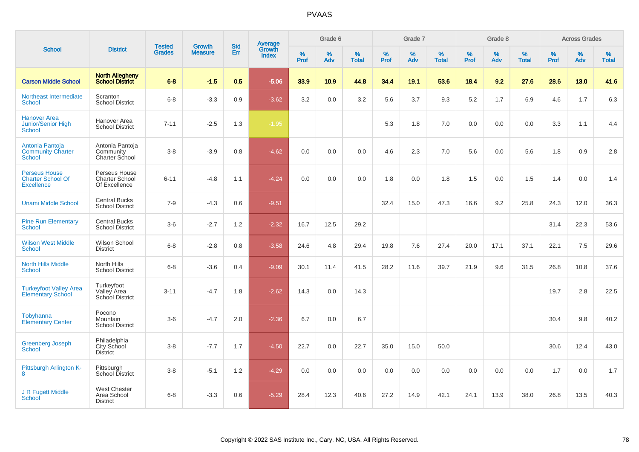|                                                                       |                                                         | <b>Tested</b> | Growth         | <b>Std</b> |                                          |                  | Grade 6  |                   |           | Grade 7  |                   |           | Grade 8  |                   |           | <b>Across Grades</b> |                   |
|-----------------------------------------------------------------------|---------------------------------------------------------|---------------|----------------|------------|------------------------------------------|------------------|----------|-------------------|-----------|----------|-------------------|-----------|----------|-------------------|-----------|----------------------|-------------------|
| <b>School</b>                                                         | <b>District</b>                                         | <b>Grades</b> | <b>Measure</b> | Err        | <b>Average</b><br>Growth<br><b>Index</b> | %<br><b>Prof</b> | %<br>Adv | %<br><b>Total</b> | %<br>Prof | %<br>Adv | %<br><b>Total</b> | %<br>Prof | %<br>Adv | %<br><b>Total</b> | %<br>Prof | %<br>Adv             | %<br><b>Total</b> |
| <b>Carson Middle School</b>                                           | <b>North Allegheny</b><br><b>School District</b>        | $6 - 8$       | $-1.5$         | 0.5        | $-5.06$                                  | 33.9             | 10.9     | 44.8              | 34.4      | 19.1     | 53.6              | 18.4      | 9.2      | 27.6              | 28.6      | 13.0                 | 41.6              |
| Northeast Intermediate<br><b>School</b>                               | Scranton<br><b>School District</b>                      | $6 - 8$       | $-3.3$         | 0.9        | $-3.62$                                  | 3.2              | 0.0      | 3.2               | 5.6       | 3.7      | 9.3               | 5.2       | 1.7      | 6.9               | 4.6       | 1.7                  | 6.3               |
| <b>Hanover Area</b><br>Junior/Senior High<br>School                   | Hanover Area<br><b>School District</b>                  | $7 - 11$      | $-2.5$         | 1.3        | $-1.95$                                  |                  |          |                   | 5.3       | 1.8      | 7.0               | $0.0\,$   | 0.0      | 0.0               | 3.3       | 1.1                  | 4.4               |
| Antonia Pantoja<br><b>Community Charter</b><br>School                 | Antonia Pantoja<br>Community<br><b>Charter School</b>   | $3 - 8$       | $-3.9$         | 0.8        | $-4.62$                                  | 0.0              | 0.0      | 0.0               | 4.6       | 2.3      | 7.0               | 5.6       | 0.0      | 5.6               | 1.8       | 0.9                  | 2.8               |
| <b>Perseus House</b><br><b>Charter School Of</b><br><b>Excellence</b> | Perseus House<br><b>Charter School</b><br>Of Excellence | $6 - 11$      | $-4.8$         | 1.1        | $-4.24$                                  | 0.0              | 0.0      | 0.0               | 1.8       | 0.0      | 1.8               | 1.5       | 0.0      | 1.5               | 1.4       | 0.0                  | 1.4               |
| <b>Unami Middle School</b>                                            | <b>Central Bucks</b><br><b>School District</b>          | $7 - 9$       | $-4.3$         | 0.6        | $-9.51$                                  |                  |          |                   | 32.4      | 15.0     | 47.3              | 16.6      | 9.2      | 25.8              | 24.3      | 12.0                 | 36.3              |
| <b>Pine Run Elementary</b><br><b>School</b>                           | <b>Central Bucks</b><br><b>School District</b>          | $3-6$         | $-2.7$         | 1.2        | $-2.32$                                  | 16.7             | 12.5     | 29.2              |           |          |                   |           |          |                   | 31.4      | 22.3                 | 53.6              |
| <b>Wilson West Middle</b><br><b>School</b>                            | Wilson School<br><b>District</b>                        | $6 - 8$       | $-2.8$         | 0.8        | $-3.58$                                  | 24.6             | 4.8      | 29.4              | 19.8      | 7.6      | 27.4              | 20.0      | 17.1     | 37.1              | 22.1      | 7.5                  | 29.6              |
| <b>North Hills Middle</b><br><b>School</b>                            | North Hills<br><b>School District</b>                   | $6 - 8$       | $-3.6$         | 0.4        | $-9.09$                                  | 30.1             | 11.4     | 41.5              | 28.2      | 11.6     | 39.7              | 21.9      | 9.6      | 31.5              | 26.8      | 10.8                 | 37.6              |
| <b>Turkeyfoot Valley Area</b><br><b>Elementary School</b>             | Turkeyfoot<br>Valley Area<br><b>School District</b>     | $3 - 11$      | $-4.7$         | 1.8        | $-2.62$                                  | 14.3             | 0.0      | 14.3              |           |          |                   |           |          |                   | 19.7      | 2.8                  | 22.5              |
| Tobyhanna<br><b>Elementary Center</b>                                 | Pocono<br>Mountain<br><b>School District</b>            | $3-6$         | $-4.7$         | 2.0        | $-2.36$                                  | 6.7              | 0.0      | 6.7               |           |          |                   |           |          |                   | 30.4      | 9.8                  | 40.2              |
| Greenberg Joseph<br><b>School</b>                                     | Philadelphia<br>City School<br><b>District</b>          | $3-8$         | $-7.7$         | 1.7        | $-4.50$                                  | 22.7             | 0.0      | 22.7              | 35.0      | 15.0     | 50.0              |           |          |                   | 30.6      | 12.4                 | 43.0              |
| Pittsburgh Arlington K-<br>8                                          | Pittsburgh<br>School District                           | $3 - 8$       | $-5.1$         | 1.2        | $-4.29$                                  | 0.0              | 0.0      | 0.0               | 0.0       | 0.0      | 0.0               | 0.0       | 0.0      | 0.0               | 1.7       | 0.0                  | 1.7               |
| J R Fugett Middle<br>School                                           | <b>West Chester</b><br>Area School<br><b>District</b>   | $6 - 8$       | $-3.3$         | 0.6        | $-5.29$                                  | 28.4             | 12.3     | 40.6              | 27.2      | 14.9     | 42.1              | 24.1      | 13.9     | 38.0              | 26.8      | 13.5                 | 40.3              |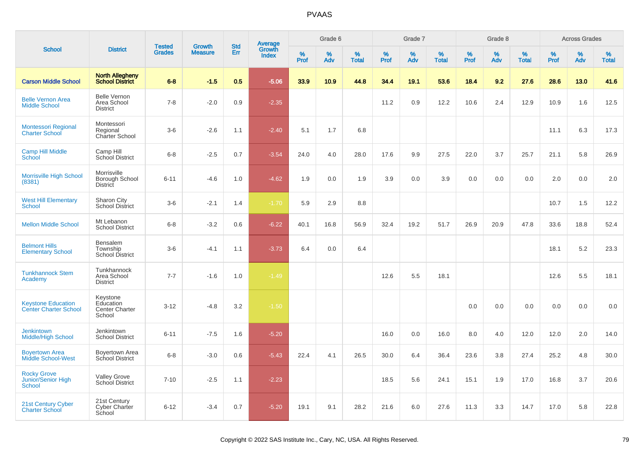| <b>School</b>                                             |                                                          |                                |                                 | <b>Std</b> |                                          |           | Grade 6  |                   |           | Grade 7  |                   |           | Grade 8  |                   |           | <b>Across Grades</b> |                   |
|-----------------------------------------------------------|----------------------------------------------------------|--------------------------------|---------------------------------|------------|------------------------------------------|-----------|----------|-------------------|-----------|----------|-------------------|-----------|----------|-------------------|-----------|----------------------|-------------------|
|                                                           | <b>District</b>                                          | <b>Tested</b><br><b>Grades</b> | <b>Growth</b><br><b>Measure</b> | Err        | <b>Average</b><br>Growth<br><b>Index</b> | %<br>Prof | %<br>Adv | %<br><b>Total</b> | %<br>Prof | %<br>Adv | %<br><b>Total</b> | %<br>Prof | %<br>Adv | %<br><b>Total</b> | %<br>Prof | %<br>Adv             | %<br><b>Total</b> |
| <b>Carson Middle School</b>                               | <b>North Allegheny</b><br><b>School District</b>         | $6 - 8$                        | $-1.5$                          | 0.5        | $-5.06$                                  | 33.9      | 10.9     | 44.8              | 34.4      | 19.1     | 53.6              | 18.4      | 9.2      | 27.6              | 28.6      | 13.0                 | 41.6              |
| <b>Belle Vernon Area</b><br><b>Middle School</b>          | <b>Belle Vernon</b><br>Area School<br><b>District</b>    | $7 - 8$                        | $-2.0$                          | 0.9        | $-2.35$                                  |           |          |                   | 11.2      | 0.9      | 12.2              | 10.6      | 2.4      | 12.9              | 10.9      | 1.6                  | 12.5              |
| <b>Montessori Regional</b><br><b>Charter School</b>       | Montessori<br>Regional<br>Charter School                 | $3-6$                          | $-2.6$                          | 1.1        | $-2.40$                                  | 5.1       | 1.7      | 6.8               |           |          |                   |           |          |                   | 11.1      | 6.3                  | 17.3              |
| <b>Camp Hill Middle</b><br>School                         | Camp Hill<br>School District                             | $6 - 8$                        | $-2.5$                          | 0.7        | $-3.54$                                  | 24.0      | 4.0      | 28.0              | 17.6      | 9.9      | 27.5              | 22.0      | 3.7      | 25.7              | 21.1      | 5.8                  | 26.9              |
| <b>Morrisville High School</b><br>(8381)                  | Morrisville<br>Borough School<br><b>District</b>         | $6 - 11$                       | $-4.6$                          | 1.0        | $-4.62$                                  | 1.9       | 0.0      | 1.9               | 3.9       | 0.0      | 3.9               | 0.0       | 0.0      | 0.0               | 2.0       | 0.0                  | 2.0               |
| <b>West Hill Elementary</b><br><b>School</b>              | Sharon City<br><b>School District</b>                    | $3-6$                          | $-2.1$                          | 1.4        | $-1.70$                                  | 5.9       | 2.9      | 8.8               |           |          |                   |           |          |                   | 10.7      | 1.5                  | 12.2              |
| <b>Mellon Middle School</b>                               | Mt Lebanon<br><b>School District</b>                     | $6 - 8$                        | $-3.2$                          | 0.6        | $-6.22$                                  | 40.1      | 16.8     | 56.9              | 32.4      | 19.2     | 51.7              | 26.9      | 20.9     | 47.8              | 33.6      | 18.8                 | 52.4              |
| <b>Belmont Hills</b><br><b>Elementary School</b>          | <b>Bensalem</b><br>Township<br><b>School District</b>    | $3-6$                          | $-4.1$                          | 1.1        | $-3.73$                                  | 6.4       | 0.0      | 6.4               |           |          |                   |           |          |                   | 18.1      | 5.2                  | 23.3              |
| <b>Tunkhannock Stem</b><br>Academy                        | Tunkhannock<br>Area School<br><b>District</b>            | $7 - 7$                        | $-1.6$                          | 1.0        | $-1.49$                                  |           |          |                   | 12.6      | 5.5      | 18.1              |           |          |                   | 12.6      | 5.5                  | 18.1              |
| <b>Keystone Education</b><br><b>Center Charter School</b> | Keystone<br>Education<br><b>Center Charter</b><br>School | $3 - 12$                       | $-4.8$                          | 3.2        | $-1.50$                                  |           |          |                   |           |          |                   | $0.0\,$   | 0.0      | 0.0               | 0.0       | 0.0                  | 0.0               |
| <b>Jenkintown</b><br><b>Middle/High School</b>            | Jenkintown<br><b>School District</b>                     | $6 - 11$                       | $-7.5$                          | 1.6        | $-5.20$                                  |           |          |                   | 16.0      | 0.0      | 16.0              | 8.0       | 4.0      | 12.0              | 12.0      | 2.0                  | 14.0              |
| <b>Boyertown Area</b><br><b>Middle School-West</b>        | <b>Boyertown Area</b><br>School District                 | $6 - 8$                        | $-3.0$                          | 0.6        | $-5.43$                                  | 22.4      | 4.1      | 26.5              | 30.0      | 6.4      | 36.4              | 23.6      | 3.8      | 27.4              | 25.2      | 4.8                  | $30.0\,$          |
| <b>Rocky Grove</b><br>Junior/Senior High<br>School        | <b>Valley Grove</b><br>School District                   | $7 - 10$                       | $-2.5$                          | 1.1        | $-2.23$                                  |           |          |                   | 18.5      | 5.6      | 24.1              | 15.1      | 1.9      | 17.0              | 16.8      | 3.7                  | 20.6              |
| 21st Century Cyber<br><b>Charter School</b>               | 21st Century<br>Cyber Charter<br>School                  | $6 - 12$                       | $-3.4$                          | 0.7        | $-5.20$                                  | 19.1      | 9.1      | 28.2              | 21.6      | 6.0      | 27.6              | 11.3      | 3.3      | 14.7              | 17.0      | 5.8                  | 22.8              |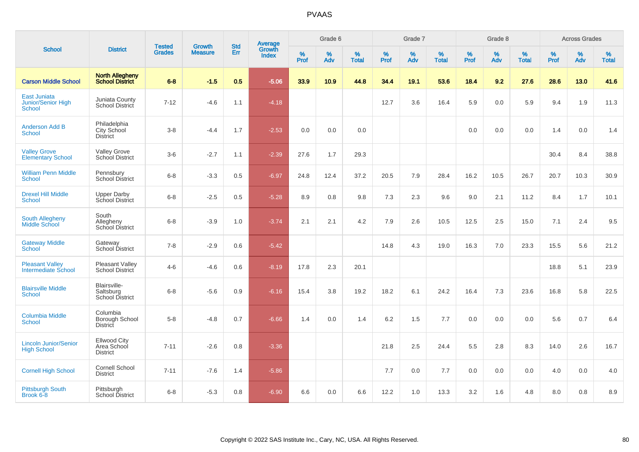|                                                                   |                                                       |                                |                                 | <b>Std</b> | <b>Average</b>         |                  | Grade 6  |                   |           | Grade 7  |                   |           | Grade 8  |                   |           | <b>Across Grades</b> |                   |
|-------------------------------------------------------------------|-------------------------------------------------------|--------------------------------|---------------------------------|------------|------------------------|------------------|----------|-------------------|-----------|----------|-------------------|-----------|----------|-------------------|-----------|----------------------|-------------------|
| <b>School</b>                                                     | <b>District</b>                                       | <b>Tested</b><br><b>Grades</b> | <b>Growth</b><br><b>Measure</b> | Err        | Growth<br><b>Index</b> | %<br><b>Prof</b> | %<br>Adv | %<br><b>Total</b> | %<br>Prof | %<br>Adv | %<br><b>Total</b> | %<br>Prof | %<br>Adv | %<br><b>Total</b> | %<br>Prof | $\%$<br>Adv          | %<br><b>Total</b> |
| <b>Carson Middle School</b>                                       | <b>North Allegheny</b><br><b>School District</b>      | $6 - 8$                        | $-1.5$                          | 0.5        | $-5.06$                | 33.9             | 10.9     | 44.8              | 34.4      | 19.1     | 53.6              | 18.4      | 9.2      | 27.6              | 28.6      | 13.0                 | 41.6              |
| <b>East Juniata</b><br><b>Junior/Senior High</b><br><b>School</b> | Juniata County<br>School District                     | $7 - 12$                       | $-4.6$                          | 1.1        | $-4.18$                |                  |          |                   | 12.7      | 3.6      | 16.4              | 5.9       | 0.0      | 5.9               | 9.4       | 1.9                  | 11.3              |
| <b>Anderson Add B</b><br><b>School</b>                            | Philadelphia<br>City School<br><b>District</b>        | $3-8$                          | $-4.4$                          | 1.7        | $-2.53$                | 0.0              | 0.0      | 0.0               |           |          |                   | 0.0       | 0.0      | 0.0               | 1.4       | 0.0                  | 1.4               |
| <b>Valley Grove</b><br><b>Elementary School</b>                   | <b>Valley Grove</b><br>School District                | $3-6$                          | $-2.7$                          | 1.1        | $-2.39$                | 27.6             | 1.7      | 29.3              |           |          |                   |           |          |                   | 30.4      | 8.4                  | 38.8              |
| <b>William Penn Middle</b><br>School                              | Pennsbury<br><b>School District</b>                   | $6 - 8$                        | $-3.3$                          | 0.5        | $-6.97$                | 24.8             | 12.4     | 37.2              | 20.5      | 7.9      | 28.4              | 16.2      | 10.5     | 26.7              | 20.7      | 10.3                 | 30.9              |
| <b>Drexel Hill Middle</b><br><b>School</b>                        | <b>Upper Darby</b><br>School District                 | $6 - 8$                        | $-2.5$                          | 0.5        | $-5.28$                | 8.9              | 0.8      | 9.8               | 7.3       | 2.3      | 9.6               | 9.0       | 2.1      | 11.2              | 8.4       | 1.7                  | 10.1              |
| <b>South Allegheny</b><br>Middle School                           | South<br>Allegheny<br>School District                 | $6-8$                          | $-3.9$                          | 1.0        | $-3.74$                | 2.1              | 2.1      | 4.2               | 7.9       | 2.6      | 10.5              | 12.5      | 2.5      | 15.0              | 7.1       | 2.4                  | 9.5               |
| <b>Gateway Middle</b><br><b>School</b>                            | Gateway<br>School District                            | $7 - 8$                        | $-2.9$                          | 0.6        | $-5.42$                |                  |          |                   | 14.8      | 4.3      | 19.0              | 16.3      | 7.0      | 23.3              | 15.5      | 5.6                  | 21.2              |
| <b>Pleasant Valley</b><br><b>Intermediate School</b>              | Pleasant Valley<br>School District                    | $4 - 6$                        | $-4.6$                          | 0.6        | $-8.19$                | 17.8             | 2.3      | 20.1              |           |          |                   |           |          |                   | 18.8      | 5.1                  | 23.9              |
| <b>Blairsville Middle</b><br><b>School</b>                        | Blairsville-<br>Saltsburg<br>School District          | $6-8$                          | $-5.6$                          | 0.9        | $-6.16$                | 15.4             | 3.8      | 19.2              | 18.2      | 6.1      | 24.2              | 16.4      | 7.3      | 23.6              | 16.8      | 5.8                  | 22.5              |
| <b>Columbia Middle</b><br>School                                  | Columbia<br>Borough School<br>District                | $5-8$                          | $-4.8$                          | 0.7        | $-6.66$                | 1.4              | 0.0      | 1.4               | 6.2       | 1.5      | 7.7               | 0.0       | 0.0      | 0.0               | 5.6       | 0.7                  | 6.4               |
| <b>Lincoln Junior/Senior</b><br><b>High School</b>                | <b>Ellwood City</b><br>Area School<br><b>District</b> | $7 - 11$                       | $-2.6$                          | 0.8        | $-3.36$                |                  |          |                   | 21.8      | 2.5      | 24.4              | 5.5       | 2.8      | 8.3               | 14.0      | 2.6                  | 16.7              |
| <b>Cornell High School</b>                                        | <b>Cornell School</b><br><b>District</b>              | $7 - 11$                       | $-7.6$                          | 1.4        | $-5.86$                |                  |          |                   | 7.7       | 0.0      | 7.7               | 0.0       | 0.0      | 0.0               | 4.0       | 0.0                  | 4.0               |
| <b>Pittsburgh South</b><br>Brook 6-8                              | Pittsburgh<br><b>School District</b>                  | $6-8$                          | $-5.3$                          | 0.8        | $-6.90$                | 6.6              | 0.0      | 6.6               | 12.2      | 1.0      | 13.3              | 3.2       | 1.6      | 4.8               | 8.0       | 0.8                  | 8.9               |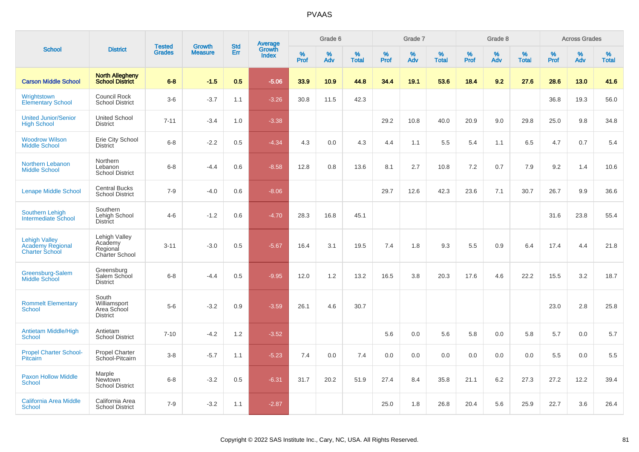|                                                                          |                                                               | <b>Tested</b> | <b>Growth</b>  | <b>Std</b> | <b>Average</b><br>Growth |                  | Grade 6  |                   |           | Grade 7  |                   |           | Grade 8  |                   |           | <b>Across Grades</b> |                   |
|--------------------------------------------------------------------------|---------------------------------------------------------------|---------------|----------------|------------|--------------------------|------------------|----------|-------------------|-----------|----------|-------------------|-----------|----------|-------------------|-----------|----------------------|-------------------|
| <b>School</b>                                                            | <b>District</b>                                               | <b>Grades</b> | <b>Measure</b> | <b>Err</b> | <b>Index</b>             | %<br><b>Prof</b> | %<br>Adv | %<br><b>Total</b> | %<br>Prof | %<br>Adv | %<br><b>Total</b> | %<br>Prof | %<br>Adv | %<br><b>Total</b> | %<br>Prof | %<br>Adv             | %<br><b>Total</b> |
| <b>Carson Middle School</b>                                              | <b>North Allegheny</b><br><b>School District</b>              | $6 - 8$       | $-1.5$         | 0.5        | $-5.06$                  | 33.9             | 10.9     | 44.8              | 34.4      | 19.1     | 53.6              | 18.4      | 9.2      | 27.6              | 28.6      | 13.0                 | 41.6              |
| Wrightstown<br><b>Elementary School</b>                                  | Council Rock<br><b>School District</b>                        | $3-6$         | $-3.7$         | 1.1        | $-3.26$                  | 30.8             | 11.5     | 42.3              |           |          |                   |           |          |                   | 36.8      | 19.3                 | 56.0              |
| <b>United Junior/Senior</b><br><b>High School</b>                        | <b>United School</b><br><b>District</b>                       | $7 - 11$      | $-3.4$         | 1.0        | $-3.38$                  |                  |          |                   | 29.2      | 10.8     | 40.0              | 20.9      | 9.0      | 29.8              | 25.0      | 9.8                  | 34.8              |
| <b>Woodrow Wilson</b><br><b>Middle School</b>                            | Erie City School<br><b>District</b>                           | $6 - 8$       | $-2.2$         | 0.5        | $-4.34$                  | 4.3              | 0.0      | 4.3               | 4.4       | 1.1      | 5.5               | 5.4       | 1.1      | 6.5               | 4.7       | 0.7                  | 5.4               |
| Northern Lebanon<br><b>Middle School</b>                                 | Northern<br>Lebanon<br><b>School District</b>                 | $6 - 8$       | $-4.4$         | 0.6        | $-8.58$                  | 12.8             | 0.8      | 13.6              | 8.1       | 2.7      | 10.8              | 7.2       | 0.7      | 7.9               | 9.2       | 1.4                  | 10.6              |
| <b>Lenape Middle School</b>                                              | <b>Central Bucks</b><br><b>School District</b>                | $7 - 9$       | $-4.0$         | 0.6        | $-8.06$                  |                  |          |                   | 29.7      | 12.6     | 42.3              | 23.6      | 7.1      | 30.7              | 26.7      | 9.9                  | 36.6              |
| <b>Southern Lehigh</b><br>Intermediate School                            | Southern<br>Lehigh School<br>District                         | $4 - 6$       | $-1.2$         | 0.6        | $-4.70$                  | 28.3             | 16.8     | 45.1              |           |          |                   |           |          |                   | 31.6      | 23.8                 | 55.4              |
| <b>Lehigh Valley</b><br><b>Academy Regional</b><br><b>Charter School</b> | Lehigh Valley<br>Academy<br>Regional<br><b>Charter School</b> | $3 - 11$      | $-3.0$         | 0.5        | $-5.67$                  | 16.4             | 3.1      | 19.5              | 7.4       | 1.8      | 9.3               | 5.5       | 0.9      | 6.4               | 17.4      | 4.4                  | 21.8              |
| Greensburg-Salem<br><b>Middle School</b>                                 | Greensburg<br>Salem School<br><b>District</b>                 | $6 - 8$       | $-4.4$         | 0.5        | $-9.95$                  | 12.0             | 1.2      | 13.2              | 16.5      | 3.8      | 20.3              | 17.6      | 4.6      | 22.2              | 15.5      | 3.2                  | 18.7              |
| <b>Rommelt Elementary</b><br>School                                      | South<br>Williamsport<br>Area School<br><b>District</b>       | $5-6$         | $-3.2$         | 0.9        | $-3.59$                  | 26.1             | 4.6      | 30.7              |           |          |                   |           |          |                   | 23.0      | 2.8                  | 25.8              |
| <b>Antietam Middle/High</b><br><b>School</b>                             | Antietam<br><b>School District</b>                            | $7 - 10$      | $-4.2$         | 1.2        | $-3.52$                  |                  |          |                   | 5.6       | 0.0      | 5.6               | 5.8       | 0.0      | 5.8               | 5.7       | 0.0                  | 5.7               |
| <b>Propel Charter School-</b><br><b>Pitcairn</b>                         | <b>Propel Charter</b><br>School-Pitcairn                      | $3 - 8$       | $-5.7$         | 1.1        | $-5.23$                  | 7.4              | 0.0      | 7.4               | 0.0       | 0.0      | 0.0               | 0.0       | 0.0      | 0.0               | 5.5       | 0.0                  | 5.5               |
| Paxon Hollow Middle<br><b>School</b>                                     | Marple<br><b>Newtown</b><br><b>School District</b>            | $6 - 8$       | $-3.2$         | 0.5        | $-6.31$                  | 31.7             | 20.2     | 51.9              | 27.4      | 8.4      | 35.8              | 21.1      | 6.2      | 27.3              | 27.2      | 12.2                 | 39.4              |
| <b>California Area Middle</b><br><b>School</b>                           | California Area<br><b>School District</b>                     | $7 - 9$       | $-3.2$         | 1.1        | $-2.87$                  |                  |          |                   | 25.0      | 1.8      | 26.8              | 20.4      | 5.6      | 25.9              | 22.7      | 3.6                  | 26.4              |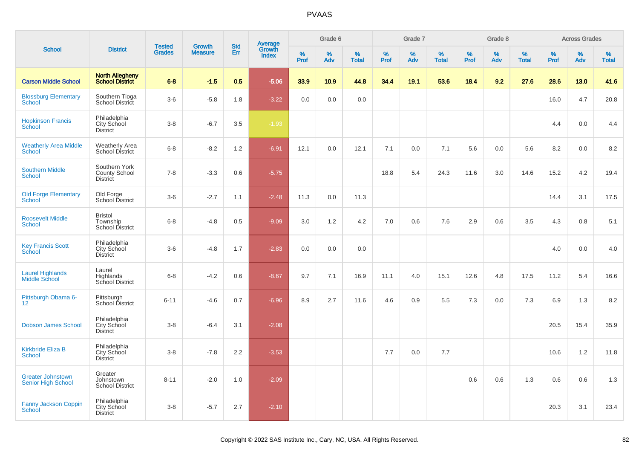| <b>School</b>                                         |                                                          | <b>Tested</b> | <b>Growth</b>  | <b>Std</b> |                                          |           | Grade 6  |                   |           | Grade 7  |                   |           | Grade 8  |                   |           | <b>Across Grades</b> |                   |
|-------------------------------------------------------|----------------------------------------------------------|---------------|----------------|------------|------------------------------------------|-----------|----------|-------------------|-----------|----------|-------------------|-----------|----------|-------------------|-----------|----------------------|-------------------|
|                                                       | <b>District</b>                                          | <b>Grades</b> | <b>Measure</b> | Err        | <b>Average</b><br>Growth<br><b>Index</b> | %<br>Prof | %<br>Adv | %<br><b>Total</b> | %<br>Prof | %<br>Adv | %<br><b>Total</b> | %<br>Prof | %<br>Adv | %<br><b>Total</b> | %<br>Prof | %<br>Adv             | %<br><b>Total</b> |
| <b>Carson Middle School</b>                           | <b>North Allegheny</b><br><b>School District</b>         | $6 - 8$       | $-1.5$         | 0.5        | $-5.06$                                  | 33.9      | 10.9     | 44.8              | 34.4      | 19.1     | 53.6              | 18.4      | 9.2      | 27.6              | 28.6      | 13.0                 | 41.6              |
| <b>Blossburg Elementary</b><br>School                 | Southern Tioga<br>School District                        | $3-6$         | $-5.8$         | 1.8        | $-3.22$                                  | 0.0       | 0.0      | 0.0               |           |          |                   |           |          |                   | 16.0      | 4.7                  | 20.8              |
| <b>Hopkinson Francis</b><br>School                    | Philadelphia<br>City School<br><b>District</b>           | $3-8$         | $-6.7$         | 3.5        | $-1.93$                                  |           |          |                   |           |          |                   |           |          |                   | 4.4       | 0.0                  | 4.4               |
| <b>Weatherly Area Middle</b><br><b>School</b>         | <b>Weatherly Area</b><br><b>School District</b>          | $6 - 8$       | $-8.2$         | 1.2        | $-6.91$                                  | 12.1      | 0.0      | 12.1              | 7.1       | 0.0      | 7.1               | 5.6       | 0.0      | 5.6               | 8.2       | 0.0                  | 8.2               |
| <b>Southern Middle</b><br>School                      | Southern York<br><b>County School</b><br><b>District</b> | $7 - 8$       | $-3.3$         | 0.6        | $-5.75$                                  |           |          |                   | 18.8      | 5.4      | 24.3              | 11.6      | 3.0      | 14.6              | 15.2      | 4.2                  | 19.4              |
| <b>Old Forge Elementary</b><br><b>School</b>          | Old Forge<br>School District                             | $3-6$         | $-2.7$         | 1.1        | $-2.48$                                  | 11.3      | 0.0      | 11.3              |           |          |                   |           |          |                   | 14.4      | 3.1                  | 17.5              |
| <b>Roosevelt Middle</b><br><b>School</b>              | <b>Bristol</b><br>Township<br>School District            | $6 - 8$       | $-4.8$         | 0.5        | $-9.09$                                  | 3.0       | 1.2      | 4.2               | 7.0       | 0.6      | 7.6               | 2.9       | 0.6      | 3.5               | 4.3       | 0.8                  | 5.1               |
| <b>Key Francis Scott</b><br>School                    | Philadelphia<br>City School<br><b>District</b>           | $3-6$         | $-4.8$         | 1.7        | $-2.83$                                  | 0.0       | 0.0      | 0.0               |           |          |                   |           |          |                   | 4.0       | 0.0                  | 4.0               |
| <b>Laurel Highlands</b><br><b>Middle School</b>       | Laurel<br>Highlands<br>School District                   | $6 - 8$       | $-4.2$         | 0.6        | $-8.67$                                  | 9.7       | 7.1      | 16.9              | 11.1      | 4.0      | 15.1              | 12.6      | 4.8      | 17.5              | 11.2      | 5.4                  | 16.6              |
| Pittsburgh Obama 6-<br>12 <sup>2</sup>                | Pittsburgh<br>School District                            | $6 - 11$      | $-4.6$         | 0.7        | $-6.96$                                  | 8.9       | 2.7      | 11.6              | 4.6       | 0.9      | 5.5               | 7.3       | 0.0      | 7.3               | 6.9       | 1.3                  | 8.2               |
| <b>Dobson James School</b>                            | Philadelphia<br>City School<br><b>District</b>           | $3 - 8$       | $-6.4$         | 3.1        | $-2.08$                                  |           |          |                   |           |          |                   |           |          |                   | 20.5      | 15.4                 | 35.9              |
| Kirkbride Eliza B<br><b>School</b>                    | Philadelphia<br>City School<br><b>District</b>           | $3 - 8$       | $-7.8$         | 2.2        | $-3.53$                                  |           |          |                   | 7.7       | 0.0      | 7.7               |           |          |                   | 10.6      | 1.2                  | 11.8              |
| <b>Greater Johnstown</b><br><b>Senior High School</b> | Greater<br>Johnstown<br><b>School District</b>           | $8 - 11$      | $-2.0$         | 1.0        | $-2.09$                                  |           |          |                   |           |          |                   | 0.6       | 0.6      | 1.3               | 0.6       | 0.6                  | 1.3               |
| <b>Fanny Jackson Coppin</b><br>School                 | Philadelphia<br><b>City School</b><br><b>District</b>    | $3 - 8$       | $-5.7$         | 2.7        | $-2.10$                                  |           |          |                   |           |          |                   |           |          |                   | 20.3      | 3.1                  | 23.4              |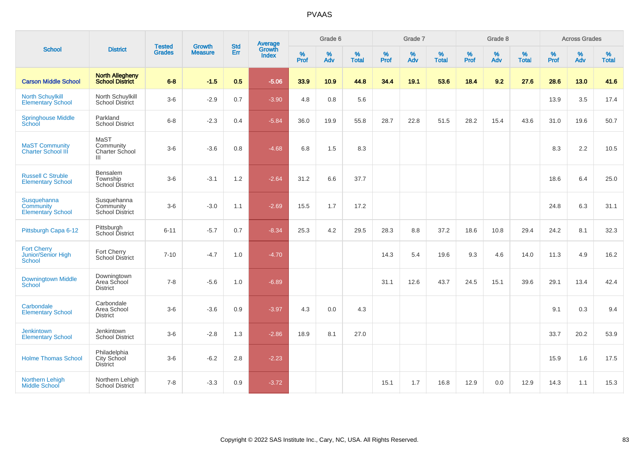| <b>School</b>                                        |                                                    | <b>Tested</b> | <b>Growth</b>  | <b>Std</b> |                                          |                  | Grade 6  |                   |           | Grade 7  |                   |              | Grade 8  |                   |              | <b>Across Grades</b> |                   |
|------------------------------------------------------|----------------------------------------------------|---------------|----------------|------------|------------------------------------------|------------------|----------|-------------------|-----------|----------|-------------------|--------------|----------|-------------------|--------------|----------------------|-------------------|
|                                                      | <b>District</b>                                    | <b>Grades</b> | <b>Measure</b> | Err        | <b>Average</b><br>Growth<br><b>Index</b> | %<br><b>Prof</b> | %<br>Adv | %<br><b>Total</b> | %<br>Prof | %<br>Adv | %<br><b>Total</b> | $\%$<br>Prof | %<br>Adv | %<br><b>Total</b> | $\%$<br>Prof | $\%$<br>Adv          | %<br><b>Total</b> |
| <b>Carson Middle School</b>                          | <b>North Allegheny</b><br>School District          | $6 - 8$       | $-1.5$         | 0.5        | $-5.06$                                  | 33.9             | 10.9     | 44.8              | 34.4      | 19.1     | 53.6              | 18.4         | 9.2      | 27.6              | 28.6         | 13.0                 | 41.6              |
| <b>North Schuylkill</b><br><b>Elementary School</b>  | North Schuylkill<br><b>School District</b>         | $3-6$         | $-2.9$         | 0.7        | $-3.90$                                  | 4.8              | 0.8      | 5.6               |           |          |                   |              |          |                   | 13.9         | 3.5                  | 17.4              |
| <b>Springhouse Middle</b><br>School                  | Parkland<br><b>School District</b>                 | $6-8$         | $-2.3$         | 0.4        | $-5.84$                                  | 36.0             | 19.9     | 55.8              | 28.7      | 22.8     | 51.5              | 28.2         | 15.4     | 43.6              | 31.0         | 19.6                 | 50.7              |
| <b>MaST Community</b><br><b>Charter School III</b>   | MaST<br>Community<br><b>Charter School</b><br>Ш    | $3-6$         | $-3.6$         | 0.8        | $-4.68$                                  | 6.8              | 1.5      | 8.3               |           |          |                   |              |          |                   | 8.3          | 2.2                  | 10.5              |
| <b>Russell C Struble</b><br><b>Elementary School</b> | Bensalem<br>Township<br><b>School District</b>     | $3-6$         | $-3.1$         | 1.2        | $-2.64$                                  | 31.2             | 6.6      | 37.7              |           |          |                   |              |          |                   | 18.6         | 6.4                  | 25.0              |
| Susquehanna<br>Community<br><b>Elementary School</b> | Susquehanna<br>Community<br><b>School District</b> | $3-6$         | $-3.0$         | 1.1        | $-2.69$                                  | 15.5             | 1.7      | 17.2              |           |          |                   |              |          |                   | 24.8         | 6.3                  | 31.1              |
| Pittsburgh Capa 6-12                                 | Pittsburgh<br>School District                      | $6 - 11$      | $-5.7$         | 0.7        | $-8.34$                                  | 25.3             | 4.2      | 29.5              | 28.3      | 8.8      | 37.2              | 18.6         | 10.8     | 29.4              | 24.2         | 8.1                  | 32.3              |
| <b>Fort Cherry</b><br>Junior/Senior High<br>School   | Fort Cherry<br><b>School District</b>              | $7 - 10$      | $-4.7$         | 1.0        | $-4.70$                                  |                  |          |                   | 14.3      | 5.4      | 19.6              | 9.3          | 4.6      | 14.0              | 11.3         | 4.9                  | 16.2              |
| <b>Downingtown Middle</b><br>School                  | Downingtown<br>Area School<br><b>District</b>      | $7 - 8$       | $-5.6$         | 1.0        | $-6.89$                                  |                  |          |                   | 31.1      | 12.6     | 43.7              | 24.5         | 15.1     | 39.6              | 29.1         | 13.4                 | 42.4              |
| Carbondale<br><b>Elementary School</b>               | Carbondale<br>Area School<br><b>District</b>       | $3-6$         | $-3.6$         | 0.9        | $-3.97$                                  | 4.3              | 0.0      | 4.3               |           |          |                   |              |          |                   | 9.1          | 0.3                  | 9.4               |
| Jenkintown<br><b>Elementary School</b>               | Jenkintown<br><b>School District</b>               | $3-6$         | $-2.8$         | 1.3        | $-2.86$                                  | 18.9             | 8.1      | 27.0              |           |          |                   |              |          |                   | 33.7         | 20.2                 | 53.9              |
| <b>Holme Thomas School</b>                           | Philadelphia<br>City School<br><b>District</b>     | $3-6$         | $-6.2$         | 2.8        | $-2.23$                                  |                  |          |                   |           |          |                   |              |          |                   | 15.9         | 1.6                  | 17.5              |
| <b>Northern Lehigh</b><br><b>Middle School</b>       | Northern Lehigh<br><b>School District</b>          | $7 - 8$       | $-3.3$         | 0.9        | $-3.72$                                  |                  |          |                   | 15.1      | 1.7      | 16.8              | 12.9         | 0.0      | 12.9              | 14.3         | 1.1                  | 15.3              |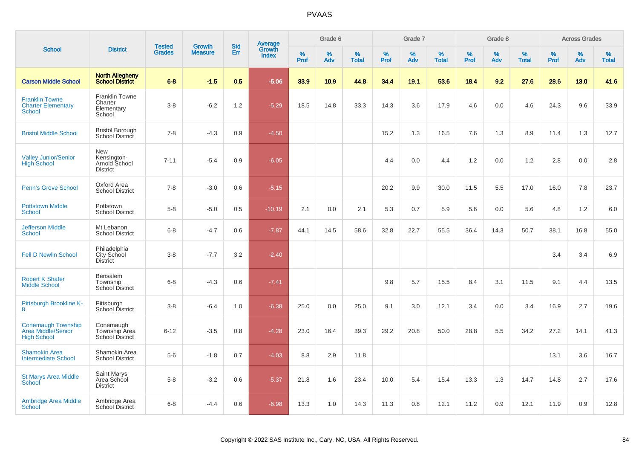|                                                                       |                                                          |                                |                                 | <b>Std</b> |                                          |                  | Grade 6  |                   |           | Grade 7  |                   |           | Grade 8  |                   |              | <b>Across Grades</b> |                   |
|-----------------------------------------------------------------------|----------------------------------------------------------|--------------------------------|---------------------------------|------------|------------------------------------------|------------------|----------|-------------------|-----------|----------|-------------------|-----------|----------|-------------------|--------------|----------------------|-------------------|
| <b>School</b>                                                         | <b>District</b>                                          | <b>Tested</b><br><b>Grades</b> | <b>Growth</b><br><b>Measure</b> | Err        | <b>Average</b><br>Growth<br><b>Index</b> | %<br><b>Prof</b> | %<br>Adv | %<br><b>Total</b> | %<br>Prof | %<br>Adv | %<br><b>Total</b> | %<br>Prof | %<br>Adv | %<br><b>Total</b> | $\%$<br>Prof | %<br>Adv             | %<br><b>Total</b> |
| <b>Carson Middle School</b>                                           | <b>North Allegheny</b><br><b>School District</b>         | $6 - 8$                        | $-1.5$                          | 0.5        | $-5.06$                                  | 33.9             | 10.9     | 44.8              | 34.4      | 19.1     | 53.6              | 18.4      | 9.2      | 27.6              | 28.6         | 13.0                 | 41.6              |
| <b>Franklin Towne</b><br><b>Charter Elementary</b><br><b>School</b>   | <b>Franklin Towne</b><br>Charter<br>Elementary<br>School | $3-8$                          | $-6.2$                          | 1.2        | $-5.29$                                  | 18.5             | 14.8     | 33.3              | 14.3      | 3.6      | 17.9              | 4.6       | 0.0      | 4.6               | 24.3         | 9.6                  | 33.9              |
| <b>Bristol Middle School</b>                                          | <b>Bristol Borough</b><br>School District                | $7 - 8$                        | $-4.3$                          | 0.9        | $-4.50$                                  |                  |          |                   | 15.2      | 1.3      | 16.5              | 7.6       | 1.3      | 8.9               | 11.4         | 1.3                  | 12.7              |
| <b>Valley Junior/Senior</b><br><b>High School</b>                     | New<br>Kensington-<br>Arnold School<br><b>District</b>   | $7 - 11$                       | $-5.4$                          | 0.9        | $-6.05$                                  |                  |          |                   | 4.4       | 0.0      | 4.4               | 1.2       | 0.0      | 1.2               | 2.8          | 0.0                  | 2.8               |
| <b>Penn's Grove School</b>                                            | Oxford Area<br><b>School District</b>                    | $7 - 8$                        | $-3.0$                          | 0.6        | $-5.15$                                  |                  |          |                   | 20.2      | 9.9      | 30.0              | 11.5      | 5.5      | 17.0              | 16.0         | 7.8                  | 23.7              |
| <b>Pottstown Middle</b><br><b>School</b>                              | Pottstown<br><b>School District</b>                      | $5-8$                          | $-5.0$                          | 0.5        | $-10.19$                                 | 2.1              | 0.0      | 2.1               | 5.3       | 0.7      | 5.9               | 5.6       | 0.0      | 5.6               | 4.8          | 1.2                  | 6.0               |
| <b>Jefferson Middle</b><br><b>School</b>                              | Mt Lebanon<br><b>School District</b>                     | $6 - 8$                        | $-4.7$                          | 0.6        | $-7.87$                                  | 44.1             | 14.5     | 58.6              | 32.8      | 22.7     | 55.5              | 36.4      | 14.3     | 50.7              | 38.1         | 16.8                 | 55.0              |
| <b>Fell D Newlin School</b>                                           | Philadelphia<br>City School<br><b>District</b>           | $3-8$                          | $-7.7$                          | 3.2        | $-2.40$                                  |                  |          |                   |           |          |                   |           |          |                   | 3.4          | 3.4                  | 6.9               |
| <b>Robert K Shafer</b><br><b>Middle School</b>                        | Bensalem<br>Township<br>School District                  | $6-8$                          | $-4.3$                          | 0.6        | $-7.41$                                  |                  |          |                   | 9.8       | 5.7      | 15.5              | 8.4       | 3.1      | 11.5              | 9.1          | 4.4                  | 13.5              |
| Pittsburgh Brookline K-<br>8                                          | Pittsburgh<br>School District                            | $3 - 8$                        | $-6.4$                          | 1.0        | $-6.38$                                  | 25.0             | 0.0      | 25.0              | 9.1       | 3.0      | 12.1              | 3.4       | 0.0      | 3.4               | 16.9         | 2.7                  | 19.6              |
| <b>Conemaugh Township</b><br>Area Middle/Senior<br><b>High School</b> | Conemaugh<br>Township Area<br>School District            | $6 - 12$                       | $-3.5$                          | 0.8        | $-4.28$                                  | 23.0             | 16.4     | 39.3              | 29.2      | 20.8     | 50.0              | 28.8      | 5.5      | 34.2              | 27.2         | 14.1                 | 41.3              |
| <b>Shamokin Area</b><br><b>Intermediate School</b>                    | Shamokin Area<br><b>School District</b>                  | $5-6$                          | $-1.8$                          | 0.7        | $-4.03$                                  | 8.8              | 2.9      | 11.8              |           |          |                   |           |          |                   | 13.1         | 3.6                  | 16.7              |
| <b>St Marys Area Middle</b><br>School                                 | Saint Marys<br>Area School<br><b>District</b>            | $5-8$                          | $-3.2$                          | 0.6        | $-5.37$                                  | 21.8             | 1.6      | 23.4              | 10.0      | 5.4      | 15.4              | 13.3      | 1.3      | 14.7              | 14.8         | 2.7                  | 17.6              |
| <b>Ambridge Area Middle</b><br>School                                 | Ambridge Area<br><b>School District</b>                  | $6 - 8$                        | $-4.4$                          | 0.6        | $-6.98$                                  | 13.3             | 1.0      | 14.3              | 11.3      | 0.8      | 12.1              | 11.2      | 0.9      | 12.1              | 11.9         | 0.9                  | 12.8              |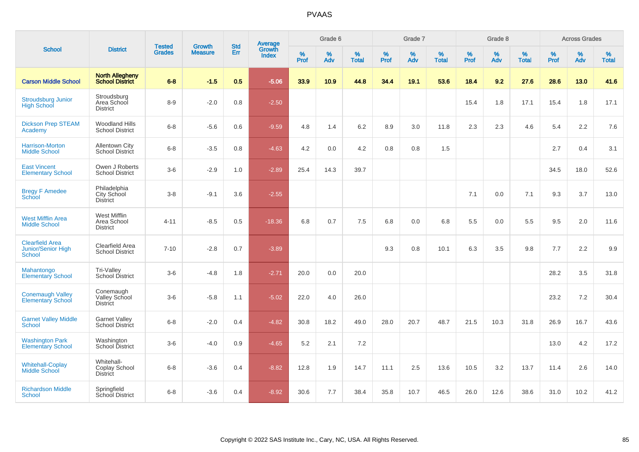| <b>School</b>                                                 | <b>District</b>                                  | <b>Tested</b> |                                 | <b>Std</b>    |                                          |                  | Grade 6  |                   |           | Grade 7  |                   |           | Grade 8  |                   |           | <b>Across Grades</b> |                   |
|---------------------------------------------------------------|--------------------------------------------------|---------------|---------------------------------|---------------|------------------------------------------|------------------|----------|-------------------|-----------|----------|-------------------|-----------|----------|-------------------|-----------|----------------------|-------------------|
|                                                               |                                                  | <b>Grades</b> | <b>Growth</b><br><b>Measure</b> | Err           | <b>Average</b><br>Growth<br><b>Index</b> | %<br><b>Prof</b> | %<br>Adv | %<br><b>Total</b> | %<br>Prof | %<br>Adv | %<br><b>Total</b> | %<br>Prof | %<br>Adv | %<br><b>Total</b> | %<br>Prof | $\%$<br>Adv          | %<br><b>Total</b> |
| <b>Carson Middle School</b>                                   | <b>North Allegheny</b><br><b>School District</b> | $6 - 8$       | $-1.5$                          | 0.5           | $-5.06$                                  | 33.9             | 10.9     | 44.8              | 34.4      | 19.1     | 53.6              | 18.4      | 9.2      | 27.6              | 28.6      | 13.0                 | 41.6              |
| <b>Stroudsburg Junior</b><br><b>High School</b>               | Stroudsburg<br>Area School<br><b>District</b>    | $8-9$         | $-2.0$                          | 0.8           | $-2.50$                                  |                  |          |                   |           |          |                   | 15.4      | 1.8      | 17.1              | 15.4      | 1.8                  | 17.1              |
| <b>Dickson Prep STEAM</b><br>Academy                          | <b>Woodland Hills</b><br><b>School District</b>  | $6 - 8$       | $-5.6$                          | 0.6           | $-9.59$                                  | 4.8              | 1.4      | 6.2               | 8.9       | 3.0      | 11.8              | 2.3       | 2.3      | 4.6               | 5.4       | 2.2                  | 7.6               |
| Harrison-Morton<br><b>Middle School</b>                       | <b>Allentown City</b><br>School District         | $6 - 8$       | $-3.5$                          | 0.8           | $-4.63$                                  | 4.2              | 0.0      | 4.2               | 0.8       | 0.8      | 1.5               |           |          |                   | 2.7       | 0.4                  | 3.1               |
| <b>East Vincent</b><br><b>Elementary School</b>               | Owen J Roberts<br><b>School District</b>         | $3-6$         | $-2.9$                          | 1.0           | $-2.89$                                  | 25.4             | 14.3     | 39.7              |           |          |                   |           |          |                   | 34.5      | 18.0                 | 52.6              |
| <b>Bregy F Amedee</b><br>School                               | Philadelphia<br>City School<br><b>District</b>   | $3 - 8$       | $-9.1$                          | 3.6           | $-2.55$                                  |                  |          |                   |           |          |                   | 7.1       | 0.0      | 7.1               | 9.3       | 3.7                  | 13.0              |
| <b>West Mifflin Area</b><br><b>Middle School</b>              | West Mifflin<br>Area School<br><b>District</b>   | $4 - 11$      | $-8.5$                          | 0.5           | $-18.36$                                 | 6.8              | 0.7      | 7.5               | 6.8       | 0.0      | 6.8               | 5.5       | 0.0      | 5.5               | 9.5       | 2.0                  | 11.6              |
| <b>Clearfield Area</b><br><b>Junior/Senior High</b><br>School | Clearfield Area<br><b>School District</b>        | $7 - 10$      | $-2.8$                          | 0.7           | $-3.89$                                  |                  |          |                   | 9.3       | 0.8      | 10.1              | 6.3       | 3.5      | 9.8               | 7.7       | 2.2                  | 9.9               |
| Mahantongo<br><b>Elementary School</b>                        | Tri-Valley<br>School District                    | $3-6$         | $-4.8$                          | 1.8           | $-2.71$                                  | 20.0             | 0.0      | 20.0              |           |          |                   |           |          |                   | 28.2      | 3.5                  | 31.8              |
| <b>Conemaugh Valley</b><br><b>Elementary School</b>           | Conemaugh<br>Valley School<br>District           | $3-6$         | $-5.8$                          | 1.1           | $-5.02$                                  | 22.0             | 4.0      | 26.0              |           |          |                   |           |          |                   | 23.2      | 7.2                  | 30.4              |
| <b>Garnet Valley Middle</b><br>School                         | <b>Garnet Valley</b><br>School District          | $6 - 8$       | $-2.0$                          | $0.4^{\circ}$ | $-4.82$                                  | 30.8             | 18.2     | 49.0              | 28.0      | 20.7     | 48.7              | 21.5      | 10.3     | 31.8              | 26.9      | 16.7                 | 43.6              |
| <b>Washington Park</b><br><b>Elementary School</b>            | Washington<br>School District                    | $3-6$         | $-4.0$                          | 0.9           | $-4.65$                                  | 5.2              | 2.1      | 7.2               |           |          |                   |           |          |                   | 13.0      | 4.2                  | 17.2              |
| <b>Whitehall-Coplay</b><br><b>Middle School</b>               | Whitehall-<br>Coplay School<br><b>District</b>   | $6 - 8$       | $-3.6$                          | 0.4           | $-8.82$                                  | 12.8             | 1.9      | 14.7              | 11.1      | 2.5      | 13.6              | 10.5      | 3.2      | 13.7              | 11.4      | 2.6                  | 14.0              |
| <b>Richardson Middle</b><br><b>School</b>                     | Springfield<br>School District                   | $6 - 8$       | $-3.6$                          | 0.4           | $-8.92$                                  | 30.6             | 7.7      | 38.4              | 35.8      | 10.7     | 46.5              | 26.0      | 12.6     | 38.6              | 31.0      | 10.2                 | 41.2              |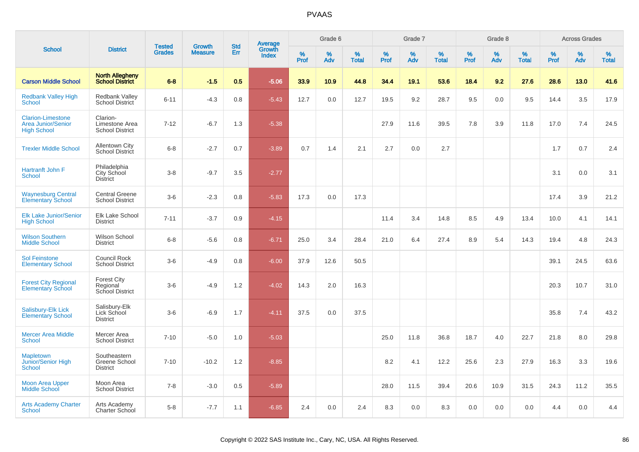| <b>School</b>                                                               |                                                      | <b>Tested</b> | <b>Growth</b>  | <b>Std</b> | <b>Average</b><br>Growth |           | Grade 6  |                   |           | Grade 7  |                   |           | Grade 8  |                   |           | <b>Across Grades</b> |                   |
|-----------------------------------------------------------------------------|------------------------------------------------------|---------------|----------------|------------|--------------------------|-----------|----------|-------------------|-----------|----------|-------------------|-----------|----------|-------------------|-----------|----------------------|-------------------|
|                                                                             | <b>District</b>                                      | <b>Grades</b> | <b>Measure</b> | Err        | <b>Index</b>             | %<br>Prof | %<br>Adv | %<br><b>Total</b> | %<br>Prof | %<br>Adv | %<br><b>Total</b> | %<br>Prof | %<br>Adv | %<br><b>Total</b> | %<br>Prof | %<br>Adv             | %<br><b>Total</b> |
| <b>Carson Middle School</b>                                                 | <b>North Allegheny</b><br><b>School District</b>     | $6 - 8$       | $-1.5$         | 0.5        | $-5.06$                  | 33.9      | 10.9     | 44.8              | 34.4      | 19.1     | 53.6              | 18.4      | 9.2      | 27.6              | 28.6      | 13.0                 | 41.6              |
| <b>Redbank Valley High</b><br><b>School</b>                                 | <b>Redbank Valley</b><br><b>School District</b>      | $6 - 11$      | $-4.3$         | 0.8        | $-5.43$                  | 12.7      | 0.0      | 12.7              | 19.5      | 9.2      | 28.7              | 9.5       | 0.0      | 9.5               | 14.4      | 3.5                  | 17.9              |
| <b>Clarion-Limestone</b><br><b>Area Junior/Senior</b><br><b>High School</b> | Clarion-<br>Limestone Area<br><b>School District</b> | $7 - 12$      | $-6.7$         | 1.3        | $-5.38$                  |           |          |                   | 27.9      | 11.6     | 39.5              | 7.8       | 3.9      | 11.8              | 17.0      | 7.4                  | 24.5              |
| <b>Trexler Middle School</b>                                                | <b>Allentown City</b><br><b>School District</b>      | $6 - 8$       | $-2.7$         | 0.7        | $-3.89$                  | 0.7       | 1.4      | 2.1               | 2.7       | 0.0      | 2.7               |           |          |                   | 1.7       | 0.7                  | 2.4               |
| Hartranft John F<br>School                                                  | Philadelphia<br>City School<br><b>District</b>       | $3 - 8$       | $-9.7$         | 3.5        | $-2.77$                  |           |          |                   |           |          |                   |           |          |                   | 3.1       | 0.0                  | 3.1               |
| <b>Waynesburg Central</b><br><b>Elementary School</b>                       | <b>Central Greene</b><br><b>School District</b>      | $3-6$         | $-2.3$         | 0.8        | $-5.83$                  | 17.3      | 0.0      | 17.3              |           |          |                   |           |          |                   | 17.4      | 3.9                  | 21.2              |
| <b>Elk Lake Junior/Senior</b><br><b>High School</b>                         | Elk Lake School<br><b>District</b>                   | $7 - 11$      | $-3.7$         | 0.9        | $-4.15$                  |           |          |                   | 11.4      | 3.4      | 14.8              | 8.5       | 4.9      | 13.4              | 10.0      | 4.1                  | 14.1              |
| <b>Wilson Southern</b><br><b>Middle School</b>                              | Wilson School<br><b>District</b>                     | $6 - 8$       | $-5.6$         | 0.8        | $-6.71$                  | 25.0      | 3.4      | 28.4              | 21.0      | 6.4      | 27.4              | 8.9       | 5.4      | 14.3              | 19.4      | 4.8                  | 24.3              |
| <b>Sol Feinstone</b><br><b>Elementary School</b>                            | <b>Council Rock</b><br><b>School District</b>        | $3-6$         | $-4.9$         | 0.8        | $-6.00$                  | 37.9      | 12.6     | 50.5              |           |          |                   |           |          |                   | 39.1      | 24.5                 | 63.6              |
| <b>Forest City Regional</b><br><b>Elementary School</b>                     | <b>Forest City</b><br>Regional<br>School District    | $3-6$         | $-4.9$         | 1.2        | $-4.02$                  | 14.3      | 2.0      | 16.3              |           |          |                   |           |          |                   | 20.3      | 10.7                 | 31.0              |
| <b>Salisbury-Elk Lick</b><br><b>Elementary School</b>                       | Salisbury-Elk<br>Lick School<br><b>District</b>      | $3-6$         | $-6.9$         | 1.7        | $-4.11$                  | 37.5      | 0.0      | 37.5              |           |          |                   |           |          |                   | 35.8      | 7.4                  | 43.2              |
| <b>Mercer Area Middle</b><br>School                                         | Mercer Area<br><b>School District</b>                | $7 - 10$      | $-5.0$         | 1.0        | $-5.03$                  |           |          |                   | 25.0      | 11.8     | 36.8              | 18.7      | 4.0      | 22.7              | 21.8      | 8.0                  | 29.8              |
| <b>Mapletown</b><br>Junior/Senior High<br><b>School</b>                     | Southeastern<br>Greene School<br><b>District</b>     | $7 - 10$      | $-10.2$        | 1.2        | $-8.85$                  |           |          |                   | 8.2       | 4.1      | 12.2              | 25.6      | 2.3      | 27.9              | 16.3      | 3.3                  | 19.6              |
| <b>Moon Area Upper</b><br><b>Middle School</b>                              | Moon Area<br><b>School District</b>                  | $7 - 8$       | $-3.0$         | 0.5        | $-5.89$                  |           |          |                   | 28.0      | 11.5     | 39.4              | 20.6      | 10.9     | 31.5              | 24.3      | 11.2                 | 35.5              |
| <b>Arts Academy Charter</b><br>School                                       | Arts Academy<br>Charter School                       | $5-8$         | $-7.7$         | 1.1        | $-6.85$                  | 2.4       | 0.0      | 2.4               | 8.3       | 0.0      | 8.3               | 0.0       | 0.0      | 0.0               | 4.4       | 0.0                  | 4.4               |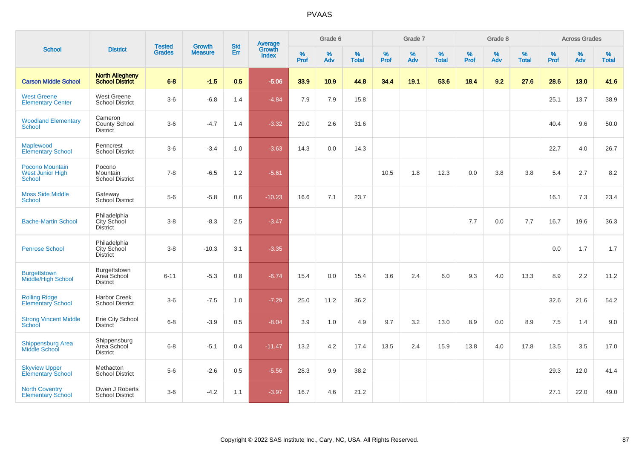| <b>School</b>                                               | <b>District</b>                                | <b>Tested</b> |                                 | <b>Std</b> |                                          |                  | Grade 6     |                   |           | Grade 7  |                   |              | Grade 8  |                   |              | <b>Across Grades</b> |                   |
|-------------------------------------------------------------|------------------------------------------------|---------------|---------------------------------|------------|------------------------------------------|------------------|-------------|-------------------|-----------|----------|-------------------|--------------|----------|-------------------|--------------|----------------------|-------------------|
|                                                             |                                                | <b>Grades</b> | <b>Growth</b><br><b>Measure</b> | Err        | <b>Average</b><br>Growth<br><b>Index</b> | %<br><b>Prof</b> | $\%$<br>Adv | %<br><b>Total</b> | %<br>Prof | %<br>Adv | %<br><b>Total</b> | $\%$<br>Prof | %<br>Adv | %<br><b>Total</b> | $\%$<br>Prof | %<br>Adv             | %<br><b>Total</b> |
| <b>Carson Middle School</b>                                 | <b>North Allegheny</b><br>School District      | $6 - 8$       | $-1.5$                          | 0.5        | $-5.06$                                  | 33.9             | 10.9        | 44.8              | 34.4      | 19.1     | 53.6              | 18.4         | 9.2      | 27.6              | 28.6         | 13.0                 | 41.6              |
| <b>West Greene</b><br><b>Elementary Center</b>              | West Greene<br><b>School District</b>          | $3-6$         | $-6.8$                          | 1.4        | $-4.84$                                  | 7.9              | 7.9         | 15.8              |           |          |                   |              |          |                   | 25.1         | 13.7                 | 38.9              |
| <b>Woodland Elementary</b><br><b>School</b>                 | Cameron<br>County School<br>District           | $3-6$         | $-4.7$                          | 1.4        | $-3.32$                                  | 29.0             | 2.6         | 31.6              |           |          |                   |              |          |                   | 40.4         | 9.6                  | 50.0              |
| Maplewood<br><b>Elementary School</b>                       | Penncrest<br><b>School District</b>            | $3-6$         | $-3.4$                          | 1.0        | $-3.63$                                  | 14.3             | 0.0         | 14.3              |           |          |                   |              |          |                   | 22.7         | 4.0                  | 26.7              |
| Pocono Mountain<br><b>West Junior High</b><br><b>School</b> | Pocono<br>Mountain<br><b>School District</b>   | $7 - 8$       | $-6.5$                          | 1.2        | $-5.61$                                  |                  |             |                   | 10.5      | 1.8      | 12.3              | 0.0          | 3.8      | 3.8               | 5.4          | 2.7                  | 8.2               |
| <b>Moss Side Middle</b><br><b>School</b>                    | Gateway<br>School District                     | $5-6$         | $-5.8$                          | 0.6        | $-10.23$                                 | 16.6             | 7.1         | 23.7              |           |          |                   |              |          |                   | 16.1         | 7.3                  | 23.4              |
| <b>Bache-Martin School</b>                                  | Philadelphia<br>City School<br><b>District</b> | $3 - 8$       | $-8.3$                          | 2.5        | $-3.47$                                  |                  |             |                   |           |          |                   | 7.7          | 0.0      | 7.7               | 16.7         | 19.6                 | 36.3              |
| <b>Penrose School</b>                                       | Philadelphia<br>City School<br><b>District</b> | $3 - 8$       | $-10.3$                         | 3.1        | $-3.35$                                  |                  |             |                   |           |          |                   |              |          |                   | 0.0          | 1.7                  | 1.7               |
| Burgettstown<br><b>Middle/High School</b>                   | Burgettstown<br>Area School<br><b>District</b> | $6 - 11$      | $-5.3$                          | 0.8        | $-6.74$                                  | 15.4             | 0.0         | 15.4              | 3.6       | 2.4      | 6.0               | 9.3          | 4.0      | 13.3              | 8.9          | 2.2                  | 11.2              |
| <b>Rolling Ridge</b><br><b>Elementary School</b>            | <b>Harbor Creek</b><br><b>School District</b>  | $3-6$         | $-7.5$                          | 1.0        | $-7.29$                                  | 25.0             | 11.2        | 36.2              |           |          |                   |              |          |                   | 32.6         | 21.6                 | 54.2              |
| <b>Strong Vincent Middle</b><br>School                      | Erie City School<br><b>District</b>            | $6 - 8$       | $-3.9$                          | 0.5        | $-8.04$                                  | 3.9              | 1.0         | 4.9               | 9.7       | 3.2      | 13.0              | 8.9          | 0.0      | 8.9               | 7.5          | 1.4                  | 9.0               |
| <b>Shippensburg Area</b><br>Middle School                   | Shippensburg<br>Area School<br><b>District</b> | $6 - 8$       | $-5.1$                          | 0.4        | $-11.47$                                 | 13.2             | 4.2         | 17.4              | 13.5      | 2.4      | 15.9              | 13.8         | 4.0      | 17.8              | 13.5         | 3.5                  | 17.0              |
| <b>Skyview Upper</b><br><b>Elementary School</b>            | Methacton<br><b>School District</b>            | $5-6$         | $-2.6$                          | 0.5        | $-5.56$                                  | 28.3             | 9.9         | 38.2              |           |          |                   |              |          |                   | 29.3         | 12.0                 | 41.4              |
| <b>North Coventry</b><br><b>Elementary School</b>           | Owen J Roberts<br><b>School District</b>       | $3-6$         | $-4.2$                          | 1.1        | $-3.97$                                  | 16.7             | 4.6         | 21.2              |           |          |                   |              |          |                   | 27.1         | 22.0                 | 49.0              |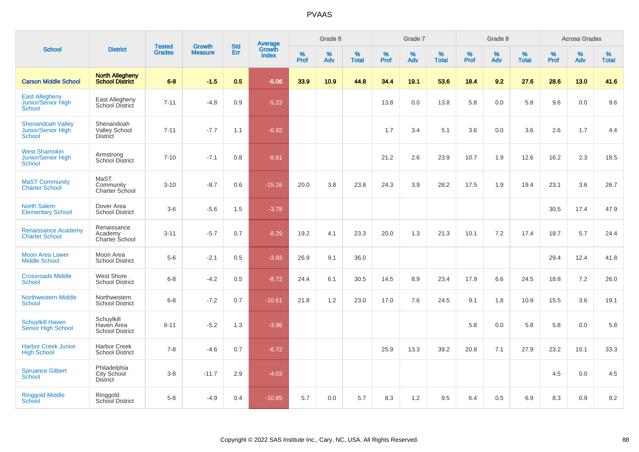|                                                             |                                                       |                                | <b>Growth</b>  | <b>Std</b> |                                          |                  | Grade 6     |                   |              | Grade 7     | Grade 8<br>$\%$<br>$\%$<br>%<br>%<br><b>Total</b><br>Prof<br>Adv<br>53.6<br>18.4<br>9.2<br>5.8<br>13.8<br>0.0<br>5.1<br>3.6<br>0.0<br>23.9<br>10.7<br>1.9<br>28.2<br>17.5<br>1.9<br>21.3<br>7.2<br>10.1<br>23.4<br>17.9<br>6.6<br>24.5<br>9.1<br>1.8 |      | <b>Across Grades</b> |              |              |             |                      |
|-------------------------------------------------------------|-------------------------------------------------------|--------------------------------|----------------|------------|------------------------------------------|------------------|-------------|-------------------|--------------|-------------|------------------------------------------------------------------------------------------------------------------------------------------------------------------------------------------------------------------------------------------------------|------|----------------------|--------------|--------------|-------------|----------------------|
| <b>School</b>                                               | <b>District</b>                                       | <b>Tested</b><br><b>Grades</b> | <b>Measure</b> | Err        | <b>Average</b><br>Growth<br><b>Index</b> | %<br><b>Prof</b> | $\%$<br>Adv | %<br><b>Total</b> | $\%$<br>Prof | $\%$<br>Adv |                                                                                                                                                                                                                                                      |      |                      | <b>Total</b> | $\%$<br>Prof | $\%$<br>Adv | $\%$<br><b>Total</b> |
| <b>Carson Middle School</b>                                 | <b>North Allegheny</b><br><b>School District</b>      | $6 - 8$                        | $-1.5$         | 0.5        | $-5.06$                                  | 33.9             | 10.9        | 44.8              | 34.4         | 19.1        |                                                                                                                                                                                                                                                      |      |                      | 27.6         | 28.6         | 13.0        | 41.6                 |
| <b>East Allegheny</b><br>Junior/Senior High<br>School       | East Allegheny<br>School District                     | $7 - 11$                       | $-4.8$         | 0.9        | $-5.23$                                  |                  |             |                   | 13.8         | 0.0         |                                                                                                                                                                                                                                                      |      |                      | 5.8          | 9.6          | 0.0         | 9.6                  |
| <b>Shenandoah Valley</b><br>Junior/Senior High<br>School    | Shenandoah<br><b>Valley School</b><br><b>District</b> | $7 - 11$                       | $-7.7$         | 1.1        | $-6.92$                                  |                  |             |                   | 1.7          | 3.4         |                                                                                                                                                                                                                                                      |      |                      | 3.6          | 2.6          | 1.7         | 4.4                  |
| <b>West Shamokin</b><br>Junior/Senior High<br><b>School</b> | Armstrong<br><b>School District</b>                   | $7 - 10$                       | $-7.1$         | 0.8        | $-8.81$                                  |                  |             |                   | 21.2         | 2.6         |                                                                                                                                                                                                                                                      |      |                      | 12.6         | 16.2         | 2.3         | 18.5                 |
| <b>MaST Community</b><br><b>Charter School</b>              | MaST<br>Community<br>Charter School                   | $3 - 10$                       | $-8.7$         | 0.6        | $-15.16$                                 | 20.0             | 3.8         | 23.8              | 24.3         | 3.9         |                                                                                                                                                                                                                                                      |      |                      | 19.4         | 23.1         | 3.6         | 26.7                 |
| <b>North Salem</b><br><b>Elementary School</b>              | Dover Area<br><b>School District</b>                  | $3-6$                          | $-5.6$         | 1.5        | $-3.78$                                  |                  |             |                   |              |             |                                                                                                                                                                                                                                                      |      |                      |              | 30.5         | 17.4        | 47.9                 |
| <b>Renaissance Academy</b><br><b>Charter School</b>         | Renaissance<br>Academy<br>Charter School              | $3 - 11$                       | $-5.7$         | 0.7        | $-8.29$                                  | 19.2             | 4.1         | 23.3              | 20.0         | 1.3         |                                                                                                                                                                                                                                                      |      |                      | 17.4         | 18.7         | 5.7         | 24.4                 |
| <b>Moon Area Lower</b><br><b>Middle School</b>              | Moon Area<br><b>School District</b>                   | $5-6$                          | $-2.1$         | 0.5        | $-3.93$                                  | 26.9             | 9.1         | 36.0              |              |             |                                                                                                                                                                                                                                                      |      |                      |              | 29.4         | 12.4        | 41.8                 |
| <b>Crossroads Middle</b><br><b>School</b>                   | West Shore<br><b>School District</b>                  | $6 - 8$                        | $-4.2$         | 0.5        | $-8.72$                                  | 24.4             | 6.1         | 30.5              | 14.5         | 8.9         |                                                                                                                                                                                                                                                      |      |                      | 24.5         | 18.8         | 7.2         | 26.0                 |
| <b>Northwestern Middle</b><br><b>School</b>                 | Northwestern<br><b>School District</b>                | $6 - 8$                        | $-7.2$         | 0.7        | $-10.61$                                 | 21.8             | 1.2         | 23.0              | 17.0         | 7.6         |                                                                                                                                                                                                                                                      |      |                      | 10.9         | 15.5         | 3.6         | 19.1                 |
| <b>Schuylkill Haven</b><br>Senior High School               | Schuylkill<br>Haven Area<br><b>School District</b>    | $8 - 11$                       | $-5.2$         | 1.3        | $-3.96$                                  |                  |             |                   |              |             |                                                                                                                                                                                                                                                      | 5.8  | 0.0                  | 5.8          | 5.8          | 0.0         | 5.8                  |
| <b>Harbor Creek Junior</b><br><b>High School</b>            | Harbor Creek<br><b>School District</b>                | $7 - 8$                        | $-4.6$         | 0.7        | $-6.72$                                  |                  |             |                   | 25.9         | 13.3        | 39.2                                                                                                                                                                                                                                                 | 20.8 | 7.1                  | 27.9         | 23.2         | 10.1        | 33.3                 |
| <b>Spruance Gilbert</b><br>School                           | Philadelphia<br>City School<br><b>District</b>        | $3-8$                          | $-11.7$        | 2.9        | $-4.03$                                  |                  |             |                   |              |             |                                                                                                                                                                                                                                                      |      |                      |              | 4.5          | 0.0         | 4.5                  |
| <b>Ringgold Middle</b><br>School                            | Ringgold<br>School District                           | $5-8$                          | $-4.9$         | 0.4        | $-10.85$                                 | 5.7              | 0.0         | 5.7               | 8.3          | 1.2         | 9.5                                                                                                                                                                                                                                                  | 6.4  | 0.5                  | 6.9          | 8.3          | 0.9         | 9.2                  |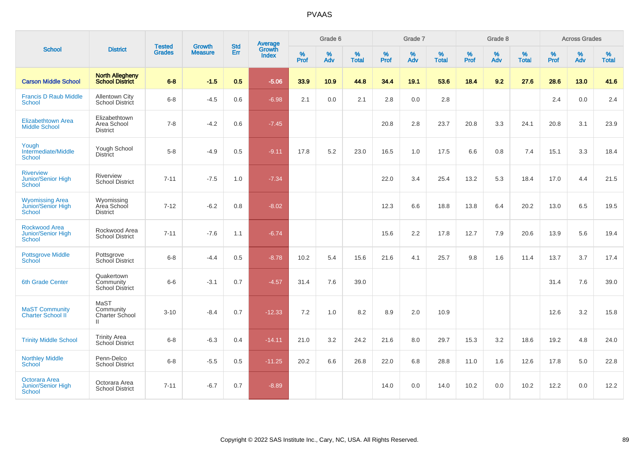| <b>School</b>                                          |                                                      |                                |                                 |                   |                                          |                  | Grade 6  |                   |           | Grade 7  |                   |           | Grade 8  |                   |           | <b>Across Grades</b> |                   |
|--------------------------------------------------------|------------------------------------------------------|--------------------------------|---------------------------------|-------------------|------------------------------------------|------------------|----------|-------------------|-----------|----------|-------------------|-----------|----------|-------------------|-----------|----------------------|-------------------|
|                                                        | <b>District</b>                                      | <b>Tested</b><br><b>Grades</b> | <b>Growth</b><br><b>Measure</b> | <b>Std</b><br>Err | <b>Average</b><br>Growth<br><b>Index</b> | %<br><b>Prof</b> | %<br>Adv | %<br><b>Total</b> | %<br>Prof | %<br>Adv | %<br><b>Total</b> | %<br>Prof | %<br>Adv | %<br><b>Total</b> | %<br>Prof | %<br>Adv             | %<br><b>Total</b> |
| <b>Carson Middle School</b>                            | <b>North Allegheny</b><br>School District            | $6 - 8$                        | $-1.5$                          | 0.5               | $-5.06$                                  | 33.9             | 10.9     | 44.8              | 34.4      | 19.1     | 53.6              | 18.4      | 9.2      | 27.6              | 28.6      | 13.0                 | 41.6              |
| <b>Francis D Raub Middle</b><br><b>School</b>          | <b>Allentown City</b><br>School District             | $6 - 8$                        | $-4.5$                          | 0.6               | $-6.98$                                  | 2.1              | 0.0      | 2.1               | 2.8       | 0.0      | 2.8               |           |          |                   | 2.4       | 0.0                  | 2.4               |
| <b>Elizabethtown Area</b><br><b>Middle School</b>      | Elizabethtown<br>Area School<br><b>District</b>      | $7 - 8$                        | $-4.2$                          | 0.6               | $-7.45$                                  |                  |          |                   | 20.8      | 2.8      | 23.7              | 20.8      | 3.3      | 24.1              | 20.8      | 3.1                  | 23.9              |
| Yough<br>Intermediate/Middle<br><b>School</b>          | Yough School<br><b>District</b>                      | $5-8$                          | $-4.9$                          | 0.5               | $-9.11$                                  | 17.8             | 5.2      | 23.0              | 16.5      | 1.0      | 17.5              | 6.6       | 0.8      | 7.4               | 15.1      | 3.3                  | 18.4              |
| <b>Riverview</b><br>Junior/Senior High<br>School       | Riverview<br><b>School District</b>                  | $7 - 11$                       | $-7.5$                          | 1.0               | $-7.34$                                  |                  |          |                   | 22.0      | 3.4      | 25.4              | 13.2      | 5.3      | 18.4              | 17.0      | 4.4                  | 21.5              |
| <b>Wyomissing Area</b><br>Junior/Senior High<br>School | Wyomissing<br>Area School<br><b>District</b>         | $7 - 12$                       | $-6.2$                          | $0.8\,$           | $-8.02$                                  |                  |          |                   | 12.3      | 6.6      | 18.8              | 13.8      | 6.4      | 20.2              | 13.0      | 6.5                  | 19.5              |
| Rockwood Area<br>Junior/Senior High<br><b>School</b>   | Rockwood Area<br><b>School District</b>              | $7 - 11$                       | $-7.6$                          | 1.1               | $-6.74$                                  |                  |          |                   | 15.6      | 2.2      | 17.8              | 12.7      | 7.9      | 20.6              | 13.9      | 5.6                  | 19.4              |
| <b>Pottsgrove Middle</b><br><b>School</b>              | Pottsgrove<br>School District                        | $6 - 8$                        | $-4.4$                          | 0.5               | $-8.78$                                  | 10.2             | 5.4      | 15.6              | 21.6      | 4.1      | 25.7              | 9.8       | 1.6      | 11.4              | 13.7      | 3.7                  | 17.4              |
| <b>6th Grade Center</b>                                | Quakertown<br>Community<br><b>School District</b>    | $6 - 6$                        | $-3.1$                          | 0.7               | $-4.57$                                  | 31.4             | 7.6      | 39.0              |           |          |                   |           |          |                   | 31.4      | 7.6                  | 39.0              |
| <b>MaST Community</b><br><b>Charter School II</b>      | MaST<br>Community<br>Charter School<br>$\mathbf{II}$ | $3 - 10$                       | $-8.4$                          | 0.7               | $-12.33$                                 | 7.2              | 1.0      | 8.2               | 8.9       | 2.0      | 10.9              |           |          |                   | 12.6      | 3.2                  | 15.8              |
| <b>Trinity Middle School</b>                           | <b>Trinity Area</b><br>School District               | $6 - 8$                        | $-6.3$                          | 0.4               | $-14.11$                                 | 21.0             | 3.2      | 24.2              | 21.6      | 8.0      | 29.7              | 15.3      | 3.2      | 18.6              | 19.2      | 4.8                  | 24.0              |
| <b>Northley Middle</b><br><b>School</b>                | Penn-Delco<br><b>School District</b>                 | $6 - 8$                        | $-5.5$                          | 0.5               | $-11.25$                                 | 20.2             | 6.6      | 26.8              | 22.0      | 6.8      | 28.8              | 11.0      | 1.6      | 12.6              | 17.8      | 5.0                  | 22.8              |
| Octorara Area<br>Junior/Senior High<br>School          | Octorara Area<br><b>School District</b>              | $7 - 11$                       | $-6.7$                          | 0.7               | $-8.89$                                  |                  |          |                   | 14.0      | 0.0      | 14.0              | 10.2      | 0.0      | 10.2              | 12.2      | 0.0                  | 12.2              |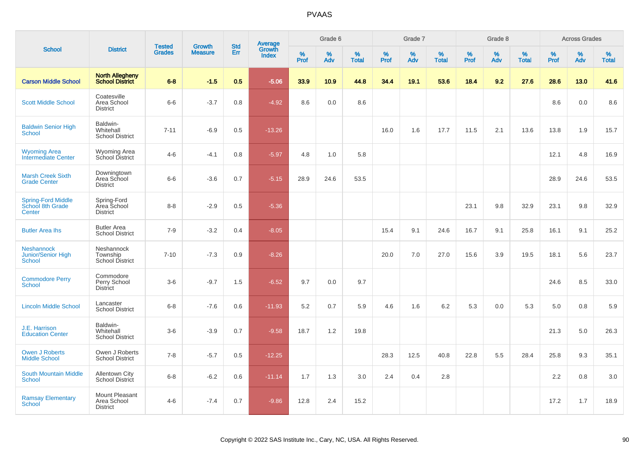| <b>School</b>                                            |                                                  |                                | <b>Growth</b>  | <b>Std</b> |                                          |                     | Grade 6  |                   |              | Grade 7     |                   |              | Grade 8  |                   |                     | <b>Across Grades</b> |                   |
|----------------------------------------------------------|--------------------------------------------------|--------------------------------|----------------|------------|------------------------------------------|---------------------|----------|-------------------|--------------|-------------|-------------------|--------------|----------|-------------------|---------------------|----------------------|-------------------|
|                                                          | <b>District</b>                                  | <b>Tested</b><br><b>Grades</b> | <b>Measure</b> | <b>Err</b> | <b>Average</b><br>Growth<br><b>Index</b> | $\%$<br><b>Prof</b> | %<br>Adv | %<br><b>Total</b> | $\%$<br>Prof | $\%$<br>Adv | %<br><b>Total</b> | $\%$<br>Prof | %<br>Adv | %<br><b>Total</b> | $\%$<br><b>Prof</b> | $\%$<br>Adv          | %<br><b>Total</b> |
| <b>Carson Middle School</b>                              | <b>North Allegheny</b><br><b>School District</b> | $6 - 8$                        | $-1.5$         | 0.5        | $-5.06$                                  | 33.9                | 10.9     | 44.8              | 34.4         | 19.1        | 53.6              | 18.4         | 9.2      | 27.6              | 28.6                | 13.0                 | 41.6              |
| <b>Scott Middle School</b>                               | Coatesville<br>Area School<br><b>District</b>    | $6-6$                          | $-3.7$         | 0.8        | $-4.92$                                  | 8.6                 | 0.0      | 8.6               |              |             |                   |              |          |                   | 8.6                 | 0.0                  | 8.6               |
| <b>Baldwin Senior High</b><br>School                     | Baldwin-<br>Whitehall<br><b>School District</b>  | $7 - 11$                       | $-6.9$         | 0.5        | $-13.26$                                 |                     |          |                   | 16.0         | 1.6         | 17.7              | 11.5         | 2.1      | 13.6              | 13.8                | 1.9                  | 15.7              |
| <b>Wyoming Area</b><br>Intermediate Center               | <b>Wyoming Area</b><br>School District           | $4 - 6$                        | $-4.1$         | 0.8        | $-5.97$                                  | 4.8                 | 1.0      | 5.8               |              |             |                   |              |          |                   | 12.1                | 4.8                  | 16.9              |
| <b>Marsh Creek Sixth</b><br><b>Grade Center</b>          | Downingtown<br>Area School<br><b>District</b>    | $6-6$                          | $-3.6$         | 0.7        | $-5.15$                                  | 28.9                | 24.6     | 53.5              |              |             |                   |              |          |                   | 28.9                | 24.6                 | 53.5              |
| <b>Spring-Ford Middle</b><br>School 8th Grade<br>Center  | Spring-Ford<br>Area School<br><b>District</b>    | $8 - 8$                        | $-2.9$         | 0.5        | $-5.36$                                  |                     |          |                   |              |             |                   | 23.1         | 9.8      | 32.9              | 23.1                | 9.8                  | 32.9              |
| <b>Butler Area Ihs</b>                                   | <b>Butler Area</b><br><b>School District</b>     | $7 - 9$                        | $-3.2$         | 0.4        | $-8.05$                                  |                     |          |                   | 15.4         | 9.1         | 24.6              | 16.7         | 9.1      | 25.8              | 16.1                | 9.1                  | 25.2              |
| <b>Neshannock</b><br>Junior/Senior High<br><b>School</b> | Neshannock<br>Township<br><b>School District</b> | $7 - 10$                       | $-7.3$         | 0.9        | $-8.26$                                  |                     |          |                   | 20.0         | 7.0         | 27.0              | 15.6         | 3.9      | 19.5              | 18.1                | 5.6                  | 23.7              |
| <b>Commodore Perry</b><br><b>School</b>                  | Commodore<br>Perry School<br><b>District</b>     | $3-6$                          | $-9.7$         | 1.5        | $-6.52$                                  | 9.7                 | 0.0      | 9.7               |              |             |                   |              |          |                   | 24.6                | 8.5                  | 33.0              |
| <b>Lincoln Middle School</b>                             | Lancaster<br><b>School District</b>              | $6 - 8$                        | $-7.6$         | 0.6        | $-11.93$                                 | 5.2                 | $0.7\,$  | 5.9               | 4.6          | 1.6         | 6.2               | 5.3          | 0.0      | 5.3               | 5.0                 | 0.8                  | 5.9               |
| J.E. Harrison<br><b>Education Center</b>                 | Baldwin-<br>Whitehall<br><b>School District</b>  | $3-6$                          | $-3.9$         | 0.7        | $-9.58$                                  | 18.7                | 1.2      | 19.8              |              |             |                   |              |          |                   | 21.3                | 5.0                  | 26.3              |
| <b>Owen J Roberts</b><br><b>Middle School</b>            | Owen J Roberts<br><b>School District</b>         | $7 - 8$                        | $-5.7$         | 0.5        | $-12.25$                                 |                     |          |                   | 28.3         | 12.5        | 40.8              | 22.8         | 5.5      | 28.4              | 25.8                | 9.3                  | 35.1              |
| <b>South Mountain Middle</b><br>School                   | <b>Allentown City</b><br><b>School District</b>  | $6 - 8$                        | $-6.2$         | 0.6        | $-11.14$                                 | 1.7                 | 1.3      | 3.0               | 2.4          | 0.4         | 2.8               |              |          |                   | 2.2                 | 0.8                  | 3.0               |
| <b>Ramsay Elementary</b><br>School                       | Mount Pleasant<br>Area School<br><b>District</b> | $4 - 6$                        | $-7.4$         | 0.7        | $-9.86$                                  | 12.8                | 2.4      | 15.2              |              |             |                   |              |          |                   | 17.2                | 1.7                  | 18.9              |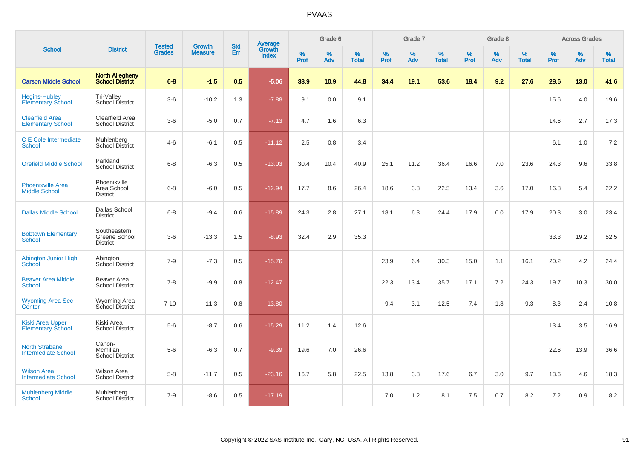| <b>School</b>                                       | <b>Tested</b><br><b>District</b>                 |               |                                 | <b>Std</b> |                                          |           | Grade 6  |                   |           | Grade 7  |                   |           | Grade 8  |                   |              | <b>Across Grades</b> |                   |
|-----------------------------------------------------|--------------------------------------------------|---------------|---------------------------------|------------|------------------------------------------|-----------|----------|-------------------|-----------|----------|-------------------|-----------|----------|-------------------|--------------|----------------------|-------------------|
|                                                     |                                                  | <b>Grades</b> | <b>Growth</b><br><b>Measure</b> | Err        | <b>Average</b><br>Growth<br><b>Index</b> | %<br>Prof | %<br>Adv | %<br><b>Total</b> | %<br>Prof | %<br>Adv | %<br><b>Total</b> | %<br>Prof | %<br>Adv | %<br><b>Total</b> | $\%$<br>Prof | $\%$<br>Adv          | %<br><b>Total</b> |
| <b>Carson Middle School</b>                         | <b>North Allegheny</b><br><b>School District</b> | $6 - 8$       | $-1.5$                          | 0.5        | $-5.06$                                  | 33.9      | 10.9     | 44.8              | 34.4      | 19.1     | 53.6              | 18.4      | 9.2      | 27.6              | 28.6         | 13.0                 | 41.6              |
| <b>Hegins-Hubley</b><br><b>Elementary School</b>    | Tri-Valley<br>School District                    | $3-6$         | $-10.2$                         | 1.3        | $-7.88$                                  | 9.1       | 0.0      | 9.1               |           |          |                   |           |          |                   | 15.6         | 4.0                  | 19.6              |
| <b>Clearfield Area</b><br><b>Elementary School</b>  | Clearfield Area<br><b>School District</b>        | $3-6$         | $-5.0$                          | 0.7        | $-7.13$                                  | 4.7       | 1.6      | 6.3               |           |          |                   |           |          |                   | 14.6         | 2.7                  | 17.3              |
| C E Cole Intermediate<br><b>School</b>              | Muhlenberg<br>School District                    | $4 - 6$       | $-6.1$                          | 0.5        | $-11.12$                                 | 2.5       | 0.8      | 3.4               |           |          |                   |           |          |                   | 6.1          | 1.0                  | 7.2               |
| <b>Orefield Middle School</b>                       | Parkland<br><b>School District</b>               | $6 - 8$       | $-6.3$                          | 0.5        | $-13.03$                                 | 30.4      | 10.4     | 40.9              | 25.1      | 11.2     | 36.4              | 16.6      | 7.0      | 23.6              | 24.3         | 9.6                  | 33.8              |
| <b>Phoenixville Area</b><br><b>Middle School</b>    | Phoenixville<br>Area School<br><b>District</b>   | $6 - 8$       | $-6.0$                          | 0.5        | $-12.94$                                 | 17.7      | 8.6      | 26.4              | 18.6      | 3.8      | 22.5              | 13.4      | 3.6      | 17.0              | 16.8         | 5.4                  | 22.2              |
| <b>Dallas Middle School</b>                         | Dallas School<br><b>District</b>                 | $6 - 8$       | $-9.4$                          | 0.6        | $-15.89$                                 | 24.3      | 2.8      | 27.1              | 18.1      | 6.3      | 24.4              | 17.9      | 0.0      | 17.9              | 20.3         | 3.0                  | 23.4              |
| <b>Bobtown Elementary</b><br><b>School</b>          | Southeastern<br>Greene School<br><b>District</b> | $3-6$         | $-13.3$                         | 1.5        | $-8.93$                                  | 32.4      | 2.9      | 35.3              |           |          |                   |           |          |                   | 33.3         | 19.2                 | 52.5              |
| <b>Abington Junior High</b><br>School               | Abington<br>School District                      | $7 - 9$       | $-7.3$                          | 0.5        | $-15.76$                                 |           |          |                   | 23.9      | 6.4      | 30.3              | 15.0      | 1.1      | 16.1              | 20.2         | 4.2                  | 24.4              |
| <b>Beaver Area Middle</b><br><b>School</b>          | Beaver Area<br><b>School District</b>            | $7 - 8$       | $-9.9$                          | 0.8        | $-12.47$                                 |           |          |                   | 22.3      | 13.4     | 35.7              | 17.1      | 7.2      | 24.3              | 19.7         | 10.3                 | 30.0              |
| <b>Wyoming Area Sec</b><br>Center                   | Wyoming Area<br>School District                  | $7 - 10$      | $-11.3$                         | 0.8        | $-13.80$                                 |           |          |                   | 9.4       | 3.1      | 12.5              | 7.4       | 1.8      | 9.3               | 8.3          | 2.4                  | 10.8              |
| <b>Kiski Area Upper</b><br><b>Elementary School</b> | Kiski Area<br><b>School District</b>             | $5 - 6$       | $-8.7$                          | 0.6        | $-15.29$                                 | 11.2      | 1.4      | 12.6              |           |          |                   |           |          |                   | 13.4         | 3.5                  | 16.9              |
| <b>North Strabane</b><br><b>Intermediate School</b> | Canon-<br>Mcmillan<br><b>School District</b>     | $5-6$         | $-6.3$                          | 0.7        | $-9.39$                                  | 19.6      | 7.0      | 26.6              |           |          |                   |           |          |                   | 22.6         | 13.9                 | 36.6              |
| <b>Wilson Area</b><br><b>Intermediate School</b>    | <b>Wilson Area</b><br><b>School District</b>     | $5 - 8$       | $-11.7$                         | 0.5        | $-23.16$                                 | 16.7      | 5.8      | 22.5              | 13.8      | 3.8      | 17.6              | 6.7       | 3.0      | 9.7               | 13.6         | 4.6                  | 18.3              |
| <b>Muhlenberg Middle</b><br>School                  | Muhlenberg<br><b>School District</b>             | $7 - 9$       | $-8.6$                          | 0.5        | $-17.19$                                 |           |          |                   | 7.0       | 1.2      | 8.1               | 7.5       | 0.7      | 8.2               | 7.2          | 0.9                  | 8.2               |